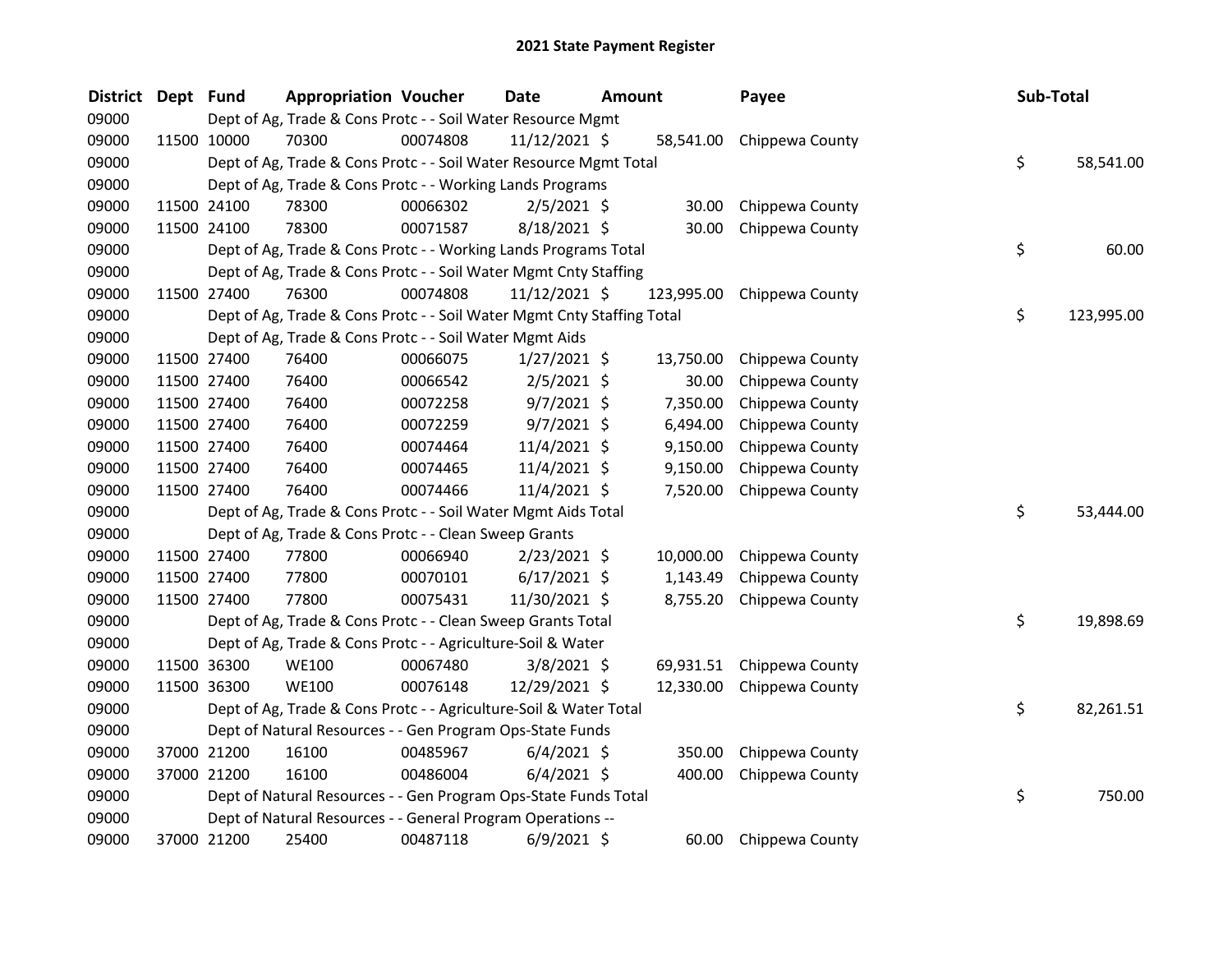| <b>District</b> | Dept Fund |             | <b>Appropriation Voucher</b>                                           |          | <b>Date</b>    | <b>Amount</b> |            | Payee                     | Sub-Total |            |
|-----------------|-----------|-------------|------------------------------------------------------------------------|----------|----------------|---------------|------------|---------------------------|-----------|------------|
| 09000           |           |             | Dept of Ag, Trade & Cons Protc - - Soil Water Resource Mgmt            |          |                |               |            |                           |           |            |
| 09000           |           | 11500 10000 | 70300                                                                  | 00074808 | 11/12/2021 \$  |               |            | 58,541.00 Chippewa County |           |            |
| 09000           |           |             | Dept of Ag, Trade & Cons Protc - - Soil Water Resource Mgmt Total      |          |                |               |            |                           | \$        | 58,541.00  |
| 09000           |           |             | Dept of Ag, Trade & Cons Protc - - Working Lands Programs              |          |                |               |            |                           |           |            |
| 09000           |           | 11500 24100 | 78300                                                                  | 00066302 | $2/5/2021$ \$  |               | 30.00      | Chippewa County           |           |            |
| 09000           |           | 11500 24100 | 78300                                                                  | 00071587 | 8/18/2021 \$   |               | 30.00      | Chippewa County           |           |            |
| 09000           |           |             | Dept of Ag, Trade & Cons Protc - - Working Lands Programs Total        |          |                |               |            |                           | \$        | 60.00      |
| 09000           |           |             | Dept of Ag, Trade & Cons Protc - - Soil Water Mgmt Cnty Staffing       |          |                |               |            |                           |           |            |
| 09000           |           | 11500 27400 | 76300                                                                  | 00074808 | 11/12/2021 \$  |               | 123,995.00 | Chippewa County           |           |            |
| 09000           |           |             | Dept of Ag, Trade & Cons Protc - - Soil Water Mgmt Cnty Staffing Total |          |                |               |            |                           | \$        | 123,995.00 |
| 09000           |           |             | Dept of Ag, Trade & Cons Protc - - Soil Water Mgmt Aids                |          |                |               |            |                           |           |            |
| 09000           |           | 11500 27400 | 76400                                                                  | 00066075 | 1/27/2021 \$   |               | 13,750.00  | Chippewa County           |           |            |
| 09000           |           | 11500 27400 | 76400                                                                  | 00066542 | $2/5/2021$ \$  |               | 30.00      | Chippewa County           |           |            |
| 09000           |           | 11500 27400 | 76400                                                                  | 00072258 | $9/7/2021$ \$  |               | 7,350.00   | Chippewa County           |           |            |
| 09000           |           | 11500 27400 | 76400                                                                  | 00072259 | $9/7/2021$ \$  |               | 6,494.00   | Chippewa County           |           |            |
| 09000           |           | 11500 27400 | 76400                                                                  | 00074464 | 11/4/2021 \$   |               | 9,150.00   | Chippewa County           |           |            |
| 09000           |           | 11500 27400 | 76400                                                                  | 00074465 | 11/4/2021 \$   |               | 9,150.00   | Chippewa County           |           |            |
| 09000           |           | 11500 27400 | 76400                                                                  | 00074466 | 11/4/2021 \$   |               | 7,520.00   | Chippewa County           |           |            |
| 09000           |           |             | Dept of Ag, Trade & Cons Protc - - Soil Water Mgmt Aids Total          |          |                |               |            |                           | \$        | 53,444.00  |
| 09000           |           |             | Dept of Ag, Trade & Cons Protc - - Clean Sweep Grants                  |          |                |               |            |                           |           |            |
| 09000           |           | 11500 27400 | 77800                                                                  | 00066940 | $2/23/2021$ \$ |               | 10,000.00  | Chippewa County           |           |            |
| 09000           |           | 11500 27400 | 77800                                                                  | 00070101 | $6/17/2021$ \$ |               | 1,143.49   | Chippewa County           |           |            |
| 09000           |           | 11500 27400 | 77800                                                                  | 00075431 | 11/30/2021 \$  |               | 8,755.20   | Chippewa County           |           |            |
| 09000           |           |             | Dept of Ag, Trade & Cons Protc - - Clean Sweep Grants Total            |          |                |               |            |                           | \$        | 19,898.69  |
| 09000           |           |             | Dept of Ag, Trade & Cons Protc - - Agriculture-Soil & Water            |          |                |               |            |                           |           |            |
| 09000           |           | 11500 36300 | <b>WE100</b>                                                           | 00067480 | 3/8/2021 \$    |               | 69,931.51  | Chippewa County           |           |            |
| 09000           |           | 11500 36300 | <b>WE100</b>                                                           | 00076148 | 12/29/2021 \$  |               | 12,330.00  | Chippewa County           |           |            |
| 09000           |           |             | Dept of Ag, Trade & Cons Protc - - Agriculture-Soil & Water Total      |          |                |               |            |                           | \$        | 82,261.51  |
| 09000           |           |             | Dept of Natural Resources - - Gen Program Ops-State Funds              |          |                |               |            |                           |           |            |
| 09000           |           | 37000 21200 | 16100                                                                  | 00485967 | $6/4/2021$ \$  |               | 350.00     | Chippewa County           |           |            |
| 09000           |           | 37000 21200 | 16100                                                                  | 00486004 | $6/4/2021$ \$  |               | 400.00     | Chippewa County           |           |            |
| 09000           |           |             | Dept of Natural Resources - - Gen Program Ops-State Funds Total        |          |                |               |            |                           | \$        | 750.00     |
| 09000           |           |             | Dept of Natural Resources - - General Program Operations --            |          |                |               |            |                           |           |            |
| 09000           |           | 37000 21200 | 25400                                                                  | 00487118 | 6/9/2021 \$    |               | 60.00      | Chippewa County           |           |            |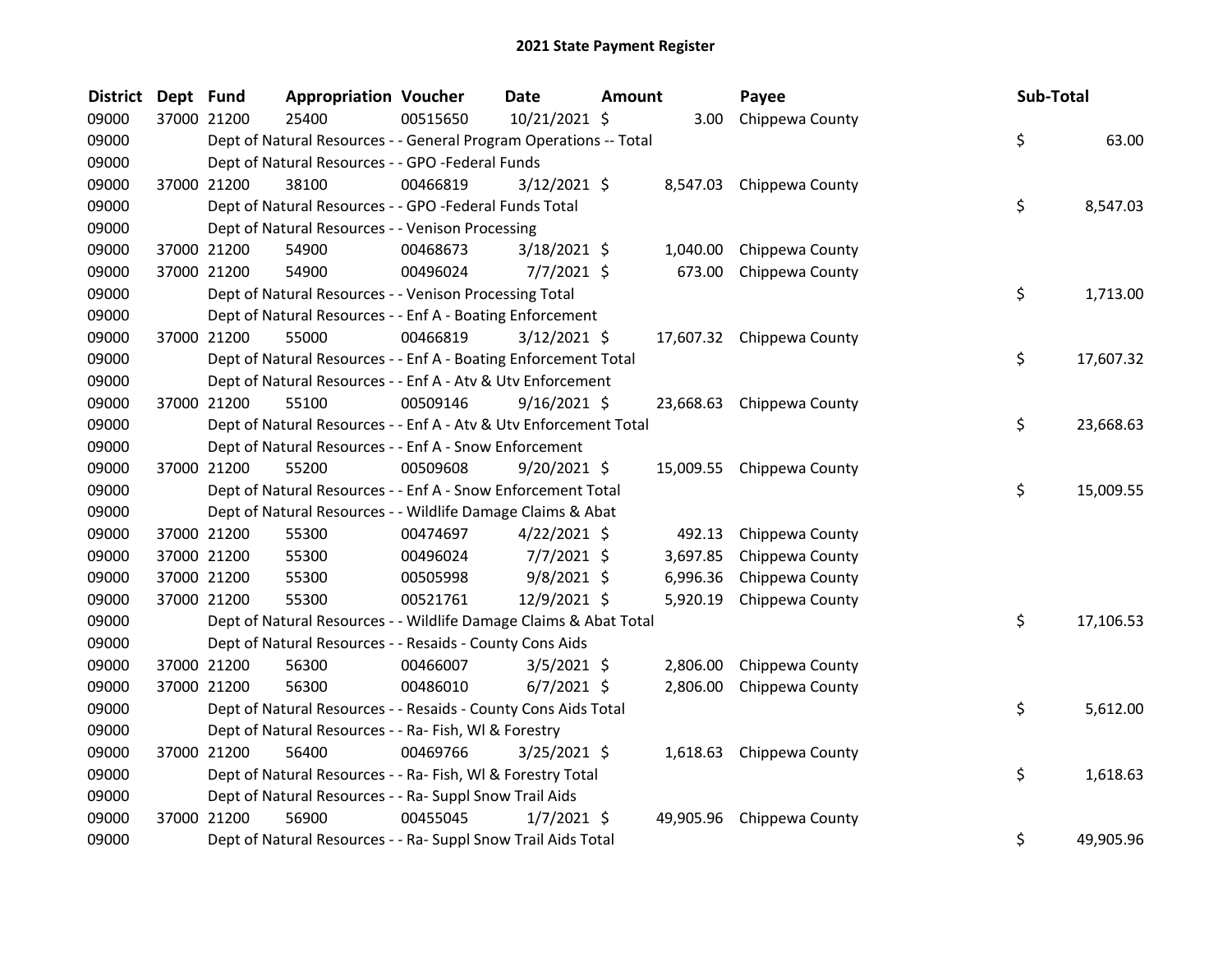| <b>District</b> | Dept Fund |             | <b>Appropriation Voucher</b>                                      |          | <b>Date</b>    | <b>Amount</b> |           | Payee                     | Sub-Total |           |
|-----------------|-----------|-------------|-------------------------------------------------------------------|----------|----------------|---------------|-----------|---------------------------|-----------|-----------|
| 09000           |           | 37000 21200 | 25400                                                             | 00515650 | 10/21/2021 \$  |               |           | 3.00 Chippewa County      |           |           |
| 09000           |           |             | Dept of Natural Resources - - General Program Operations -- Total |          |                |               |           |                           | \$        | 63.00     |
| 09000           |           |             | Dept of Natural Resources - - GPO -Federal Funds                  |          |                |               |           |                           |           |           |
| 09000           |           | 37000 21200 | 38100                                                             | 00466819 | $3/12/2021$ \$ |               |           | 8,547.03 Chippewa County  |           |           |
| 09000           |           |             | Dept of Natural Resources - - GPO -Federal Funds Total            |          |                |               |           |                           | \$        | 8,547.03  |
| 09000           |           |             | Dept of Natural Resources - - Venison Processing                  |          |                |               |           |                           |           |           |
| 09000           |           | 37000 21200 | 54900                                                             | 00468673 | 3/18/2021 \$   |               | 1,040.00  | Chippewa County           |           |           |
| 09000           |           | 37000 21200 | 54900                                                             | 00496024 | $7/7/2021$ \$  |               | 673.00    | Chippewa County           |           |           |
| 09000           |           |             | Dept of Natural Resources - - Venison Processing Total            |          |                |               |           |                           | \$        | 1,713.00  |
| 09000           |           |             | Dept of Natural Resources - - Enf A - Boating Enforcement         |          |                |               |           |                           |           |           |
| 09000           |           | 37000 21200 | 55000                                                             | 00466819 | 3/12/2021 \$   |               |           | 17,607.32 Chippewa County |           |           |
| 09000           |           |             | Dept of Natural Resources - - Enf A - Boating Enforcement Total   |          |                |               |           |                           | \$        | 17,607.32 |
| 09000           |           |             | Dept of Natural Resources - - Enf A - Atv & Utv Enforcement       |          |                |               |           |                           |           |           |
| 09000           |           | 37000 21200 | 55100                                                             | 00509146 | $9/16/2021$ \$ |               |           | 23,668.63 Chippewa County |           |           |
| 09000           |           |             | Dept of Natural Resources - - Enf A - Atv & Utv Enforcement Total |          |                |               |           |                           | \$        | 23,668.63 |
| 09000           |           |             | Dept of Natural Resources - - Enf A - Snow Enforcement            |          |                |               |           |                           |           |           |
| 09000           |           | 37000 21200 | 55200                                                             | 00509608 | $9/20/2021$ \$ |               |           | 15,009.55 Chippewa County |           |           |
| 09000           |           |             | Dept of Natural Resources - - Enf A - Snow Enforcement Total      |          |                |               |           |                           | \$        | 15,009.55 |
| 09000           |           |             | Dept of Natural Resources - - Wildlife Damage Claims & Abat       |          |                |               |           |                           |           |           |
| 09000           |           | 37000 21200 | 55300                                                             | 00474697 | $4/22/2021$ \$ |               | 492.13    | Chippewa County           |           |           |
| 09000           |           | 37000 21200 | 55300                                                             | 00496024 | $7/7/2021$ \$  |               | 3,697.85  | Chippewa County           |           |           |
| 09000           |           | 37000 21200 | 55300                                                             | 00505998 | $9/8/2021$ \$  |               | 6,996.36  | Chippewa County           |           |           |
| 09000           |           | 37000 21200 | 55300                                                             | 00521761 | 12/9/2021 \$   |               | 5,920.19  | Chippewa County           |           |           |
| 09000           |           |             | Dept of Natural Resources - - Wildlife Damage Claims & Abat Total |          |                |               |           |                           | \$        | 17,106.53 |
| 09000           |           |             | Dept of Natural Resources - - Resaids - County Cons Aids          |          |                |               |           |                           |           |           |
| 09000           |           | 37000 21200 | 56300                                                             | 00466007 | $3/5/2021$ \$  |               | 2,806.00  | Chippewa County           |           |           |
| 09000           |           | 37000 21200 | 56300                                                             | 00486010 | $6/7/2021$ \$  |               | 2,806.00  | Chippewa County           |           |           |
| 09000           |           |             | Dept of Natural Resources - - Resaids - County Cons Aids Total    |          |                |               |           |                           | \$        | 5,612.00  |
| 09000           |           |             | Dept of Natural Resources - - Ra- Fish, WI & Forestry             |          |                |               |           |                           |           |           |
| 09000           |           | 37000 21200 | 56400                                                             | 00469766 | $3/25/2021$ \$ |               |           | 1,618.63 Chippewa County  |           |           |
| 09000           |           |             | Dept of Natural Resources - - Ra- Fish, WI & Forestry Total       |          |                |               |           |                           | \$        | 1,618.63  |
| 09000           |           |             | Dept of Natural Resources - - Ra- Suppl Snow Trail Aids           |          |                |               |           |                           |           |           |
| 09000           |           | 37000 21200 | 56900                                                             | 00455045 | $1/7/2021$ \$  |               | 49,905.96 | Chippewa County           |           |           |
| 09000           |           |             | Dept of Natural Resources - - Ra- Suppl Snow Trail Aids Total     |          |                |               |           |                           | \$        | 49,905.96 |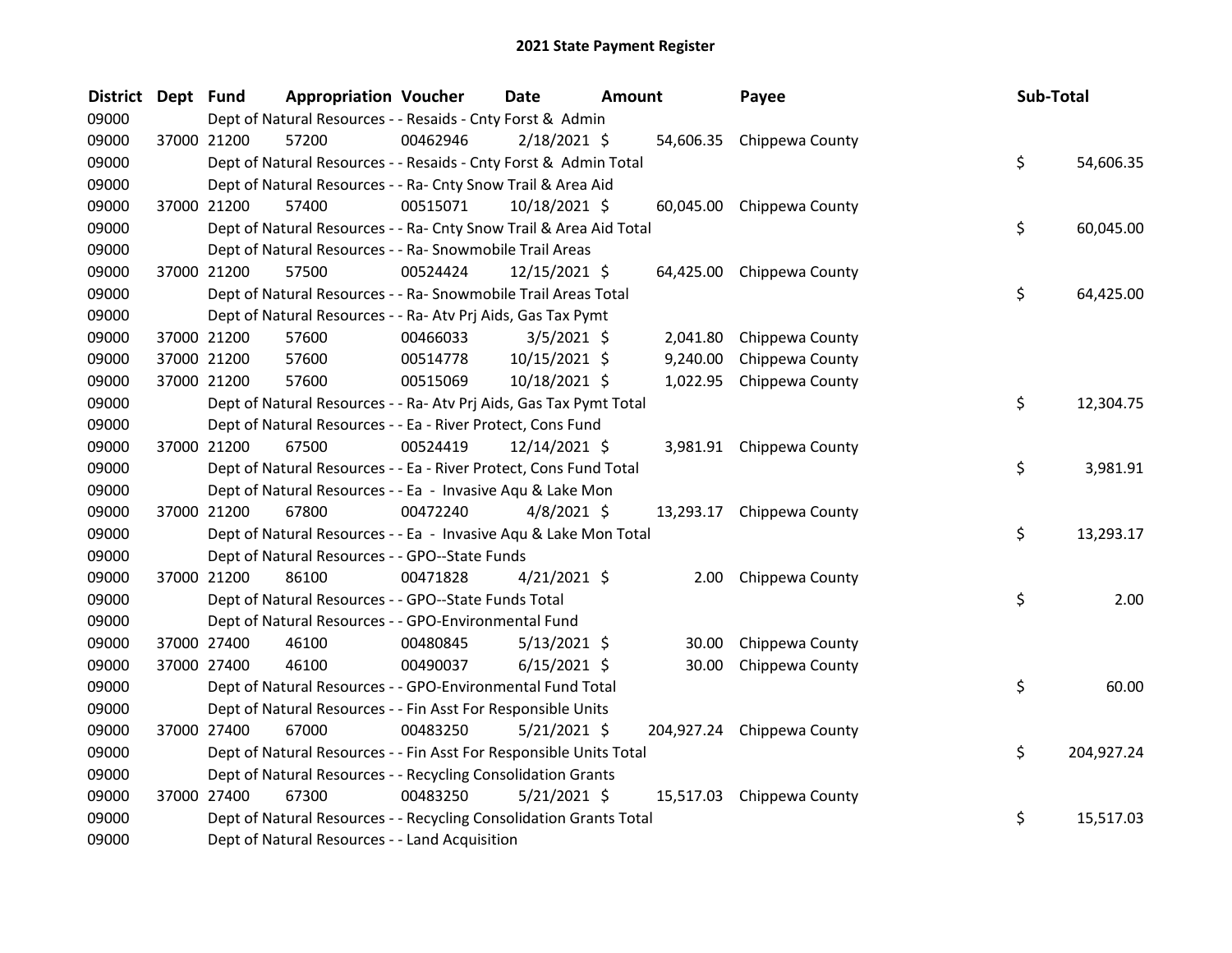| <b>District</b> | Dept Fund |             | <b>Appropriation Voucher</b>                                       |          | <b>Date</b>    | <b>Amount</b> |          | Payee                      | Sub-Total |            |
|-----------------|-----------|-------------|--------------------------------------------------------------------|----------|----------------|---------------|----------|----------------------------|-----------|------------|
| 09000           |           |             | Dept of Natural Resources - - Resaids - Cnty Forst & Admin         |          |                |               |          |                            |           |            |
| 09000           |           | 37000 21200 | 57200                                                              | 00462946 | $2/18/2021$ \$ |               |          | 54,606.35 Chippewa County  |           |            |
| 09000           |           |             | Dept of Natural Resources - - Resaids - Cnty Forst & Admin Total   |          |                |               |          |                            | \$        | 54,606.35  |
| 09000           |           |             | Dept of Natural Resources - - Ra- Cnty Snow Trail & Area Aid       |          |                |               |          |                            |           |            |
| 09000           |           | 37000 21200 | 57400                                                              | 00515071 | 10/18/2021 \$  |               |          | 60,045.00 Chippewa County  |           |            |
| 09000           |           |             | Dept of Natural Resources - - Ra- Cnty Snow Trail & Area Aid Total |          |                |               |          |                            | \$        | 60,045.00  |
| 09000           |           |             | Dept of Natural Resources - - Ra- Snowmobile Trail Areas           |          |                |               |          |                            |           |            |
| 09000           |           | 37000 21200 | 57500                                                              | 00524424 | 12/15/2021 \$  |               |          | 64,425.00 Chippewa County  |           |            |
| 09000           |           |             | Dept of Natural Resources - - Ra- Snowmobile Trail Areas Total     |          |                |               |          |                            | \$        | 64,425.00  |
| 09000           |           |             | Dept of Natural Resources - - Ra- Atv Prj Aids, Gas Tax Pymt       |          |                |               |          |                            |           |            |
| 09000           |           | 37000 21200 | 57600                                                              | 00466033 | $3/5/2021$ \$  |               | 2,041.80 | Chippewa County            |           |            |
| 09000           |           | 37000 21200 | 57600                                                              | 00514778 | 10/15/2021 \$  |               | 9,240.00 | Chippewa County            |           |            |
| 09000           |           | 37000 21200 | 57600                                                              | 00515069 | 10/18/2021 \$  |               |          | 1,022.95 Chippewa County   |           |            |
| 09000           |           |             | Dept of Natural Resources - - Ra- Atv Prj Aids, Gas Tax Pymt Total |          |                |               |          |                            | \$        | 12,304.75  |
| 09000           |           |             | Dept of Natural Resources - - Ea - River Protect, Cons Fund        |          |                |               |          |                            |           |            |
| 09000           |           | 37000 21200 | 67500                                                              | 00524419 | 12/14/2021 \$  |               |          | 3,981.91 Chippewa County   |           |            |
| 09000           |           |             | Dept of Natural Resources - - Ea - River Protect, Cons Fund Total  |          |                |               |          |                            | \$        | 3,981.91   |
| 09000           |           |             | Dept of Natural Resources - - Ea - Invasive Aqu & Lake Mon         |          |                |               |          |                            |           |            |
| 09000           |           | 37000 21200 | 67800                                                              | 00472240 | $4/8/2021$ \$  |               |          | 13,293.17 Chippewa County  |           |            |
| 09000           |           |             | Dept of Natural Resources - - Ea - Invasive Aqu & Lake Mon Total   |          |                |               |          |                            | \$        | 13,293.17  |
| 09000           |           |             | Dept of Natural Resources - - GPO--State Funds                     |          |                |               |          |                            |           |            |
| 09000           |           | 37000 21200 | 86100                                                              | 00471828 | $4/21/2021$ \$ |               | 2.00     | Chippewa County            |           |            |
| 09000           |           |             | Dept of Natural Resources - - GPO--State Funds Total               |          |                |               |          |                            | \$        | 2.00       |
| 09000           |           |             | Dept of Natural Resources - - GPO-Environmental Fund               |          |                |               |          |                            |           |            |
| 09000           |           | 37000 27400 | 46100                                                              | 00480845 | $5/13/2021$ \$ |               | 30.00    | Chippewa County            |           |            |
| 09000           |           | 37000 27400 | 46100                                                              | 00490037 | $6/15/2021$ \$ |               | 30.00    | Chippewa County            |           |            |
| 09000           |           |             | Dept of Natural Resources - - GPO-Environmental Fund Total         |          |                |               |          |                            | \$        | 60.00      |
| 09000           |           |             | Dept of Natural Resources - - Fin Asst For Responsible Units       |          |                |               |          |                            |           |            |
| 09000           |           | 37000 27400 | 67000                                                              | 00483250 | $5/21/2021$ \$ |               |          | 204,927.24 Chippewa County |           |            |
| 09000           |           |             | Dept of Natural Resources - - Fin Asst For Responsible Units Total |          |                |               |          |                            | \$        | 204,927.24 |
| 09000           |           |             | Dept of Natural Resources - - Recycling Consolidation Grants       |          |                |               |          |                            |           |            |
| 09000           |           | 37000 27400 | 67300                                                              | 00483250 | $5/21/2021$ \$ |               |          | 15,517.03 Chippewa County  |           |            |
| 09000           |           |             | Dept of Natural Resources - - Recycling Consolidation Grants Total |          |                |               |          |                            | \$        | 15,517.03  |
| 09000           |           |             | Dept of Natural Resources - - Land Acquisition                     |          |                |               |          |                            |           |            |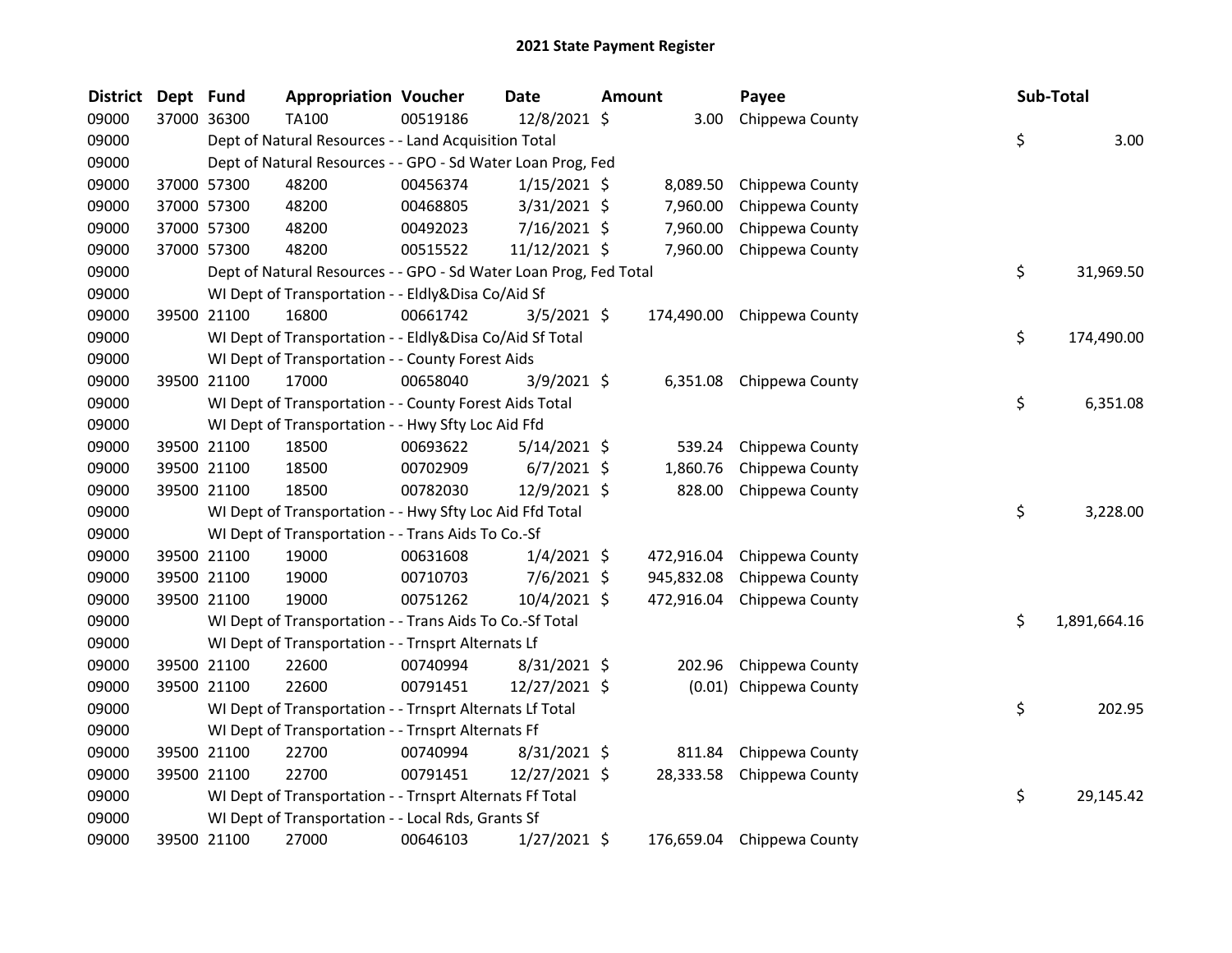| <b>District</b> | Dept Fund |             | <b>Appropriation Voucher</b>                                      |          | <b>Date</b>    | <b>Amount</b> |            | Payee                      | Sub-Total          |
|-----------------|-----------|-------------|-------------------------------------------------------------------|----------|----------------|---------------|------------|----------------------------|--------------------|
| 09000           |           | 37000 36300 | TA100                                                             | 00519186 | 12/8/2021 \$   |               | 3.00       | Chippewa County            |                    |
| 09000           |           |             | Dept of Natural Resources - - Land Acquisition Total              |          |                |               |            |                            | \$<br>3.00         |
| 09000           |           |             | Dept of Natural Resources - - GPO - Sd Water Loan Prog, Fed       |          |                |               |            |                            |                    |
| 09000           |           | 37000 57300 | 48200                                                             | 00456374 | $1/15/2021$ \$ |               | 8,089.50   | Chippewa County            |                    |
| 09000           |           | 37000 57300 | 48200                                                             | 00468805 | 3/31/2021 \$   |               | 7,960.00   | Chippewa County            |                    |
| 09000           |           | 37000 57300 | 48200                                                             | 00492023 | 7/16/2021 \$   |               | 7,960.00   | Chippewa County            |                    |
| 09000           |           | 37000 57300 | 48200                                                             | 00515522 | 11/12/2021 \$  |               | 7,960.00   | Chippewa County            |                    |
| 09000           |           |             | Dept of Natural Resources - - GPO - Sd Water Loan Prog, Fed Total |          |                |               |            |                            | \$<br>31,969.50    |
| 09000           |           |             | WI Dept of Transportation - - Eldly&Disa Co/Aid Sf                |          |                |               |            |                            |                    |
| 09000           |           | 39500 21100 | 16800                                                             | 00661742 | $3/5/2021$ \$  |               | 174,490.00 | Chippewa County            |                    |
| 09000           |           |             | WI Dept of Transportation - - Eldly&Disa Co/Aid Sf Total          |          |                |               |            |                            | \$<br>174,490.00   |
| 09000           |           |             | WI Dept of Transportation - - County Forest Aids                  |          |                |               |            |                            |                    |
| 09000           |           | 39500 21100 | 17000                                                             | 00658040 | $3/9/2021$ \$  |               |            | 6,351.08 Chippewa County   |                    |
| 09000           |           |             | WI Dept of Transportation - - County Forest Aids Total            |          |                |               |            |                            | \$<br>6,351.08     |
| 09000           |           |             | WI Dept of Transportation - - Hwy Sfty Loc Aid Ffd                |          |                |               |            |                            |                    |
| 09000           |           | 39500 21100 | 18500                                                             | 00693622 | $5/14/2021$ \$ |               | 539.24     | Chippewa County            |                    |
| 09000           |           | 39500 21100 | 18500                                                             | 00702909 | $6/7/2021$ \$  |               | 1,860.76   | Chippewa County            |                    |
| 09000           |           | 39500 21100 | 18500                                                             | 00782030 | 12/9/2021 \$   |               | 828.00     | Chippewa County            |                    |
| 09000           |           |             | WI Dept of Transportation - - Hwy Sfty Loc Aid Ffd Total          |          |                |               |            |                            | \$<br>3,228.00     |
| 09000           |           |             | WI Dept of Transportation - - Trans Aids To Co.-Sf                |          |                |               |            |                            |                    |
| 09000           |           | 39500 21100 | 19000                                                             | 00631608 | $1/4/2021$ \$  |               | 472,916.04 | Chippewa County            |                    |
| 09000           |           | 39500 21100 | 19000                                                             | 00710703 | $7/6/2021$ \$  |               | 945,832.08 | Chippewa County            |                    |
| 09000           |           | 39500 21100 | 19000                                                             | 00751262 | 10/4/2021 \$   |               | 472,916.04 | Chippewa County            |                    |
| 09000           |           |             | WI Dept of Transportation - - Trans Aids To Co.-Sf Total          |          |                |               |            |                            | \$<br>1,891,664.16 |
| 09000           |           |             | WI Dept of Transportation - - Trnsprt Alternats Lf                |          |                |               |            |                            |                    |
| 09000           |           | 39500 21100 | 22600                                                             | 00740994 | $8/31/2021$ \$ |               | 202.96     | Chippewa County            |                    |
| 09000           |           | 39500 21100 | 22600                                                             | 00791451 | 12/27/2021 \$  |               |            | (0.01) Chippewa County     |                    |
| 09000           |           |             | WI Dept of Transportation - - Trnsprt Alternats Lf Total          |          |                |               |            |                            | \$<br>202.95       |
| 09000           |           |             | WI Dept of Transportation - - Trnsprt Alternats Ff                |          |                |               |            |                            |                    |
| 09000           |           | 39500 21100 | 22700                                                             | 00740994 | 8/31/2021 \$   |               | 811.84     | Chippewa County            |                    |
| 09000           |           | 39500 21100 | 22700                                                             | 00791451 | 12/27/2021 \$  |               | 28,333.58  | Chippewa County            |                    |
| 09000           |           |             | WI Dept of Transportation - - Trnsprt Alternats Ff Total          |          |                |               |            |                            | \$<br>29,145.42    |
| 09000           |           |             | WI Dept of Transportation - - Local Rds, Grants Sf                |          |                |               |            |                            |                    |
| 09000           |           | 39500 21100 | 27000                                                             | 00646103 | 1/27/2021 \$   |               |            | 176,659.04 Chippewa County |                    |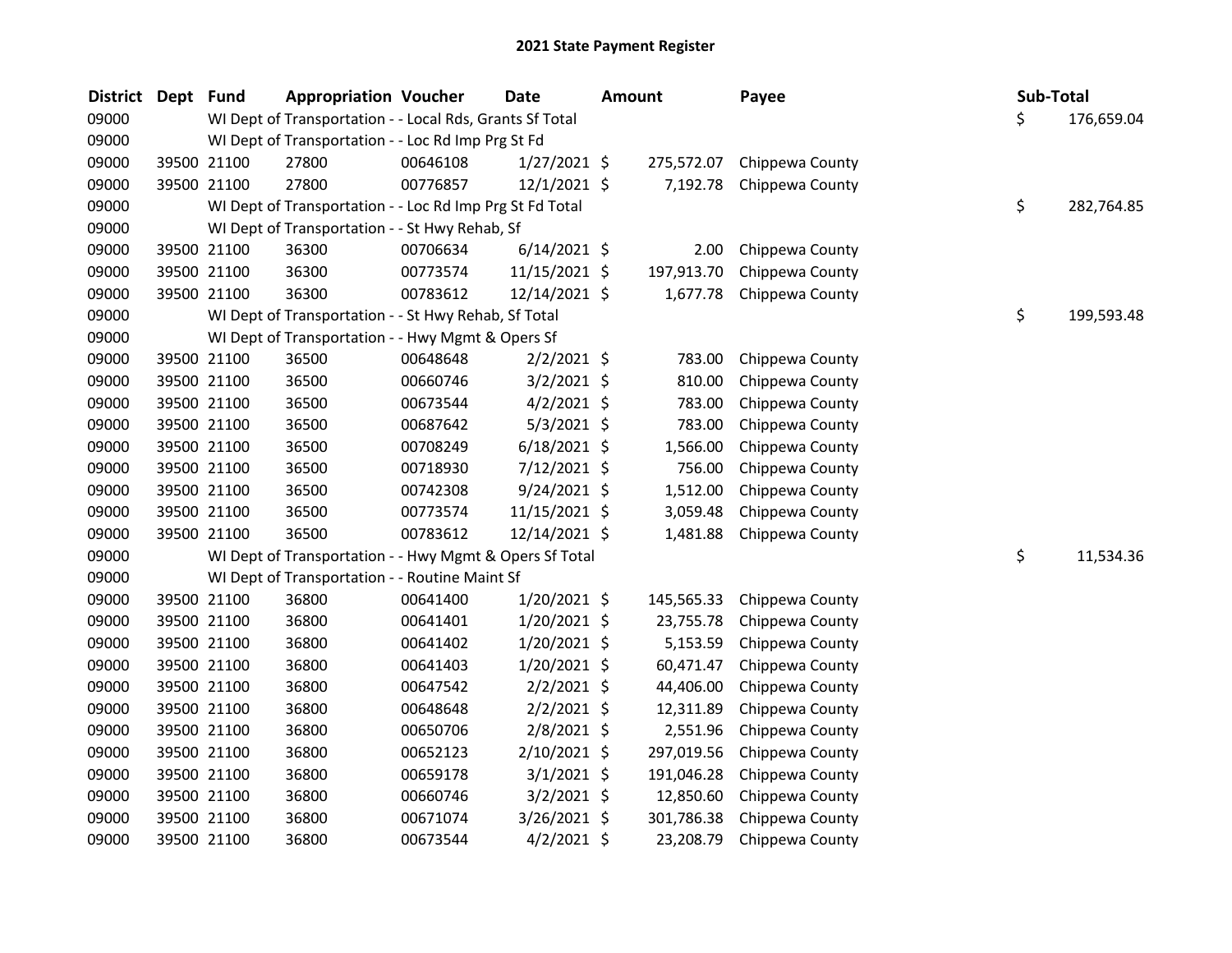| \$<br>09000<br>WI Dept of Transportation - - Local Rds, Grants Sf Total<br>176,659.04<br>WI Dept of Transportation - - Loc Rd Imp Prg St Fd<br>09000<br>09000<br>27800<br>00646108<br>$1/27/2021$ \$<br>39500 21100<br>275,572.07<br>Chippewa County<br>09000<br>27800<br>7,192.78<br>39500 21100<br>00776857<br>$12/1/2021$ \$<br>Chippewa County<br>\$<br>09000<br>WI Dept of Transportation - - Loc Rd Imp Prg St Fd Total<br>282,764.85<br>09000<br>WI Dept of Transportation - - St Hwy Rehab, Sf<br>09000<br>36300<br>$6/14/2021$ \$<br>39500 21100<br>00706634<br>2.00<br>Chippewa County<br>197,913.70<br>09000<br>39500 21100<br>36300<br>00773574<br>11/15/2021 \$<br>Chippewa County<br>09000<br>39500 21100<br>36300<br>00783612<br>12/14/2021 \$<br>1,677.78<br>Chippewa County<br>\$<br>09000<br>WI Dept of Transportation - - St Hwy Rehab, Sf Total<br>199,593.48<br>09000<br>WI Dept of Transportation - - Hwy Mgmt & Opers Sf<br>2/2/2021 \$<br>09000<br>39500 21100<br>36500<br>00648648<br>783.00<br>Chippewa County<br>$3/2/2021$ \$<br>09000<br>39500 21100<br>36500<br>00660746<br>810.00<br>Chippewa County<br>09000<br>39500 21100<br>36500<br>00673544<br>$4/2/2021$ \$<br>783.00<br>Chippewa County<br>5/3/2021 \$<br>09000<br>39500 21100<br>36500<br>00687642<br>783.00<br>Chippewa County<br>09000<br>39500 21100<br>36500<br>00708249<br>$6/18/2021$ \$<br>1,566.00<br>Chippewa County<br>09000<br>39500 21100<br>36500<br>00718930<br>7/12/2021 \$<br>756.00<br>Chippewa County<br>9/24/2021 \$<br>09000<br>39500 21100<br>36500<br>00742308<br>1,512.00<br>Chippewa County<br>39500 21100<br>11/15/2021 \$<br>09000<br>36500<br>00773574<br>3,059.48<br>Chippewa County<br>09000<br>39500 21100<br>36500<br>00783612<br>12/14/2021 \$<br>1,481.88<br>Chippewa County<br>\$<br>11,534.36<br>09000<br>WI Dept of Transportation - - Hwy Mgmt & Opers Sf Total<br>09000<br>WI Dept of Transportation - - Routine Maint Sf<br>09000<br>39500 21100<br>36800<br>00641400<br>$1/20/2021$ \$<br>145,565.33<br>Chippewa County<br>09000<br>36800<br>$1/20/2021$ \$<br>39500 21100<br>00641401<br>23,755.78<br>Chippewa County<br>09000<br>39500 21100<br>36800<br>00641402<br>$1/20/2021$ \$<br>5,153.59<br>Chippewa County<br>09000<br>36800<br>$1/20/2021$ \$<br>60,471.47<br>39500 21100<br>00641403<br>Chippewa County<br>$2/2/2021$ \$<br>44,406.00<br>09000<br>39500 21100<br>36800<br>00647542<br>Chippewa County<br>09000<br>39500 21100<br>36800<br>00648648<br>$2/2/2021$ \$<br>12,311.89<br>Chippewa County<br>2,551.96<br>09000<br>39500 21100<br>36800<br>00650706<br>2/8/2021 \$<br>Chippewa County<br>09000<br>39500 21100<br>36800<br>2/10/2021 \$<br>297,019.56<br>00652123<br>Chippewa County<br>09000<br>39500 21100<br>36800<br>00659178<br>$3/1/2021$ \$<br>191,046.28<br>Chippewa County<br>39500 21100<br>36800<br>$3/2/2021$ \$<br>12,850.60<br>Chippewa County<br>09000<br>00660746<br>09000<br>39500 21100<br>36800<br>00671074<br>3/26/2021 \$<br>301,786.38<br>Chippewa County<br>09000<br>39500 21100<br>$4/2/2021$ \$<br>23,208.79<br>36800<br>00673544<br>Chippewa County | <b>District</b> | Dept Fund | <b>Appropriation Voucher</b> | <b>Date</b> | <b>Amount</b> | Payee | Sub-Total |  |
|-----------------------------------------------------------------------------------------------------------------------------------------------------------------------------------------------------------------------------------------------------------------------------------------------------------------------------------------------------------------------------------------------------------------------------------------------------------------------------------------------------------------------------------------------------------------------------------------------------------------------------------------------------------------------------------------------------------------------------------------------------------------------------------------------------------------------------------------------------------------------------------------------------------------------------------------------------------------------------------------------------------------------------------------------------------------------------------------------------------------------------------------------------------------------------------------------------------------------------------------------------------------------------------------------------------------------------------------------------------------------------------------------------------------------------------------------------------------------------------------------------------------------------------------------------------------------------------------------------------------------------------------------------------------------------------------------------------------------------------------------------------------------------------------------------------------------------------------------------------------------------------------------------------------------------------------------------------------------------------------------------------------------------------------------------------------------------------------------------------------------------------------------------------------------------------------------------------------------------------------------------------------------------------------------------------------------------------------------------------------------------------------------------------------------------------------------------------------------------------------------------------------------------------------------------------------------------------------------------------------------------------------------------------------------------------------------------------------------------------------------------------------------------------------------------------------------------------------------------------------------------------------------------------------------------------------------------------------------------------------------------------------------------------------------------------------------------------------------------------------------------------|-----------------|-----------|------------------------------|-------------|---------------|-------|-----------|--|
|                                                                                                                                                                                                                                                                                                                                                                                                                                                                                                                                                                                                                                                                                                                                                                                                                                                                                                                                                                                                                                                                                                                                                                                                                                                                                                                                                                                                                                                                                                                                                                                                                                                                                                                                                                                                                                                                                                                                                                                                                                                                                                                                                                                                                                                                                                                                                                                                                                                                                                                                                                                                                                                                                                                                                                                                                                                                                                                                                                                                                                                                                                                                   |                 |           |                              |             |               |       |           |  |
|                                                                                                                                                                                                                                                                                                                                                                                                                                                                                                                                                                                                                                                                                                                                                                                                                                                                                                                                                                                                                                                                                                                                                                                                                                                                                                                                                                                                                                                                                                                                                                                                                                                                                                                                                                                                                                                                                                                                                                                                                                                                                                                                                                                                                                                                                                                                                                                                                                                                                                                                                                                                                                                                                                                                                                                                                                                                                                                                                                                                                                                                                                                                   |                 |           |                              |             |               |       |           |  |
|                                                                                                                                                                                                                                                                                                                                                                                                                                                                                                                                                                                                                                                                                                                                                                                                                                                                                                                                                                                                                                                                                                                                                                                                                                                                                                                                                                                                                                                                                                                                                                                                                                                                                                                                                                                                                                                                                                                                                                                                                                                                                                                                                                                                                                                                                                                                                                                                                                                                                                                                                                                                                                                                                                                                                                                                                                                                                                                                                                                                                                                                                                                                   |                 |           |                              |             |               |       |           |  |
|                                                                                                                                                                                                                                                                                                                                                                                                                                                                                                                                                                                                                                                                                                                                                                                                                                                                                                                                                                                                                                                                                                                                                                                                                                                                                                                                                                                                                                                                                                                                                                                                                                                                                                                                                                                                                                                                                                                                                                                                                                                                                                                                                                                                                                                                                                                                                                                                                                                                                                                                                                                                                                                                                                                                                                                                                                                                                                                                                                                                                                                                                                                                   |                 |           |                              |             |               |       |           |  |
|                                                                                                                                                                                                                                                                                                                                                                                                                                                                                                                                                                                                                                                                                                                                                                                                                                                                                                                                                                                                                                                                                                                                                                                                                                                                                                                                                                                                                                                                                                                                                                                                                                                                                                                                                                                                                                                                                                                                                                                                                                                                                                                                                                                                                                                                                                                                                                                                                                                                                                                                                                                                                                                                                                                                                                                                                                                                                                                                                                                                                                                                                                                                   |                 |           |                              |             |               |       |           |  |
|                                                                                                                                                                                                                                                                                                                                                                                                                                                                                                                                                                                                                                                                                                                                                                                                                                                                                                                                                                                                                                                                                                                                                                                                                                                                                                                                                                                                                                                                                                                                                                                                                                                                                                                                                                                                                                                                                                                                                                                                                                                                                                                                                                                                                                                                                                                                                                                                                                                                                                                                                                                                                                                                                                                                                                                                                                                                                                                                                                                                                                                                                                                                   |                 |           |                              |             |               |       |           |  |
|                                                                                                                                                                                                                                                                                                                                                                                                                                                                                                                                                                                                                                                                                                                                                                                                                                                                                                                                                                                                                                                                                                                                                                                                                                                                                                                                                                                                                                                                                                                                                                                                                                                                                                                                                                                                                                                                                                                                                                                                                                                                                                                                                                                                                                                                                                                                                                                                                                                                                                                                                                                                                                                                                                                                                                                                                                                                                                                                                                                                                                                                                                                                   |                 |           |                              |             |               |       |           |  |
|                                                                                                                                                                                                                                                                                                                                                                                                                                                                                                                                                                                                                                                                                                                                                                                                                                                                                                                                                                                                                                                                                                                                                                                                                                                                                                                                                                                                                                                                                                                                                                                                                                                                                                                                                                                                                                                                                                                                                                                                                                                                                                                                                                                                                                                                                                                                                                                                                                                                                                                                                                                                                                                                                                                                                                                                                                                                                                                                                                                                                                                                                                                                   |                 |           |                              |             |               |       |           |  |
|                                                                                                                                                                                                                                                                                                                                                                                                                                                                                                                                                                                                                                                                                                                                                                                                                                                                                                                                                                                                                                                                                                                                                                                                                                                                                                                                                                                                                                                                                                                                                                                                                                                                                                                                                                                                                                                                                                                                                                                                                                                                                                                                                                                                                                                                                                                                                                                                                                                                                                                                                                                                                                                                                                                                                                                                                                                                                                                                                                                                                                                                                                                                   |                 |           |                              |             |               |       |           |  |
|                                                                                                                                                                                                                                                                                                                                                                                                                                                                                                                                                                                                                                                                                                                                                                                                                                                                                                                                                                                                                                                                                                                                                                                                                                                                                                                                                                                                                                                                                                                                                                                                                                                                                                                                                                                                                                                                                                                                                                                                                                                                                                                                                                                                                                                                                                                                                                                                                                                                                                                                                                                                                                                                                                                                                                                                                                                                                                                                                                                                                                                                                                                                   |                 |           |                              |             |               |       |           |  |
|                                                                                                                                                                                                                                                                                                                                                                                                                                                                                                                                                                                                                                                                                                                                                                                                                                                                                                                                                                                                                                                                                                                                                                                                                                                                                                                                                                                                                                                                                                                                                                                                                                                                                                                                                                                                                                                                                                                                                                                                                                                                                                                                                                                                                                                                                                                                                                                                                                                                                                                                                                                                                                                                                                                                                                                                                                                                                                                                                                                                                                                                                                                                   |                 |           |                              |             |               |       |           |  |
|                                                                                                                                                                                                                                                                                                                                                                                                                                                                                                                                                                                                                                                                                                                                                                                                                                                                                                                                                                                                                                                                                                                                                                                                                                                                                                                                                                                                                                                                                                                                                                                                                                                                                                                                                                                                                                                                                                                                                                                                                                                                                                                                                                                                                                                                                                                                                                                                                                                                                                                                                                                                                                                                                                                                                                                                                                                                                                                                                                                                                                                                                                                                   |                 |           |                              |             |               |       |           |  |
|                                                                                                                                                                                                                                                                                                                                                                                                                                                                                                                                                                                                                                                                                                                                                                                                                                                                                                                                                                                                                                                                                                                                                                                                                                                                                                                                                                                                                                                                                                                                                                                                                                                                                                                                                                                                                                                                                                                                                                                                                                                                                                                                                                                                                                                                                                                                                                                                                                                                                                                                                                                                                                                                                                                                                                                                                                                                                                                                                                                                                                                                                                                                   |                 |           |                              |             |               |       |           |  |
|                                                                                                                                                                                                                                                                                                                                                                                                                                                                                                                                                                                                                                                                                                                                                                                                                                                                                                                                                                                                                                                                                                                                                                                                                                                                                                                                                                                                                                                                                                                                                                                                                                                                                                                                                                                                                                                                                                                                                                                                                                                                                                                                                                                                                                                                                                                                                                                                                                                                                                                                                                                                                                                                                                                                                                                                                                                                                                                                                                                                                                                                                                                                   |                 |           |                              |             |               |       |           |  |
|                                                                                                                                                                                                                                                                                                                                                                                                                                                                                                                                                                                                                                                                                                                                                                                                                                                                                                                                                                                                                                                                                                                                                                                                                                                                                                                                                                                                                                                                                                                                                                                                                                                                                                                                                                                                                                                                                                                                                                                                                                                                                                                                                                                                                                                                                                                                                                                                                                                                                                                                                                                                                                                                                                                                                                                                                                                                                                                                                                                                                                                                                                                                   |                 |           |                              |             |               |       |           |  |
|                                                                                                                                                                                                                                                                                                                                                                                                                                                                                                                                                                                                                                                                                                                                                                                                                                                                                                                                                                                                                                                                                                                                                                                                                                                                                                                                                                                                                                                                                                                                                                                                                                                                                                                                                                                                                                                                                                                                                                                                                                                                                                                                                                                                                                                                                                                                                                                                                                                                                                                                                                                                                                                                                                                                                                                                                                                                                                                                                                                                                                                                                                                                   |                 |           |                              |             |               |       |           |  |
|                                                                                                                                                                                                                                                                                                                                                                                                                                                                                                                                                                                                                                                                                                                                                                                                                                                                                                                                                                                                                                                                                                                                                                                                                                                                                                                                                                                                                                                                                                                                                                                                                                                                                                                                                                                                                                                                                                                                                                                                                                                                                                                                                                                                                                                                                                                                                                                                                                                                                                                                                                                                                                                                                                                                                                                                                                                                                                                                                                                                                                                                                                                                   |                 |           |                              |             |               |       |           |  |
|                                                                                                                                                                                                                                                                                                                                                                                                                                                                                                                                                                                                                                                                                                                                                                                                                                                                                                                                                                                                                                                                                                                                                                                                                                                                                                                                                                                                                                                                                                                                                                                                                                                                                                                                                                                                                                                                                                                                                                                                                                                                                                                                                                                                                                                                                                                                                                                                                                                                                                                                                                                                                                                                                                                                                                                                                                                                                                                                                                                                                                                                                                                                   |                 |           |                              |             |               |       |           |  |
|                                                                                                                                                                                                                                                                                                                                                                                                                                                                                                                                                                                                                                                                                                                                                                                                                                                                                                                                                                                                                                                                                                                                                                                                                                                                                                                                                                                                                                                                                                                                                                                                                                                                                                                                                                                                                                                                                                                                                                                                                                                                                                                                                                                                                                                                                                                                                                                                                                                                                                                                                                                                                                                                                                                                                                                                                                                                                                                                                                                                                                                                                                                                   |                 |           |                              |             |               |       |           |  |
|                                                                                                                                                                                                                                                                                                                                                                                                                                                                                                                                                                                                                                                                                                                                                                                                                                                                                                                                                                                                                                                                                                                                                                                                                                                                                                                                                                                                                                                                                                                                                                                                                                                                                                                                                                                                                                                                                                                                                                                                                                                                                                                                                                                                                                                                                                                                                                                                                                                                                                                                                                                                                                                                                                                                                                                                                                                                                                                                                                                                                                                                                                                                   |                 |           |                              |             |               |       |           |  |
|                                                                                                                                                                                                                                                                                                                                                                                                                                                                                                                                                                                                                                                                                                                                                                                                                                                                                                                                                                                                                                                                                                                                                                                                                                                                                                                                                                                                                                                                                                                                                                                                                                                                                                                                                                                                                                                                                                                                                                                                                                                                                                                                                                                                                                                                                                                                                                                                                                                                                                                                                                                                                                                                                                                                                                                                                                                                                                                                                                                                                                                                                                                                   |                 |           |                              |             |               |       |           |  |
|                                                                                                                                                                                                                                                                                                                                                                                                                                                                                                                                                                                                                                                                                                                                                                                                                                                                                                                                                                                                                                                                                                                                                                                                                                                                                                                                                                                                                                                                                                                                                                                                                                                                                                                                                                                                                                                                                                                                                                                                                                                                                                                                                                                                                                                                                                                                                                                                                                                                                                                                                                                                                                                                                                                                                                                                                                                                                                                                                                                                                                                                                                                                   |                 |           |                              |             |               |       |           |  |
|                                                                                                                                                                                                                                                                                                                                                                                                                                                                                                                                                                                                                                                                                                                                                                                                                                                                                                                                                                                                                                                                                                                                                                                                                                                                                                                                                                                                                                                                                                                                                                                                                                                                                                                                                                                                                                                                                                                                                                                                                                                                                                                                                                                                                                                                                                                                                                                                                                                                                                                                                                                                                                                                                                                                                                                                                                                                                                                                                                                                                                                                                                                                   |                 |           |                              |             |               |       |           |  |
|                                                                                                                                                                                                                                                                                                                                                                                                                                                                                                                                                                                                                                                                                                                                                                                                                                                                                                                                                                                                                                                                                                                                                                                                                                                                                                                                                                                                                                                                                                                                                                                                                                                                                                                                                                                                                                                                                                                                                                                                                                                                                                                                                                                                                                                                                                                                                                                                                                                                                                                                                                                                                                                                                                                                                                                                                                                                                                                                                                                                                                                                                                                                   |                 |           |                              |             |               |       |           |  |
|                                                                                                                                                                                                                                                                                                                                                                                                                                                                                                                                                                                                                                                                                                                                                                                                                                                                                                                                                                                                                                                                                                                                                                                                                                                                                                                                                                                                                                                                                                                                                                                                                                                                                                                                                                                                                                                                                                                                                                                                                                                                                                                                                                                                                                                                                                                                                                                                                                                                                                                                                                                                                                                                                                                                                                                                                                                                                                                                                                                                                                                                                                                                   |                 |           |                              |             |               |       |           |  |
|                                                                                                                                                                                                                                                                                                                                                                                                                                                                                                                                                                                                                                                                                                                                                                                                                                                                                                                                                                                                                                                                                                                                                                                                                                                                                                                                                                                                                                                                                                                                                                                                                                                                                                                                                                                                                                                                                                                                                                                                                                                                                                                                                                                                                                                                                                                                                                                                                                                                                                                                                                                                                                                                                                                                                                                                                                                                                                                                                                                                                                                                                                                                   |                 |           |                              |             |               |       |           |  |
|                                                                                                                                                                                                                                                                                                                                                                                                                                                                                                                                                                                                                                                                                                                                                                                                                                                                                                                                                                                                                                                                                                                                                                                                                                                                                                                                                                                                                                                                                                                                                                                                                                                                                                                                                                                                                                                                                                                                                                                                                                                                                                                                                                                                                                                                                                                                                                                                                                                                                                                                                                                                                                                                                                                                                                                                                                                                                                                                                                                                                                                                                                                                   |                 |           |                              |             |               |       |           |  |
|                                                                                                                                                                                                                                                                                                                                                                                                                                                                                                                                                                                                                                                                                                                                                                                                                                                                                                                                                                                                                                                                                                                                                                                                                                                                                                                                                                                                                                                                                                                                                                                                                                                                                                                                                                                                                                                                                                                                                                                                                                                                                                                                                                                                                                                                                                                                                                                                                                                                                                                                                                                                                                                                                                                                                                                                                                                                                                                                                                                                                                                                                                                                   |                 |           |                              |             |               |       |           |  |
|                                                                                                                                                                                                                                                                                                                                                                                                                                                                                                                                                                                                                                                                                                                                                                                                                                                                                                                                                                                                                                                                                                                                                                                                                                                                                                                                                                                                                                                                                                                                                                                                                                                                                                                                                                                                                                                                                                                                                                                                                                                                                                                                                                                                                                                                                                                                                                                                                                                                                                                                                                                                                                                                                                                                                                                                                                                                                                                                                                                                                                                                                                                                   |                 |           |                              |             |               |       |           |  |
|                                                                                                                                                                                                                                                                                                                                                                                                                                                                                                                                                                                                                                                                                                                                                                                                                                                                                                                                                                                                                                                                                                                                                                                                                                                                                                                                                                                                                                                                                                                                                                                                                                                                                                                                                                                                                                                                                                                                                                                                                                                                                                                                                                                                                                                                                                                                                                                                                                                                                                                                                                                                                                                                                                                                                                                                                                                                                                                                                                                                                                                                                                                                   |                 |           |                              |             |               |       |           |  |
|                                                                                                                                                                                                                                                                                                                                                                                                                                                                                                                                                                                                                                                                                                                                                                                                                                                                                                                                                                                                                                                                                                                                                                                                                                                                                                                                                                                                                                                                                                                                                                                                                                                                                                                                                                                                                                                                                                                                                                                                                                                                                                                                                                                                                                                                                                                                                                                                                                                                                                                                                                                                                                                                                                                                                                                                                                                                                                                                                                                                                                                                                                                                   |                 |           |                              |             |               |       |           |  |
|                                                                                                                                                                                                                                                                                                                                                                                                                                                                                                                                                                                                                                                                                                                                                                                                                                                                                                                                                                                                                                                                                                                                                                                                                                                                                                                                                                                                                                                                                                                                                                                                                                                                                                                                                                                                                                                                                                                                                                                                                                                                                                                                                                                                                                                                                                                                                                                                                                                                                                                                                                                                                                                                                                                                                                                                                                                                                                                                                                                                                                                                                                                                   |                 |           |                              |             |               |       |           |  |
|                                                                                                                                                                                                                                                                                                                                                                                                                                                                                                                                                                                                                                                                                                                                                                                                                                                                                                                                                                                                                                                                                                                                                                                                                                                                                                                                                                                                                                                                                                                                                                                                                                                                                                                                                                                                                                                                                                                                                                                                                                                                                                                                                                                                                                                                                                                                                                                                                                                                                                                                                                                                                                                                                                                                                                                                                                                                                                                                                                                                                                                                                                                                   |                 |           |                              |             |               |       |           |  |
|                                                                                                                                                                                                                                                                                                                                                                                                                                                                                                                                                                                                                                                                                                                                                                                                                                                                                                                                                                                                                                                                                                                                                                                                                                                                                                                                                                                                                                                                                                                                                                                                                                                                                                                                                                                                                                                                                                                                                                                                                                                                                                                                                                                                                                                                                                                                                                                                                                                                                                                                                                                                                                                                                                                                                                                                                                                                                                                                                                                                                                                                                                                                   |                 |           |                              |             |               |       |           |  |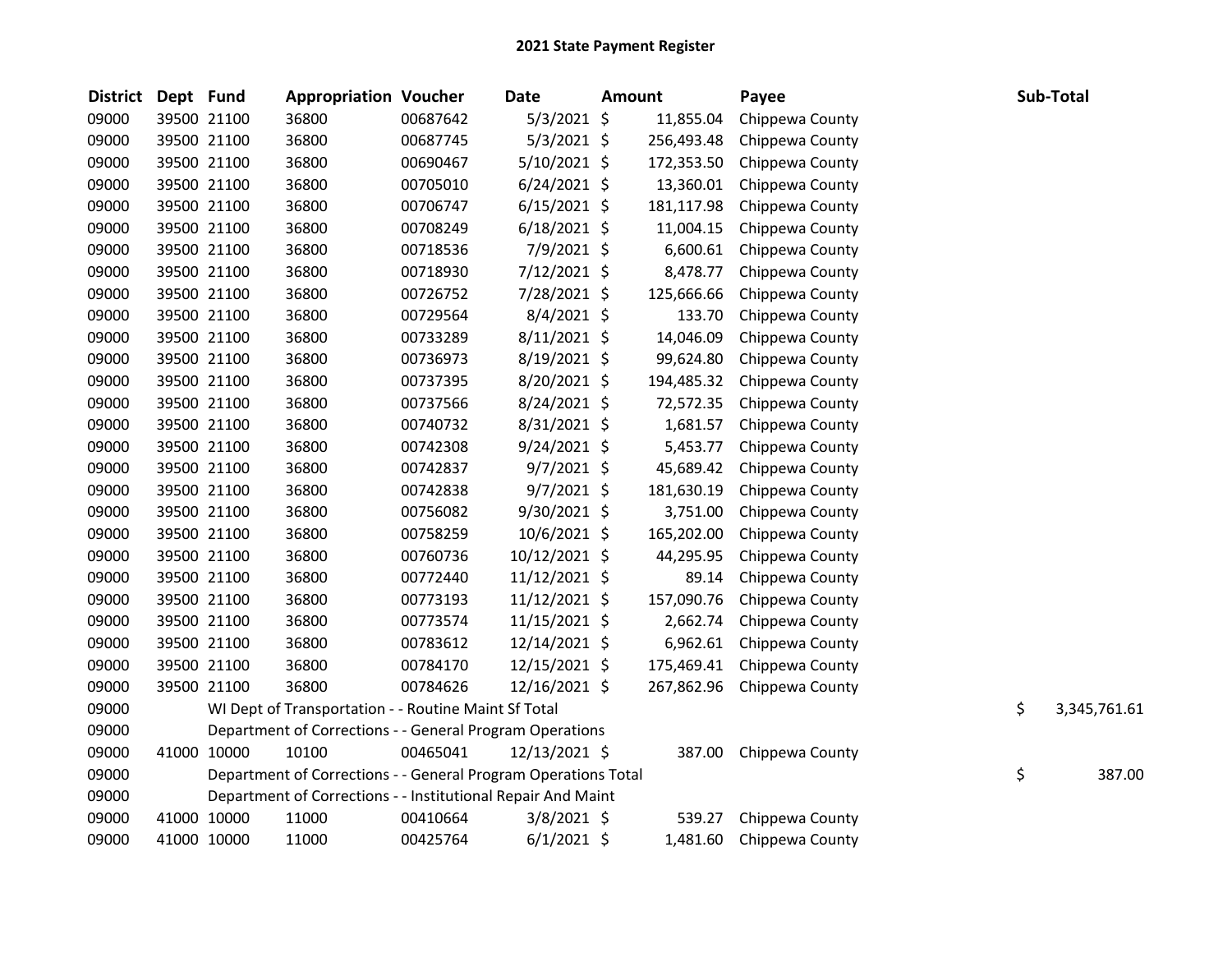| <b>District</b> | Dept Fund |             | <b>Appropriation Voucher</b>                                   |          | <b>Date</b>    | <b>Amount</b> | Payee           |    | Sub-Total    |
|-----------------|-----------|-------------|----------------------------------------------------------------|----------|----------------|---------------|-----------------|----|--------------|
| 09000           |           | 39500 21100 | 36800                                                          | 00687642 | $5/3/2021$ \$  | 11,855.04     | Chippewa County |    |              |
| 09000           |           | 39500 21100 | 36800                                                          | 00687745 | $5/3/2021$ \$  | 256,493.48    | Chippewa County |    |              |
| 09000           |           | 39500 21100 | 36800                                                          | 00690467 | 5/10/2021 \$   | 172,353.50    | Chippewa County |    |              |
| 09000           |           | 39500 21100 | 36800                                                          | 00705010 | $6/24/2021$ \$ | 13,360.01     | Chippewa County |    |              |
| 09000           |           | 39500 21100 | 36800                                                          | 00706747 | $6/15/2021$ \$ | 181,117.98    | Chippewa County |    |              |
| 09000           |           | 39500 21100 | 36800                                                          | 00708249 | $6/18/2021$ \$ | 11,004.15     | Chippewa County |    |              |
| 09000           |           | 39500 21100 | 36800                                                          | 00718536 | 7/9/2021 \$    | 6,600.61      | Chippewa County |    |              |
| 09000           |           | 39500 21100 | 36800                                                          | 00718930 | 7/12/2021 \$   | 8,478.77      | Chippewa County |    |              |
| 09000           |           | 39500 21100 | 36800                                                          | 00726752 | 7/28/2021 \$   | 125,666.66    | Chippewa County |    |              |
| 09000           |           | 39500 21100 | 36800                                                          | 00729564 | $8/4/2021$ \$  | 133.70        | Chippewa County |    |              |
| 09000           |           | 39500 21100 | 36800                                                          | 00733289 | $8/11/2021$ \$ | 14,046.09     | Chippewa County |    |              |
| 09000           |           | 39500 21100 | 36800                                                          | 00736973 | 8/19/2021 \$   | 99,624.80     | Chippewa County |    |              |
| 09000           |           | 39500 21100 | 36800                                                          | 00737395 | $8/20/2021$ \$ | 194,485.32    | Chippewa County |    |              |
| 09000           |           | 39500 21100 | 36800                                                          | 00737566 | 8/24/2021 \$   | 72,572.35     | Chippewa County |    |              |
| 09000           |           | 39500 21100 | 36800                                                          | 00740732 | 8/31/2021 \$   | 1,681.57      | Chippewa County |    |              |
| 09000           |           | 39500 21100 | 36800                                                          | 00742308 | $9/24/2021$ \$ | 5,453.77      | Chippewa County |    |              |
| 09000           |           | 39500 21100 | 36800                                                          | 00742837 | $9/7/2021$ \$  | 45,689.42     | Chippewa County |    |              |
| 09000           |           | 39500 21100 | 36800                                                          | 00742838 | $9/7/2021$ \$  | 181,630.19    | Chippewa County |    |              |
| 09000           |           | 39500 21100 | 36800                                                          | 00756082 | 9/30/2021 \$   | 3,751.00      | Chippewa County |    |              |
| 09000           |           | 39500 21100 | 36800                                                          | 00758259 | $10/6/2021$ \$ | 165,202.00    | Chippewa County |    |              |
| 09000           |           | 39500 21100 | 36800                                                          | 00760736 | 10/12/2021 \$  | 44,295.95     | Chippewa County |    |              |
| 09000           |           | 39500 21100 | 36800                                                          | 00772440 | 11/12/2021 \$  | 89.14         | Chippewa County |    |              |
| 09000           |           | 39500 21100 | 36800                                                          | 00773193 | 11/12/2021 \$  | 157,090.76    | Chippewa County |    |              |
| 09000           |           | 39500 21100 | 36800                                                          | 00773574 | 11/15/2021 \$  | 2,662.74      | Chippewa County |    |              |
| 09000           |           | 39500 21100 | 36800                                                          | 00783612 | 12/14/2021 \$  | 6,962.61      | Chippewa County |    |              |
| 09000           |           | 39500 21100 | 36800                                                          | 00784170 | 12/15/2021 \$  | 175,469.41    | Chippewa County |    |              |
| 09000           |           | 39500 21100 | 36800                                                          | 00784626 | 12/16/2021 \$  | 267,862.96    | Chippewa County |    |              |
| 09000           |           |             | WI Dept of Transportation - - Routine Maint Sf Total           |          |                |               |                 | \$ | 3,345,761.61 |
| 09000           |           |             | Department of Corrections - - General Program Operations       |          |                |               |                 |    |              |
| 09000           |           | 41000 10000 | 10100                                                          | 00465041 | 12/13/2021 \$  | 387.00        | Chippewa County |    |              |
| 09000           |           |             | Department of Corrections - - General Program Operations Total |          |                |               |                 | \$ | 387.00       |
| 09000           |           |             | Department of Corrections - - Institutional Repair And Maint   |          |                |               |                 |    |              |
| 09000           |           | 41000 10000 | 11000                                                          | 00410664 | $3/8/2021$ \$  | 539.27        | Chippewa County |    |              |
| 09000           |           | 41000 10000 | 11000                                                          | 00425764 | $6/1/2021$ \$  | 1,481.60      | Chippewa County |    |              |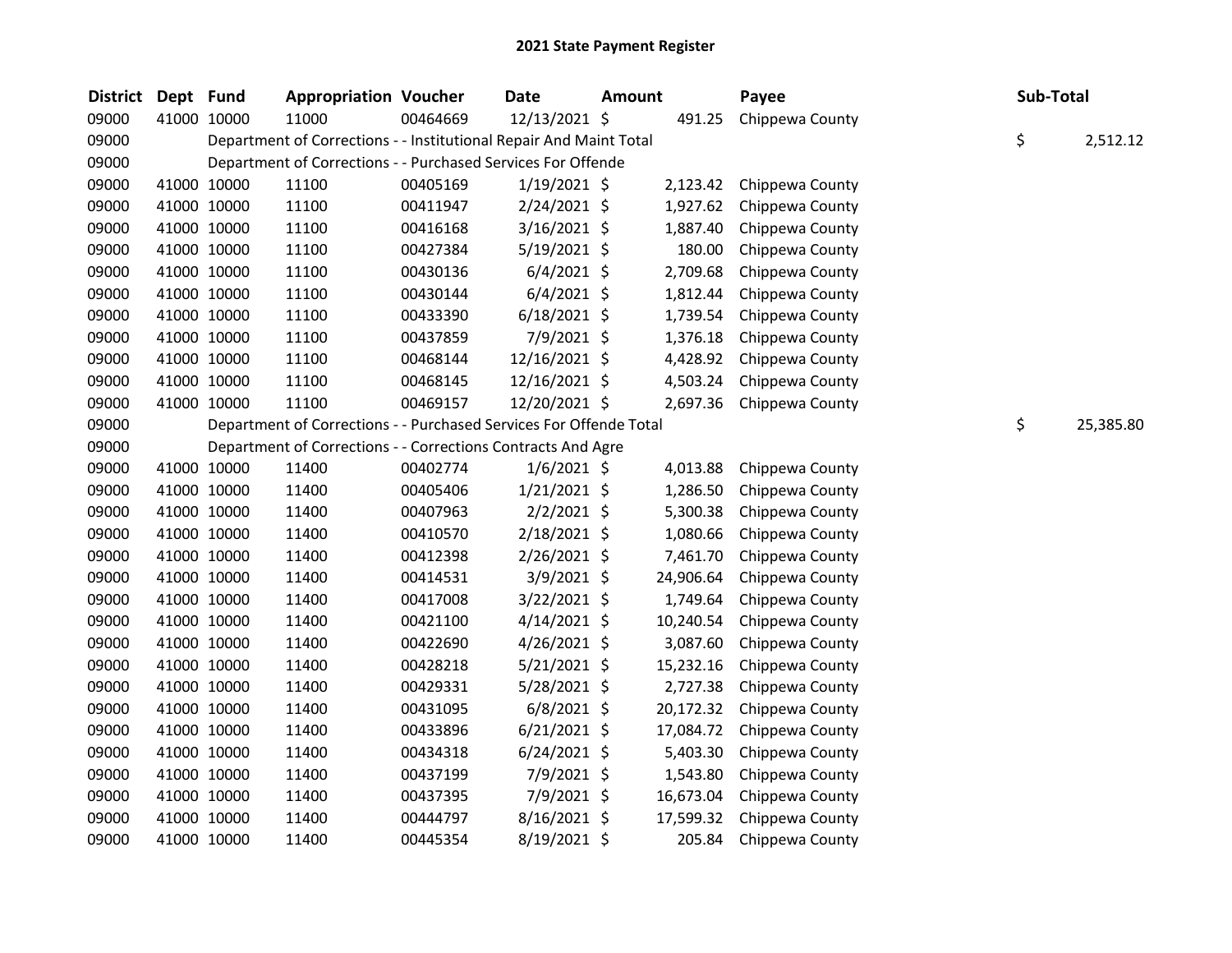| District | Dept Fund |             | <b>Appropriation Voucher</b>                                       |          | <b>Date</b>    | Amount |           | Payee           | Sub-Total |           |
|----------|-----------|-------------|--------------------------------------------------------------------|----------|----------------|--------|-----------|-----------------|-----------|-----------|
| 09000    |           | 41000 10000 | 11000                                                              | 00464669 | 12/13/2021 \$  |        | 491.25    | Chippewa County |           |           |
| 09000    |           |             | Department of Corrections - - Institutional Repair And Maint Total |          |                |        |           |                 | \$        | 2,512.12  |
| 09000    |           |             | Department of Corrections - - Purchased Services For Offende       |          |                |        |           |                 |           |           |
| 09000    |           | 41000 10000 | 11100                                                              | 00405169 | $1/19/2021$ \$ |        | 2,123.42  | Chippewa County |           |           |
| 09000    |           | 41000 10000 | 11100                                                              | 00411947 | $2/24/2021$ \$ |        | 1,927.62  | Chippewa County |           |           |
| 09000    |           | 41000 10000 | 11100                                                              | 00416168 | $3/16/2021$ \$ |        | 1,887.40  | Chippewa County |           |           |
| 09000    |           | 41000 10000 | 11100                                                              | 00427384 | $5/19/2021$ \$ |        | 180.00    | Chippewa County |           |           |
| 09000    |           | 41000 10000 | 11100                                                              | 00430136 | $6/4/2021$ \$  |        | 2,709.68  | Chippewa County |           |           |
| 09000    |           | 41000 10000 | 11100                                                              | 00430144 | $6/4/2021$ \$  |        | 1,812.44  | Chippewa County |           |           |
| 09000    |           | 41000 10000 | 11100                                                              | 00433390 | $6/18/2021$ \$ |        | 1,739.54  | Chippewa County |           |           |
| 09000    |           | 41000 10000 | 11100                                                              | 00437859 | 7/9/2021 \$    |        | 1,376.18  | Chippewa County |           |           |
| 09000    |           | 41000 10000 | 11100                                                              | 00468144 | 12/16/2021 \$  |        | 4,428.92  | Chippewa County |           |           |
| 09000    |           | 41000 10000 | 11100                                                              | 00468145 | 12/16/2021 \$  |        | 4,503.24  | Chippewa County |           |           |
| 09000    |           | 41000 10000 | 11100                                                              | 00469157 | 12/20/2021 \$  |        | 2,697.36  | Chippewa County |           |           |
| 09000    |           |             | Department of Corrections - - Purchased Services For Offende Total |          |                |        |           |                 | \$        | 25,385.80 |
| 09000    |           |             | Department of Corrections - - Corrections Contracts And Agre       |          |                |        |           |                 |           |           |
| 09000    |           | 41000 10000 | 11400                                                              | 00402774 | $1/6/2021$ \$  |        | 4,013.88  | Chippewa County |           |           |
| 09000    |           | 41000 10000 | 11400                                                              | 00405406 | $1/21/2021$ \$ |        | 1,286.50  | Chippewa County |           |           |
| 09000    |           | 41000 10000 | 11400                                                              | 00407963 | $2/2/2021$ \$  |        | 5,300.38  | Chippewa County |           |           |
| 09000    |           | 41000 10000 | 11400                                                              | 00410570 | $2/18/2021$ \$ |        | 1,080.66  | Chippewa County |           |           |
| 09000    |           | 41000 10000 | 11400                                                              | 00412398 | 2/26/2021 \$   |        | 7,461.70  | Chippewa County |           |           |
| 09000    |           | 41000 10000 | 11400                                                              | 00414531 | $3/9/2021$ \$  |        | 24,906.64 | Chippewa County |           |           |
| 09000    |           | 41000 10000 | 11400                                                              | 00417008 | 3/22/2021 \$   |        | 1,749.64  | Chippewa County |           |           |
| 09000    |           | 41000 10000 | 11400                                                              | 00421100 | $4/14/2021$ \$ |        | 10,240.54 | Chippewa County |           |           |
| 09000    |           | 41000 10000 | 11400                                                              | 00422690 | $4/26/2021$ \$ |        | 3,087.60  | Chippewa County |           |           |
| 09000    |           | 41000 10000 | 11400                                                              | 00428218 | $5/21/2021$ \$ |        | 15,232.16 | Chippewa County |           |           |
| 09000    |           | 41000 10000 | 11400                                                              | 00429331 | $5/28/2021$ \$ |        | 2,727.38  | Chippewa County |           |           |
| 09000    |           | 41000 10000 | 11400                                                              | 00431095 | $6/8/2021$ \$  |        | 20,172.32 | Chippewa County |           |           |
| 09000    |           | 41000 10000 | 11400                                                              | 00433896 | $6/21/2021$ \$ |        | 17,084.72 | Chippewa County |           |           |
| 09000    |           | 41000 10000 | 11400                                                              | 00434318 | $6/24/2021$ \$ |        | 5,403.30  | Chippewa County |           |           |
| 09000    |           | 41000 10000 | 11400                                                              | 00437199 | 7/9/2021 \$    |        | 1,543.80  | Chippewa County |           |           |
| 09000    |           | 41000 10000 | 11400                                                              | 00437395 | 7/9/2021 \$    |        | 16,673.04 | Chippewa County |           |           |
| 09000    |           | 41000 10000 | 11400                                                              | 00444797 | 8/16/2021 \$   |        | 17,599.32 | Chippewa County |           |           |
| 09000    |           | 41000 10000 | 11400                                                              | 00445354 | 8/19/2021 \$   |        | 205.84    | Chippewa County |           |           |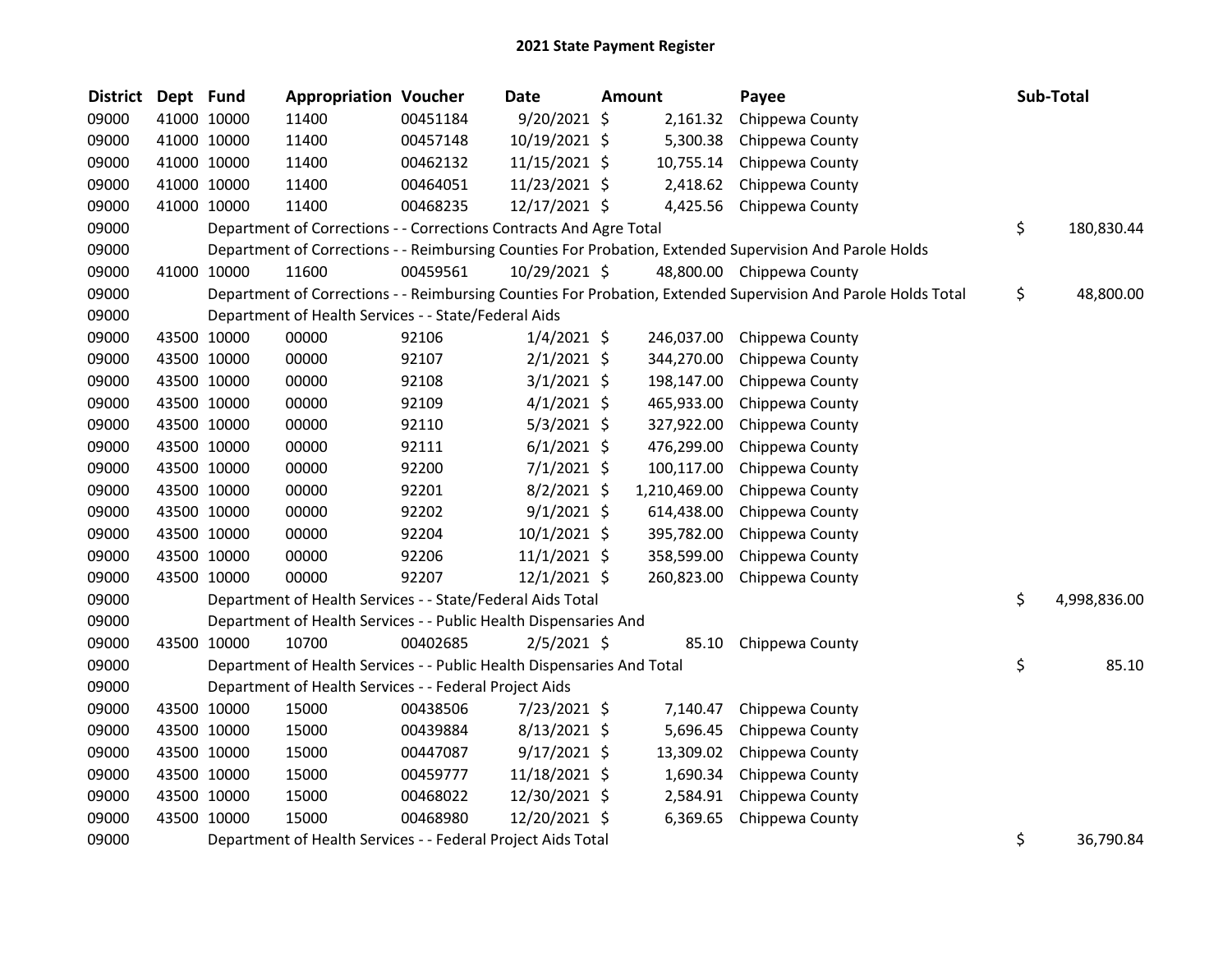| <b>District</b> | Dept Fund |             | <b>Appropriation Voucher</b>                                           |          | <b>Date</b>    | <b>Amount</b> | Payee                                                                                                         | Sub-Total          |
|-----------------|-----------|-------------|------------------------------------------------------------------------|----------|----------------|---------------|---------------------------------------------------------------------------------------------------------------|--------------------|
| 09000           |           | 41000 10000 | 11400                                                                  | 00451184 | 9/20/2021 \$   | 2,161.32      | Chippewa County                                                                                               |                    |
| 09000           |           | 41000 10000 | 11400                                                                  | 00457148 | 10/19/2021 \$  | 5,300.38      | Chippewa County                                                                                               |                    |
| 09000           |           | 41000 10000 | 11400                                                                  | 00462132 | 11/15/2021 \$  | 10,755.14     | Chippewa County                                                                                               |                    |
| 09000           |           | 41000 10000 | 11400                                                                  | 00464051 | 11/23/2021 \$  | 2,418.62      | Chippewa County                                                                                               |                    |
| 09000           |           | 41000 10000 | 11400                                                                  | 00468235 | 12/17/2021 \$  | 4,425.56      | Chippewa County                                                                                               |                    |
| 09000           |           |             | Department of Corrections - - Corrections Contracts And Agre Total     |          |                |               |                                                                                                               | \$<br>180,830.44   |
| 09000           |           |             |                                                                        |          |                |               | Department of Corrections - - Reimbursing Counties For Probation, Extended Supervision And Parole Holds       |                    |
| 09000           |           | 41000 10000 | 11600                                                                  | 00459561 | 10/29/2021 \$  |               | 48,800.00 Chippewa County                                                                                     |                    |
| 09000           |           |             |                                                                        |          |                |               | Department of Corrections - - Reimbursing Counties For Probation, Extended Supervision And Parole Holds Total | \$<br>48,800.00    |
| 09000           |           |             | Department of Health Services - - State/Federal Aids                   |          |                |               |                                                                                                               |                    |
| 09000           |           | 43500 10000 | 00000                                                                  | 92106    | $1/4/2021$ \$  | 246,037.00    | Chippewa County                                                                                               |                    |
| 09000           |           | 43500 10000 | 00000                                                                  | 92107    | $2/1/2021$ \$  | 344,270.00    | Chippewa County                                                                                               |                    |
| 09000           |           | 43500 10000 | 00000                                                                  | 92108    | $3/1/2021$ \$  | 198,147.00    | Chippewa County                                                                                               |                    |
| 09000           |           | 43500 10000 | 00000                                                                  | 92109    | $4/1/2021$ \$  | 465,933.00    | Chippewa County                                                                                               |                    |
| 09000           |           | 43500 10000 | 00000                                                                  | 92110    | $5/3/2021$ \$  | 327,922.00    | Chippewa County                                                                                               |                    |
| 09000           |           | 43500 10000 | 00000                                                                  | 92111    | $6/1/2021$ \$  | 476,299.00    | Chippewa County                                                                                               |                    |
| 09000           |           | 43500 10000 | 00000                                                                  | 92200    | $7/1/2021$ \$  | 100,117.00    | Chippewa County                                                                                               |                    |
| 09000           |           | 43500 10000 | 00000                                                                  | 92201    | $8/2/2021$ \$  | 1,210,469.00  | Chippewa County                                                                                               |                    |
| 09000           |           | 43500 10000 | 00000                                                                  | 92202    | $9/1/2021$ \$  | 614,438.00    | Chippewa County                                                                                               |                    |
| 09000           |           | 43500 10000 | 00000                                                                  | 92204    | 10/1/2021 \$   | 395,782.00    | Chippewa County                                                                                               |                    |
| 09000           |           | 43500 10000 | 00000                                                                  | 92206    | $11/1/2021$ \$ | 358,599.00    | Chippewa County                                                                                               |                    |
| 09000           |           | 43500 10000 | 00000                                                                  | 92207    | $12/1/2021$ \$ | 260,823.00    | Chippewa County                                                                                               |                    |
| 09000           |           |             | Department of Health Services - - State/Federal Aids Total             |          |                |               |                                                                                                               | \$<br>4,998,836.00 |
| 09000           |           |             | Department of Health Services - - Public Health Dispensaries And       |          |                |               |                                                                                                               |                    |
| 09000           |           | 43500 10000 | 10700                                                                  | 00402685 | $2/5/2021$ \$  | 85.10         | Chippewa County                                                                                               |                    |
| 09000           |           |             | Department of Health Services - - Public Health Dispensaries And Total |          |                |               |                                                                                                               | \$<br>85.10        |
| 09000           |           |             | Department of Health Services - - Federal Project Aids                 |          |                |               |                                                                                                               |                    |
| 09000           |           | 43500 10000 | 15000                                                                  | 00438506 | 7/23/2021 \$   | 7,140.47      | Chippewa County                                                                                               |                    |
| 09000           |           | 43500 10000 | 15000                                                                  | 00439884 | $8/13/2021$ \$ | 5,696.45      | Chippewa County                                                                                               |                    |
| 09000           |           | 43500 10000 | 15000                                                                  | 00447087 | $9/17/2021$ \$ | 13,309.02     | Chippewa County                                                                                               |                    |
| 09000           |           | 43500 10000 | 15000                                                                  | 00459777 | 11/18/2021 \$  | 1,690.34      | Chippewa County                                                                                               |                    |
| 09000           |           | 43500 10000 | 15000                                                                  | 00468022 | 12/30/2021 \$  | 2,584.91      | Chippewa County                                                                                               |                    |
| 09000           |           | 43500 10000 | 15000                                                                  | 00468980 | 12/20/2021 \$  | 6,369.65      | Chippewa County                                                                                               |                    |
| 09000           |           |             | Department of Health Services - - Federal Project Aids Total           |          |                |               |                                                                                                               | \$<br>36,790.84    |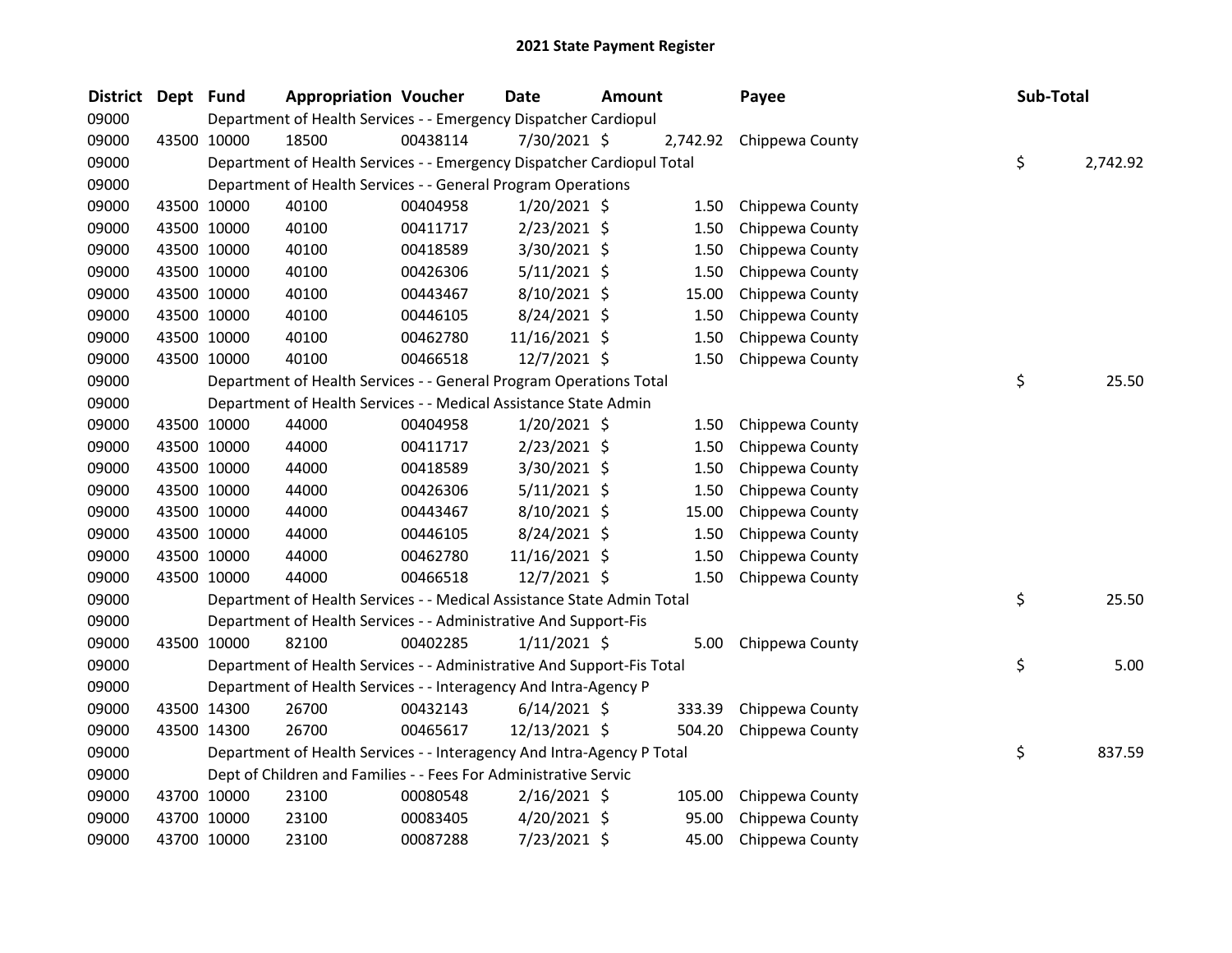| District | Dept Fund |             | <b>Appropriation Voucher</b>                                           |          | Date           | <b>Amount</b> |          | Payee           | Sub-Total |          |
|----------|-----------|-------------|------------------------------------------------------------------------|----------|----------------|---------------|----------|-----------------|-----------|----------|
| 09000    |           |             | Department of Health Services - - Emergency Dispatcher Cardiopul       |          |                |               |          |                 |           |          |
| 09000    |           | 43500 10000 | 18500                                                                  | 00438114 | 7/30/2021 \$   |               | 2,742.92 | Chippewa County |           |          |
| 09000    |           |             | Department of Health Services - - Emergency Dispatcher Cardiopul Total |          |                |               |          |                 | \$        | 2,742.92 |
| 09000    |           |             | Department of Health Services - - General Program Operations           |          |                |               |          |                 |           |          |
| 09000    |           | 43500 10000 | 40100                                                                  | 00404958 | $1/20/2021$ \$ |               | 1.50     | Chippewa County |           |          |
| 09000    |           | 43500 10000 | 40100                                                                  | 00411717 | 2/23/2021 \$   |               | 1.50     | Chippewa County |           |          |
| 09000    |           | 43500 10000 | 40100                                                                  | 00418589 | 3/30/2021 \$   |               | 1.50     | Chippewa County |           |          |
| 09000    |           | 43500 10000 | 40100                                                                  | 00426306 | $5/11/2021$ \$ |               | 1.50     | Chippewa County |           |          |
| 09000    |           | 43500 10000 | 40100                                                                  | 00443467 | 8/10/2021 \$   |               | 15.00    | Chippewa County |           |          |
| 09000    |           | 43500 10000 | 40100                                                                  | 00446105 | 8/24/2021 \$   |               | 1.50     | Chippewa County |           |          |
| 09000    |           | 43500 10000 | 40100                                                                  | 00462780 | 11/16/2021 \$  |               | 1.50     | Chippewa County |           |          |
| 09000    |           | 43500 10000 | 40100                                                                  | 00466518 | 12/7/2021 \$   |               | 1.50     | Chippewa County |           |          |
| 09000    |           |             | Department of Health Services - - General Program Operations Total     |          |                |               |          |                 | \$        | 25.50    |
| 09000    |           |             | Department of Health Services - - Medical Assistance State Admin       |          |                |               |          |                 |           |          |
| 09000    |           | 43500 10000 | 44000                                                                  | 00404958 | $1/20/2021$ \$ |               | 1.50     | Chippewa County |           |          |
| 09000    |           | 43500 10000 | 44000                                                                  | 00411717 | 2/23/2021 \$   |               | 1.50     | Chippewa County |           |          |
| 09000    |           | 43500 10000 | 44000                                                                  | 00418589 | 3/30/2021 \$   |               | 1.50     | Chippewa County |           |          |
| 09000    |           | 43500 10000 | 44000                                                                  | 00426306 | $5/11/2021$ \$ |               | 1.50     | Chippewa County |           |          |
| 09000    |           | 43500 10000 | 44000                                                                  | 00443467 | 8/10/2021 \$   |               | 15.00    | Chippewa County |           |          |
| 09000    |           | 43500 10000 | 44000                                                                  | 00446105 | 8/24/2021 \$   |               | 1.50     | Chippewa County |           |          |
| 09000    |           | 43500 10000 | 44000                                                                  | 00462780 | 11/16/2021 \$  |               | 1.50     | Chippewa County |           |          |
| 09000    |           | 43500 10000 | 44000                                                                  | 00466518 | 12/7/2021 \$   |               | 1.50     | Chippewa County |           |          |
| 09000    |           |             | Department of Health Services - - Medical Assistance State Admin Total |          |                |               |          |                 | \$        | 25.50    |
| 09000    |           |             | Department of Health Services - - Administrative And Support-Fis       |          |                |               |          |                 |           |          |
| 09000    |           | 43500 10000 | 82100                                                                  | 00402285 | $1/11/2021$ \$ |               | 5.00     | Chippewa County |           |          |
| 09000    |           |             | Department of Health Services - - Administrative And Support-Fis Total |          |                |               |          |                 | \$        | 5.00     |
| 09000    |           |             | Department of Health Services - - Interagency And Intra-Agency P       |          |                |               |          |                 |           |          |
| 09000    |           | 43500 14300 | 26700                                                                  | 00432143 | $6/14/2021$ \$ |               | 333.39   | Chippewa County |           |          |
| 09000    |           | 43500 14300 | 26700                                                                  | 00465617 | 12/13/2021 \$  |               | 504.20   | Chippewa County |           |          |
| 09000    |           |             | Department of Health Services - - Interagency And Intra-Agency P Total |          |                |               |          |                 | \$        | 837.59   |
| 09000    |           |             | Dept of Children and Families - - Fees For Administrative Servic       |          |                |               |          |                 |           |          |
| 09000    |           | 43700 10000 | 23100                                                                  | 00080548 | 2/16/2021 \$   |               | 105.00   | Chippewa County |           |          |
| 09000    |           | 43700 10000 | 23100                                                                  | 00083405 | 4/20/2021 \$   |               | 95.00    | Chippewa County |           |          |
| 09000    |           | 43700 10000 | 23100                                                                  | 00087288 | 7/23/2021 \$   |               | 45.00    | Chippewa County |           |          |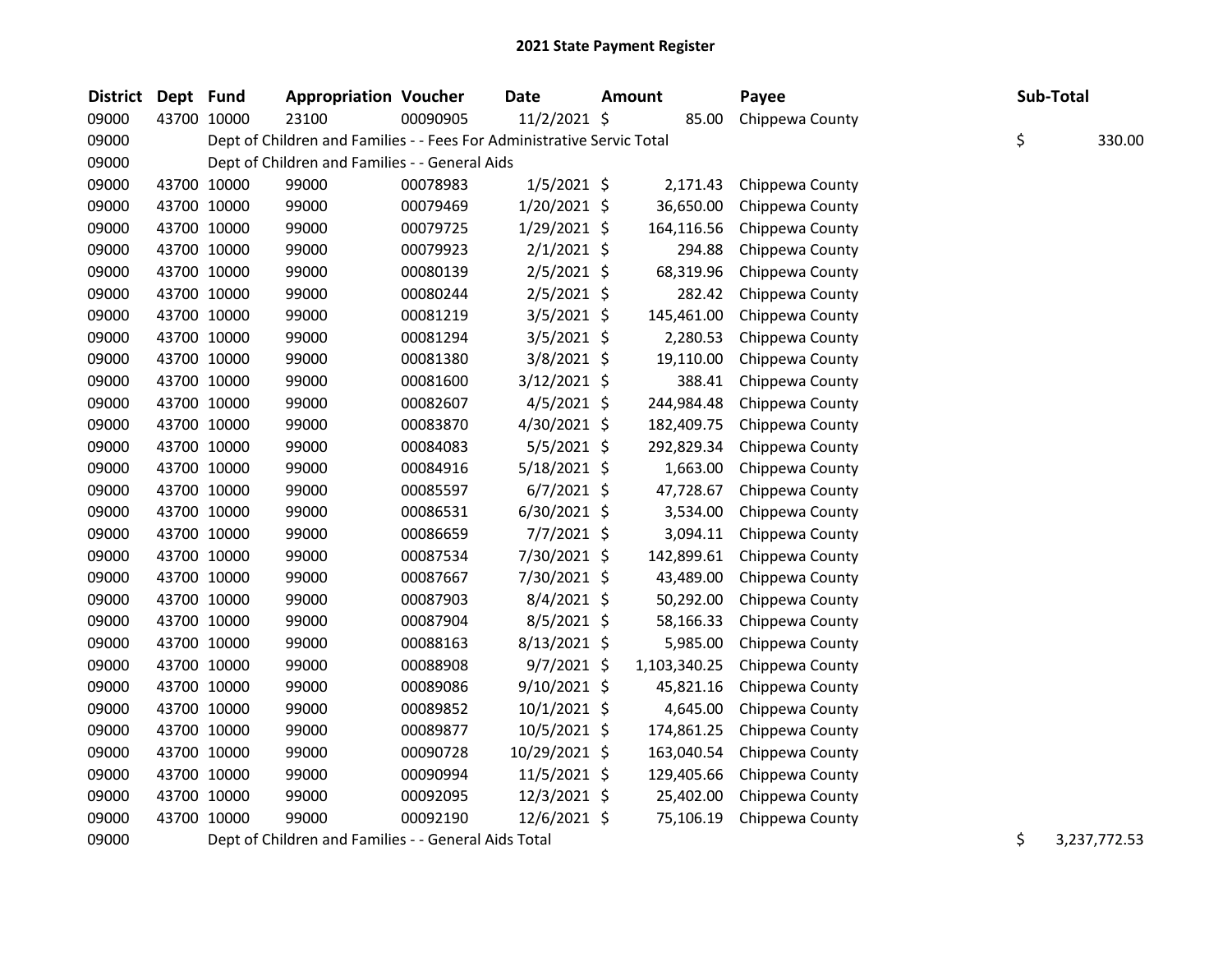| <b>District</b> | Dept Fund |             | <b>Appropriation Voucher</b>                                           |          | <b>Date</b>    | <b>Amount</b> |              | Payee           |    | Sub-Total    |
|-----------------|-----------|-------------|------------------------------------------------------------------------|----------|----------------|---------------|--------------|-----------------|----|--------------|
| 09000           |           | 43700 10000 | 23100                                                                  | 00090905 | 11/2/2021 \$   |               | 85.00        | Chippewa County |    |              |
| 09000           |           |             | Dept of Children and Families - - Fees For Administrative Servic Total |          |                |               |              |                 | \$ | 330.00       |
| 09000           |           |             | Dept of Children and Families - - General Aids                         |          |                |               |              |                 |    |              |
| 09000           |           | 43700 10000 | 99000                                                                  | 00078983 | $1/5/2021$ \$  |               | 2,171.43     | Chippewa County |    |              |
| 09000           |           | 43700 10000 | 99000                                                                  | 00079469 | 1/20/2021 \$   |               | 36,650.00    | Chippewa County |    |              |
| 09000           |           | 43700 10000 | 99000                                                                  | 00079725 | 1/29/2021 \$   |               | 164,116.56   | Chippewa County |    |              |
| 09000           |           | 43700 10000 | 99000                                                                  | 00079923 | $2/1/2021$ \$  |               | 294.88       | Chippewa County |    |              |
| 09000           |           | 43700 10000 | 99000                                                                  | 00080139 | $2/5/2021$ \$  |               | 68,319.96    | Chippewa County |    |              |
| 09000           |           | 43700 10000 | 99000                                                                  | 00080244 | $2/5/2021$ \$  |               | 282.42       | Chippewa County |    |              |
| 09000           |           | 43700 10000 | 99000                                                                  | 00081219 | 3/5/2021 \$    |               | 145,461.00   | Chippewa County |    |              |
| 09000           |           | 43700 10000 | 99000                                                                  | 00081294 | 3/5/2021 \$    |               | 2,280.53     | Chippewa County |    |              |
| 09000           |           | 43700 10000 | 99000                                                                  | 00081380 | 3/8/2021 \$    |               | 19,110.00    | Chippewa County |    |              |
| 09000           |           | 43700 10000 | 99000                                                                  | 00081600 | $3/12/2021$ \$ |               | 388.41       | Chippewa County |    |              |
| 09000           |           | 43700 10000 | 99000                                                                  | 00082607 | $4/5/2021$ \$  |               | 244,984.48   | Chippewa County |    |              |
| 09000           |           | 43700 10000 | 99000                                                                  | 00083870 | 4/30/2021 \$   |               | 182,409.75   | Chippewa County |    |              |
| 09000           |           | 43700 10000 | 99000                                                                  | 00084083 | $5/5/2021$ \$  |               | 292,829.34   | Chippewa County |    |              |
| 09000           |           | 43700 10000 | 99000                                                                  | 00084916 | 5/18/2021 \$   |               | 1,663.00     | Chippewa County |    |              |
| 09000           |           | 43700 10000 | 99000                                                                  | 00085597 | $6/7/2021$ \$  |               | 47,728.67    | Chippewa County |    |              |
| 09000           |           | 43700 10000 | 99000                                                                  | 00086531 | $6/30/2021$ \$ |               | 3,534.00     | Chippewa County |    |              |
| 09000           |           | 43700 10000 | 99000                                                                  | 00086659 | $7/7/2021$ \$  |               | 3,094.11     | Chippewa County |    |              |
| 09000           |           | 43700 10000 | 99000                                                                  | 00087534 | 7/30/2021 \$   |               | 142,899.61   | Chippewa County |    |              |
| 09000           |           | 43700 10000 | 99000                                                                  | 00087667 | 7/30/2021 \$   |               | 43,489.00    | Chippewa County |    |              |
| 09000           |           | 43700 10000 | 99000                                                                  | 00087903 | 8/4/2021 \$    |               | 50,292.00    | Chippewa County |    |              |
| 09000           |           | 43700 10000 | 99000                                                                  | 00087904 | 8/5/2021 \$    |               | 58,166.33    | Chippewa County |    |              |
| 09000           |           | 43700 10000 | 99000                                                                  | 00088163 | 8/13/2021 \$   |               | 5,985.00     | Chippewa County |    |              |
| 09000           |           | 43700 10000 | 99000                                                                  | 00088908 | $9/7/2021$ \$  |               | 1,103,340.25 | Chippewa County |    |              |
| 09000           |           | 43700 10000 | 99000                                                                  | 00089086 | $9/10/2021$ \$ |               | 45,821.16    | Chippewa County |    |              |
| 09000           |           | 43700 10000 | 99000                                                                  | 00089852 | 10/1/2021 \$   |               | 4,645.00     | Chippewa County |    |              |
| 09000           |           | 43700 10000 | 99000                                                                  | 00089877 | 10/5/2021 \$   |               | 174,861.25   | Chippewa County |    |              |
| 09000           |           | 43700 10000 | 99000                                                                  | 00090728 | 10/29/2021 \$  |               | 163,040.54   | Chippewa County |    |              |
| 09000           |           | 43700 10000 | 99000                                                                  | 00090994 | 11/5/2021 \$   |               | 129,405.66   | Chippewa County |    |              |
| 09000           |           | 43700 10000 | 99000                                                                  | 00092095 | 12/3/2021 \$   |               | 25,402.00    | Chippewa County |    |              |
| 09000           |           | 43700 10000 | 99000                                                                  | 00092190 | 12/6/2021 \$   |               | 75,106.19    | Chippewa County |    |              |
| 09000           |           |             | Dept of Children and Families - - General Aids Total                   |          |                |               |              |                 | \$ | 3,237,772.53 |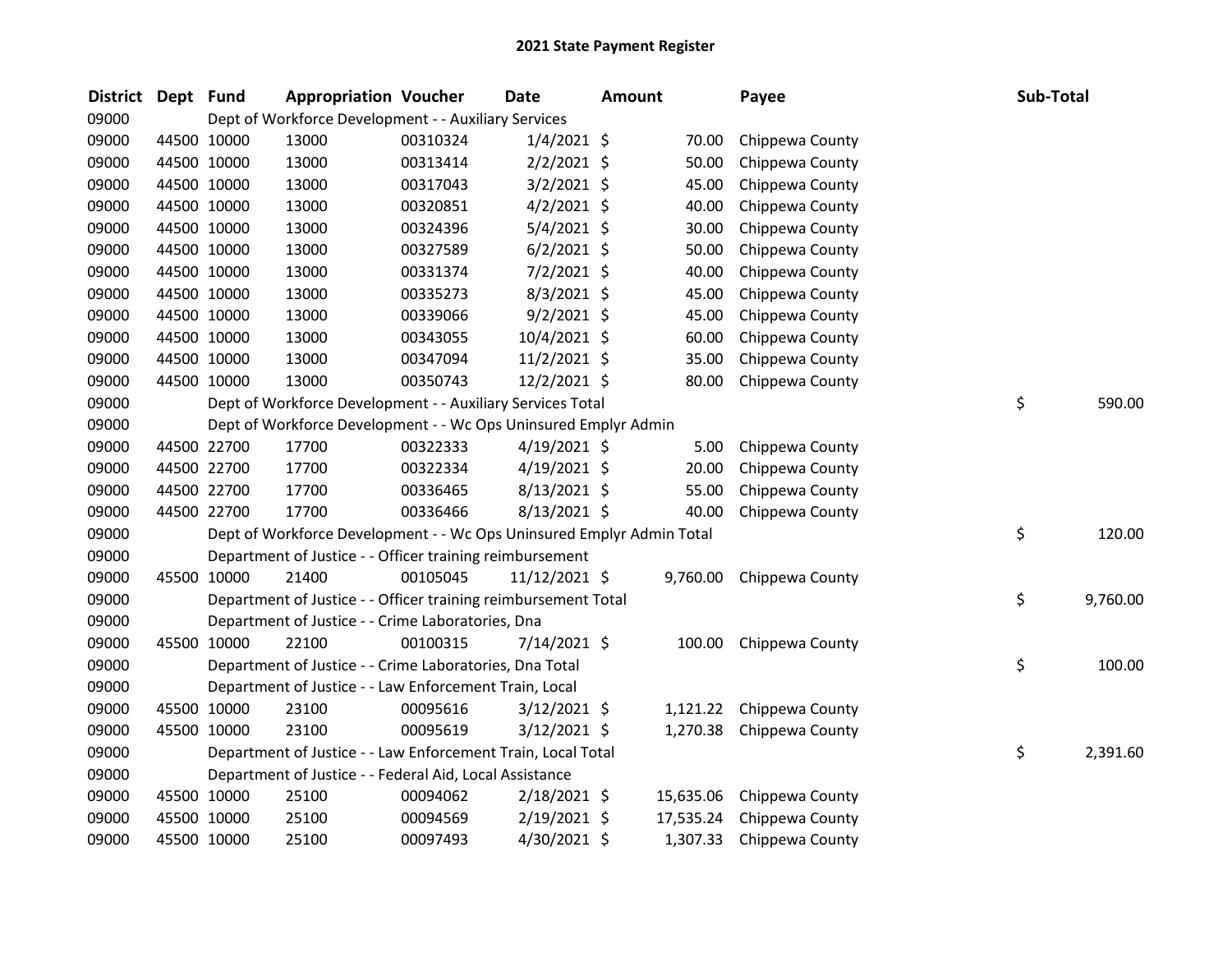| <b>District</b> | Dept Fund |             | <b>Appropriation Voucher</b>                                          |          | <b>Date</b>    | <b>Amount</b> |           | Payee           | Sub-Total      |
|-----------------|-----------|-------------|-----------------------------------------------------------------------|----------|----------------|---------------|-----------|-----------------|----------------|
| 09000           |           |             | Dept of Workforce Development - - Auxiliary Services                  |          |                |               |           |                 |                |
| 09000           |           | 44500 10000 | 13000                                                                 | 00310324 | $1/4/2021$ \$  |               | 70.00     | Chippewa County |                |
| 09000           |           | 44500 10000 | 13000                                                                 | 00313414 | $2/2/2021$ \$  |               | 50.00     | Chippewa County |                |
| 09000           |           | 44500 10000 | 13000                                                                 | 00317043 | $3/2/2021$ \$  |               | 45.00     | Chippewa County |                |
| 09000           |           | 44500 10000 | 13000                                                                 | 00320851 | $4/2/2021$ \$  |               | 40.00     | Chippewa County |                |
| 09000           |           | 44500 10000 | 13000                                                                 | 00324396 | 5/4/2021 \$    |               | 30.00     | Chippewa County |                |
| 09000           |           | 44500 10000 | 13000                                                                 | 00327589 | $6/2/2021$ \$  |               | 50.00     | Chippewa County |                |
| 09000           |           | 44500 10000 | 13000                                                                 | 00331374 | 7/2/2021 \$    |               | 40.00     | Chippewa County |                |
| 09000           |           | 44500 10000 | 13000                                                                 | 00335273 | 8/3/2021 \$    |               | 45.00     | Chippewa County |                |
| 09000           |           | 44500 10000 | 13000                                                                 | 00339066 | $9/2/2021$ \$  |               | 45.00     | Chippewa County |                |
| 09000           |           | 44500 10000 | 13000                                                                 | 00343055 | 10/4/2021 \$   |               | 60.00     | Chippewa County |                |
| 09000           |           | 44500 10000 | 13000                                                                 | 00347094 | $11/2/2021$ \$ |               | 35.00     | Chippewa County |                |
| 09000           |           | 44500 10000 | 13000                                                                 | 00350743 | $12/2/2021$ \$ |               | 80.00     | Chippewa County |                |
| 09000           |           |             | Dept of Workforce Development - - Auxiliary Services Total            |          |                |               |           |                 | \$<br>590.00   |
| 09000           |           |             | Dept of Workforce Development - - Wc Ops Uninsured Emplyr Admin       |          |                |               |           |                 |                |
| 09000           |           | 44500 22700 | 17700                                                                 | 00322333 | $4/19/2021$ \$ |               | 5.00      | Chippewa County |                |
| 09000           |           | 44500 22700 | 17700                                                                 | 00322334 | $4/19/2021$ \$ |               | 20.00     | Chippewa County |                |
| 09000           |           | 44500 22700 | 17700                                                                 | 00336465 | 8/13/2021 \$   |               | 55.00     | Chippewa County |                |
| 09000           |           | 44500 22700 | 17700                                                                 | 00336466 | 8/13/2021 \$   |               | 40.00     | Chippewa County |                |
| 09000           |           |             | Dept of Workforce Development - - Wc Ops Uninsured Emplyr Admin Total |          |                |               |           |                 | \$<br>120.00   |
| 09000           |           |             | Department of Justice - - Officer training reimbursement              |          |                |               |           |                 |                |
| 09000           |           | 45500 10000 | 21400                                                                 | 00105045 | 11/12/2021 \$  |               | 9,760.00  | Chippewa County |                |
| 09000           |           |             | Department of Justice - - Officer training reimbursement Total        |          |                |               |           |                 | \$<br>9,760.00 |
| 09000           |           |             | Department of Justice - - Crime Laboratories, Dna                     |          |                |               |           |                 |                |
| 09000           |           | 45500 10000 | 22100                                                                 | 00100315 | $7/14/2021$ \$ |               | 100.00    | Chippewa County |                |
| 09000           |           |             | Department of Justice - - Crime Laboratories, Dna Total               |          |                |               |           |                 | \$<br>100.00   |
| 09000           |           |             | Department of Justice - - Law Enforcement Train, Local                |          |                |               |           |                 |                |
| 09000           |           | 45500 10000 | 23100                                                                 | 00095616 | $3/12/2021$ \$ |               | 1,121.22  | Chippewa County |                |
| 09000           |           | 45500 10000 | 23100                                                                 | 00095619 | $3/12/2021$ \$ |               | 1,270.38  | Chippewa County |                |
| 09000           |           |             | Department of Justice - - Law Enforcement Train, Local Total          |          |                |               |           |                 | \$<br>2,391.60 |
| 09000           |           |             | Department of Justice - - Federal Aid, Local Assistance               |          |                |               |           |                 |                |
| 09000           |           | 45500 10000 | 25100                                                                 | 00094062 | $2/18/2021$ \$ |               | 15,635.06 | Chippewa County |                |
| 09000           |           | 45500 10000 | 25100                                                                 | 00094569 | 2/19/2021 \$   |               | 17,535.24 | Chippewa County |                |
| 09000           |           | 45500 10000 | 25100                                                                 | 00097493 | 4/30/2021 \$   |               | 1,307.33  | Chippewa County |                |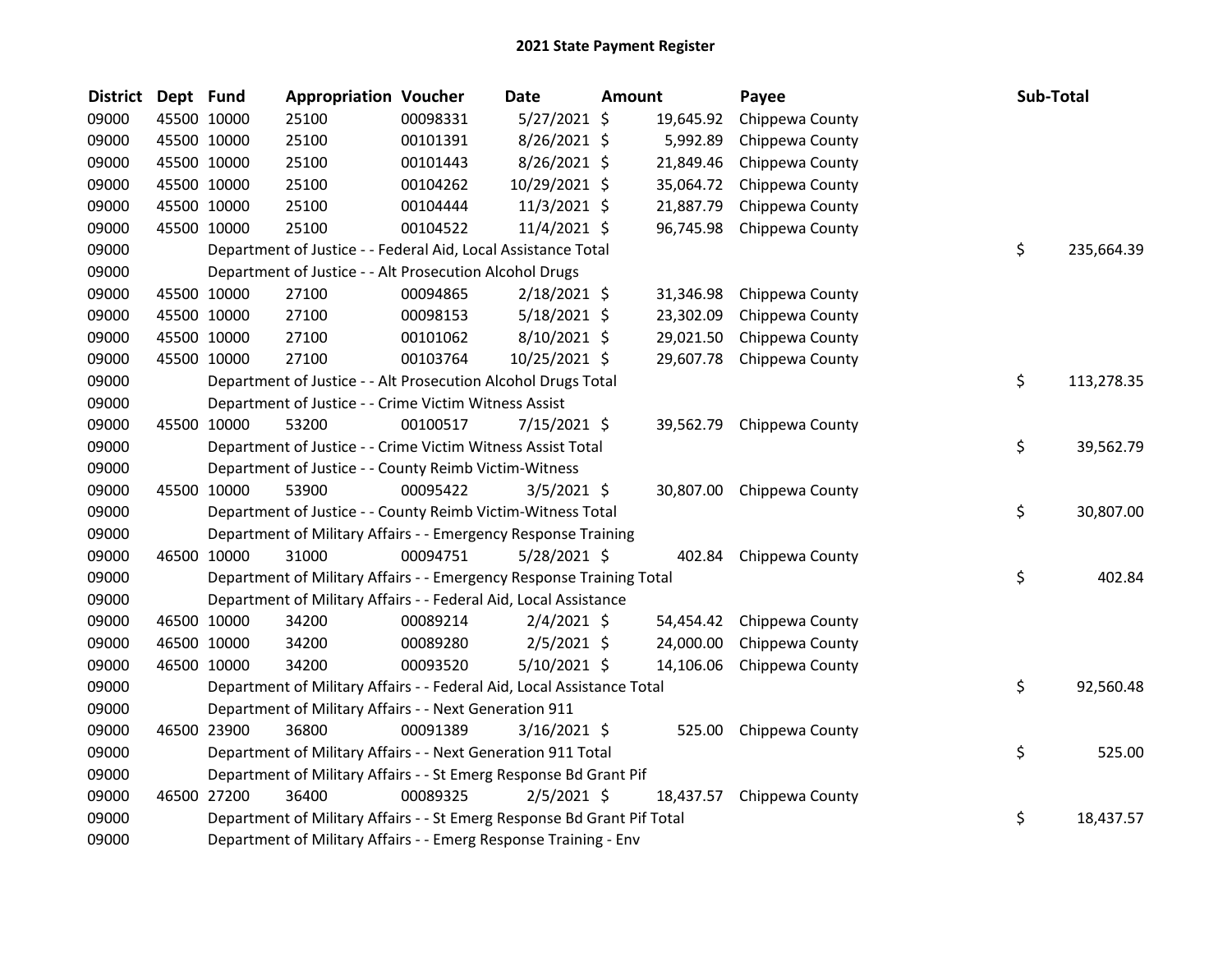| <b>District</b> | Dept Fund   |             | <b>Appropriation Voucher</b>                                                                                                                |          | Date           | <b>Amount</b> |           | Payee                     | Sub-Total |            |  |  |  |
|-----------------|-------------|-------------|---------------------------------------------------------------------------------------------------------------------------------------------|----------|----------------|---------------|-----------|---------------------------|-----------|------------|--|--|--|
| 09000           |             | 45500 10000 | 25100                                                                                                                                       | 00098331 | $5/27/2021$ \$ |               | 19,645.92 | Chippewa County           |           |            |  |  |  |
| 09000           |             | 45500 10000 | 25100                                                                                                                                       | 00101391 | 8/26/2021 \$   |               | 5,992.89  | Chippewa County           |           |            |  |  |  |
| 09000           |             | 45500 10000 | 25100                                                                                                                                       | 00101443 | 8/26/2021 \$   |               | 21,849.46 | Chippewa County           |           |            |  |  |  |
| 09000           |             | 45500 10000 | 25100                                                                                                                                       | 00104262 | 10/29/2021 \$  |               | 35,064.72 | Chippewa County           |           |            |  |  |  |
| 09000           | 45500 10000 |             | 25100                                                                                                                                       | 00104444 | 11/3/2021 \$   |               | 21,887.79 | Chippewa County           |           |            |  |  |  |
| 09000           | 45500 10000 |             | 25100                                                                                                                                       | 00104522 | 11/4/2021 \$   |               | 96,745.98 | Chippewa County           |           |            |  |  |  |
| 09000           |             |             | Department of Justice - - Federal Aid, Local Assistance Total                                                                               |          |                |               |           |                           | \$        | 235,664.39 |  |  |  |
| 09000           |             |             | Department of Justice - - Alt Prosecution Alcohol Drugs                                                                                     |          |                |               |           |                           |           |            |  |  |  |
| 09000           |             | 45500 10000 | 27100                                                                                                                                       | 00094865 | 2/18/2021 \$   |               | 31,346.98 | Chippewa County           |           |            |  |  |  |
| 09000           |             | 45500 10000 | 27100                                                                                                                                       | 00098153 | $5/18/2021$ \$ |               | 23,302.09 | Chippewa County           |           |            |  |  |  |
| 09000           |             | 45500 10000 | 27100                                                                                                                                       | 00101062 | 8/10/2021 \$   |               | 29,021.50 | Chippewa County           |           |            |  |  |  |
| 09000           |             | 45500 10000 | 27100                                                                                                                                       | 00103764 | 10/25/2021 \$  |               | 29,607.78 | Chippewa County           |           |            |  |  |  |
| 09000           |             |             | Department of Justice - - Alt Prosecution Alcohol Drugs Total                                                                               |          |                |               |           |                           | \$        | 113,278.35 |  |  |  |
| 09000           |             |             | Department of Justice - - Crime Victim Witness Assist                                                                                       |          |                |               |           |                           |           |            |  |  |  |
| 09000           |             | 45500 10000 | 53200                                                                                                                                       | 00100517 | $7/15/2021$ \$ |               |           | 39,562.79 Chippewa County |           |            |  |  |  |
| 09000           |             |             | Department of Justice - - Crime Victim Witness Assist Total                                                                                 |          |                |               |           |                           | \$        | 39,562.79  |  |  |  |
| 09000           |             |             | Department of Justice - - County Reimb Victim-Witness                                                                                       |          |                |               |           |                           |           |            |  |  |  |
| 09000           |             | 45500 10000 | 53900                                                                                                                                       | 00095422 | $3/5/2021$ \$  |               |           | 30,807.00 Chippewa County |           |            |  |  |  |
| 09000           |             |             | Department of Justice - - County Reimb Victim-Witness Total                                                                                 |          |                |               |           |                           | \$        | 30,807.00  |  |  |  |
| 09000           |             |             | Department of Military Affairs - - Emergency Response Training                                                                              |          |                |               |           |                           |           |            |  |  |  |
| 09000           | 46500 10000 |             | 31000                                                                                                                                       | 00094751 | 5/28/2021 \$   |               | 402.84    | Chippewa County           |           |            |  |  |  |
| 09000           |             |             | Department of Military Affairs - - Emergency Response Training Total                                                                        |          |                |               |           |                           | \$        | 402.84     |  |  |  |
| 09000           |             |             | Department of Military Affairs - - Federal Aid, Local Assistance                                                                            |          |                |               |           |                           |           |            |  |  |  |
| 09000           |             | 46500 10000 | 34200                                                                                                                                       | 00089214 | $2/4/2021$ \$  |               | 54,454.42 | Chippewa County           |           |            |  |  |  |
| 09000           |             | 46500 10000 | 34200                                                                                                                                       | 00089280 | $2/5/2021$ \$  |               | 24,000.00 | Chippewa County           |           |            |  |  |  |
| 09000           |             | 46500 10000 | 34200                                                                                                                                       | 00093520 | 5/10/2021 \$   |               | 14,106.06 | Chippewa County           |           |            |  |  |  |
| 09000           |             |             | Department of Military Affairs - - Federal Aid, Local Assistance Total                                                                      |          |                |               |           |                           | \$        | 92,560.48  |  |  |  |
| 09000           |             |             | Department of Military Affairs - - Next Generation 911                                                                                      |          |                |               |           |                           |           |            |  |  |  |
| 09000           | 46500 23900 |             | 36800                                                                                                                                       | 00091389 | $3/16/2021$ \$ |               | 525.00    | Chippewa County           |           |            |  |  |  |
| 09000           |             |             | Department of Military Affairs - - Next Generation 911 Total                                                                                |          |                |               |           |                           | \$        | 525.00     |  |  |  |
| 09000           |             |             | Department of Military Affairs - - St Emerg Response Bd Grant Pif                                                                           |          |                |               |           |                           |           |            |  |  |  |
| 09000           |             | 46500 27200 | 36400                                                                                                                                       | 00089325 | $2/5/2021$ \$  |               | 18,437.57 | Chippewa County           |           |            |  |  |  |
| 09000           |             |             |                                                                                                                                             |          |                |               |           |                           | \$        | 18,437.57  |  |  |  |
| 09000           |             |             | Department of Military Affairs - - St Emerg Response Bd Grant Pif Total<br>Department of Military Affairs - - Emerg Response Training - Env |          |                |               |           |                           |           |            |  |  |  |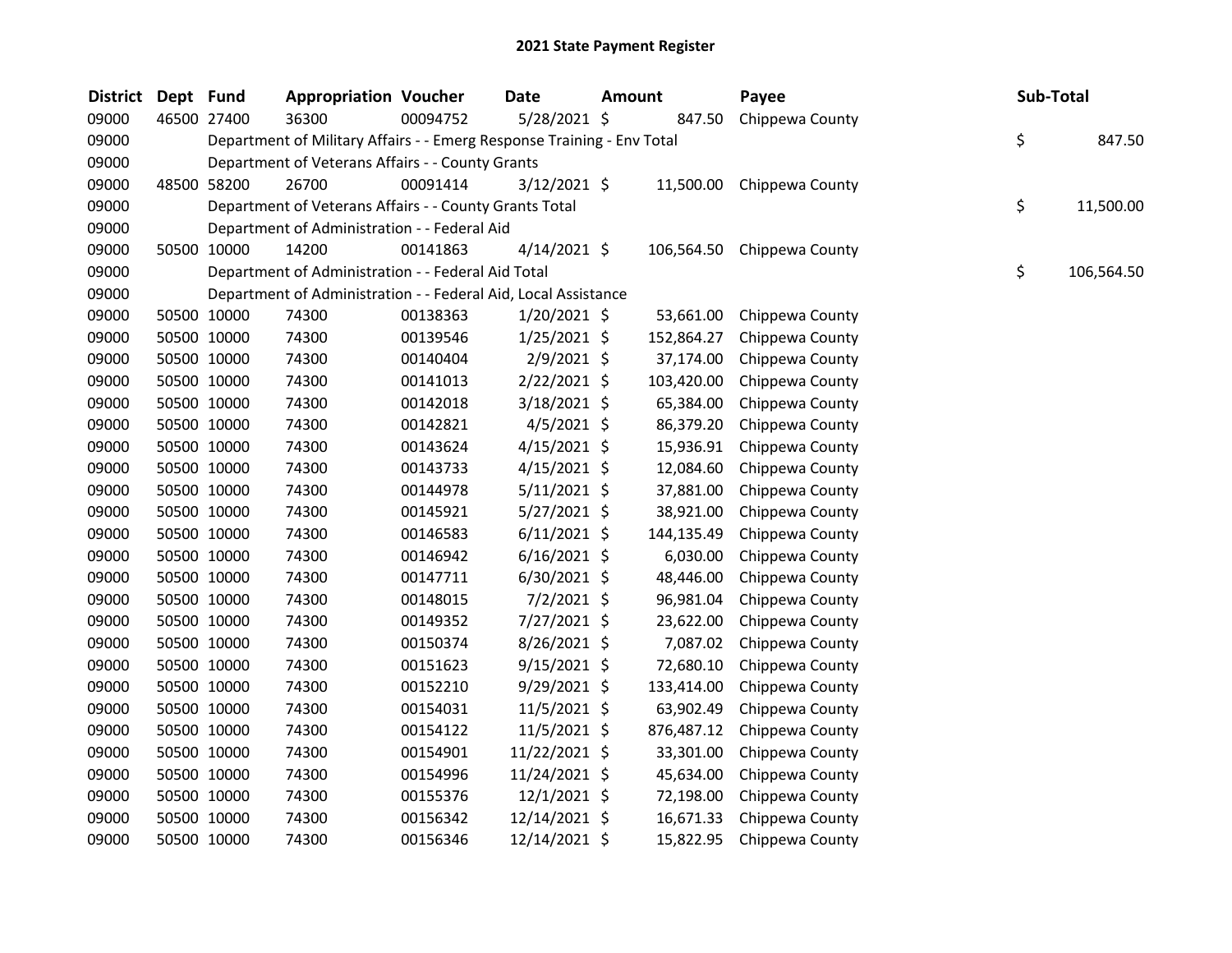| District Dept Fund |             |             | <b>Appropriation Voucher</b>                                           |          | Date           | <b>Amount</b> |            | Payee           | Sub-Total |            |
|--------------------|-------------|-------------|------------------------------------------------------------------------|----------|----------------|---------------|------------|-----------------|-----------|------------|
| 09000              | 46500 27400 |             | 36300                                                                  | 00094752 | 5/28/2021 \$   |               | 847.50     | Chippewa County |           |            |
| 09000              |             |             | Department of Military Affairs - - Emerg Response Training - Env Total |          |                |               |            |                 | \$        | 847.50     |
| 09000              |             |             | Department of Veterans Affairs - - County Grants                       |          |                |               |            |                 |           |            |
| 09000              |             | 48500 58200 | 26700                                                                  | 00091414 | $3/12/2021$ \$ |               | 11,500.00  | Chippewa County |           |            |
| 09000              |             |             | Department of Veterans Affairs - - County Grants Total                 |          |                |               |            |                 | \$        | 11,500.00  |
| 09000              |             |             | Department of Administration - - Federal Aid                           |          |                |               |            |                 |           |            |
| 09000              | 50500 10000 |             | 14200                                                                  | 00141863 | $4/14/2021$ \$ |               | 106,564.50 | Chippewa County |           |            |
| 09000              |             |             | Department of Administration - - Federal Aid Total                     |          |                |               |            |                 | \$        | 106,564.50 |
| 09000              |             |             | Department of Administration - - Federal Aid, Local Assistance         |          |                |               |            |                 |           |            |
| 09000              | 50500 10000 |             | 74300                                                                  | 00138363 | $1/20/2021$ \$ |               | 53,661.00  | Chippewa County |           |            |
| 09000              | 50500 10000 |             | 74300                                                                  | 00139546 | $1/25/2021$ \$ |               | 152,864.27 | Chippewa County |           |            |
| 09000              | 50500 10000 |             | 74300                                                                  | 00140404 | 2/9/2021 \$    |               | 37,174.00  | Chippewa County |           |            |
| 09000              | 50500 10000 |             | 74300                                                                  | 00141013 | $2/22/2021$ \$ |               | 103,420.00 | Chippewa County |           |            |
| 09000              | 50500 10000 |             | 74300                                                                  | 00142018 | 3/18/2021 \$   |               | 65,384.00  | Chippewa County |           |            |
| 09000              |             | 50500 10000 | 74300                                                                  | 00142821 | $4/5/2021$ \$  |               | 86,379.20  | Chippewa County |           |            |
| 09000              |             | 50500 10000 | 74300                                                                  | 00143624 | $4/15/2021$ \$ |               | 15,936.91  | Chippewa County |           |            |
| 09000              | 50500 10000 |             | 74300                                                                  | 00143733 | $4/15/2021$ \$ |               | 12,084.60  | Chippewa County |           |            |
| 09000              | 50500 10000 |             | 74300                                                                  | 00144978 | $5/11/2021$ \$ |               | 37,881.00  | Chippewa County |           |            |
| 09000              | 50500 10000 |             | 74300                                                                  | 00145921 | 5/27/2021 \$   |               | 38,921.00  | Chippewa County |           |            |
| 09000              | 50500 10000 |             | 74300                                                                  | 00146583 | $6/11/2021$ \$ |               | 144,135.49 | Chippewa County |           |            |
| 09000              | 50500 10000 |             | 74300                                                                  | 00146942 | $6/16/2021$ \$ |               | 6,030.00   | Chippewa County |           |            |
| 09000              |             | 50500 10000 | 74300                                                                  | 00147711 | $6/30/2021$ \$ |               | 48,446.00  | Chippewa County |           |            |
| 09000              |             | 50500 10000 | 74300                                                                  | 00148015 | 7/2/2021 \$    |               | 96,981.04  | Chippewa County |           |            |
| 09000              | 50500 10000 |             | 74300                                                                  | 00149352 | 7/27/2021 \$   |               | 23,622.00  | Chippewa County |           |            |
| 09000              |             | 50500 10000 | 74300                                                                  | 00150374 | 8/26/2021 \$   |               | 7,087.02   | Chippewa County |           |            |
| 09000              | 50500 10000 |             | 74300                                                                  | 00151623 | $9/15/2021$ \$ |               | 72,680.10  | Chippewa County |           |            |
| 09000              | 50500 10000 |             | 74300                                                                  | 00152210 | 9/29/2021 \$   |               | 133,414.00 | Chippewa County |           |            |
| 09000              | 50500 10000 |             | 74300                                                                  | 00154031 | 11/5/2021 \$   |               | 63,902.49  | Chippewa County |           |            |
| 09000              | 50500 10000 |             | 74300                                                                  | 00154122 | 11/5/2021 \$   |               | 876,487.12 | Chippewa County |           |            |
| 09000              |             | 50500 10000 | 74300                                                                  | 00154901 | 11/22/2021 \$  |               | 33,301.00  | Chippewa County |           |            |
| 09000              |             | 50500 10000 | 74300                                                                  | 00154996 | 11/24/2021 \$  |               | 45,634.00  | Chippewa County |           |            |
| 09000              | 50500 10000 |             | 74300                                                                  | 00155376 | $12/1/2021$ \$ |               | 72,198.00  | Chippewa County |           |            |
| 09000              | 50500 10000 |             | 74300                                                                  | 00156342 | 12/14/2021 \$  |               | 16,671.33  | Chippewa County |           |            |
| 09000              | 50500 10000 |             | 74300                                                                  | 00156346 | 12/14/2021 \$  |               | 15,822.95  | Chippewa County |           |            |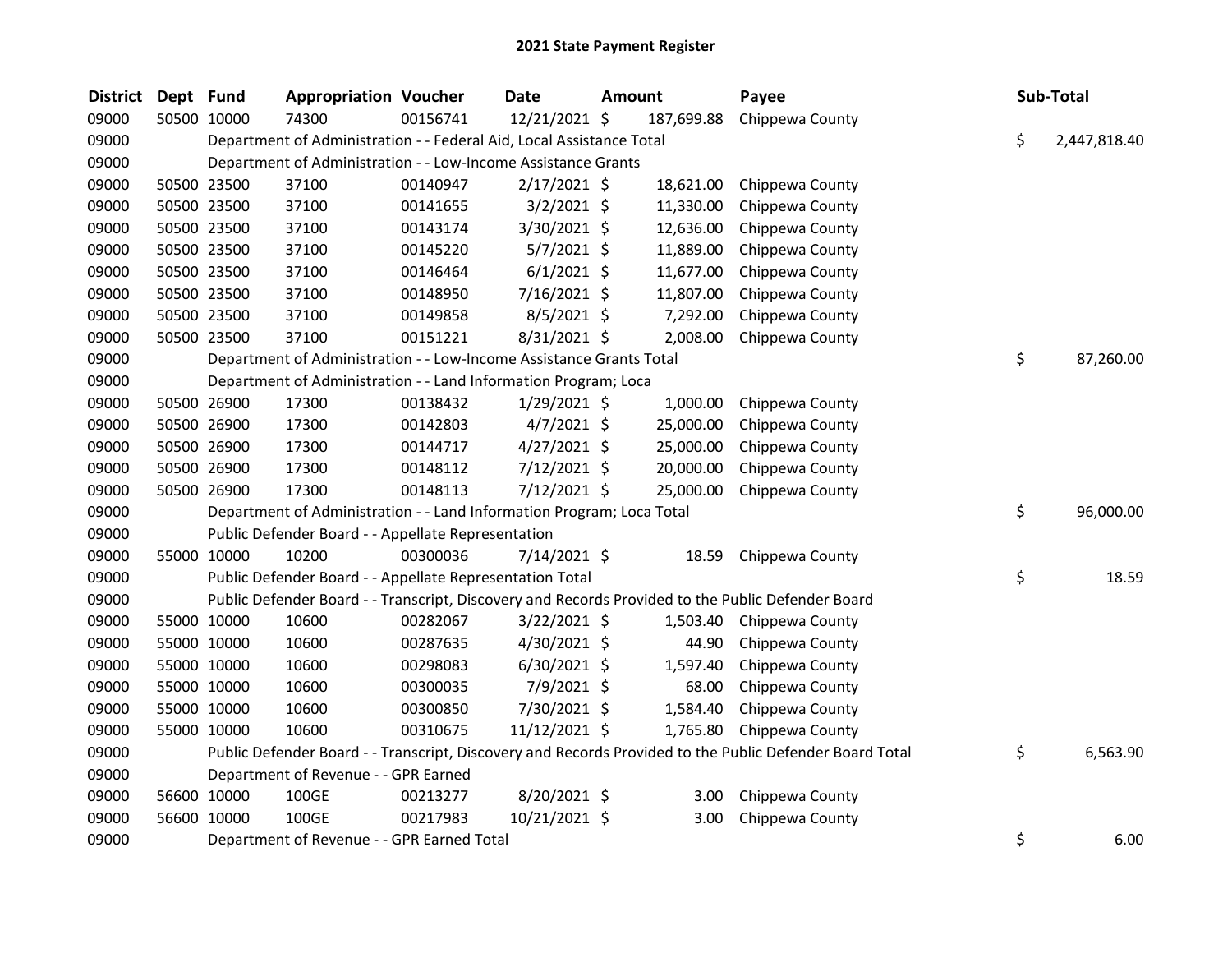| <b>District</b> | Dept Fund |             | <b>Appropriation Voucher</b>                                          |          | <b>Date</b>    | <b>Amount</b> |            | Payee                                                                                                   | Sub-Total          |
|-----------------|-----------|-------------|-----------------------------------------------------------------------|----------|----------------|---------------|------------|---------------------------------------------------------------------------------------------------------|--------------------|
| 09000           |           | 50500 10000 | 74300                                                                 | 00156741 | 12/21/2021 \$  |               | 187,699.88 | Chippewa County                                                                                         |                    |
| 09000           |           |             | Department of Administration - - Federal Aid, Local Assistance Total  |          |                |               |            |                                                                                                         | \$<br>2,447,818.40 |
| 09000           |           |             | Department of Administration - - Low-Income Assistance Grants         |          |                |               |            |                                                                                                         |                    |
| 09000           |           | 50500 23500 | 37100                                                                 | 00140947 | $2/17/2021$ \$ |               | 18,621.00  | Chippewa County                                                                                         |                    |
| 09000           |           | 50500 23500 | 37100                                                                 | 00141655 | $3/2/2021$ \$  |               | 11,330.00  | Chippewa County                                                                                         |                    |
| 09000           |           | 50500 23500 | 37100                                                                 | 00143174 | 3/30/2021 \$   |               | 12,636.00  | Chippewa County                                                                                         |                    |
| 09000           |           | 50500 23500 | 37100                                                                 | 00145220 | $5/7/2021$ \$  |               | 11,889.00  | Chippewa County                                                                                         |                    |
| 09000           |           | 50500 23500 | 37100                                                                 | 00146464 | $6/1/2021$ \$  |               | 11,677.00  | Chippewa County                                                                                         |                    |
| 09000           |           | 50500 23500 | 37100                                                                 | 00148950 | 7/16/2021 \$   |               | 11,807.00  | Chippewa County                                                                                         |                    |
| 09000           |           | 50500 23500 | 37100                                                                 | 00149858 | $8/5/2021$ \$  |               | 7,292.00   | Chippewa County                                                                                         |                    |
| 09000           |           | 50500 23500 | 37100                                                                 | 00151221 | 8/31/2021 \$   |               | 2,008.00   | Chippewa County                                                                                         |                    |
| 09000           |           |             | Department of Administration - - Low-Income Assistance Grants Total   |          |                |               |            |                                                                                                         | \$<br>87,260.00    |
| 09000           |           |             | Department of Administration - - Land Information Program; Loca       |          |                |               |            |                                                                                                         |                    |
| 09000           |           | 50500 26900 | 17300                                                                 | 00138432 | $1/29/2021$ \$ |               | 1,000.00   | Chippewa County                                                                                         |                    |
| 09000           |           | 50500 26900 | 17300                                                                 | 00142803 | $4/7/2021$ \$  |               | 25,000.00  | Chippewa County                                                                                         |                    |
| 09000           |           | 50500 26900 | 17300                                                                 | 00144717 | $4/27/2021$ \$ |               | 25,000.00  | Chippewa County                                                                                         |                    |
| 09000           |           | 50500 26900 | 17300                                                                 | 00148112 | $7/12/2021$ \$ |               | 20,000.00  | Chippewa County                                                                                         |                    |
| 09000           |           | 50500 26900 | 17300                                                                 | 00148113 | $7/12/2021$ \$ |               | 25,000.00  | Chippewa County                                                                                         |                    |
| 09000           |           |             | Department of Administration - - Land Information Program; Loca Total |          |                |               |            |                                                                                                         | \$<br>96,000.00    |
| 09000           |           |             | Public Defender Board - - Appellate Representation                    |          |                |               |            |                                                                                                         |                    |
| 09000           |           | 55000 10000 | 10200                                                                 | 00300036 | 7/14/2021 \$   |               | 18.59      | Chippewa County                                                                                         |                    |
| 09000           |           |             | Public Defender Board - - Appellate Representation Total              |          |                |               |            |                                                                                                         | \$<br>18.59        |
| 09000           |           |             |                                                                       |          |                |               |            | Public Defender Board - - Transcript, Discovery and Records Provided to the Public Defender Board       |                    |
| 09000           |           | 55000 10000 | 10600                                                                 | 00282067 | 3/22/2021 \$   |               | 1,503.40   | Chippewa County                                                                                         |                    |
| 09000           |           | 55000 10000 | 10600                                                                 | 00287635 | 4/30/2021 \$   |               | 44.90      | Chippewa County                                                                                         |                    |
| 09000           |           | 55000 10000 | 10600                                                                 | 00298083 | $6/30/2021$ \$ |               | 1,597.40   | Chippewa County                                                                                         |                    |
| 09000           |           | 55000 10000 | 10600                                                                 | 00300035 | 7/9/2021 \$    |               | 68.00      | Chippewa County                                                                                         |                    |
| 09000           |           | 55000 10000 | 10600                                                                 | 00300850 | 7/30/2021 \$   |               | 1,584.40   | Chippewa County                                                                                         |                    |
| 09000           |           | 55000 10000 | 10600                                                                 | 00310675 | 11/12/2021 \$  |               | 1,765.80   | Chippewa County                                                                                         |                    |
| 09000           |           |             |                                                                       |          |                |               |            | Public Defender Board - - Transcript, Discovery and Records Provided to the Public Defender Board Total | \$<br>6,563.90     |
| 09000           |           |             | Department of Revenue - - GPR Earned                                  |          |                |               |            |                                                                                                         |                    |
| 09000           |           | 56600 10000 | 100GE                                                                 | 00213277 | 8/20/2021 \$   |               | 3.00       | Chippewa County                                                                                         |                    |
| 09000           |           | 56600 10000 | 100GE                                                                 | 00217983 | 10/21/2021 \$  |               | 3.00       | Chippewa County                                                                                         |                    |
| 09000           |           |             | Department of Revenue - - GPR Earned Total                            |          |                |               |            |                                                                                                         | \$<br>6.00         |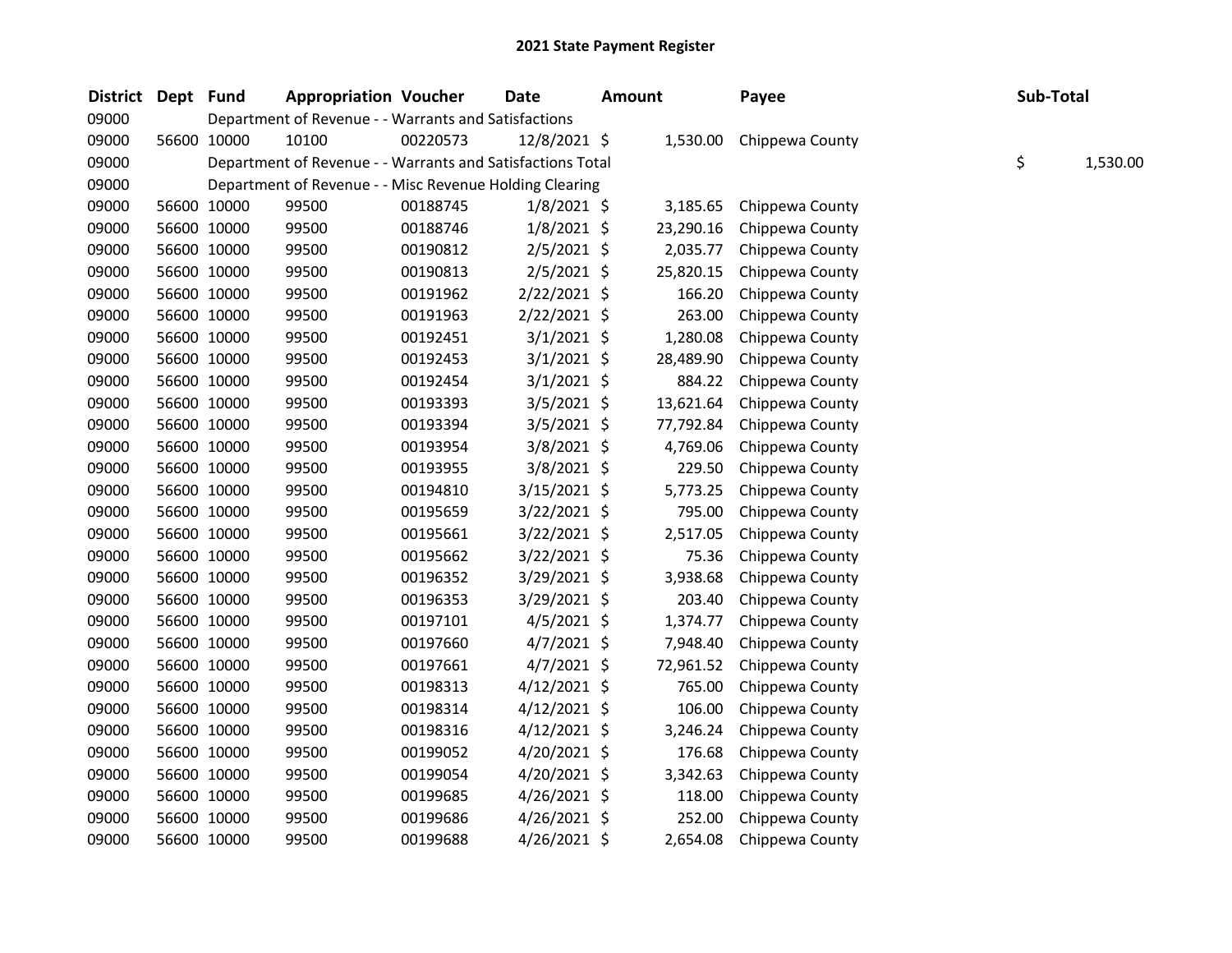| District Dept Fund |             | <b>Appropriation Voucher</b>                               |          | <b>Date</b>    | <b>Amount</b> |           | Payee           | Sub-Total |          |
|--------------------|-------------|------------------------------------------------------------|----------|----------------|---------------|-----------|-----------------|-----------|----------|
| 09000              |             | Department of Revenue - - Warrants and Satisfactions       |          |                |               |           |                 |           |          |
| 09000              | 56600 10000 | 10100                                                      | 00220573 | 12/8/2021 \$   |               | 1,530.00  | Chippewa County |           |          |
| 09000              |             | Department of Revenue - - Warrants and Satisfactions Total |          |                |               |           |                 | \$        | 1,530.00 |
| 09000              |             | Department of Revenue - - Misc Revenue Holding Clearing    |          |                |               |           |                 |           |          |
| 09000              | 56600 10000 | 99500                                                      | 00188745 | $1/8/2021$ \$  |               | 3,185.65  | Chippewa County |           |          |
| 09000              | 56600 10000 | 99500                                                      | 00188746 | $1/8/2021$ \$  |               | 23,290.16 | Chippewa County |           |          |
| 09000              | 56600 10000 | 99500                                                      | 00190812 | 2/5/2021 \$    |               | 2,035.77  | Chippewa County |           |          |
| 09000              | 56600 10000 | 99500                                                      | 00190813 | $2/5/2021$ \$  |               | 25,820.15 | Chippewa County |           |          |
| 09000              | 56600 10000 | 99500                                                      | 00191962 | 2/22/2021 \$   |               | 166.20    | Chippewa County |           |          |
| 09000              | 56600 10000 | 99500                                                      | 00191963 | $2/22/2021$ \$ |               | 263.00    | Chippewa County |           |          |
| 09000              | 56600 10000 | 99500                                                      | 00192451 | $3/1/2021$ \$  |               | 1,280.08  | Chippewa County |           |          |
| 09000              | 56600 10000 | 99500                                                      | 00192453 | 3/1/2021 \$    |               | 28,489.90 | Chippewa County |           |          |
| 09000              | 56600 10000 | 99500                                                      | 00192454 | $3/1/2021$ \$  |               | 884.22    | Chippewa County |           |          |
| 09000              | 56600 10000 | 99500                                                      | 00193393 | 3/5/2021 \$    |               | 13,621.64 | Chippewa County |           |          |
| 09000              | 56600 10000 | 99500                                                      | 00193394 | 3/5/2021 \$    |               | 77,792.84 | Chippewa County |           |          |
| 09000              | 56600 10000 | 99500                                                      | 00193954 | 3/8/2021 \$    |               | 4,769.06  | Chippewa County |           |          |
| 09000              | 56600 10000 | 99500                                                      | 00193955 | 3/8/2021 \$    |               | 229.50    | Chippewa County |           |          |
| 09000              | 56600 10000 | 99500                                                      | 00194810 | $3/15/2021$ \$ |               | 5,773.25  | Chippewa County |           |          |
| 09000              | 56600 10000 | 99500                                                      | 00195659 | 3/22/2021 \$   |               | 795.00    | Chippewa County |           |          |
| 09000              | 56600 10000 | 99500                                                      | 00195661 | $3/22/2021$ \$ |               | 2,517.05  | Chippewa County |           |          |
| 09000              | 56600 10000 | 99500                                                      | 00195662 | 3/22/2021 \$   |               | 75.36     | Chippewa County |           |          |
| 09000              | 56600 10000 | 99500                                                      | 00196352 | $3/29/2021$ \$ |               | 3,938.68  | Chippewa County |           |          |
| 09000              | 56600 10000 | 99500                                                      | 00196353 | 3/29/2021 \$   |               | 203.40    | Chippewa County |           |          |
| 09000              | 56600 10000 | 99500                                                      | 00197101 | $4/5/2021$ \$  |               | 1,374.77  | Chippewa County |           |          |
| 09000              | 56600 10000 | 99500                                                      | 00197660 | $4/7/2021$ \$  |               | 7,948.40  | Chippewa County |           |          |
| 09000              | 56600 10000 | 99500                                                      | 00197661 | $4/7/2021$ \$  |               | 72,961.52 | Chippewa County |           |          |
| 09000              | 56600 10000 | 99500                                                      | 00198313 | $4/12/2021$ \$ |               | 765.00    | Chippewa County |           |          |
| 09000              | 56600 10000 | 99500                                                      | 00198314 | $4/12/2021$ \$ |               | 106.00    | Chippewa County |           |          |
| 09000              | 56600 10000 | 99500                                                      | 00198316 | $4/12/2021$ \$ |               | 3,246.24  | Chippewa County |           |          |
| 09000              | 56600 10000 | 99500                                                      | 00199052 | $4/20/2021$ \$ |               | 176.68    | Chippewa County |           |          |
| 09000              | 56600 10000 | 99500                                                      | 00199054 | 4/20/2021 \$   |               | 3,342.63  | Chippewa County |           |          |
| 09000              | 56600 10000 | 99500                                                      | 00199685 | $4/26/2021$ \$ |               | 118.00    | Chippewa County |           |          |
| 09000              | 56600 10000 | 99500                                                      | 00199686 | $4/26/2021$ \$ |               | 252.00    | Chippewa County |           |          |
| 09000              | 56600 10000 | 99500                                                      | 00199688 | $4/26/2021$ \$ |               | 2,654.08  | Chippewa County |           |          |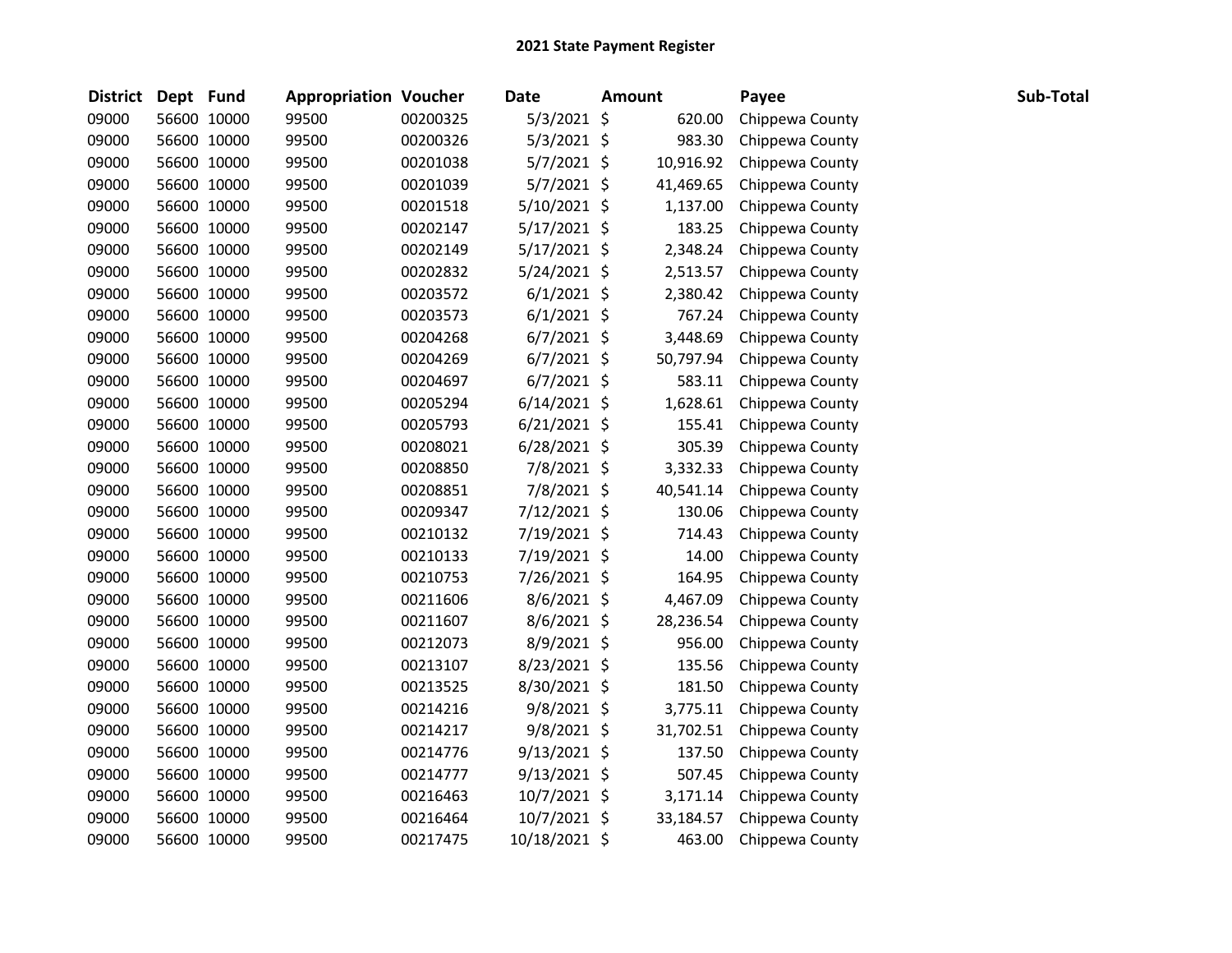| <b>District</b> | Dept Fund |             | <b>Appropriation Voucher</b> |          | <b>Date</b>    | <b>Amount</b> |           | Payee           | Sub-Total |
|-----------------|-----------|-------------|------------------------------|----------|----------------|---------------|-----------|-----------------|-----------|
| 09000           |           | 56600 10000 | 99500                        | 00200325 | 5/3/2021 \$    |               | 620.00    | Chippewa County |           |
| 09000           |           | 56600 10000 | 99500                        | 00200326 | 5/3/2021 \$    |               | 983.30    | Chippewa County |           |
| 09000           |           | 56600 10000 | 99500                        | 00201038 | 5/7/2021 \$    |               | 10,916.92 | Chippewa County |           |
| 09000           |           | 56600 10000 | 99500                        | 00201039 | 5/7/2021 \$    |               | 41,469.65 | Chippewa County |           |
| 09000           |           | 56600 10000 | 99500                        | 00201518 | 5/10/2021 \$   |               | 1,137.00  | Chippewa County |           |
| 09000           |           | 56600 10000 | 99500                        | 00202147 | 5/17/2021 \$   |               | 183.25    | Chippewa County |           |
| 09000           |           | 56600 10000 | 99500                        | 00202149 | $5/17/2021$ \$ |               | 2,348.24  | Chippewa County |           |
| 09000           |           | 56600 10000 | 99500                        | 00202832 | $5/24/2021$ \$ |               | 2,513.57  | Chippewa County |           |
| 09000           |           | 56600 10000 | 99500                        | 00203572 | $6/1/2021$ \$  |               | 2,380.42  | Chippewa County |           |
| 09000           |           | 56600 10000 | 99500                        | 00203573 | $6/1/2021$ \$  |               | 767.24    | Chippewa County |           |
| 09000           |           | 56600 10000 | 99500                        | 00204268 | $6/7/2021$ \$  |               | 3,448.69  | Chippewa County |           |
| 09000           |           | 56600 10000 | 99500                        | 00204269 | $6/7/2021$ \$  |               | 50,797.94 | Chippewa County |           |
| 09000           |           | 56600 10000 | 99500                        | 00204697 | $6/7/2021$ \$  |               | 583.11    | Chippewa County |           |
| 09000           |           | 56600 10000 | 99500                        | 00205294 | $6/14/2021$ \$ |               | 1,628.61  | Chippewa County |           |
| 09000           |           | 56600 10000 | 99500                        | 00205793 | $6/21/2021$ \$ |               | 155.41    | Chippewa County |           |
| 09000           |           | 56600 10000 | 99500                        | 00208021 | $6/28/2021$ \$ |               | 305.39    | Chippewa County |           |
| 09000           |           | 56600 10000 | 99500                        | 00208850 | 7/8/2021 \$    |               | 3,332.33  | Chippewa County |           |
| 09000           |           | 56600 10000 | 99500                        | 00208851 | 7/8/2021 \$    |               | 40,541.14 | Chippewa County |           |
| 09000           |           | 56600 10000 | 99500                        | 00209347 | 7/12/2021 \$   |               | 130.06    | Chippewa County |           |
| 09000           |           | 56600 10000 | 99500                        | 00210132 | 7/19/2021 \$   |               | 714.43    | Chippewa County |           |
| 09000           |           | 56600 10000 | 99500                        | 00210133 | 7/19/2021 \$   |               | 14.00     | Chippewa County |           |
| 09000           |           | 56600 10000 | 99500                        | 00210753 | 7/26/2021 \$   |               | 164.95    | Chippewa County |           |
| 09000           |           | 56600 10000 | 99500                        | 00211606 | 8/6/2021 \$    |               | 4,467.09  | Chippewa County |           |
| 09000           |           | 56600 10000 | 99500                        | 00211607 | 8/6/2021 \$    |               | 28,236.54 | Chippewa County |           |
| 09000           |           | 56600 10000 | 99500                        | 00212073 | 8/9/2021 \$    |               | 956.00    | Chippewa County |           |
| 09000           |           | 56600 10000 | 99500                        | 00213107 | 8/23/2021 \$   |               | 135.56    | Chippewa County |           |
| 09000           |           | 56600 10000 | 99500                        | 00213525 | 8/30/2021 \$   |               | 181.50    | Chippewa County |           |
| 09000           |           | 56600 10000 | 99500                        | 00214216 | 9/8/2021 \$    |               | 3,775.11  | Chippewa County |           |
| 09000           |           | 56600 10000 | 99500                        | 00214217 | 9/8/2021 \$    |               | 31,702.51 | Chippewa County |           |
| 09000           |           | 56600 10000 | 99500                        | 00214776 | $9/13/2021$ \$ |               | 137.50    | Chippewa County |           |
| 09000           |           | 56600 10000 | 99500                        | 00214777 | $9/13/2021$ \$ |               | 507.45    | Chippewa County |           |
| 09000           |           | 56600 10000 | 99500                        | 00216463 | 10/7/2021 \$   |               | 3,171.14  | Chippewa County |           |
| 09000           |           | 56600 10000 | 99500                        | 00216464 | 10/7/2021 \$   |               | 33,184.57 | Chippewa County |           |
| 09000           |           | 56600 10000 | 99500                        | 00217475 | 10/18/2021 \$  |               | 463.00    | Chippewa County |           |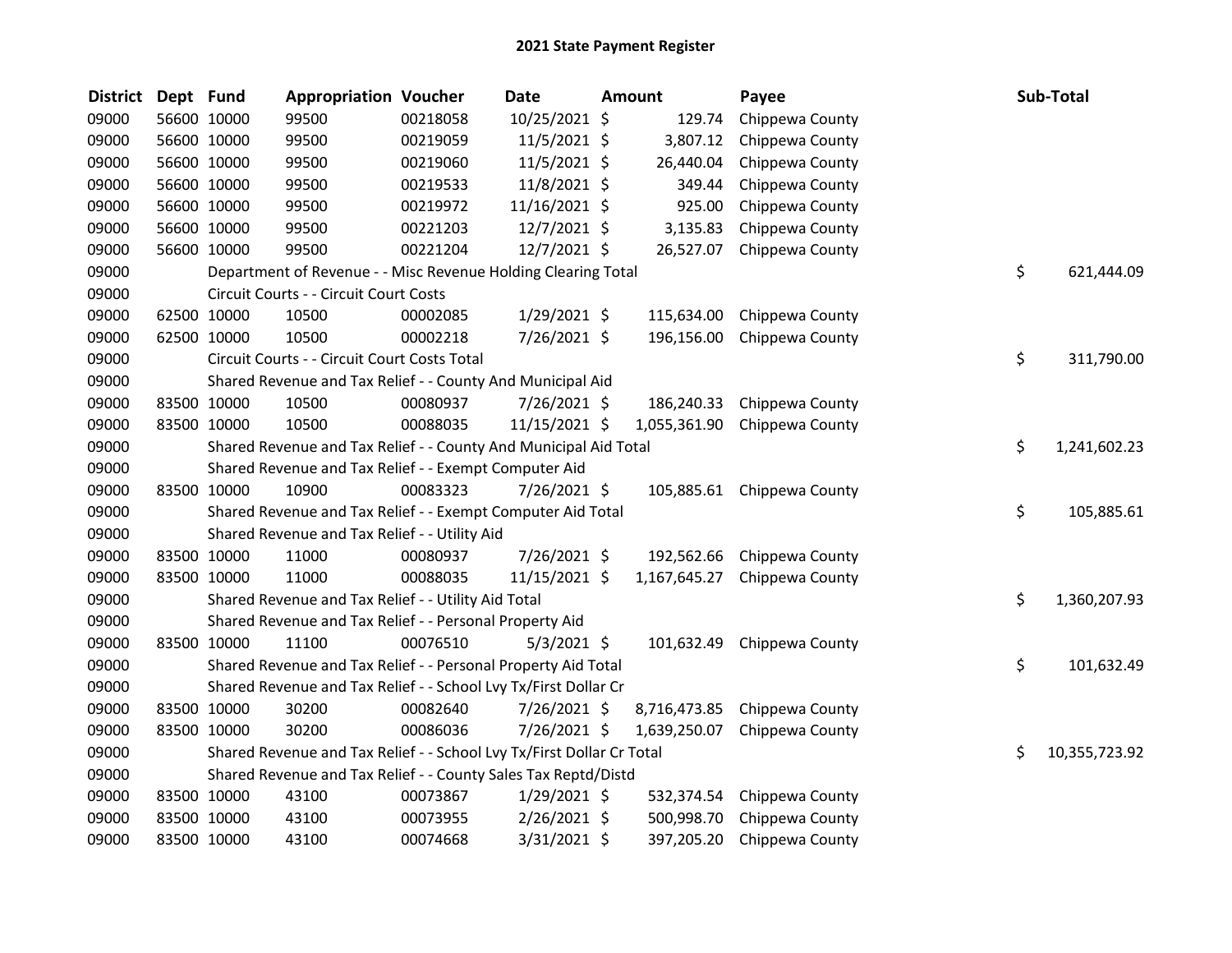| <b>District</b> | Dept Fund |             | <b>Appropriation Voucher</b>                                          |          | <b>Date</b>    | <b>Amount</b> | Payee                      | Sub-Total           |
|-----------------|-----------|-------------|-----------------------------------------------------------------------|----------|----------------|---------------|----------------------------|---------------------|
| 09000           |           | 56600 10000 | 99500                                                                 | 00218058 | 10/25/2021 \$  | 129.74        | Chippewa County            |                     |
| 09000           |           | 56600 10000 | 99500                                                                 | 00219059 | 11/5/2021 \$   | 3,807.12      | Chippewa County            |                     |
| 09000           |           | 56600 10000 | 99500                                                                 | 00219060 | 11/5/2021 \$   | 26,440.04     | Chippewa County            |                     |
| 09000           |           | 56600 10000 | 99500                                                                 | 00219533 | 11/8/2021 \$   | 349.44        | Chippewa County            |                     |
| 09000           |           | 56600 10000 | 99500                                                                 | 00219972 | 11/16/2021 \$  | 925.00        | Chippewa County            |                     |
| 09000           |           | 56600 10000 | 99500                                                                 | 00221203 | 12/7/2021 \$   | 3,135.83      | Chippewa County            |                     |
| 09000           |           | 56600 10000 | 99500                                                                 | 00221204 | 12/7/2021 \$   | 26,527.07     | Chippewa County            |                     |
| 09000           |           |             | Department of Revenue - - Misc Revenue Holding Clearing Total         |          |                |               |                            | \$<br>621,444.09    |
| 09000           |           |             | Circuit Courts - - Circuit Court Costs                                |          |                |               |                            |                     |
| 09000           |           | 62500 10000 | 10500                                                                 | 00002085 | $1/29/2021$ \$ | 115,634.00    | Chippewa County            |                     |
| 09000           |           | 62500 10000 | 10500                                                                 | 00002218 | 7/26/2021 \$   | 196,156.00    | Chippewa County            |                     |
| 09000           |           |             | Circuit Courts - - Circuit Court Costs Total                          |          |                |               |                            | \$<br>311,790.00    |
| 09000           |           |             | Shared Revenue and Tax Relief - - County And Municipal Aid            |          |                |               |                            |                     |
| 09000           |           | 83500 10000 | 10500                                                                 | 00080937 | 7/26/2021 \$   | 186,240.33    | Chippewa County            |                     |
| 09000           |           | 83500 10000 | 10500                                                                 | 00088035 | 11/15/2021 \$  | 1,055,361.90  | Chippewa County            |                     |
| 09000           |           |             | Shared Revenue and Tax Relief - - County And Municipal Aid Total      |          |                |               |                            | \$<br>1,241,602.23  |
| 09000           |           |             | Shared Revenue and Tax Relief - - Exempt Computer Aid                 |          |                |               |                            |                     |
| 09000           |           | 83500 10000 | 10900                                                                 | 00083323 | 7/26/2021 \$   |               | 105,885.61 Chippewa County |                     |
| 09000           |           |             | Shared Revenue and Tax Relief - - Exempt Computer Aid Total           |          |                |               |                            | \$<br>105,885.61    |
| 09000           |           |             | Shared Revenue and Tax Relief - - Utility Aid                         |          |                |               |                            |                     |
| 09000           |           | 83500 10000 | 11000                                                                 | 00080937 | 7/26/2021 \$   | 192,562.66    | Chippewa County            |                     |
| 09000           |           | 83500 10000 | 11000                                                                 | 00088035 | 11/15/2021 \$  | 1,167,645.27  | Chippewa County            |                     |
| 09000           |           |             | Shared Revenue and Tax Relief - - Utility Aid Total                   |          |                |               |                            | \$<br>1,360,207.93  |
| 09000           |           |             | Shared Revenue and Tax Relief - - Personal Property Aid               |          |                |               |                            |                     |
| 09000           |           | 83500 10000 | 11100                                                                 | 00076510 | $5/3/2021$ \$  | 101,632.49    | Chippewa County            |                     |
| 09000           |           |             | Shared Revenue and Tax Relief - - Personal Property Aid Total         |          |                |               |                            | \$<br>101,632.49    |
| 09000           |           |             | Shared Revenue and Tax Relief - - School Lvy Tx/First Dollar Cr       |          |                |               |                            |                     |
| 09000           |           | 83500 10000 | 30200                                                                 | 00082640 | 7/26/2021 \$   | 8,716,473.85  | Chippewa County            |                     |
| 09000           |           | 83500 10000 | 30200                                                                 | 00086036 | 7/26/2021 \$   | 1,639,250.07  | Chippewa County            |                     |
| 09000           |           |             | Shared Revenue and Tax Relief - - School Lvy Tx/First Dollar Cr Total |          |                |               |                            | \$<br>10,355,723.92 |
| 09000           |           |             | Shared Revenue and Tax Relief - - County Sales Tax Reptd/Distd        |          |                |               |                            |                     |
| 09000           |           | 83500 10000 | 43100                                                                 | 00073867 | $1/29/2021$ \$ | 532,374.54    | Chippewa County            |                     |
| 09000           |           | 83500 10000 | 43100                                                                 | 00073955 | 2/26/2021 \$   | 500,998.70    | Chippewa County            |                     |
| 09000           |           | 83500 10000 | 43100                                                                 | 00074668 | 3/31/2021 \$   | 397,205.20    | Chippewa County            |                     |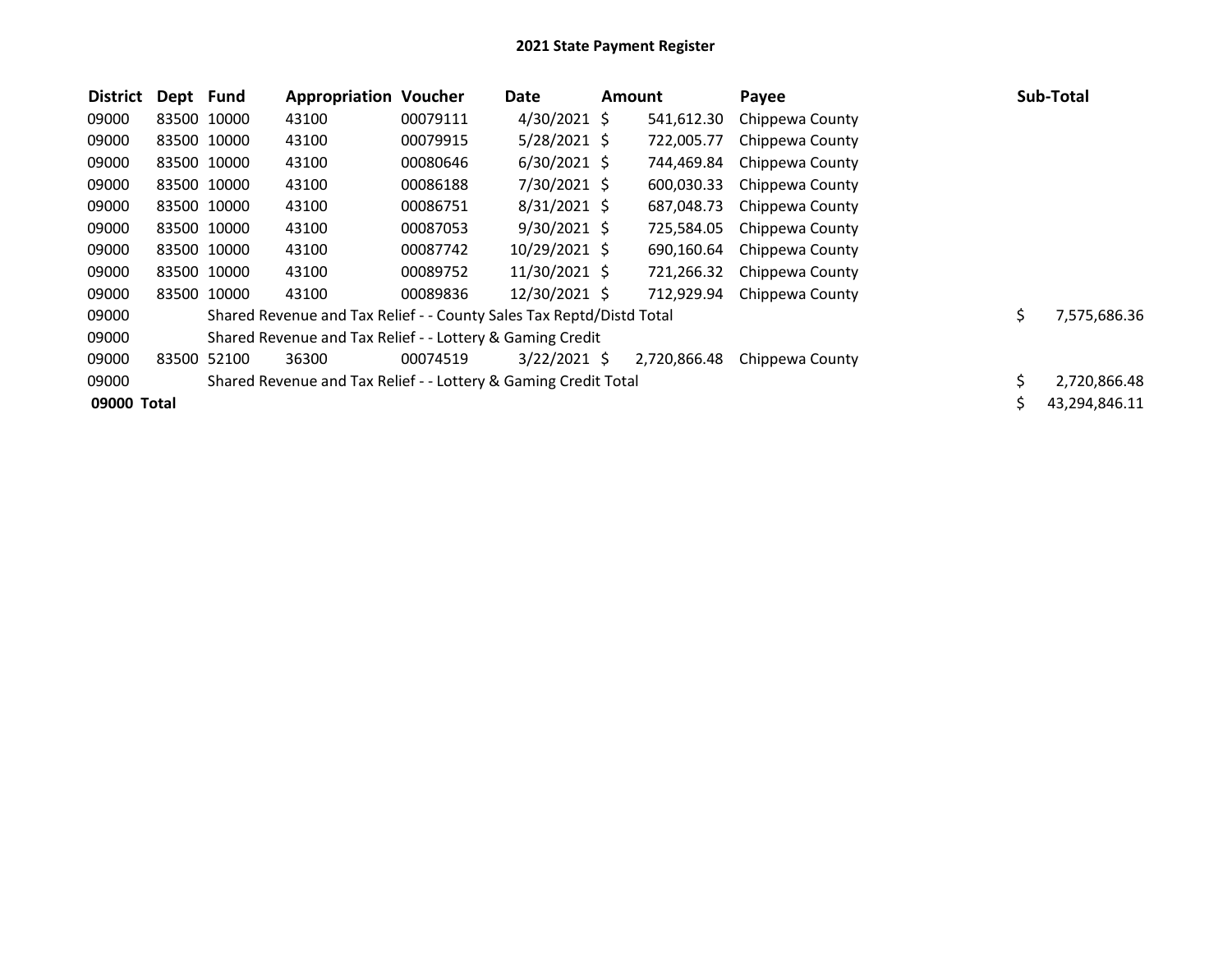| <b>District</b> | Dept Fund |             | <b>Appropriation Voucher</b>                                         |          | Date           | Amount       | Payee           | <b>Sub-Total</b>   |
|-----------------|-----------|-------------|----------------------------------------------------------------------|----------|----------------|--------------|-----------------|--------------------|
| 09000           |           | 83500 10000 | 43100                                                                | 00079111 | $4/30/2021$ \$ | 541,612.30   | Chippewa County |                    |
| 09000           |           | 83500 10000 | 43100                                                                | 00079915 | $5/28/2021$ \$ | 722,005.77   | Chippewa County |                    |
| 09000           |           | 83500 10000 | 43100                                                                | 00080646 | $6/30/2021$ \$ | 744,469.84   | Chippewa County |                    |
| 09000           |           | 83500 10000 | 43100                                                                | 00086188 | 7/30/2021 \$   | 600,030.33   | Chippewa County |                    |
| 09000           |           | 83500 10000 | 43100                                                                | 00086751 | $8/31/2021$ \$ | 687,048.73   | Chippewa County |                    |
| 09000           |           | 83500 10000 | 43100                                                                | 00087053 | $9/30/2021$ \$ | 725,584.05   | Chippewa County |                    |
| 09000           |           | 83500 10000 | 43100                                                                | 00087742 | 10/29/2021 \$  | 690,160.64   | Chippewa County |                    |
| 09000           |           | 83500 10000 | 43100                                                                | 00089752 | 11/30/2021 \$  | 721,266.32   | Chippewa County |                    |
| 09000           |           | 83500 10000 | 43100                                                                | 00089836 | 12/30/2021 \$  | 712,929.94   | Chippewa County |                    |
| 09000           |           |             | Shared Revenue and Tax Relief - - County Sales Tax Reptd/Distd Total |          |                |              |                 | \$<br>7,575,686.36 |
| 09000           |           |             | Shared Revenue and Tax Relief - - Lottery & Gaming Credit            |          |                |              |                 |                    |
| 09000           | 83500     | 52100       | 36300                                                                | 00074519 | $3/22/2021$ \$ | 2,720,866.48 | Chippewa County |                    |
| 09000           |           |             | Shared Revenue and Tax Relief - - Lottery & Gaming Credit Total      |          |                |              |                 | \$<br>2,720,866.48 |
| 09000 Total     |           |             |                                                                      |          |                |              |                 | 43,294,846.11      |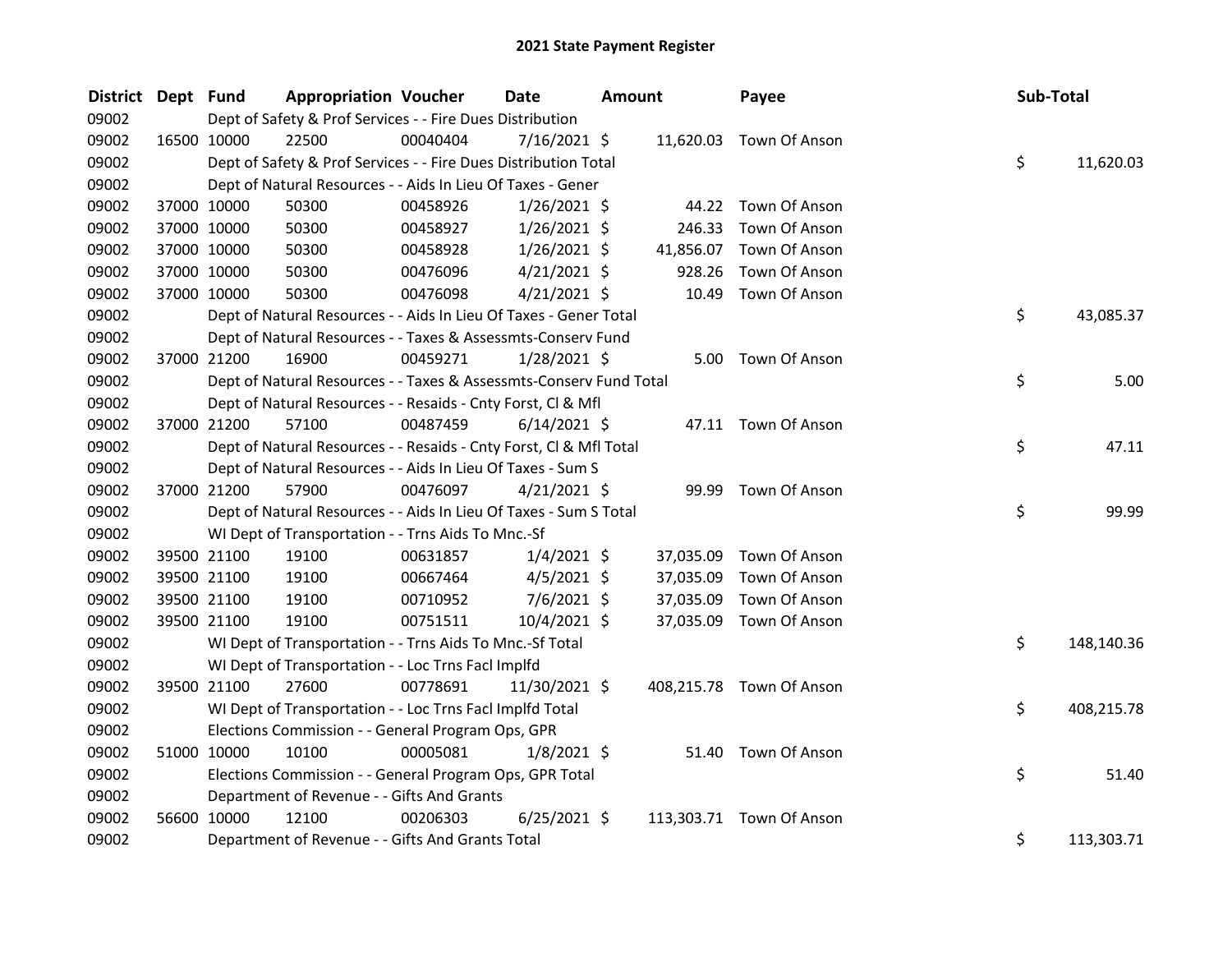| <b>District</b> | Dept Fund   |                                                                    | <b>Appropriation Voucher</b> |          | Date           | <b>Amount</b> |           | Payee                    | Sub-Total |            |
|-----------------|-------------|--------------------------------------------------------------------|------------------------------|----------|----------------|---------------|-----------|--------------------------|-----------|------------|
| 09002           |             | Dept of Safety & Prof Services - - Fire Dues Distribution          |                              |          |                |               |           |                          |           |            |
| 09002           |             | 22500<br>16500 10000                                               |                              | 00040404 | $7/16/2021$ \$ |               |           | 11,620.03 Town Of Anson  |           |            |
| 09002           |             | Dept of Safety & Prof Services - - Fire Dues Distribution Total    |                              |          |                |               |           |                          | \$        | 11,620.03  |
| 09002           |             | Dept of Natural Resources - - Aids In Lieu Of Taxes - Gener        |                              |          |                |               |           |                          |           |            |
| 09002           |             | 50300<br>37000 10000                                               |                              | 00458926 | $1/26/2021$ \$ |               |           | 44.22 Town Of Anson      |           |            |
| 09002           | 37000 10000 | 50300                                                              |                              | 00458927 | $1/26/2021$ \$ |               | 246.33    | Town Of Anson            |           |            |
| 09002           | 37000 10000 | 50300                                                              |                              | 00458928 | $1/26/2021$ \$ |               | 41,856.07 | Town Of Anson            |           |            |
| 09002           |             | 37000 10000<br>50300                                               |                              | 00476096 | $4/21/2021$ \$ |               | 928.26    | Town Of Anson            |           |            |
| 09002           |             | 37000 10000<br>50300                                               |                              | 00476098 | $4/21/2021$ \$ |               |           | 10.49 Town Of Anson      |           |            |
| 09002           |             | Dept of Natural Resources - - Aids In Lieu Of Taxes - Gener Total  |                              |          |                |               |           |                          | \$        | 43,085.37  |
| 09002           |             | Dept of Natural Resources - - Taxes & Assessmts-Conserv Fund       |                              |          |                |               |           |                          |           |            |
| 09002           |             | 37000 21200<br>16900                                               |                              | 00459271 | $1/28/2021$ \$ |               |           | 5.00 Town Of Anson       |           |            |
| 09002           |             | Dept of Natural Resources - - Taxes & Assessmts-Conserv Fund Total |                              |          |                |               |           |                          | \$        | 5.00       |
| 09002           |             | Dept of Natural Resources - - Resaids - Cnty Forst, Cl & Mfl       |                              |          |                |               |           |                          |           |            |
| 09002           |             | 37000 21200<br>57100                                               |                              | 00487459 | $6/14/2021$ \$ |               |           | 47.11 Town Of Anson      |           |            |
| 09002           |             | Dept of Natural Resources - - Resaids - Cnty Forst, CI & Mfl Total |                              |          |                |               |           |                          | \$        | 47.11      |
| 09002           |             | Dept of Natural Resources - - Aids In Lieu Of Taxes - Sum S        |                              |          |                |               |           |                          |           |            |
| 09002           |             | 37000 21200<br>57900                                               |                              | 00476097 | $4/21/2021$ \$ |               |           | 99.99 Town Of Anson      |           |            |
| 09002           |             | Dept of Natural Resources - - Aids In Lieu Of Taxes - Sum S Total  |                              |          |                |               |           |                          | \$        | 99.99      |
| 09002           |             | WI Dept of Transportation - - Trns Aids To Mnc.-Sf                 |                              |          |                |               |           |                          |           |            |
| 09002           |             | 39500 21100<br>19100                                               |                              | 00631857 | $1/4/2021$ \$  |               | 37,035.09 | Town Of Anson            |           |            |
| 09002           |             | 39500 21100<br>19100                                               |                              | 00667464 | $4/5/2021$ \$  |               | 37,035.09 | Town Of Anson            |           |            |
| 09002           |             | 39500 21100<br>19100                                               |                              | 00710952 | $7/6/2021$ \$  |               | 37,035.09 | Town Of Anson            |           |            |
| 09002           | 39500 21100 | 19100                                                              |                              | 00751511 | 10/4/2021 \$   |               |           | 37,035.09 Town Of Anson  |           |            |
| 09002           |             | WI Dept of Transportation - - Trns Aids To Mnc.-Sf Total           |                              |          |                |               |           |                          | \$        | 148,140.36 |
| 09002           |             | WI Dept of Transportation - - Loc Trns Facl Implfd                 |                              |          |                |               |           |                          |           |            |
| 09002           |             | 39500 21100<br>27600                                               |                              | 00778691 | 11/30/2021 \$  |               |           | 408,215.78 Town Of Anson |           |            |
| 09002           |             | WI Dept of Transportation - - Loc Trns Facl Implfd Total           |                              |          |                |               |           |                          | \$        | 408,215.78 |
| 09002           |             | Elections Commission - - General Program Ops, GPR                  |                              |          |                |               |           |                          |           |            |
| 09002           | 51000 10000 | 10100                                                              |                              | 00005081 | $1/8/2021$ \$  |               |           | 51.40 Town Of Anson      |           |            |
| 09002           |             | Elections Commission - - General Program Ops, GPR Total            |                              |          |                |               |           |                          | \$        | 51.40      |
| 09002           |             | Department of Revenue - - Gifts And Grants                         |                              |          |                |               |           |                          |           |            |
| 09002           |             | 56600 10000<br>12100                                               |                              | 00206303 | $6/25/2021$ \$ |               |           | 113,303.71 Town Of Anson |           |            |
| 09002           |             | Department of Revenue - - Gifts And Grants Total                   |                              |          |                |               |           |                          | \$        | 113,303.71 |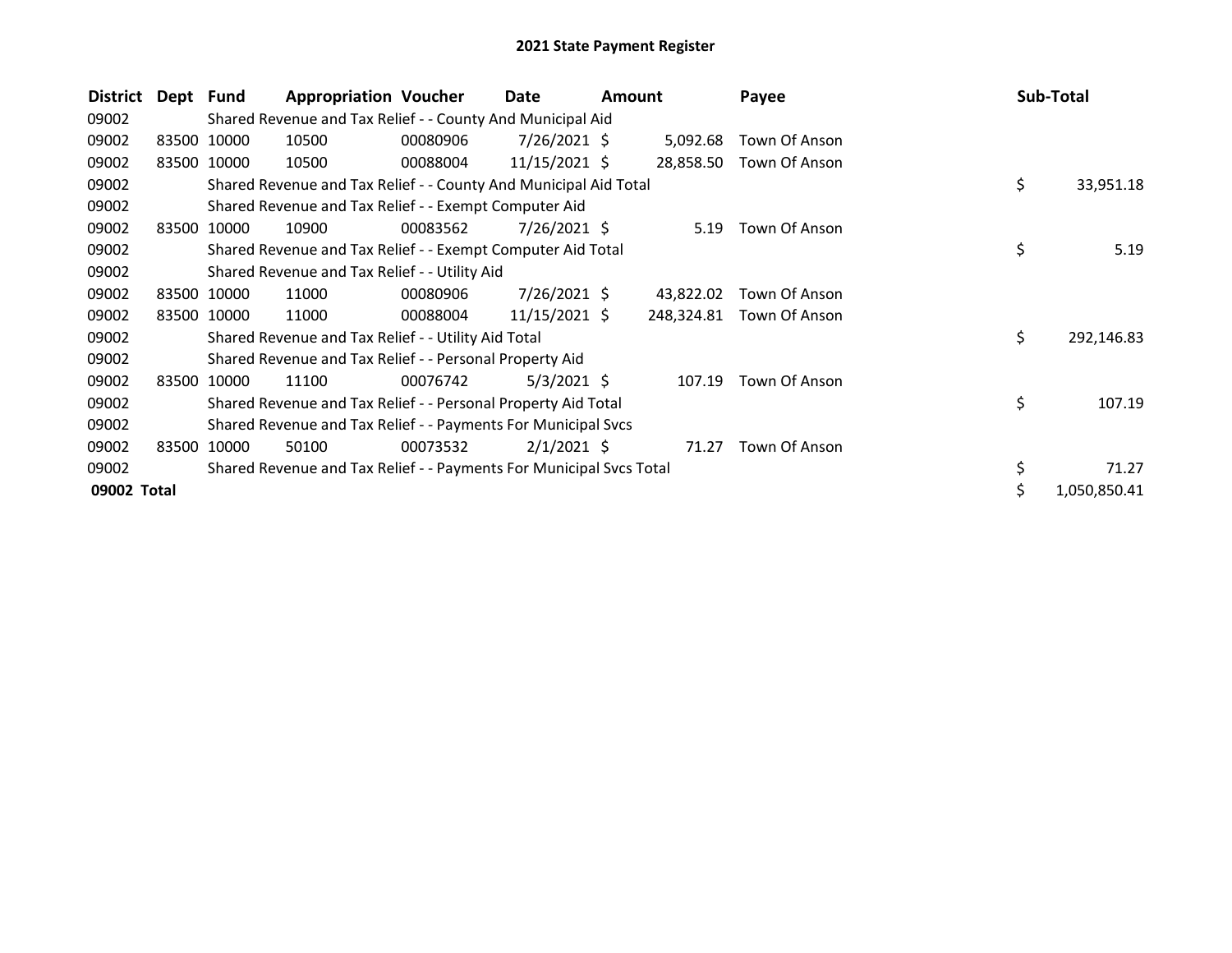| District    | Dept Fund |             | <b>Appropriation Voucher</b>                                        |          | Date            | <b>Amount</b> |            | Payee         |     | Sub-Total    |
|-------------|-----------|-------------|---------------------------------------------------------------------|----------|-----------------|---------------|------------|---------------|-----|--------------|
| 09002       |           |             | Shared Revenue and Tax Relief - - County And Municipal Aid          |          |                 |               |            |               |     |              |
| 09002       |           | 83500 10000 | 10500                                                               | 00080906 | 7/26/2021 \$    |               | 5,092.68   | Town Of Anson |     |              |
| 09002       |           | 83500 10000 | 10500                                                               | 00088004 | $11/15/2021$ \$ |               | 28,858.50  | Town Of Anson |     |              |
| 09002       |           |             | Shared Revenue and Tax Relief - - County And Municipal Aid Total    |          |                 |               |            |               | \$  | 33,951.18    |
| 09002       |           |             | Shared Revenue and Tax Relief - - Exempt Computer Aid               |          |                 |               |            |               |     |              |
| 09002       |           | 83500 10000 | 10900                                                               | 00083562 | $7/26/2021$ \$  |               | 5.19       | Town Of Anson |     |              |
| 09002       |           |             | Shared Revenue and Tax Relief - - Exempt Computer Aid Total         |          |                 |               |            |               | \$  | 5.19         |
| 09002       |           |             | Shared Revenue and Tax Relief - - Utility Aid                       |          |                 |               |            |               |     |              |
| 09002       |           | 83500 10000 | 11000                                                               | 00080906 | $7/26/2021$ \$  |               | 43,822.02  | Town Of Anson |     |              |
| 09002       |           | 83500 10000 | 11000                                                               | 00088004 | $11/15/2021$ \$ |               | 248,324.81 | Town Of Anson |     |              |
| 09002       |           |             | Shared Revenue and Tax Relief - - Utility Aid Total                 |          |                 |               |            |               | \$. | 292,146.83   |
| 09002       |           |             | Shared Revenue and Tax Relief - - Personal Property Aid             |          |                 |               |            |               |     |              |
| 09002       |           | 83500 10000 | 11100                                                               | 00076742 | $5/3/2021$ \$   |               | 107.19     | Town Of Anson |     |              |
| 09002       |           |             | Shared Revenue and Tax Relief - - Personal Property Aid Total       |          |                 |               |            |               | \$  | 107.19       |
| 09002       |           |             | Shared Revenue and Tax Relief - - Payments For Municipal Svcs       |          |                 |               |            |               |     |              |
| 09002       | 83500     | 10000       | 50100                                                               | 00073532 | $2/1/2021$ \$   |               | 71.27      | Town Of Anson |     |              |
| 09002       |           |             | Shared Revenue and Tax Relief - - Payments For Municipal Svcs Total |          |                 |               |            |               | \$  | 71.27        |
| 09002 Total |           |             |                                                                     |          |                 |               |            |               | \$. | 1,050,850.41 |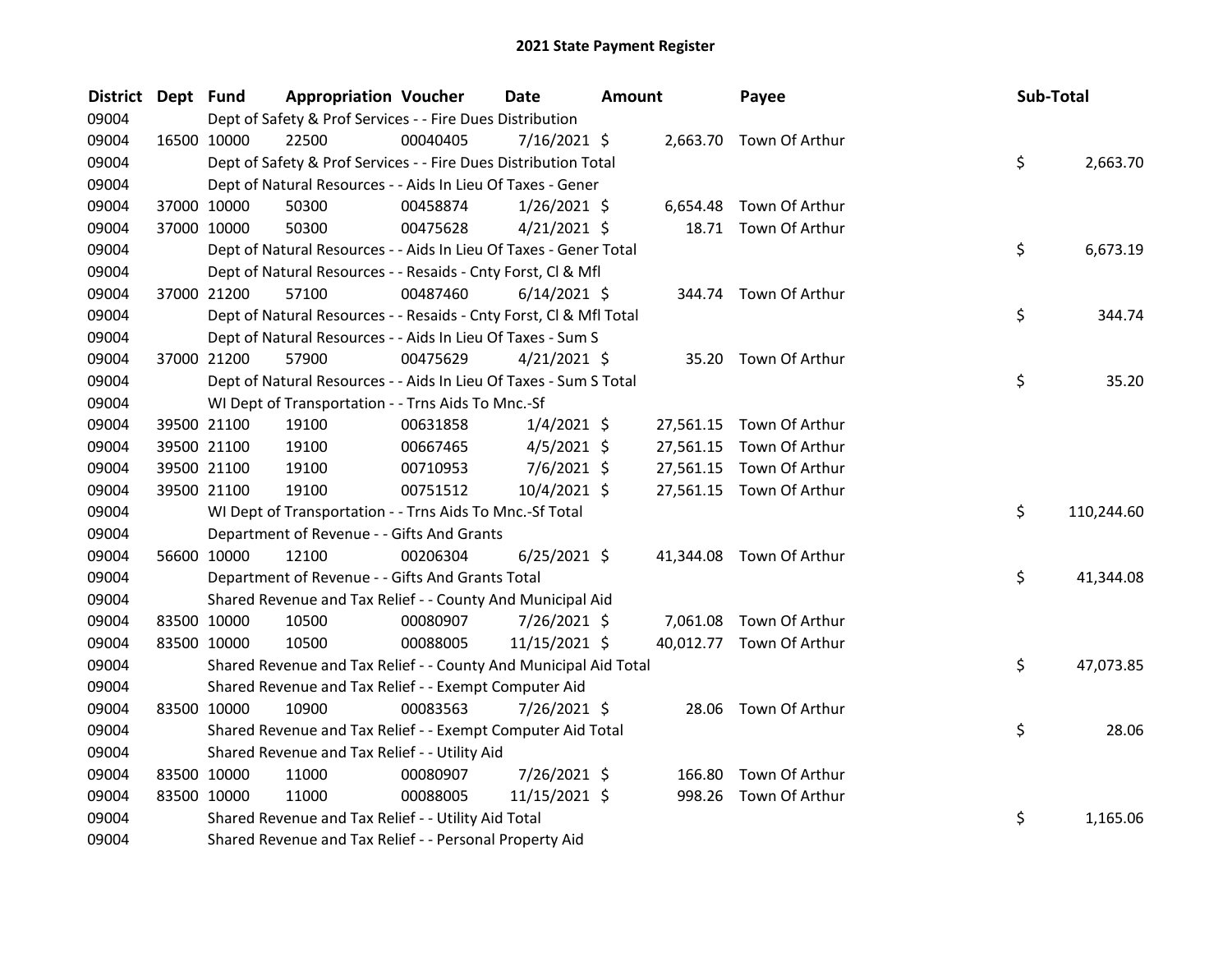| District Dept Fund |             |             | <b>Appropriation Voucher</b>                                       |          | <b>Date</b>    | Amount |           | Payee                    | Sub-Total |            |
|--------------------|-------------|-------------|--------------------------------------------------------------------|----------|----------------|--------|-----------|--------------------------|-----------|------------|
| 09004              |             |             | Dept of Safety & Prof Services - - Fire Dues Distribution          |          |                |        |           |                          |           |            |
| 09004              | 16500 10000 |             | 22500                                                              | 00040405 | 7/16/2021 \$   |        |           | 2,663.70 Town Of Arthur  |           |            |
| 09004              |             |             | Dept of Safety & Prof Services - - Fire Dues Distribution Total    |          |                |        |           |                          | \$        | 2,663.70   |
| 09004              |             |             | Dept of Natural Resources - - Aids In Lieu Of Taxes - Gener        |          |                |        |           |                          |           |            |
| 09004              |             | 37000 10000 | 50300                                                              | 00458874 | $1/26/2021$ \$ |        | 6,654.48  | Town Of Arthur           |           |            |
| 09004              |             | 37000 10000 | 50300                                                              | 00475628 | $4/21/2021$ \$ |        |           | 18.71 Town Of Arthur     |           |            |
| 09004              |             |             | Dept of Natural Resources - - Aids In Lieu Of Taxes - Gener Total  |          |                |        |           |                          | \$        | 6,673.19   |
| 09004              |             |             | Dept of Natural Resources - - Resaids - Cnty Forst, Cl & Mfl       |          |                |        |           |                          |           |            |
| 09004              |             | 37000 21200 | 57100                                                              | 00487460 | $6/14/2021$ \$ |        |           | 344.74 Town Of Arthur    |           |            |
| 09004              |             |             | Dept of Natural Resources - - Resaids - Cnty Forst, CI & Mfl Total |          |                |        |           |                          | \$        | 344.74     |
| 09004              |             |             | Dept of Natural Resources - - Aids In Lieu Of Taxes - Sum S        |          |                |        |           |                          |           |            |
| 09004              |             | 37000 21200 | 57900                                                              | 00475629 | $4/21/2021$ \$ |        |           | 35.20 Town Of Arthur     |           |            |
| 09004              |             |             | Dept of Natural Resources - - Aids In Lieu Of Taxes - Sum S Total  |          |                |        |           |                          | \$        | 35.20      |
| 09004              |             |             | WI Dept of Transportation - - Trns Aids To Mnc.-Sf                 |          |                |        |           |                          |           |            |
| 09004              |             | 39500 21100 | 19100                                                              | 00631858 | $1/4/2021$ \$  |        |           | 27,561.15 Town Of Arthur |           |            |
| 09004              |             | 39500 21100 | 19100                                                              | 00667465 | $4/5/2021$ \$  |        |           | 27,561.15 Town Of Arthur |           |            |
| 09004              | 39500 21100 |             | 19100                                                              | 00710953 | $7/6/2021$ \$  |        |           | 27,561.15 Town Of Arthur |           |            |
| 09004              |             | 39500 21100 | 19100                                                              | 00751512 | 10/4/2021 \$   |        |           | 27,561.15 Town Of Arthur |           |            |
| 09004              |             |             | WI Dept of Transportation - - Trns Aids To Mnc.-Sf Total           |          |                |        |           |                          | \$        | 110,244.60 |
| 09004              |             |             | Department of Revenue - - Gifts And Grants                         |          |                |        |           |                          |           |            |
| 09004              |             | 56600 10000 | 12100                                                              | 00206304 | $6/25/2021$ \$ |        | 41,344.08 | Town Of Arthur           |           |            |
| 09004              |             |             | Department of Revenue - - Gifts And Grants Total                   |          |                |        |           |                          | \$        | 41,344.08  |
| 09004              |             |             | Shared Revenue and Tax Relief - - County And Municipal Aid         |          |                |        |           |                          |           |            |
| 09004              | 83500 10000 |             | 10500                                                              | 00080907 | 7/26/2021 \$   |        | 7,061.08  | Town Of Arthur           |           |            |
| 09004              |             | 83500 10000 | 10500                                                              | 00088005 | 11/15/2021 \$  |        |           | 40,012.77 Town Of Arthur |           |            |
| 09004              |             |             | Shared Revenue and Tax Relief - - County And Municipal Aid Total   |          |                |        |           |                          | \$        | 47,073.85  |
| 09004              |             |             | Shared Revenue and Tax Relief - - Exempt Computer Aid              |          |                |        |           |                          |           |            |
| 09004              | 83500 10000 |             | 10900                                                              | 00083563 | 7/26/2021 \$   |        |           | 28.06 Town Of Arthur     |           |            |
| 09004              |             |             | Shared Revenue and Tax Relief - - Exempt Computer Aid Total        |          |                |        |           |                          | \$        | 28.06      |
| 09004              |             |             | Shared Revenue and Tax Relief - - Utility Aid                      |          |                |        |           |                          |           |            |
| 09004              | 83500 10000 |             | 11000                                                              | 00080907 | 7/26/2021 \$   |        | 166.80    | Town Of Arthur           |           |            |
| 09004              | 83500 10000 |             | 11000                                                              | 00088005 | 11/15/2021 \$  |        |           | 998.26 Town Of Arthur    |           |            |
| 09004              |             |             | Shared Revenue and Tax Relief - - Utility Aid Total                |          |                |        |           |                          | \$        | 1,165.06   |
| 09004              |             |             | Shared Revenue and Tax Relief - - Personal Property Aid            |          |                |        |           |                          |           |            |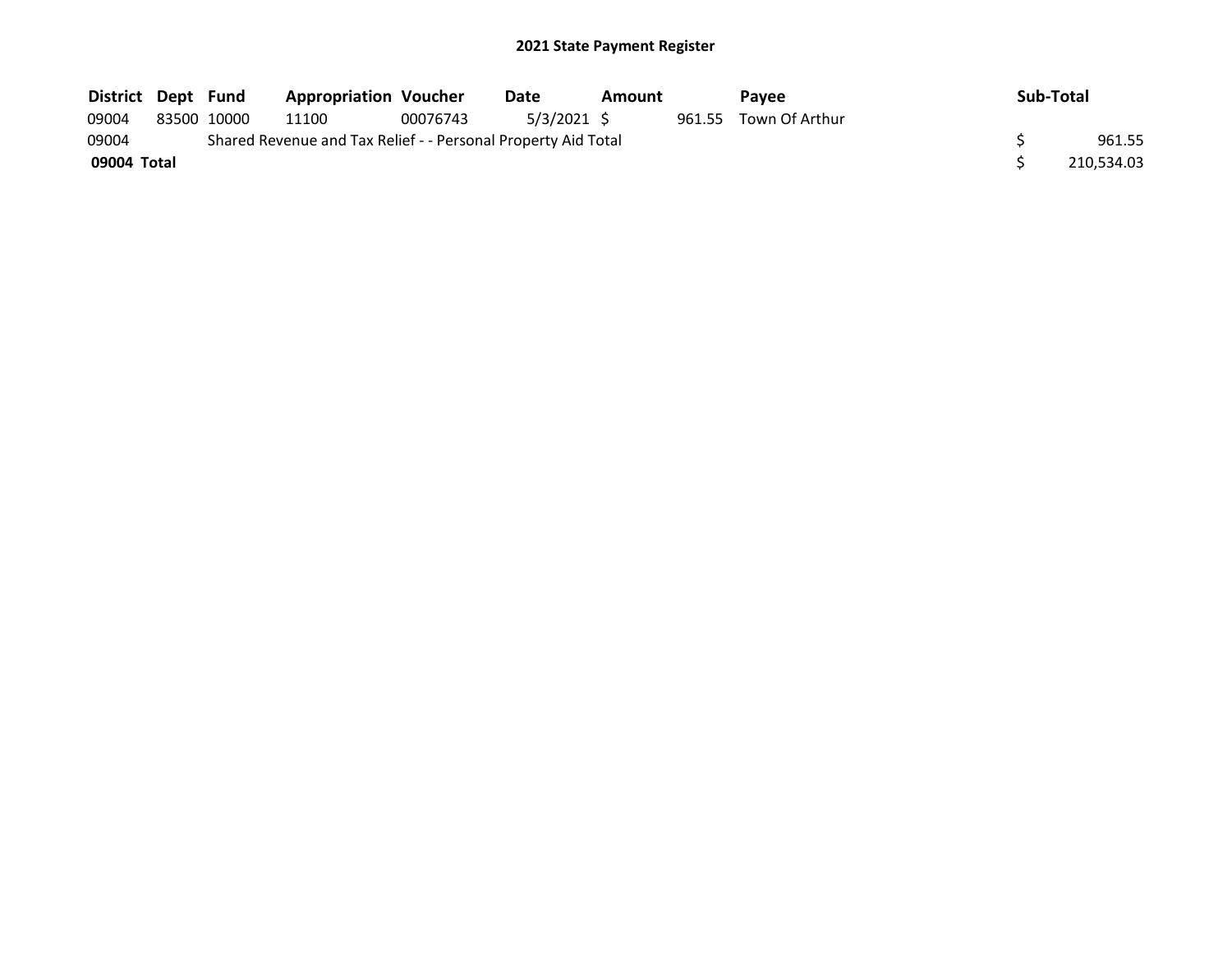| District Dept Fund |             | <b>Appropriation Voucher</b>                                  |          | Date        | Amount |        | <b>Pavee</b>   | Sub-Total  |
|--------------------|-------------|---------------------------------------------------------------|----------|-------------|--------|--------|----------------|------------|
| 09004              | 83500 10000 | 11100                                                         | 00076743 | 5/3/2021 \$ |        | 961.55 | Town Of Arthur |            |
| 09004              |             | Shared Revenue and Tax Relief - - Personal Property Aid Total |          |             |        |        |                | 961.55     |
| 09004 Total        |             |                                                               |          |             |        |        |                | 210.534.03 |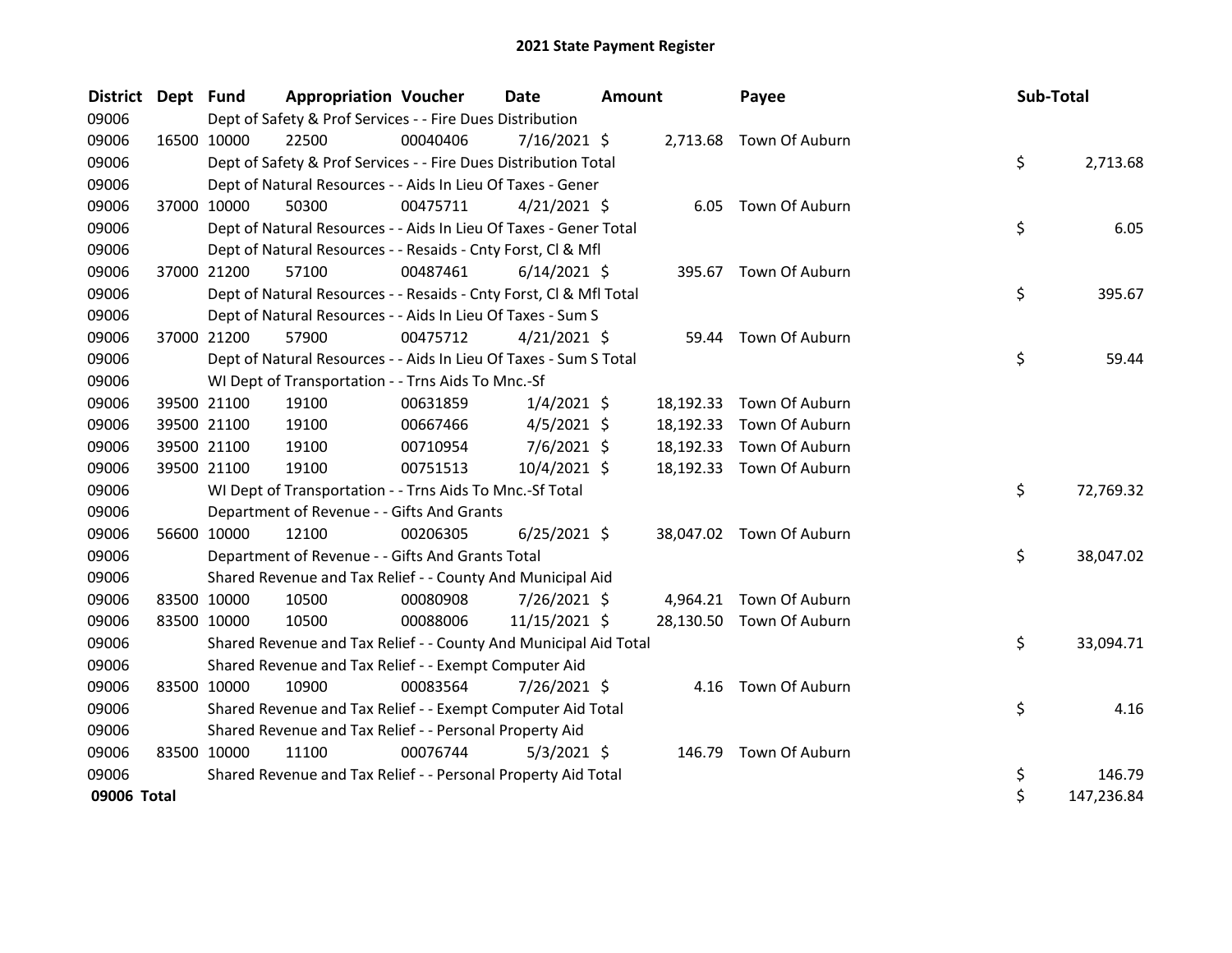| <b>District</b> | Dept Fund   |             | <b>Appropriation Voucher</b>                                       |          | <b>Date</b>    | Amount |           | Payee                    | Sub-Total |            |
|-----------------|-------------|-------------|--------------------------------------------------------------------|----------|----------------|--------|-----------|--------------------------|-----------|------------|
| 09006           |             |             | Dept of Safety & Prof Services - - Fire Dues Distribution          |          |                |        |           |                          |           |            |
| 09006           |             | 16500 10000 | 22500                                                              | 00040406 | $7/16/2021$ \$ |        |           | 2,713.68 Town Of Auburn  |           |            |
| 09006           |             |             | Dept of Safety & Prof Services - - Fire Dues Distribution Total    |          |                |        |           |                          | \$        | 2,713.68   |
| 09006           |             |             | Dept of Natural Resources - - Aids In Lieu Of Taxes - Gener        |          |                |        |           |                          |           |            |
| 09006           |             | 37000 10000 | 50300                                                              | 00475711 | $4/21/2021$ \$ |        |           | 6.05 Town Of Auburn      |           |            |
| 09006           |             |             | Dept of Natural Resources - - Aids In Lieu Of Taxes - Gener Total  |          |                |        |           |                          | \$        | 6.05       |
| 09006           |             |             | Dept of Natural Resources - - Resaids - Cnty Forst, Cl & Mfl       |          |                |        |           |                          |           |            |
| 09006           |             | 37000 21200 | 57100                                                              | 00487461 | $6/14/2021$ \$ |        |           | 395.67 Town Of Auburn    |           |            |
| 09006           |             |             | Dept of Natural Resources - - Resaids - Cnty Forst, Cl & Mfl Total |          |                |        |           |                          | \$        | 395.67     |
| 09006           |             |             | Dept of Natural Resources - - Aids In Lieu Of Taxes - Sum S        |          |                |        |           |                          |           |            |
| 09006           |             | 37000 21200 | 57900                                                              | 00475712 | $4/21/2021$ \$ |        | 59.44     | Town Of Auburn           |           |            |
| 09006           |             |             | Dept of Natural Resources - - Aids In Lieu Of Taxes - Sum S Total  |          |                |        |           |                          | \$        | 59.44      |
| 09006           |             |             | WI Dept of Transportation - - Trns Aids To Mnc.-Sf                 |          |                |        |           |                          |           |            |
| 09006           |             | 39500 21100 | 19100                                                              | 00631859 | $1/4/2021$ \$  |        | 18,192.33 | Town Of Auburn           |           |            |
| 09006           |             | 39500 21100 | 19100                                                              | 00667466 | $4/5/2021$ \$  |        | 18,192.33 | Town Of Auburn           |           |            |
| 09006           |             | 39500 21100 | 19100                                                              | 00710954 | $7/6/2021$ \$  |        | 18,192.33 | Town Of Auburn           |           |            |
| 09006           |             | 39500 21100 | 19100                                                              | 00751513 | 10/4/2021 \$   |        | 18,192.33 | Town Of Auburn           |           |            |
| 09006           |             |             | WI Dept of Transportation - - Trns Aids To Mnc.-Sf Total           |          |                |        |           |                          | \$        | 72,769.32  |
| 09006           |             |             | Department of Revenue - - Gifts And Grants                         |          |                |        |           |                          |           |            |
| 09006           |             | 56600 10000 | 12100                                                              | 00206305 | $6/25/2021$ \$ |        |           | 38,047.02 Town Of Auburn |           |            |
| 09006           |             |             | Department of Revenue - - Gifts And Grants Total                   |          |                |        |           |                          | \$        | 38,047.02  |
| 09006           |             |             | Shared Revenue and Tax Relief - - County And Municipal Aid         |          |                |        |           |                          |           |            |
| 09006           |             | 83500 10000 | 10500                                                              | 00080908 | 7/26/2021 \$   |        |           | 4,964.21 Town Of Auburn  |           |            |
| 09006           |             | 83500 10000 | 10500                                                              | 00088006 | 11/15/2021 \$  |        |           | 28,130.50 Town Of Auburn |           |            |
| 09006           |             |             | Shared Revenue and Tax Relief - - County And Municipal Aid Total   |          |                |        |           |                          | \$        | 33,094.71  |
| 09006           |             |             | Shared Revenue and Tax Relief - - Exempt Computer Aid              |          |                |        |           |                          |           |            |
| 09006           | 83500 10000 |             | 10900                                                              | 00083564 | 7/26/2021 \$   |        |           | 4.16 Town Of Auburn      |           |            |
| 09006           |             |             | Shared Revenue and Tax Relief - - Exempt Computer Aid Total        |          |                |        |           |                          | \$        | 4.16       |
| 09006           |             |             | Shared Revenue and Tax Relief - - Personal Property Aid            |          |                |        |           |                          |           |            |
| 09006           |             | 83500 10000 | 11100                                                              | 00076744 | $5/3/2021$ \$  |        |           | 146.79 Town Of Auburn    |           |            |
| 09006           |             |             | Shared Revenue and Tax Relief - - Personal Property Aid Total      |          |                |        |           |                          | \$        | 146.79     |
| 09006 Total     |             |             |                                                                    |          |                |        |           |                          | \$        | 147,236.84 |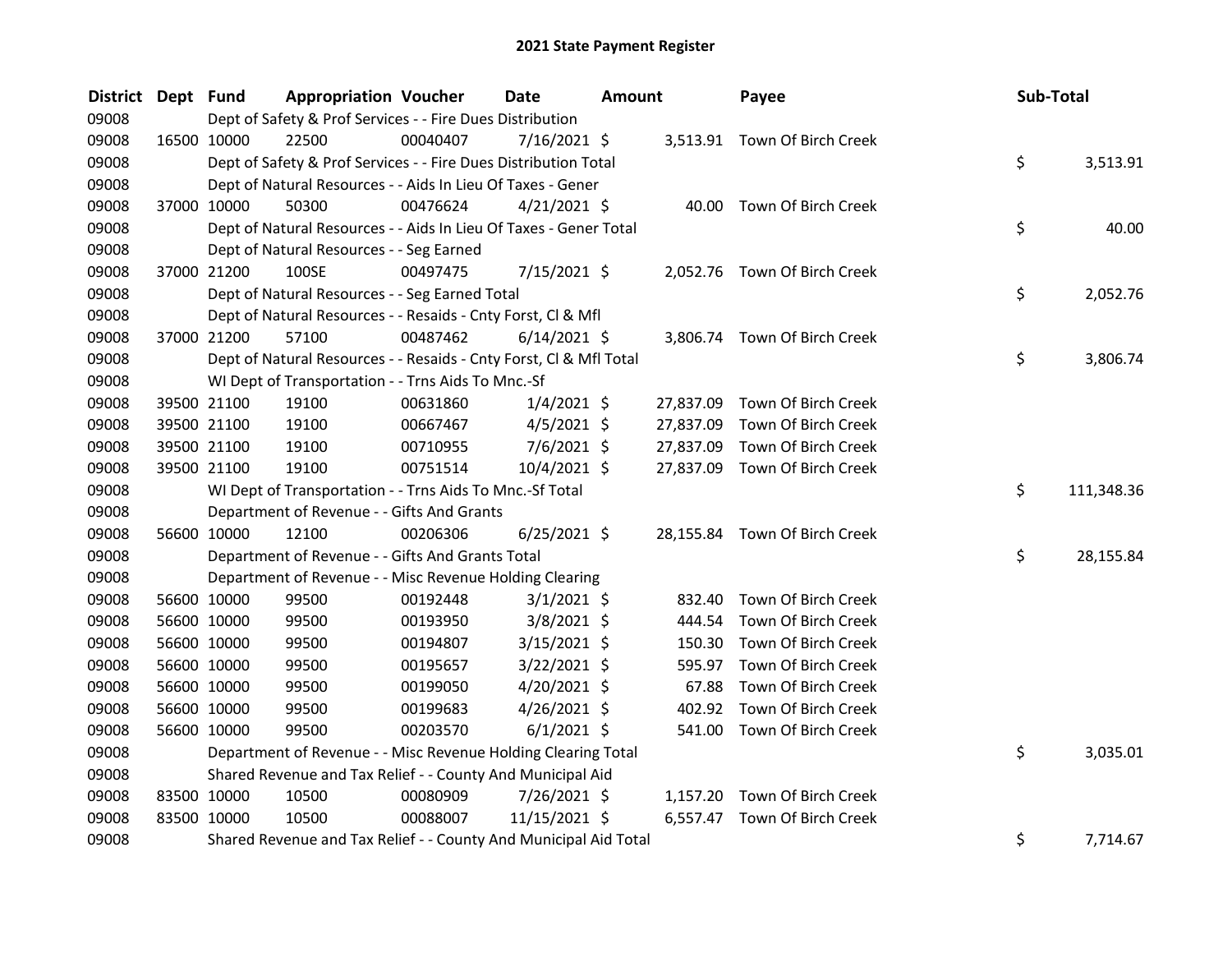| <b>District</b> | Dept Fund |             | <b>Appropriation Voucher</b>                                       |          | Date           | Amount |           | Payee                         | Sub-Total |            |
|-----------------|-----------|-------------|--------------------------------------------------------------------|----------|----------------|--------|-----------|-------------------------------|-----------|------------|
| 09008           |           |             | Dept of Safety & Prof Services - - Fire Dues Distribution          |          |                |        |           |                               |           |            |
| 09008           |           | 16500 10000 | 22500                                                              | 00040407 | 7/16/2021 \$   |        |           | 3,513.91 Town Of Birch Creek  |           |            |
| 09008           |           |             | Dept of Safety & Prof Services - - Fire Dues Distribution Total    |          |                |        |           |                               | \$        | 3,513.91   |
| 09008           |           |             | Dept of Natural Resources - - Aids In Lieu Of Taxes - Gener        |          |                |        |           |                               |           |            |
| 09008           |           | 37000 10000 | 50300                                                              | 00476624 | $4/21/2021$ \$ |        |           | 40.00 Town Of Birch Creek     |           |            |
| 09008           |           |             | Dept of Natural Resources - - Aids In Lieu Of Taxes - Gener Total  |          |                |        |           |                               | \$        | 40.00      |
| 09008           |           |             | Dept of Natural Resources - - Seg Earned                           |          |                |        |           |                               |           |            |
| 09008           |           | 37000 21200 | 100SE                                                              | 00497475 | 7/15/2021 \$   |        |           | 2,052.76 Town Of Birch Creek  |           |            |
| 09008           |           |             | Dept of Natural Resources - - Seg Earned Total                     |          |                |        |           |                               | \$        | 2,052.76   |
| 09008           |           |             | Dept of Natural Resources - - Resaids - Cnty Forst, Cl & Mfl       |          |                |        |           |                               |           |            |
| 09008           |           | 37000 21200 | 57100                                                              | 00487462 | $6/14/2021$ \$ |        |           | 3,806.74 Town Of Birch Creek  |           |            |
| 09008           |           |             | Dept of Natural Resources - - Resaids - Cnty Forst, Cl & Mfl Total |          |                |        |           |                               | \$        | 3,806.74   |
| 09008           |           |             | WI Dept of Transportation - - Trns Aids To Mnc.-Sf                 |          |                |        |           |                               |           |            |
| 09008           |           | 39500 21100 | 19100                                                              | 00631860 | $1/4/2021$ \$  |        | 27,837.09 | Town Of Birch Creek           |           |            |
| 09008           |           | 39500 21100 | 19100                                                              | 00667467 | $4/5/2021$ \$  |        | 27,837.09 | Town Of Birch Creek           |           |            |
| 09008           |           | 39500 21100 | 19100                                                              | 00710955 | $7/6/2021$ \$  |        | 27,837.09 | Town Of Birch Creek           |           |            |
| 09008           |           | 39500 21100 | 19100                                                              | 00751514 | 10/4/2021 \$   |        | 27,837.09 | Town Of Birch Creek           |           |            |
| 09008           |           |             | WI Dept of Transportation - - Trns Aids To Mnc.-Sf Total           |          |                |        |           |                               | \$        | 111,348.36 |
| 09008           |           |             | Department of Revenue - - Gifts And Grants                         |          |                |        |           |                               |           |            |
| 09008           |           | 56600 10000 | 12100                                                              | 00206306 | $6/25/2021$ \$ |        |           | 28,155.84 Town Of Birch Creek |           |            |
| 09008           |           |             | Department of Revenue - - Gifts And Grants Total                   |          |                |        |           |                               | \$.       | 28,155.84  |
| 09008           |           |             | Department of Revenue - - Misc Revenue Holding Clearing            |          |                |        |           |                               |           |            |
| 09008           |           | 56600 10000 | 99500                                                              | 00192448 | $3/1/2021$ \$  |        | 832.40    | Town Of Birch Creek           |           |            |
| 09008           |           | 56600 10000 | 99500                                                              | 00193950 | 3/8/2021 \$    |        | 444.54    | Town Of Birch Creek           |           |            |
| 09008           |           | 56600 10000 | 99500                                                              | 00194807 | $3/15/2021$ \$ |        | 150.30    | Town Of Birch Creek           |           |            |
| 09008           |           | 56600 10000 | 99500                                                              | 00195657 | $3/22/2021$ \$ |        | 595.97    | Town Of Birch Creek           |           |            |
| 09008           |           | 56600 10000 | 99500                                                              | 00199050 | 4/20/2021 \$   |        | 67.88     | Town Of Birch Creek           |           |            |
| 09008           |           | 56600 10000 | 99500                                                              | 00199683 | 4/26/2021 \$   |        | 402.92    | Town Of Birch Creek           |           |            |
| 09008           |           | 56600 10000 | 99500                                                              | 00203570 | $6/1/2021$ \$  |        |           | 541.00 Town Of Birch Creek    |           |            |
| 09008           |           |             | Department of Revenue - - Misc Revenue Holding Clearing Total      |          |                |        |           |                               | \$        | 3,035.01   |
| 09008           |           |             | Shared Revenue and Tax Relief - - County And Municipal Aid         |          |                |        |           |                               |           |            |
| 09008           |           | 83500 10000 | 10500                                                              | 00080909 | 7/26/2021 \$   |        | 1,157.20  | Town Of Birch Creek           |           |            |
| 09008           |           | 83500 10000 | 10500                                                              | 00088007 | 11/15/2021 \$  |        |           | 6,557.47 Town Of Birch Creek  |           |            |
| 09008           |           |             | Shared Revenue and Tax Relief - - County And Municipal Aid Total   |          |                |        |           |                               | \$        | 7,714.67   |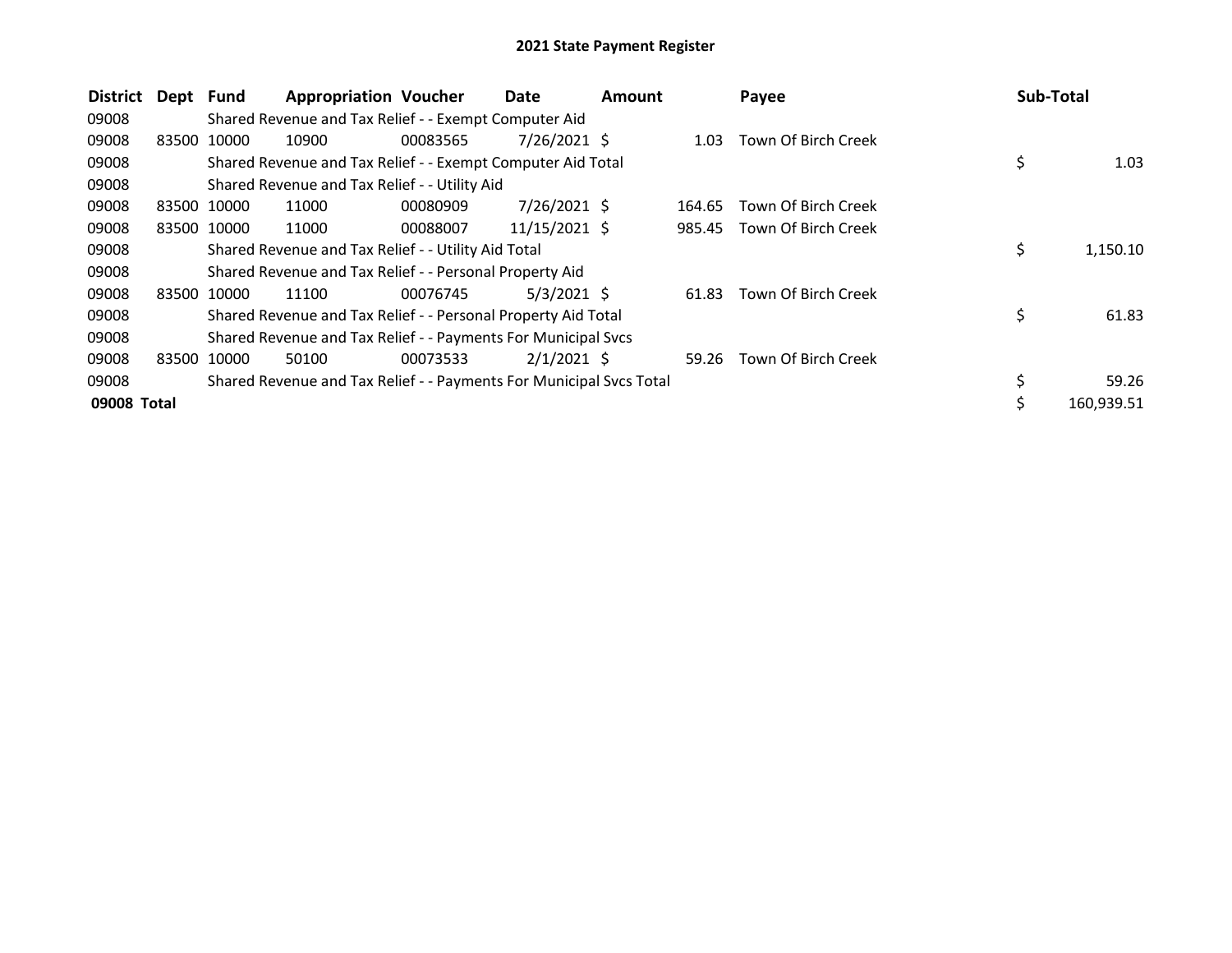| <b>District</b> | Dept Fund |             | <b>Appropriation Voucher</b>                                        |          | Date           | <b>Amount</b> |        | Payee               | <b>Sub-Total</b> |            |
|-----------------|-----------|-------------|---------------------------------------------------------------------|----------|----------------|---------------|--------|---------------------|------------------|------------|
| 09008           |           |             | Shared Revenue and Tax Relief - - Exempt Computer Aid               |          |                |               |        |                     |                  |            |
| 09008           | 83500     | 10000       | 10900                                                               | 00083565 | $7/26/2021$ \$ |               | 1.03   | Town Of Birch Creek |                  |            |
| 09008           |           |             | Shared Revenue and Tax Relief - - Exempt Computer Aid Total         |          |                |               |        |                     | \$               | 1.03       |
| 09008           |           |             | Shared Revenue and Tax Relief - - Utility Aid                       |          |                |               |        |                     |                  |            |
| 09008           |           | 83500 10000 | 11000                                                               | 00080909 | 7/26/2021 \$   |               | 164.65 | Town Of Birch Creek |                  |            |
| 09008           |           | 83500 10000 | 11000                                                               | 00088007 | 11/15/2021 \$  |               | 985.45 | Town Of Birch Creek |                  |            |
| 09008           |           |             | Shared Revenue and Tax Relief - - Utility Aid Total                 |          |                |               |        |                     | \$               | 1,150.10   |
| 09008           |           |             | Shared Revenue and Tax Relief - - Personal Property Aid             |          |                |               |        |                     |                  |            |
| 09008           |           | 83500 10000 | 11100                                                               | 00076745 | $5/3/2021$ \$  |               | 61.83  | Town Of Birch Creek |                  |            |
| 09008           |           |             | Shared Revenue and Tax Relief - - Personal Property Aid Total       |          |                |               |        |                     | \$               | 61.83      |
| 09008           |           |             | Shared Revenue and Tax Relief - - Payments For Municipal Svcs       |          |                |               |        |                     |                  |            |
| 09008           | 83500     | 10000       | 50100                                                               | 00073533 | $2/1/2021$ \$  |               | 59.26  | Town Of Birch Creek |                  |            |
| 09008           |           |             | Shared Revenue and Tax Relief - - Payments For Municipal Svcs Total |          |                |               |        |                     | \$               | 59.26      |
| 09008 Total     |           |             |                                                                     |          |                |               |        |                     | \$               | 160,939.51 |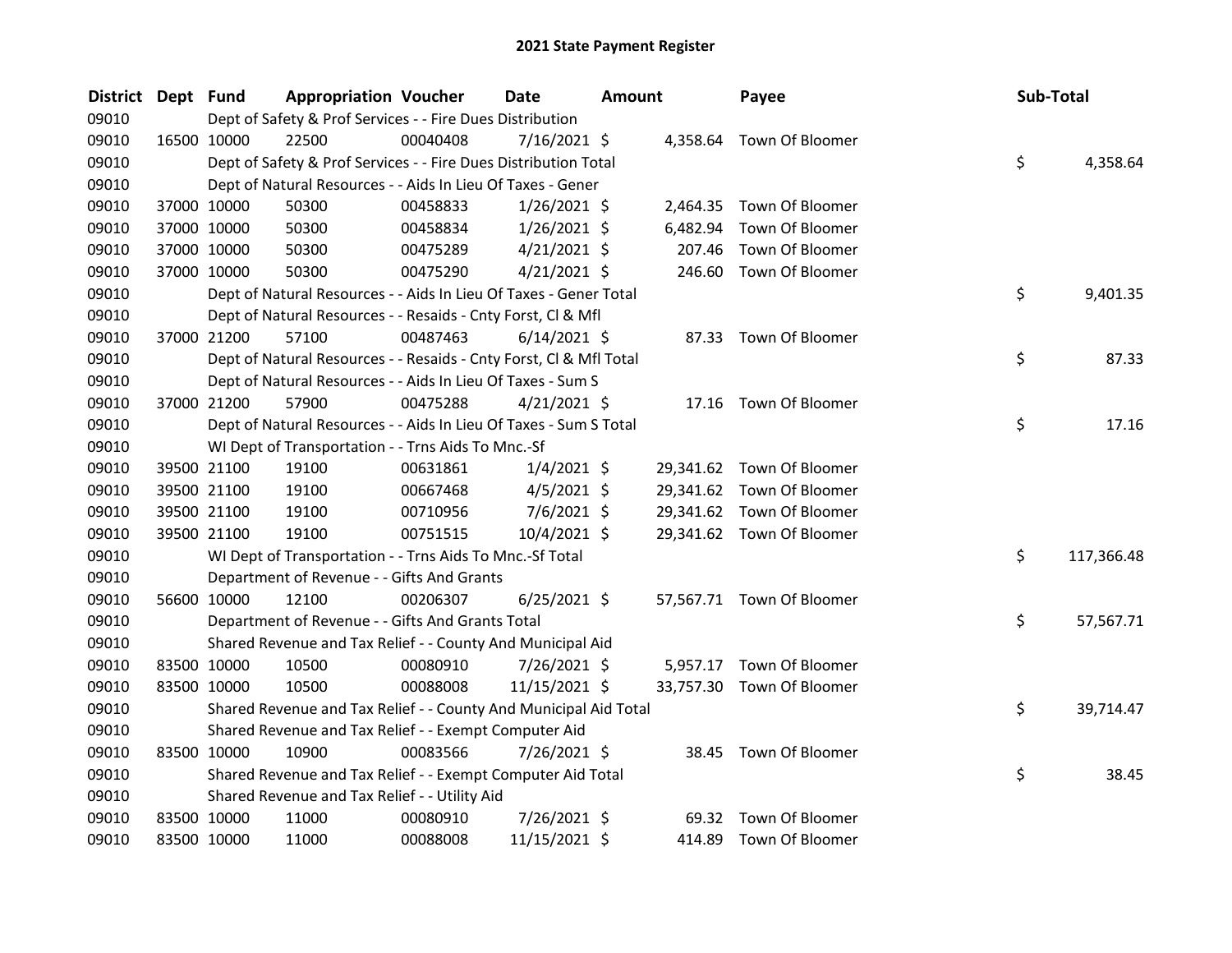| <b>District</b> | Dept Fund   |             | <b>Appropriation Voucher</b>                                       |          | Date           | <b>Amount</b> |          | Payee                     | Sub-Total |            |
|-----------------|-------------|-------------|--------------------------------------------------------------------|----------|----------------|---------------|----------|---------------------------|-----------|------------|
| 09010           |             |             | Dept of Safety & Prof Services - - Fire Dues Distribution          |          |                |               |          |                           |           |            |
| 09010           |             | 16500 10000 | 22500                                                              | 00040408 | 7/16/2021 \$   |               |          | 4,358.64 Town Of Bloomer  |           |            |
| 09010           |             |             | Dept of Safety & Prof Services - - Fire Dues Distribution Total    |          |                |               |          |                           | \$        | 4,358.64   |
| 09010           |             |             | Dept of Natural Resources - - Aids In Lieu Of Taxes - Gener        |          |                |               |          |                           |           |            |
| 09010           |             | 37000 10000 | 50300                                                              | 00458833 | $1/26/2021$ \$ |               |          | 2,464.35 Town Of Bloomer  |           |            |
| 09010           |             | 37000 10000 | 50300                                                              | 00458834 | $1/26/2021$ \$ |               | 6,482.94 | Town Of Bloomer           |           |            |
| 09010           |             | 37000 10000 | 50300                                                              | 00475289 | $4/21/2021$ \$ |               | 207.46   | Town Of Bloomer           |           |            |
| 09010           |             | 37000 10000 | 50300                                                              | 00475290 | $4/21/2021$ \$ |               |          | 246.60 Town Of Bloomer    |           |            |
| 09010           |             |             | Dept of Natural Resources - - Aids In Lieu Of Taxes - Gener Total  |          |                |               |          |                           | \$        | 9,401.35   |
| 09010           |             |             | Dept of Natural Resources - - Resaids - Cnty Forst, CI & Mfl       |          |                |               |          |                           |           |            |
| 09010           |             | 37000 21200 | 57100                                                              | 00487463 | $6/14/2021$ \$ |               | 87.33    | Town Of Bloomer           |           |            |
| 09010           |             |             | Dept of Natural Resources - - Resaids - Cnty Forst, Cl & Mfl Total |          |                |               |          |                           | \$        | 87.33      |
| 09010           |             |             | Dept of Natural Resources - - Aids In Lieu Of Taxes - Sum S        |          |                |               |          |                           |           |            |
| 09010           |             | 37000 21200 | 57900                                                              | 00475288 | $4/21/2021$ \$ |               |          | 17.16 Town Of Bloomer     |           |            |
| 09010           |             |             | Dept of Natural Resources - - Aids In Lieu Of Taxes - Sum S Total  |          |                |               |          |                           | \$        | 17.16      |
| 09010           |             |             | WI Dept of Transportation - - Trns Aids To Mnc.-Sf                 |          |                |               |          |                           |           |            |
| 09010           |             | 39500 21100 | 19100                                                              | 00631861 | $1/4/2021$ \$  |               |          | 29,341.62 Town Of Bloomer |           |            |
| 09010           |             | 39500 21100 | 19100                                                              | 00667468 | $4/5/2021$ \$  |               |          | 29,341.62 Town Of Bloomer |           |            |
| 09010           |             | 39500 21100 | 19100                                                              | 00710956 | $7/6/2021$ \$  |               |          | 29,341.62 Town Of Bloomer |           |            |
| 09010           |             | 39500 21100 | 19100                                                              | 00751515 | $10/4/2021$ \$ |               |          | 29,341.62 Town Of Bloomer |           |            |
| 09010           |             |             | WI Dept of Transportation - - Trns Aids To Mnc.-Sf Total           |          |                |               |          |                           | \$        | 117,366.48 |
| 09010           |             |             | Department of Revenue - - Gifts And Grants                         |          |                |               |          |                           |           |            |
| 09010           |             | 56600 10000 | 12100                                                              | 00206307 | $6/25/2021$ \$ |               |          | 57,567.71 Town Of Bloomer |           |            |
| 09010           |             |             | Department of Revenue - - Gifts And Grants Total                   |          |                |               |          |                           | \$        | 57,567.71  |
| 09010           |             |             | Shared Revenue and Tax Relief - - County And Municipal Aid         |          |                |               |          |                           |           |            |
| 09010           |             | 83500 10000 | 10500                                                              | 00080910 | 7/26/2021 \$   |               |          | 5,957.17 Town Of Bloomer  |           |            |
| 09010           | 83500 10000 |             | 10500                                                              | 00088008 | 11/15/2021 \$  |               |          | 33,757.30 Town Of Bloomer |           |            |
| 09010           |             |             | Shared Revenue and Tax Relief - - County And Municipal Aid Total   |          |                |               |          |                           | \$        | 39,714.47  |
| 09010           |             |             | Shared Revenue and Tax Relief - - Exempt Computer Aid              |          |                |               |          |                           |           |            |
| 09010           | 83500 10000 |             | 10900                                                              | 00083566 | 7/26/2021 \$   |               |          | 38.45 Town Of Bloomer     |           |            |
| 09010           |             |             | Shared Revenue and Tax Relief - - Exempt Computer Aid Total        |          |                |               |          |                           | \$        | 38.45      |
| 09010           |             |             | Shared Revenue and Tax Relief - - Utility Aid                      |          |                |               |          |                           |           |            |
| 09010           |             | 83500 10000 | 11000                                                              | 00080910 | 7/26/2021 \$   |               | 69.32    | Town Of Bloomer           |           |            |
| 09010           | 83500 10000 |             | 11000                                                              | 00088008 | 11/15/2021 \$  |               |          | 414.89 Town Of Bloomer    |           |            |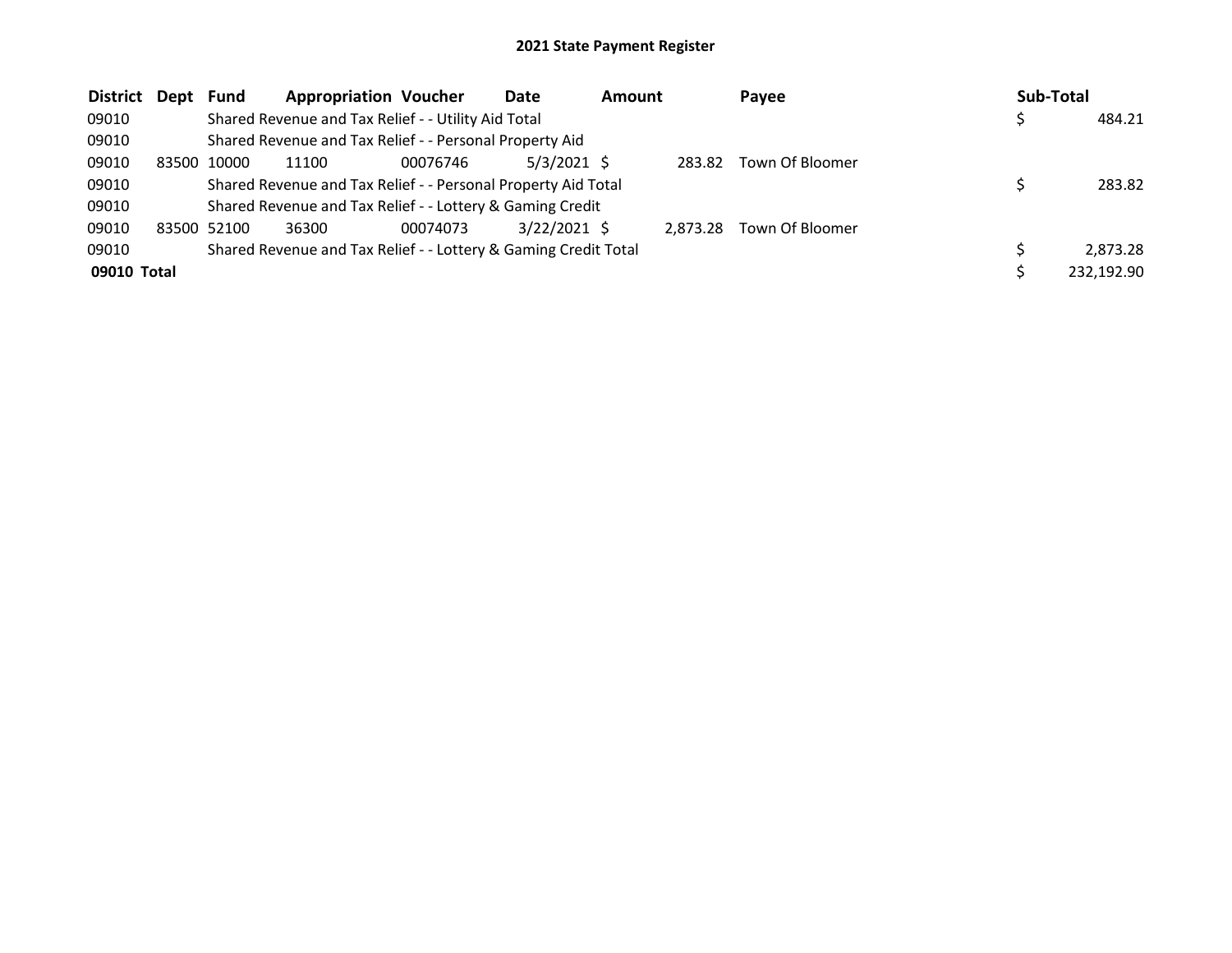| <b>District</b> | Dept  | <b>Fund</b> | <b>Appropriation Voucher</b>                                    |          | Date           | <b>Amount</b> |          | Payee           | Sub-Total |            |
|-----------------|-------|-------------|-----------------------------------------------------------------|----------|----------------|---------------|----------|-----------------|-----------|------------|
| 09010           |       |             | Shared Revenue and Tax Relief - - Utility Aid Total             |          |                |               |          |                 |           | 484.21     |
| 09010           |       |             | Shared Revenue and Tax Relief - - Personal Property Aid         |          |                |               |          |                 |           |            |
| 09010           | 83500 | 10000       | 11100                                                           | 00076746 | $5/3/2021$ \$  |               | 283.82   | Town Of Bloomer |           |            |
| 09010           |       |             | Shared Revenue and Tax Relief - - Personal Property Aid Total   |          |                |               |          |                 |           | 283.82     |
| 09010           |       |             | Shared Revenue and Tax Relief - - Lottery & Gaming Credit       |          |                |               |          |                 |           |            |
| 09010           |       | 83500 52100 | 36300                                                           | 00074073 | $3/22/2021$ \$ |               | 2.873.28 | Town Of Bloomer |           |            |
| 09010           |       |             | Shared Revenue and Tax Relief - - Lottery & Gaming Credit Total |          |                |               |          |                 |           | 2,873.28   |
| 09010 Total     |       |             |                                                                 |          |                |               |          |                 |           | 232,192.90 |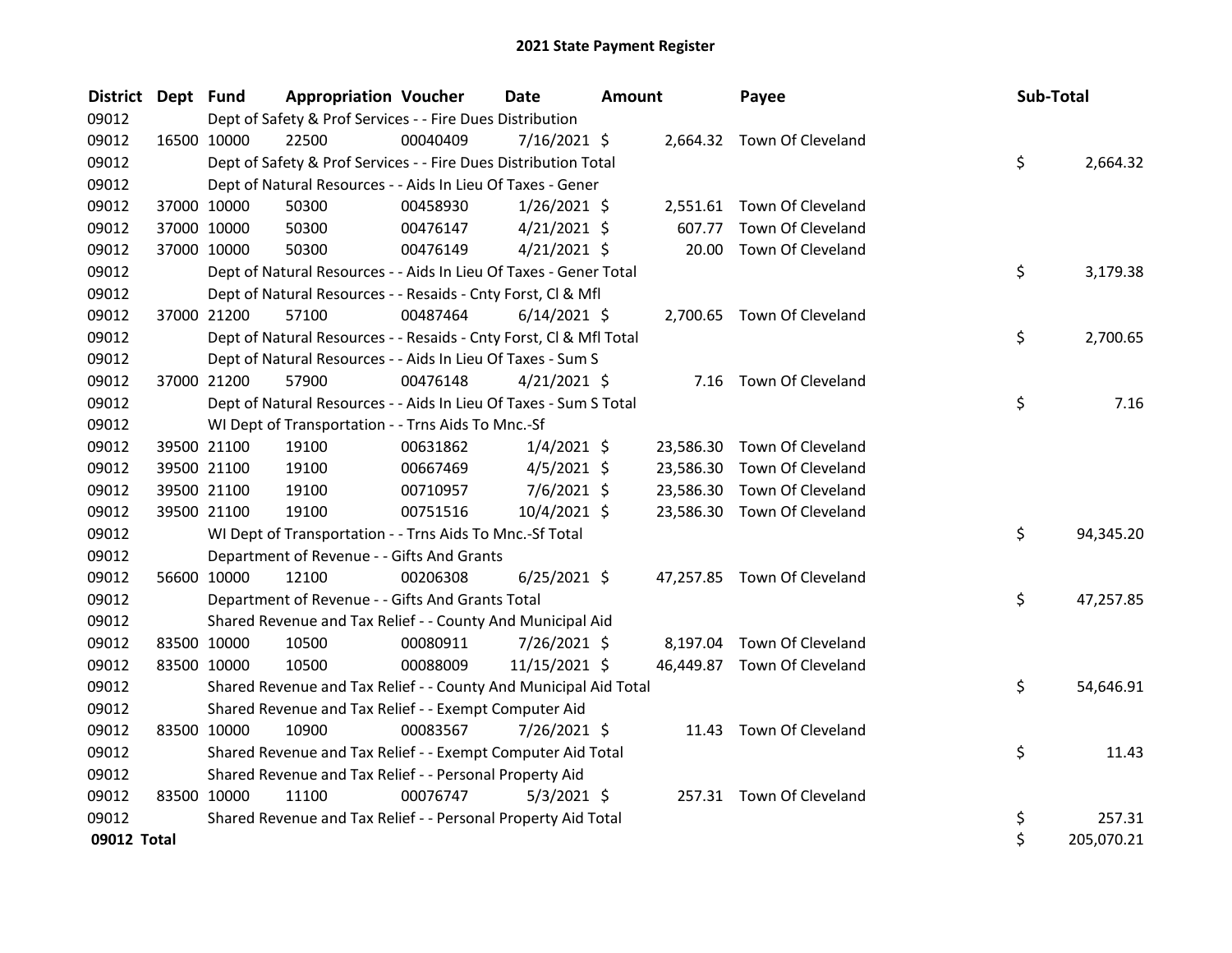| District Dept Fund |             |             | <b>Appropriation Voucher</b>                                       |          | <b>Date</b>    | Amount |           | Payee                       | Sub-Total |            |
|--------------------|-------------|-------------|--------------------------------------------------------------------|----------|----------------|--------|-----------|-----------------------------|-----------|------------|
| 09012              |             |             | Dept of Safety & Prof Services - - Fire Dues Distribution          |          |                |        |           |                             |           |            |
| 09012              | 16500 10000 |             | 22500                                                              | 00040409 | $7/16/2021$ \$ |        |           | 2,664.32 Town Of Cleveland  |           |            |
| 09012              |             |             | Dept of Safety & Prof Services - - Fire Dues Distribution Total    |          |                |        |           |                             | \$        | 2,664.32   |
| 09012              |             |             | Dept of Natural Resources - - Aids In Lieu Of Taxes - Gener        |          |                |        |           |                             |           |            |
| 09012              |             | 37000 10000 | 50300                                                              | 00458930 | $1/26/2021$ \$ |        |           | 2,551.61 Town Of Cleveland  |           |            |
| 09012              |             | 37000 10000 | 50300                                                              | 00476147 | $4/21/2021$ \$ |        | 607.77    | Town Of Cleveland           |           |            |
| 09012              | 37000 10000 |             | 50300                                                              | 00476149 | $4/21/2021$ \$ |        | 20.00     | Town Of Cleveland           |           |            |
| 09012              |             |             | Dept of Natural Resources - - Aids In Lieu Of Taxes - Gener Total  |          |                |        |           |                             | \$        | 3,179.38   |
| 09012              |             |             | Dept of Natural Resources - - Resaids - Cnty Forst, Cl & Mfl       |          |                |        |           |                             |           |            |
| 09012              |             | 37000 21200 | 57100                                                              | 00487464 | $6/14/2021$ \$ |        |           | 2,700.65 Town Of Cleveland  |           |            |
| 09012              |             |             | Dept of Natural Resources - - Resaids - Cnty Forst, Cl & Mfl Total |          |                |        |           |                             | \$        | 2,700.65   |
| 09012              |             |             | Dept of Natural Resources - - Aids In Lieu Of Taxes - Sum S        |          |                |        |           |                             |           |            |
| 09012              | 37000 21200 |             | 57900                                                              | 00476148 | $4/21/2021$ \$ |        |           | 7.16 Town Of Cleveland      |           |            |
| 09012              |             |             | Dept of Natural Resources - - Aids In Lieu Of Taxes - Sum S Total  |          |                |        |           |                             | \$        | 7.16       |
| 09012              |             |             | WI Dept of Transportation - - Trns Aids To Mnc.-Sf                 |          |                |        |           |                             |           |            |
| 09012              |             | 39500 21100 | 19100                                                              | 00631862 | $1/4/2021$ \$  |        | 23,586.30 | Town Of Cleveland           |           |            |
| 09012              |             | 39500 21100 | 19100                                                              | 00667469 | $4/5/2021$ \$  |        | 23,586.30 | Town Of Cleveland           |           |            |
| 09012              |             | 39500 21100 | 19100                                                              | 00710957 | $7/6/2021$ \$  |        | 23,586.30 | Town Of Cleveland           |           |            |
| 09012              |             | 39500 21100 | 19100                                                              | 00751516 | 10/4/2021 \$   |        | 23,586.30 | Town Of Cleveland           |           |            |
| 09012              |             |             | WI Dept of Transportation - - Trns Aids To Mnc.-Sf Total           |          |                |        |           |                             | \$        | 94,345.20  |
| 09012              |             |             | Department of Revenue - - Gifts And Grants                         |          |                |        |           |                             |           |            |
| 09012              | 56600 10000 |             | 12100                                                              | 00206308 | $6/25/2021$ \$ |        |           | 47,257.85 Town Of Cleveland |           |            |
| 09012              |             |             | Department of Revenue - - Gifts And Grants Total                   |          |                |        |           |                             | \$        | 47,257.85  |
| 09012              |             |             | Shared Revenue and Tax Relief - - County And Municipal Aid         |          |                |        |           |                             |           |            |
| 09012              |             | 83500 10000 | 10500                                                              | 00080911 | 7/26/2021 \$   |        |           | 8,197.04 Town Of Cleveland  |           |            |
| 09012              |             | 83500 10000 | 10500                                                              | 00088009 | 11/15/2021 \$  |        |           | 46,449.87 Town Of Cleveland |           |            |
| 09012              |             |             | Shared Revenue and Tax Relief - - County And Municipal Aid Total   |          |                |        |           |                             | \$        | 54,646.91  |
| 09012              |             |             | Shared Revenue and Tax Relief - - Exempt Computer Aid              |          |                |        |           |                             |           |            |
| 09012              | 83500 10000 |             | 10900                                                              | 00083567 | 7/26/2021 \$   |        |           | 11.43 Town Of Cleveland     |           |            |
| 09012              |             |             | Shared Revenue and Tax Relief - - Exempt Computer Aid Total        |          |                |        |           |                             | \$        | 11.43      |
| 09012              |             |             | Shared Revenue and Tax Relief - - Personal Property Aid            |          |                |        |           |                             |           |            |
| 09012              | 83500 10000 |             | 11100                                                              | 00076747 | $5/3/2021$ \$  |        |           | 257.31 Town Of Cleveland    |           |            |
| 09012              |             |             | Shared Revenue and Tax Relief - - Personal Property Aid Total      |          |                |        |           |                             | \$        | 257.31     |
| 09012 Total        |             |             |                                                                    |          |                |        |           |                             | \$        | 205,070.21 |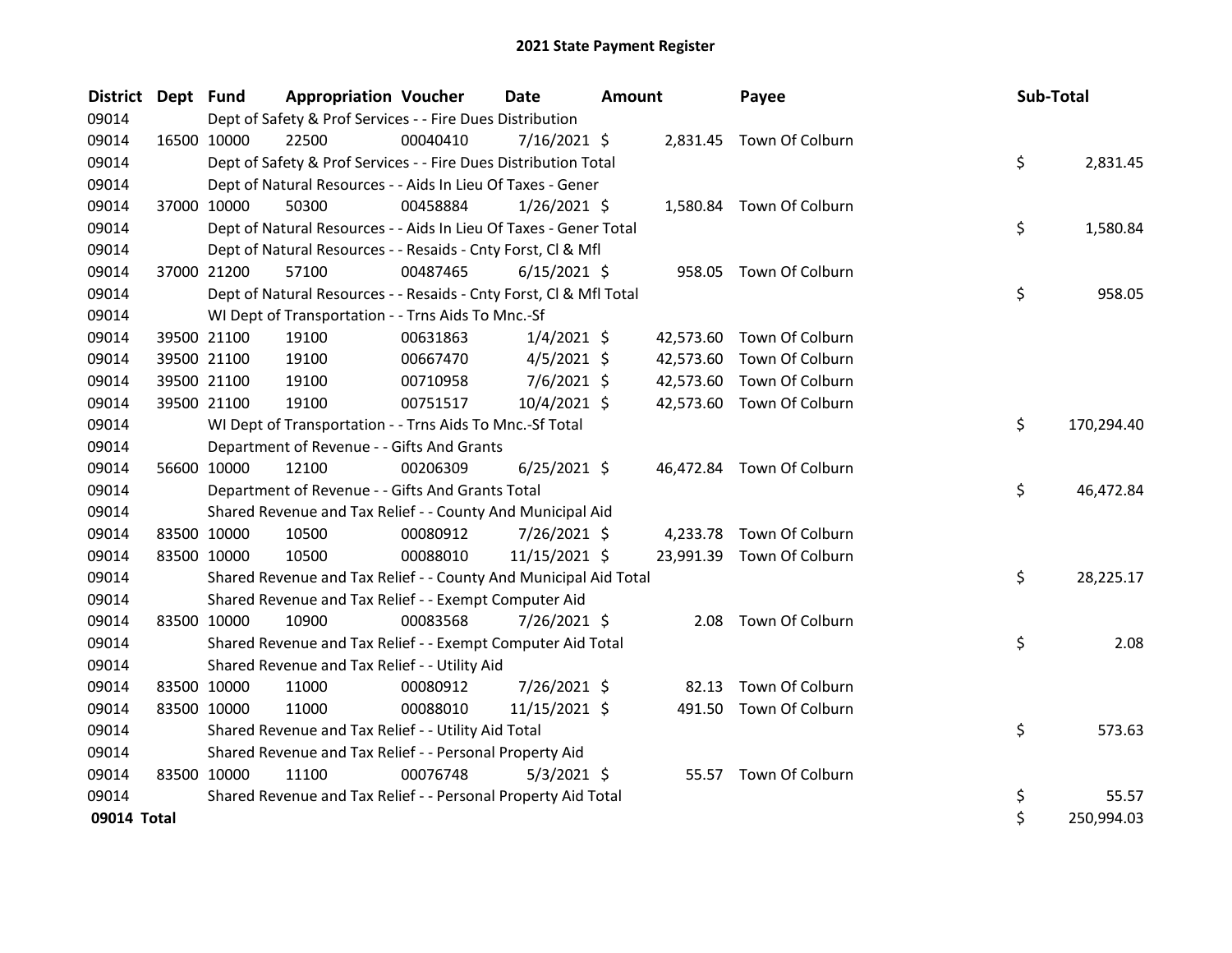| <b>District</b> | Dept Fund |             | <b>Appropriation Voucher</b>                                       |          | <b>Date</b>    | <b>Amount</b> |           | Payee                     | <b>Sub-Total</b> |            |
|-----------------|-----------|-------------|--------------------------------------------------------------------|----------|----------------|---------------|-----------|---------------------------|------------------|------------|
| 09014           |           |             | Dept of Safety & Prof Services - - Fire Dues Distribution          |          |                |               |           |                           |                  |            |
| 09014           |           | 16500 10000 | 22500                                                              | 00040410 | $7/16/2021$ \$ |               |           | 2,831.45 Town Of Colburn  |                  |            |
| 09014           |           |             | Dept of Safety & Prof Services - - Fire Dues Distribution Total    |          |                |               |           |                           | \$               | 2,831.45   |
| 09014           |           |             | Dept of Natural Resources - - Aids In Lieu Of Taxes - Gener        |          |                |               |           |                           |                  |            |
| 09014           |           | 37000 10000 | 50300                                                              | 00458884 | $1/26/2021$ \$ |               |           | 1,580.84 Town Of Colburn  |                  |            |
| 09014           |           |             | Dept of Natural Resources - - Aids In Lieu Of Taxes - Gener Total  |          |                |               |           |                           | \$               | 1,580.84   |
| 09014           |           |             | Dept of Natural Resources - - Resaids - Cnty Forst, Cl & Mfl       |          |                |               |           |                           |                  |            |
| 09014           |           | 37000 21200 | 57100                                                              | 00487465 | $6/15/2021$ \$ |               |           | 958.05 Town Of Colburn    |                  |            |
| 09014           |           |             | Dept of Natural Resources - - Resaids - Cnty Forst, Cl & Mfl Total |          |                |               |           |                           | \$               | 958.05     |
| 09014           |           |             | WI Dept of Transportation - - Trns Aids To Mnc.-Sf                 |          |                |               |           |                           |                  |            |
| 09014           |           | 39500 21100 | 19100                                                              | 00631863 | $1/4/2021$ \$  |               |           | 42,573.60 Town Of Colburn |                  |            |
| 09014           |           | 39500 21100 | 19100                                                              | 00667470 | $4/5/2021$ \$  |               | 42,573.60 | Town Of Colburn           |                  |            |
| 09014           |           | 39500 21100 | 19100                                                              | 00710958 | $7/6/2021$ \$  |               |           | 42,573.60 Town Of Colburn |                  |            |
| 09014           |           | 39500 21100 | 19100                                                              | 00751517 | 10/4/2021 \$   |               |           | 42,573.60 Town Of Colburn |                  |            |
| 09014           |           |             | WI Dept of Transportation - - Trns Aids To Mnc.-Sf Total           |          |                |               |           |                           | \$               | 170,294.40 |
| 09014           |           |             | Department of Revenue - - Gifts And Grants                         |          |                |               |           |                           |                  |            |
| 09014           |           | 56600 10000 | 12100                                                              | 00206309 | $6/25/2021$ \$ |               | 46,472.84 | Town Of Colburn           |                  |            |
| 09014           |           |             | Department of Revenue - - Gifts And Grants Total                   |          |                |               |           |                           | \$               | 46,472.84  |
| 09014           |           |             | Shared Revenue and Tax Relief - - County And Municipal Aid         |          |                |               |           |                           |                  |            |
| 09014           |           | 83500 10000 | 10500                                                              | 00080912 | 7/26/2021 \$   |               | 4,233.78  | Town Of Colburn           |                  |            |
| 09014           |           | 83500 10000 | 10500                                                              | 00088010 | 11/15/2021 \$  |               | 23,991.39 | Town Of Colburn           |                  |            |
| 09014           |           |             | Shared Revenue and Tax Relief - - County And Municipal Aid Total   |          |                |               |           |                           | \$               | 28,225.17  |
| 09014           |           |             | Shared Revenue and Tax Relief - - Exempt Computer Aid              |          |                |               |           |                           |                  |            |
| 09014           |           | 83500 10000 | 10900                                                              | 00083568 | 7/26/2021 \$   |               |           | 2.08 Town Of Colburn      |                  |            |
| 09014           |           |             | Shared Revenue and Tax Relief - - Exempt Computer Aid Total        |          |                |               |           |                           | \$               | 2.08       |
| 09014           |           |             | Shared Revenue and Tax Relief - - Utility Aid                      |          |                |               |           |                           |                  |            |
| 09014           |           | 83500 10000 | 11000                                                              | 00080912 | 7/26/2021 \$   |               | 82.13     | Town Of Colburn           |                  |            |
| 09014           |           | 83500 10000 | 11000                                                              | 00088010 | 11/15/2021 \$  |               |           | 491.50 Town Of Colburn    |                  |            |
| 09014           |           |             | Shared Revenue and Tax Relief - - Utility Aid Total                |          |                |               |           |                           | \$               | 573.63     |
| 09014           |           |             | Shared Revenue and Tax Relief - - Personal Property Aid            |          |                |               |           |                           |                  |            |
| 09014           |           | 83500 10000 | 11100                                                              | 00076748 | $5/3/2021$ \$  |               |           | 55.57 Town Of Colburn     |                  |            |
| 09014           |           |             | Shared Revenue and Tax Relief - - Personal Property Aid Total      |          |                |               |           |                           | \$               | 55.57      |
| 09014 Total     |           |             |                                                                    |          |                |               |           |                           | \$               | 250,994.03 |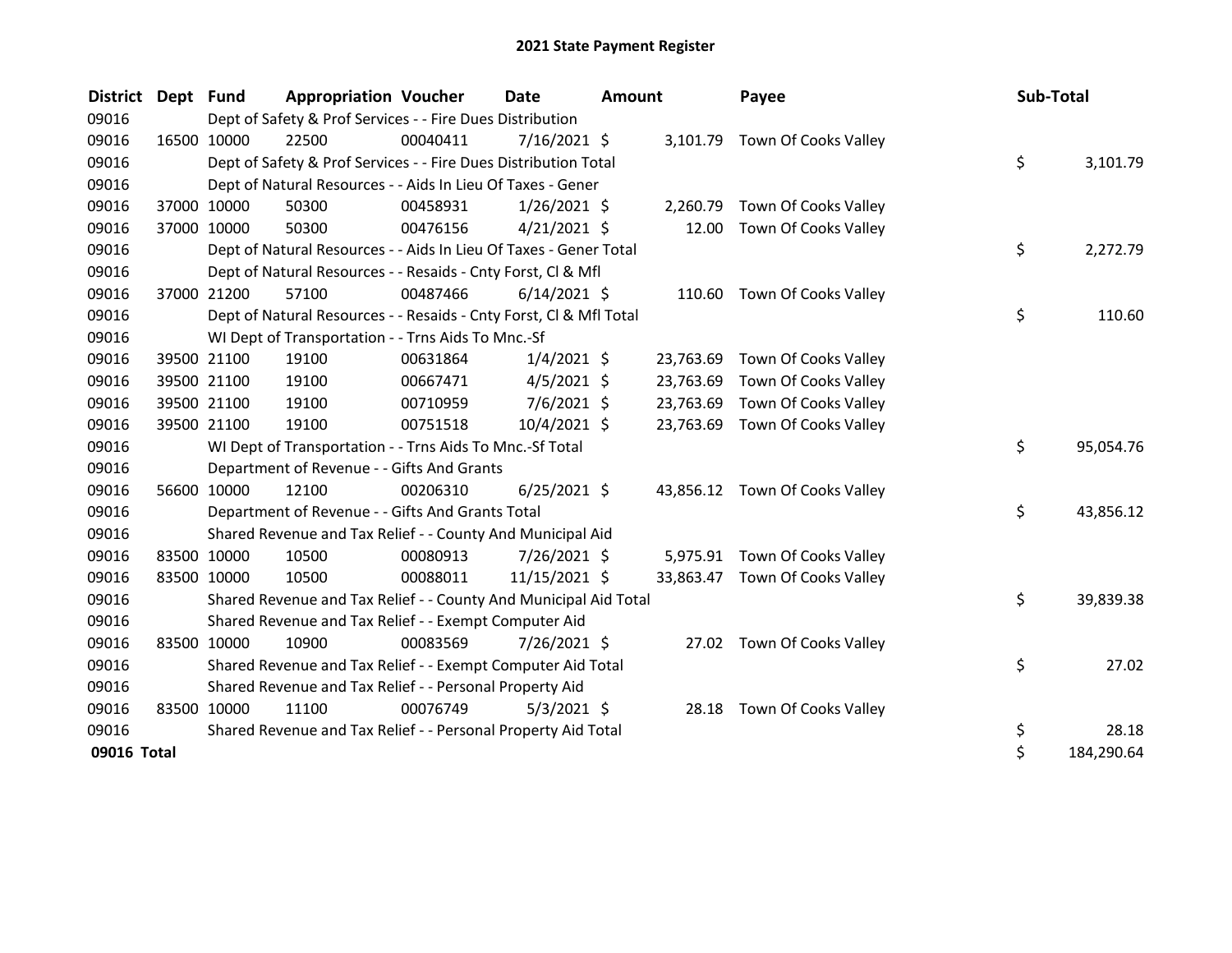| <b>District</b> | Dept Fund   |             | <b>Appropriation Voucher</b>                                       |          | <b>Date</b>    | <b>Amount</b> |           | Payee                          | Sub-Total |            |
|-----------------|-------------|-------------|--------------------------------------------------------------------|----------|----------------|---------------|-----------|--------------------------------|-----------|------------|
| 09016           |             |             | Dept of Safety & Prof Services - - Fire Dues Distribution          |          |                |               |           |                                |           |            |
| 09016           |             | 16500 10000 | 22500                                                              | 00040411 | 7/16/2021 \$   |               | 3,101.79  | Town Of Cooks Valley           |           |            |
| 09016           |             |             | Dept of Safety & Prof Services - - Fire Dues Distribution Total    |          |                |               |           |                                | \$        | 3,101.79   |
| 09016           |             |             | Dept of Natural Resources - - Aids In Lieu Of Taxes - Gener        |          |                |               |           |                                |           |            |
| 09016           |             | 37000 10000 | 50300                                                              | 00458931 | $1/26/2021$ \$ |               | 2,260.79  | Town Of Cooks Valley           |           |            |
| 09016           |             | 37000 10000 | 50300                                                              | 00476156 | $4/21/2021$ \$ |               | 12.00     | Town Of Cooks Valley           |           |            |
| 09016           |             |             | Dept of Natural Resources - - Aids In Lieu Of Taxes - Gener Total  |          |                |               |           |                                | \$        | 2,272.79   |
| 09016           |             |             | Dept of Natural Resources - - Resaids - Cnty Forst, CI & Mfl       |          |                |               |           |                                |           |            |
| 09016           |             | 37000 21200 | 57100                                                              | 00487466 | $6/14/2021$ \$ |               |           | 110.60 Town Of Cooks Valley    |           |            |
| 09016           |             |             | Dept of Natural Resources - - Resaids - Cnty Forst, CI & Mfl Total |          |                |               |           |                                | \$        | 110.60     |
| 09016           |             |             | WI Dept of Transportation - - Trns Aids To Mnc.-Sf                 |          |                |               |           |                                |           |            |
| 09016           |             | 39500 21100 | 19100                                                              | 00631864 | $1/4/2021$ \$  |               | 23,763.69 | Town Of Cooks Valley           |           |            |
| 09016           |             | 39500 21100 | 19100                                                              | 00667471 | $4/5/2021$ \$  |               | 23,763.69 | Town Of Cooks Valley           |           |            |
| 09016           |             | 39500 21100 | 19100                                                              | 00710959 | $7/6/2021$ \$  |               | 23,763.69 | Town Of Cooks Valley           |           |            |
| 09016           |             | 39500 21100 | 19100                                                              | 00751518 | 10/4/2021 \$   |               | 23,763.69 | Town Of Cooks Valley           |           |            |
| 09016           |             |             | WI Dept of Transportation - - Trns Aids To Mnc.-Sf Total           |          |                |               |           |                                | \$        | 95,054.76  |
| 09016           |             |             | Department of Revenue - - Gifts And Grants                         |          |                |               |           |                                |           |            |
| 09016           |             | 56600 10000 | 12100                                                              | 00206310 | $6/25/2021$ \$ |               |           | 43,856.12 Town Of Cooks Valley |           |            |
| 09016           |             |             | Department of Revenue - - Gifts And Grants Total                   |          |                |               |           |                                | \$        | 43,856.12  |
| 09016           |             |             | Shared Revenue and Tax Relief - - County And Municipal Aid         |          |                |               |           |                                |           |            |
| 09016           |             | 83500 10000 | 10500                                                              | 00080913 | 7/26/2021 \$   |               |           | 5,975.91 Town Of Cooks Valley  |           |            |
| 09016           |             | 83500 10000 | 10500                                                              | 00088011 | 11/15/2021 \$  |               |           | 33,863.47 Town Of Cooks Valley |           |            |
| 09016           |             |             | Shared Revenue and Tax Relief - - County And Municipal Aid Total   |          |                |               |           |                                | \$        | 39,839.38  |
| 09016           |             |             | Shared Revenue and Tax Relief - - Exempt Computer Aid              |          |                |               |           |                                |           |            |
| 09016           | 83500 10000 |             | 10900                                                              | 00083569 | 7/26/2021 \$   |               |           | 27.02 Town Of Cooks Valley     |           |            |
| 09016           |             |             | Shared Revenue and Tax Relief - - Exempt Computer Aid Total        |          |                |               |           |                                | \$        | 27.02      |
| 09016           |             |             | Shared Revenue and Tax Relief - - Personal Property Aid            |          |                |               |           |                                |           |            |
| 09016           |             | 83500 10000 | 11100                                                              | 00076749 | $5/3/2021$ \$  |               |           | 28.18 Town Of Cooks Valley     |           |            |
| 09016           |             |             | Shared Revenue and Tax Relief - - Personal Property Aid Total      |          |                |               |           |                                | \$        | 28.18      |
| 09016 Total     |             |             |                                                                    |          |                |               |           |                                | \$        | 184,290.64 |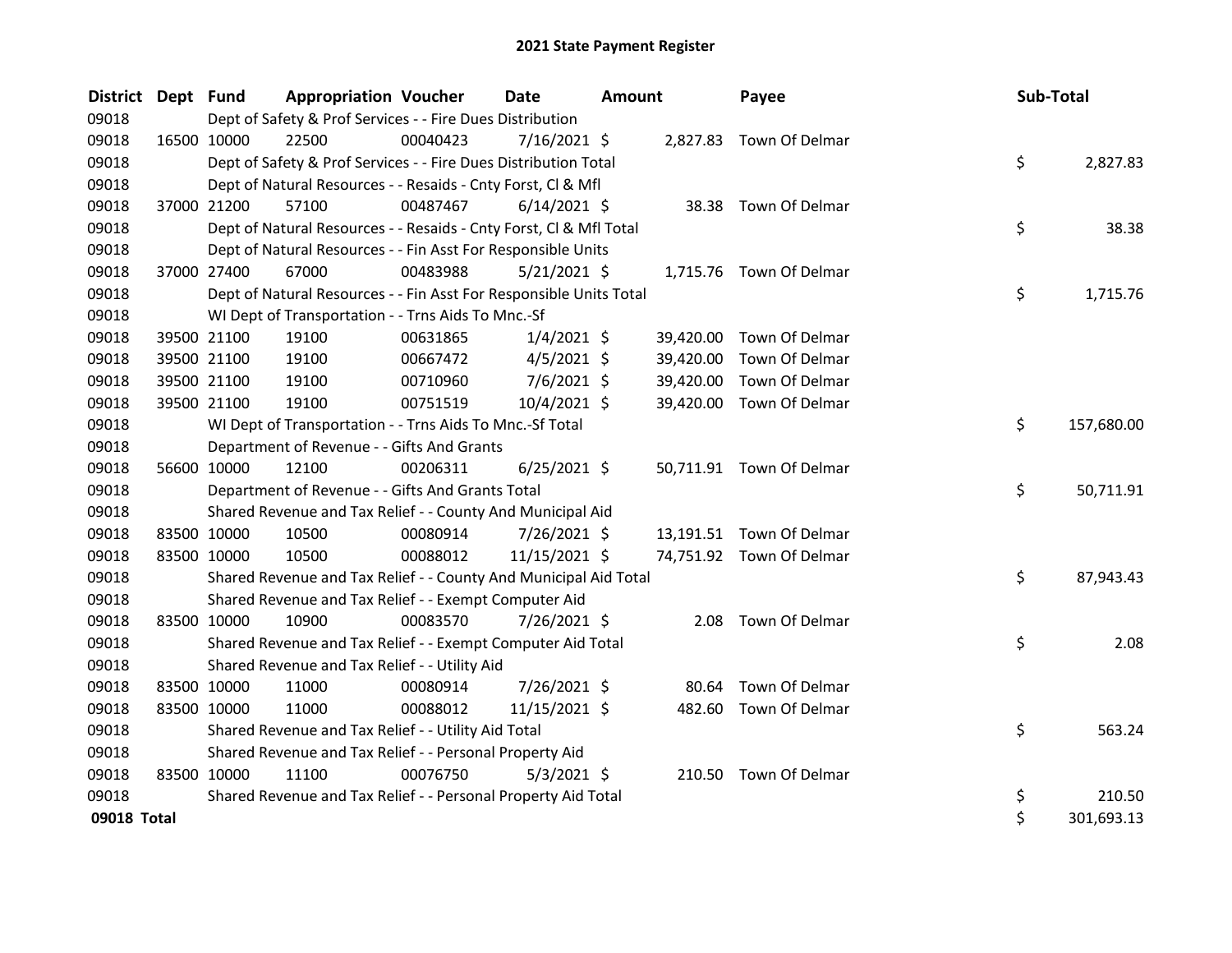| <b>District</b> | Dept Fund   | <b>Appropriation Voucher</b>                                       |          | <b>Date</b>    | Amount |           | Payee                    | Sub-Total |            |
|-----------------|-------------|--------------------------------------------------------------------|----------|----------------|--------|-----------|--------------------------|-----------|------------|
| 09018           |             | Dept of Safety & Prof Services - - Fire Dues Distribution          |          |                |        |           |                          |           |            |
| 09018           | 16500 10000 | 22500                                                              | 00040423 | $7/16/2021$ \$ |        |           | 2,827.83 Town Of Delmar  |           |            |
| 09018           |             | Dept of Safety & Prof Services - - Fire Dues Distribution Total    |          |                |        |           |                          | \$        | 2,827.83   |
| 09018           |             | Dept of Natural Resources - - Resaids - Cnty Forst, CI & Mfl       |          |                |        |           |                          |           |            |
| 09018           | 37000 21200 | 57100                                                              | 00487467 | $6/14/2021$ \$ |        |           | 38.38 Town Of Delmar     |           |            |
| 09018           |             | Dept of Natural Resources - - Resaids - Cnty Forst, Cl & Mfl Total |          |                |        |           |                          | \$        | 38.38      |
| 09018           |             | Dept of Natural Resources - - Fin Asst For Responsible Units       |          |                |        |           |                          |           |            |
| 09018           | 37000 27400 | 67000                                                              | 00483988 | 5/21/2021 \$   |        |           | 1,715.76 Town Of Delmar  |           |            |
| 09018           |             | Dept of Natural Resources - - Fin Asst For Responsible Units Total |          |                |        |           |                          | \$        | 1,715.76   |
| 09018           |             | WI Dept of Transportation - - Trns Aids To Mnc.-Sf                 |          |                |        |           |                          |           |            |
| 09018           | 39500 21100 | 19100                                                              | 00631865 | $1/4/2021$ \$  |        |           | 39,420.00 Town Of Delmar |           |            |
| 09018           | 39500 21100 | 19100                                                              | 00667472 | $4/5/2021$ \$  |        | 39,420.00 | Town Of Delmar           |           |            |
| 09018           | 39500 21100 | 19100                                                              | 00710960 | 7/6/2021 \$    |        | 39,420.00 | Town Of Delmar           |           |            |
| 09018           | 39500 21100 | 19100                                                              | 00751519 | 10/4/2021 \$   |        |           | 39,420.00 Town Of Delmar |           |            |
| 09018           |             | WI Dept of Transportation - - Trns Aids To Mnc.-Sf Total           |          |                |        |           |                          | \$.       | 157,680.00 |
| 09018           |             | Department of Revenue - - Gifts And Grants                         |          |                |        |           |                          |           |            |
| 09018           | 56600 10000 | 12100                                                              | 00206311 | $6/25/2021$ \$ |        |           | 50,711.91 Town Of Delmar |           |            |
| 09018           |             | Department of Revenue - - Gifts And Grants Total                   |          |                |        |           |                          | \$        | 50,711.91  |
| 09018           |             | Shared Revenue and Tax Relief - - County And Municipal Aid         |          |                |        |           |                          |           |            |
| 09018           | 83500 10000 | 10500                                                              | 00080914 | 7/26/2021 \$   |        |           | 13,191.51 Town Of Delmar |           |            |
| 09018           | 83500 10000 | 10500                                                              | 00088012 | 11/15/2021 \$  |        |           | 74,751.92 Town Of Delmar |           |            |
| 09018           |             | Shared Revenue and Tax Relief - - County And Municipal Aid Total   |          |                |        |           |                          | \$        | 87,943.43  |
| 09018           |             | Shared Revenue and Tax Relief - - Exempt Computer Aid              |          |                |        |           |                          |           |            |
| 09018           | 83500 10000 | 10900                                                              | 00083570 | 7/26/2021 \$   |        | 2.08      | Town Of Delmar           |           |            |
| 09018           |             | Shared Revenue and Tax Relief - - Exempt Computer Aid Total        |          |                |        |           |                          | \$        | 2.08       |
| 09018           |             | Shared Revenue and Tax Relief - - Utility Aid                      |          |                |        |           |                          |           |            |
| 09018           | 83500 10000 | 11000                                                              | 00080914 | 7/26/2021 \$   |        | 80.64     | Town Of Delmar           |           |            |
| 09018           | 83500 10000 | 11000                                                              | 00088012 | 11/15/2021 \$  |        |           | 482.60 Town Of Delmar    |           |            |
| 09018           |             | Shared Revenue and Tax Relief - - Utility Aid Total                |          |                |        |           |                          | \$        | 563.24     |
| 09018           |             | Shared Revenue and Tax Relief - - Personal Property Aid            |          |                |        |           |                          |           |            |
| 09018           | 83500 10000 | 11100                                                              | 00076750 | $5/3/2021$ \$  |        |           | 210.50 Town Of Delmar    |           |            |
| 09018           |             | Shared Revenue and Tax Relief - - Personal Property Aid Total      |          |                |        |           |                          | \$        | 210.50     |
| 09018 Total     |             |                                                                    |          |                |        |           |                          | \$        | 301,693.13 |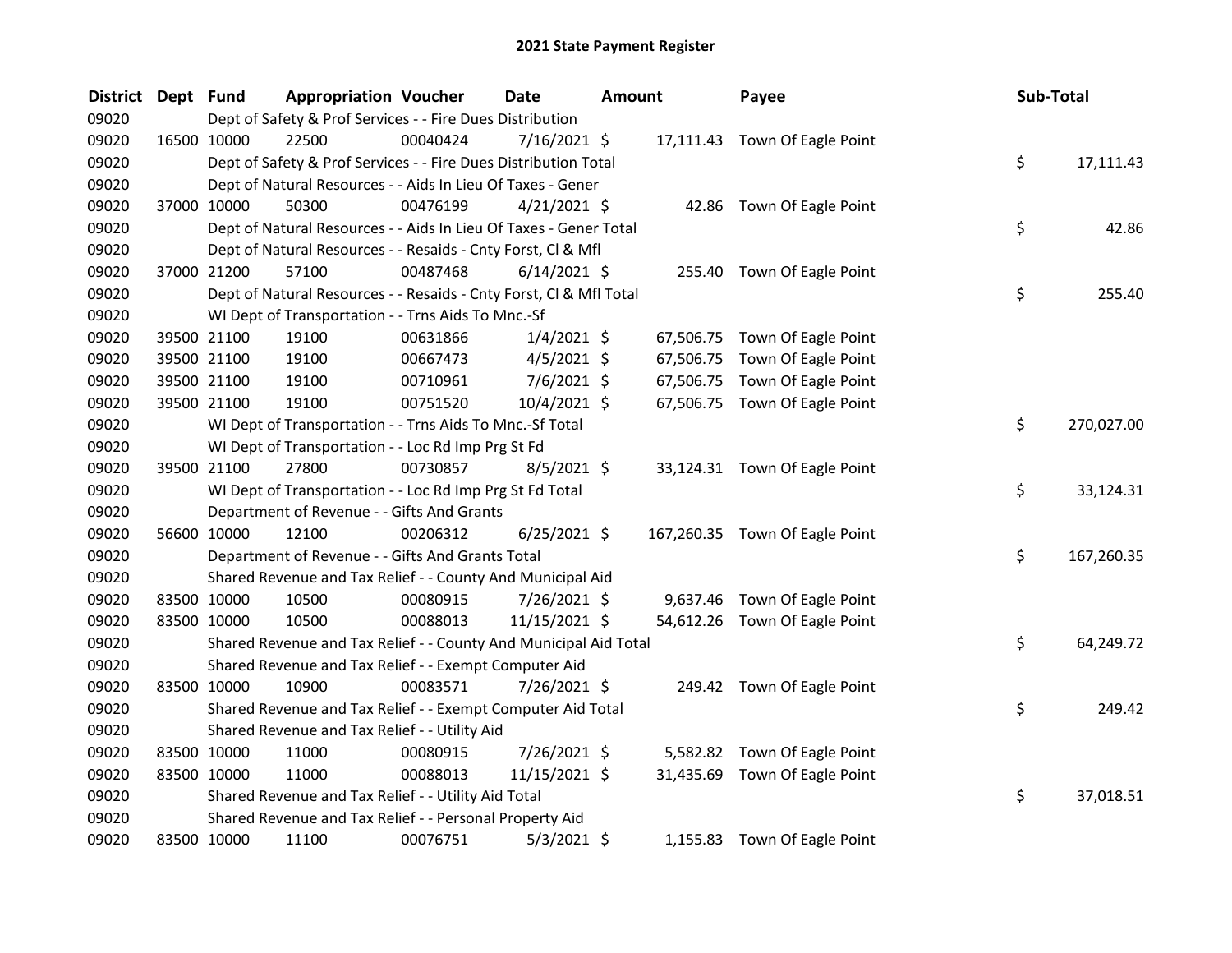| District Dept Fund |             | <b>Appropriation Voucher</b>                                       |          | <b>Date</b>    | <b>Amount</b> |           | Payee                          | Sub-Total |            |
|--------------------|-------------|--------------------------------------------------------------------|----------|----------------|---------------|-----------|--------------------------------|-----------|------------|
| 09020              |             | Dept of Safety & Prof Services - - Fire Dues Distribution          |          |                |               |           |                                |           |            |
| 09020              | 16500 10000 | 22500                                                              | 00040424 | $7/16/2021$ \$ |               |           | 17,111.43 Town Of Eagle Point  |           |            |
| 09020              |             | Dept of Safety & Prof Services - - Fire Dues Distribution Total    |          |                |               |           |                                | \$        | 17,111.43  |
| 09020              |             | Dept of Natural Resources - - Aids In Lieu Of Taxes - Gener        |          |                |               |           |                                |           |            |
| 09020              | 37000 10000 | 50300                                                              | 00476199 | $4/21/2021$ \$ |               |           | 42.86 Town Of Eagle Point      |           |            |
| 09020              |             | Dept of Natural Resources - - Aids In Lieu Of Taxes - Gener Total  |          |                |               |           |                                | \$        | 42.86      |
| 09020              |             | Dept of Natural Resources - - Resaids - Cnty Forst, Cl & Mfl       |          |                |               |           |                                |           |            |
| 09020              | 37000 21200 | 57100                                                              | 00487468 | $6/14/2021$ \$ |               |           | 255.40 Town Of Eagle Point     |           |            |
| 09020              |             | Dept of Natural Resources - - Resaids - Cnty Forst, Cl & Mfl Total |          |                |               |           |                                | \$        | 255.40     |
| 09020              |             | WI Dept of Transportation - - Trns Aids To Mnc.-Sf                 |          |                |               |           |                                |           |            |
| 09020              | 39500 21100 | 19100                                                              | 00631866 | $1/4/2021$ \$  |               |           | 67,506.75 Town Of Eagle Point  |           |            |
| 09020              | 39500 21100 | 19100                                                              | 00667473 | $4/5/2021$ \$  |               | 67,506.75 | Town Of Eagle Point            |           |            |
| 09020              | 39500 21100 | 19100                                                              | 00710961 | $7/6/2021$ \$  |               | 67,506.75 | Town Of Eagle Point            |           |            |
| 09020              | 39500 21100 | 19100                                                              | 00751520 | 10/4/2021 \$   |               |           | 67,506.75 Town Of Eagle Point  |           |            |
| 09020              |             | WI Dept of Transportation - - Trns Aids To Mnc.-Sf Total           |          |                |               |           |                                | \$        | 270,027.00 |
| 09020              |             | WI Dept of Transportation - - Loc Rd Imp Prg St Fd                 |          |                |               |           |                                |           |            |
| 09020              | 39500 21100 | 27800                                                              | 00730857 | $8/5/2021$ \$  |               |           | 33,124.31 Town Of Eagle Point  |           |            |
| 09020              |             | WI Dept of Transportation - - Loc Rd Imp Prg St Fd Total           |          |                |               |           |                                | \$        | 33,124.31  |
| 09020              |             | Department of Revenue - - Gifts And Grants                         |          |                |               |           |                                |           |            |
| 09020              | 56600 10000 | 12100                                                              | 00206312 | $6/25/2021$ \$ |               |           | 167,260.35 Town Of Eagle Point |           |            |
| 09020              |             | Department of Revenue - - Gifts And Grants Total                   |          |                |               |           |                                | \$        | 167,260.35 |
| 09020              |             | Shared Revenue and Tax Relief - - County And Municipal Aid         |          |                |               |           |                                |           |            |
| 09020              | 83500 10000 | 10500                                                              | 00080915 | 7/26/2021 \$   |               |           | 9,637.46 Town Of Eagle Point   |           |            |
| 09020              | 83500 10000 | 10500                                                              | 00088013 | 11/15/2021 \$  |               |           | 54,612.26 Town Of Eagle Point  |           |            |
| 09020              |             | Shared Revenue and Tax Relief - - County And Municipal Aid Total   |          |                |               |           |                                | \$        | 64,249.72  |
| 09020              |             | Shared Revenue and Tax Relief - - Exempt Computer Aid              |          |                |               |           |                                |           |            |
| 09020              | 83500 10000 | 10900                                                              | 00083571 | 7/26/2021 \$   |               |           | 249.42 Town Of Eagle Point     |           |            |
| 09020              |             | Shared Revenue and Tax Relief - - Exempt Computer Aid Total        |          |                |               |           |                                | \$        | 249.42     |
| 09020              |             | Shared Revenue and Tax Relief - - Utility Aid                      |          |                |               |           |                                |           |            |
| 09020              | 83500 10000 | 11000                                                              | 00080915 | 7/26/2021 \$   |               |           | 5,582.82 Town Of Eagle Point   |           |            |
| 09020              | 83500 10000 | 11000                                                              | 00088013 | 11/15/2021 \$  |               | 31,435.69 | Town Of Eagle Point            |           |            |
| 09020              |             | Shared Revenue and Tax Relief - - Utility Aid Total                |          |                |               |           |                                | \$        | 37,018.51  |
| 09020              |             | Shared Revenue and Tax Relief - - Personal Property Aid            |          |                |               |           |                                |           |            |
| 09020              | 83500 10000 | 11100                                                              | 00076751 | $5/3/2021$ \$  |               |           | 1,155.83 Town Of Eagle Point   |           |            |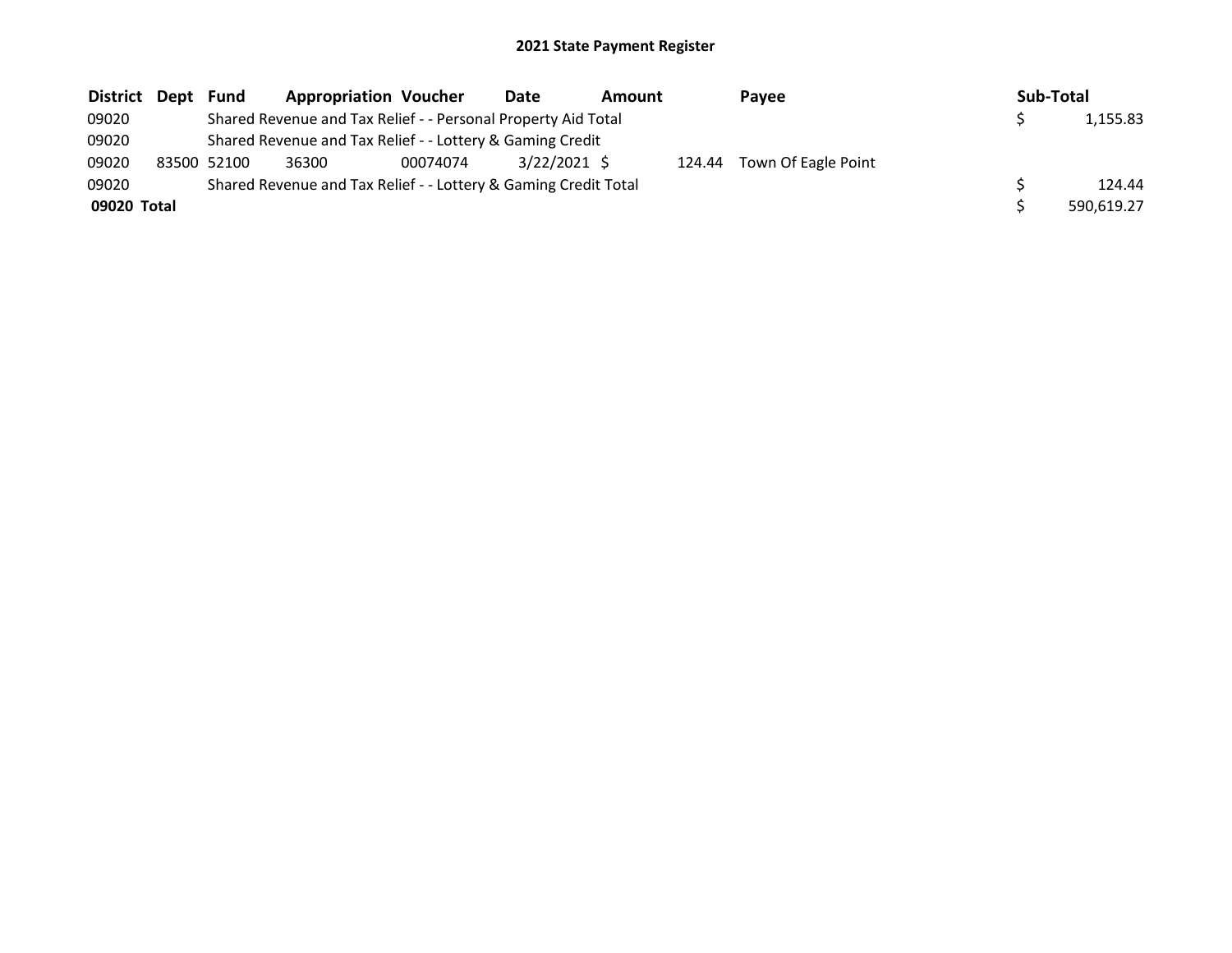| District    | Dept | Fund        | <b>Appropriation Voucher</b>                                    |          | Date         | Amount |        | <b>Pavee</b>        | Sub-Total |            |
|-------------|------|-------------|-----------------------------------------------------------------|----------|--------------|--------|--------|---------------------|-----------|------------|
| 09020       |      |             | Shared Revenue and Tax Relief - - Personal Property Aid Total   |          |              |        |        |                     |           | 1,155.83   |
| 09020       |      |             | Shared Revenue and Tax Relief - - Lottery & Gaming Credit       |          |              |        |        |                     |           |            |
| 09020       |      | 83500 52100 | 36300                                                           | 00074074 | 3/22/2021 \$ |        | 124.44 | Town Of Eagle Point |           |            |
| 09020       |      |             | Shared Revenue and Tax Relief - - Lottery & Gaming Credit Total |          |              |        |        |                     |           | 124.44     |
| 09020 Total |      |             |                                                                 |          |              |        |        |                     |           | 590.619.27 |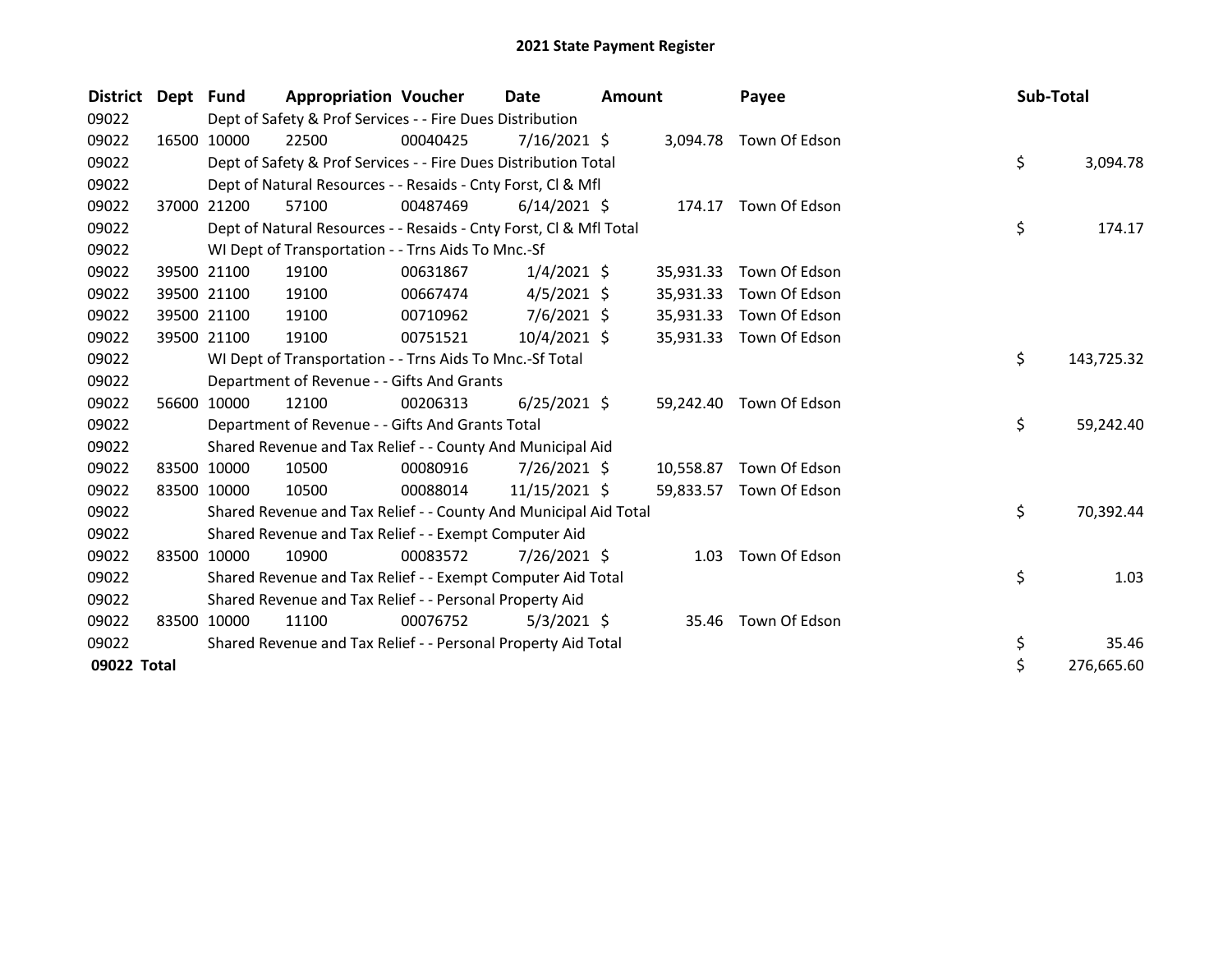| <b>District</b> | Dept Fund |             | <b>Appropriation Voucher</b>                                       |          | Date           | <b>Amount</b> |           | Payee                   | Sub-Total |            |
|-----------------|-----------|-------------|--------------------------------------------------------------------|----------|----------------|---------------|-----------|-------------------------|-----------|------------|
| 09022           |           |             | Dept of Safety & Prof Services - - Fire Dues Distribution          |          |                |               |           |                         |           |            |
| 09022           |           | 16500 10000 | 22500                                                              | 00040425 | $7/16/2021$ \$ |               |           | 3,094.78 Town Of Edson  |           |            |
| 09022           |           |             | Dept of Safety & Prof Services - - Fire Dues Distribution Total    |          |                |               |           |                         | \$        | 3,094.78   |
| 09022           |           |             | Dept of Natural Resources - - Resaids - Cnty Forst, CI & Mfl       |          |                |               |           |                         |           |            |
| 09022           |           | 37000 21200 | 57100                                                              | 00487469 | $6/14/2021$ \$ |               |           | 174.17 Town Of Edson    |           |            |
| 09022           |           |             | Dept of Natural Resources - - Resaids - Cnty Forst, CI & Mfl Total |          |                |               |           |                         | \$        | 174.17     |
| 09022           |           |             | WI Dept of Transportation - - Trns Aids To Mnc.-Sf                 |          |                |               |           |                         |           |            |
| 09022           |           | 39500 21100 | 19100                                                              | 00631867 | $1/4/2021$ \$  |               | 35,931.33 | Town Of Edson           |           |            |
| 09022           |           | 39500 21100 | 19100                                                              | 00667474 | $4/5/2021$ \$  |               | 35,931.33 | Town Of Edson           |           |            |
| 09022           |           | 39500 21100 | 19100                                                              | 00710962 | $7/6/2021$ \$  |               | 35,931.33 | Town Of Edson           |           |            |
| 09022           |           | 39500 21100 | 19100                                                              | 00751521 | $10/4/2021$ \$ |               | 35,931.33 | Town Of Edson           |           |            |
| 09022           |           |             | WI Dept of Transportation - - Trns Aids To Mnc.-Sf Total           |          |                |               |           |                         | \$        | 143,725.32 |
| 09022           |           |             | Department of Revenue - - Gifts And Grants                         |          |                |               |           |                         |           |            |
| 09022           |           | 56600 10000 | 12100                                                              | 00206313 | $6/25/2021$ \$ |               | 59,242.40 | Town Of Edson           |           |            |
| 09022           |           |             | Department of Revenue - - Gifts And Grants Total                   |          |                |               |           |                         | \$        | 59,242.40  |
| 09022           |           |             | Shared Revenue and Tax Relief - - County And Municipal Aid         |          |                |               |           |                         |           |            |
| 09022           |           | 83500 10000 | 10500                                                              | 00080916 | $7/26/2021$ \$ |               |           | 10,558.87 Town Of Edson |           |            |
| 09022           |           | 83500 10000 | 10500                                                              | 00088014 | 11/15/2021 \$  |               |           | 59,833.57 Town Of Edson |           |            |
| 09022           |           |             | Shared Revenue and Tax Relief - - County And Municipal Aid Total   |          |                |               |           |                         | \$        | 70,392.44  |
| 09022           |           |             | Shared Revenue and Tax Relief - - Exempt Computer Aid              |          |                |               |           |                         |           |            |
| 09022           |           | 83500 10000 | 10900                                                              | 00083572 | 7/26/2021 \$   |               | 1.03      | Town Of Edson           |           |            |
| 09022           |           |             | Shared Revenue and Tax Relief - - Exempt Computer Aid Total        |          |                |               |           |                         | \$        | 1.03       |
| 09022           |           |             | Shared Revenue and Tax Relief - - Personal Property Aid            |          |                |               |           |                         |           |            |
| 09022           |           | 83500 10000 | 11100                                                              | 00076752 | $5/3/2021$ \$  |               | 35.46     | Town Of Edson           |           |            |
| 09022           |           |             | Shared Revenue and Tax Relief - - Personal Property Aid Total      |          |                |               |           |                         | \$        | 35.46      |
| 09022 Total     |           |             |                                                                    |          |                |               |           |                         | \$        | 276,665.60 |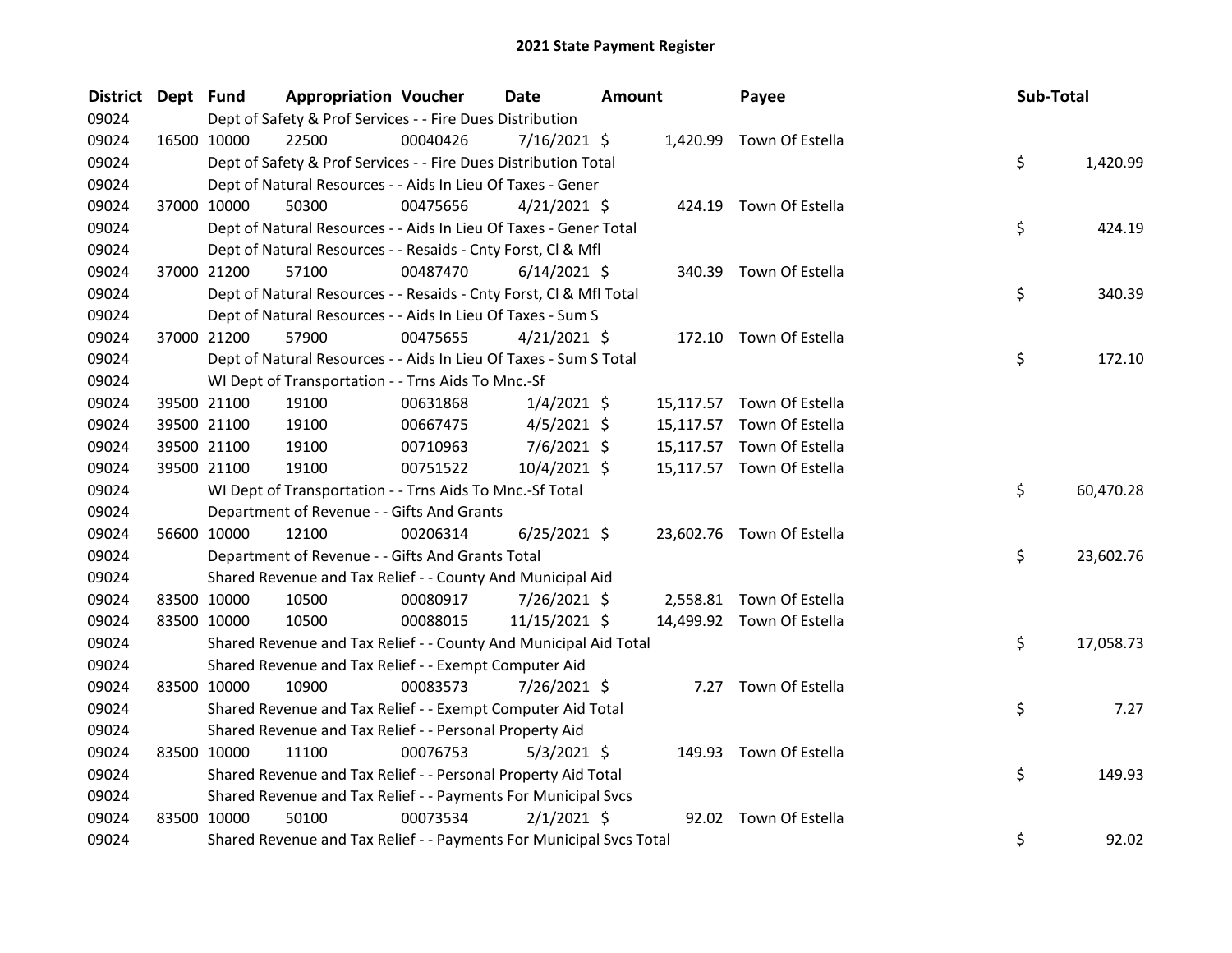| <b>District</b> | Dept Fund |             | <b>Appropriation Voucher</b>                                        |          | <b>Date</b>    | <b>Amount</b> | Payee                     | Sub-Total |           |
|-----------------|-----------|-------------|---------------------------------------------------------------------|----------|----------------|---------------|---------------------------|-----------|-----------|
| 09024           |           |             | Dept of Safety & Prof Services - - Fire Dues Distribution           |          |                |               |                           |           |           |
| 09024           |           | 16500 10000 | 22500                                                               | 00040426 | 7/16/2021 \$   |               | 1,420.99 Town Of Estella  |           |           |
| 09024           |           |             | Dept of Safety & Prof Services - - Fire Dues Distribution Total     |          |                |               |                           | \$        | 1,420.99  |
| 09024           |           |             | Dept of Natural Resources - - Aids In Lieu Of Taxes - Gener         |          |                |               |                           |           |           |
| 09024           |           | 37000 10000 | 50300                                                               | 00475656 | $4/21/2021$ \$ |               | 424.19 Town Of Estella    |           |           |
| 09024           |           |             | Dept of Natural Resources - - Aids In Lieu Of Taxes - Gener Total   |          |                |               |                           | \$        | 424.19    |
| 09024           |           |             | Dept of Natural Resources - - Resaids - Cnty Forst, CI & Mfl        |          |                |               |                           |           |           |
| 09024           |           | 37000 21200 | 57100                                                               | 00487470 | $6/14/2021$ \$ |               | 340.39 Town Of Estella    |           |           |
| 09024           |           |             | Dept of Natural Resources - - Resaids - Cnty Forst, Cl & Mfl Total  |          |                |               |                           | \$        | 340.39    |
| 09024           |           |             | Dept of Natural Resources - - Aids In Lieu Of Taxes - Sum S         |          |                |               |                           |           |           |
| 09024           |           | 37000 21200 | 57900                                                               | 00475655 | $4/21/2021$ \$ |               | 172.10 Town Of Estella    |           |           |
| 09024           |           |             | Dept of Natural Resources - - Aids In Lieu Of Taxes - Sum S Total   |          |                |               |                           | \$        | 172.10    |
| 09024           |           |             | WI Dept of Transportation - - Trns Aids To Mnc.-Sf                  |          |                |               |                           |           |           |
| 09024           |           | 39500 21100 | 19100                                                               | 00631868 | $1/4/2021$ \$  |               | 15,117.57 Town Of Estella |           |           |
| 09024           |           | 39500 21100 | 19100                                                               | 00667475 | $4/5/2021$ \$  |               | 15,117.57 Town Of Estella |           |           |
| 09024           |           | 39500 21100 | 19100                                                               | 00710963 | $7/6/2021$ \$  |               | 15,117.57 Town Of Estella |           |           |
| 09024           |           | 39500 21100 | 19100                                                               | 00751522 | 10/4/2021 \$   |               | 15,117.57 Town Of Estella |           |           |
| 09024           |           |             | WI Dept of Transportation - - Trns Aids To Mnc.-Sf Total            |          |                |               |                           | \$        | 60,470.28 |
| 09024           |           |             | Department of Revenue - - Gifts And Grants                          |          |                |               |                           |           |           |
| 09024           |           | 56600 10000 | 12100                                                               | 00206314 | $6/25/2021$ \$ |               | 23,602.76 Town Of Estella |           |           |
| 09024           |           |             | Department of Revenue - - Gifts And Grants Total                    |          |                |               |                           | \$        | 23,602.76 |
| 09024           |           |             | Shared Revenue and Tax Relief - - County And Municipal Aid          |          |                |               |                           |           |           |
| 09024           |           | 83500 10000 | 10500                                                               | 00080917 | 7/26/2021 \$   |               | 2,558.81 Town Of Estella  |           |           |
| 09024           |           | 83500 10000 | 10500                                                               | 00088015 | 11/15/2021 \$  |               | 14,499.92 Town Of Estella |           |           |
| 09024           |           |             | Shared Revenue and Tax Relief - - County And Municipal Aid Total    |          |                |               |                           | \$        | 17,058.73 |
| 09024           |           |             | Shared Revenue and Tax Relief - - Exempt Computer Aid               |          |                |               |                           |           |           |
| 09024           |           | 83500 10000 | 10900                                                               | 00083573 | 7/26/2021 \$   |               | 7.27 Town Of Estella      |           |           |
| 09024           |           |             | Shared Revenue and Tax Relief - - Exempt Computer Aid Total         |          |                |               |                           | \$        | 7.27      |
| 09024           |           |             | Shared Revenue and Tax Relief - - Personal Property Aid             |          |                |               |                           |           |           |
| 09024           |           | 83500 10000 | 11100                                                               | 00076753 | $5/3/2021$ \$  |               | 149.93 Town Of Estella    |           |           |
| 09024           |           |             | Shared Revenue and Tax Relief - - Personal Property Aid Total       |          |                |               |                           | \$        | 149.93    |
| 09024           |           |             | Shared Revenue and Tax Relief - - Payments For Municipal Svcs       |          |                |               |                           |           |           |
| 09024           |           | 83500 10000 | 50100                                                               | 00073534 | $2/1/2021$ \$  |               | 92.02 Town Of Estella     |           |           |
| 09024           |           |             | Shared Revenue and Tax Relief - - Payments For Municipal Svcs Total |          |                |               |                           | \$        | 92.02     |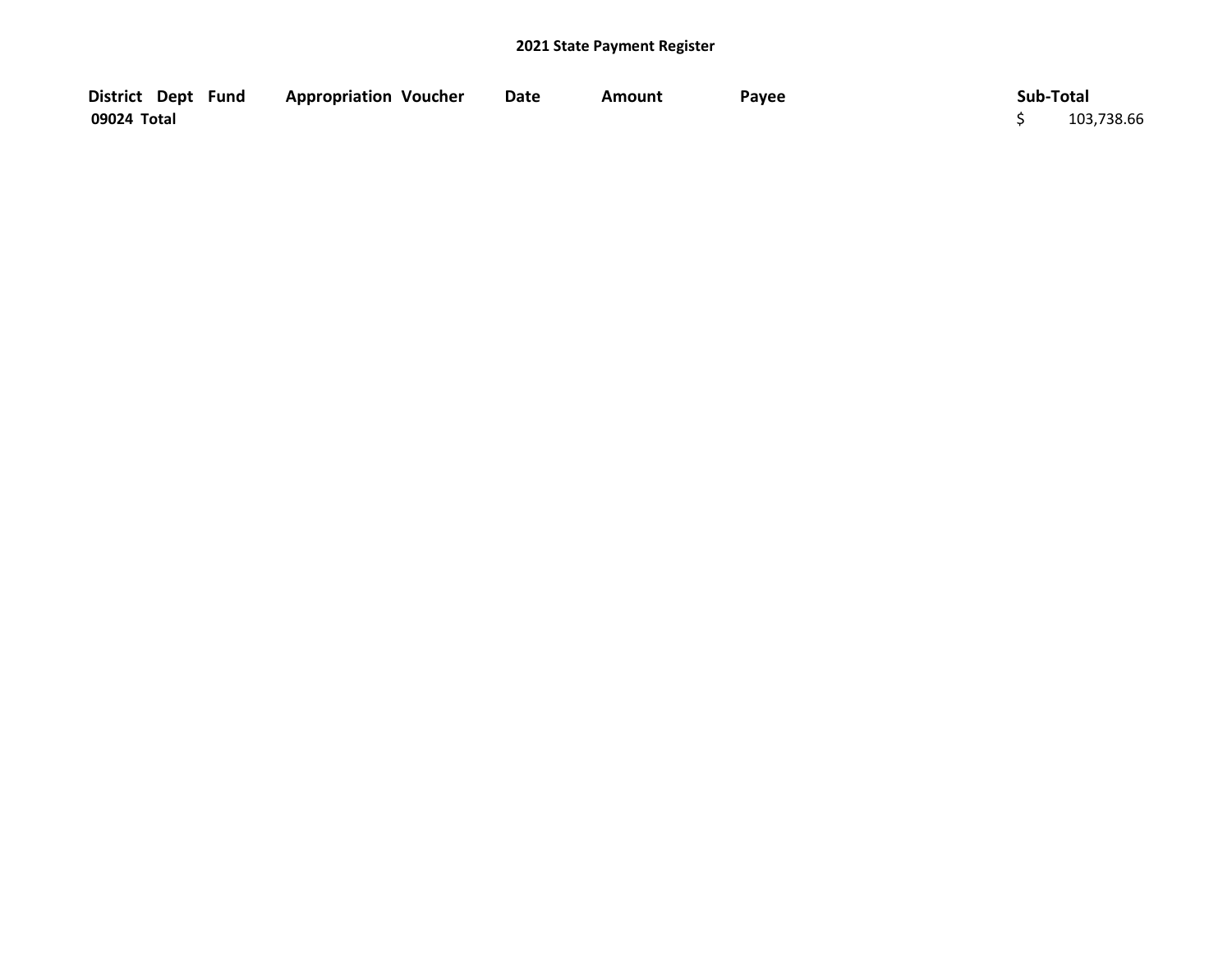| District Dept Fund | <b>Appropriation Voucher</b> | <b>Date</b> | Amount | Payee | Sub-Total  |
|--------------------|------------------------------|-------------|--------|-------|------------|
| 09024 Total        |                              |             |        |       | 103,738.66 |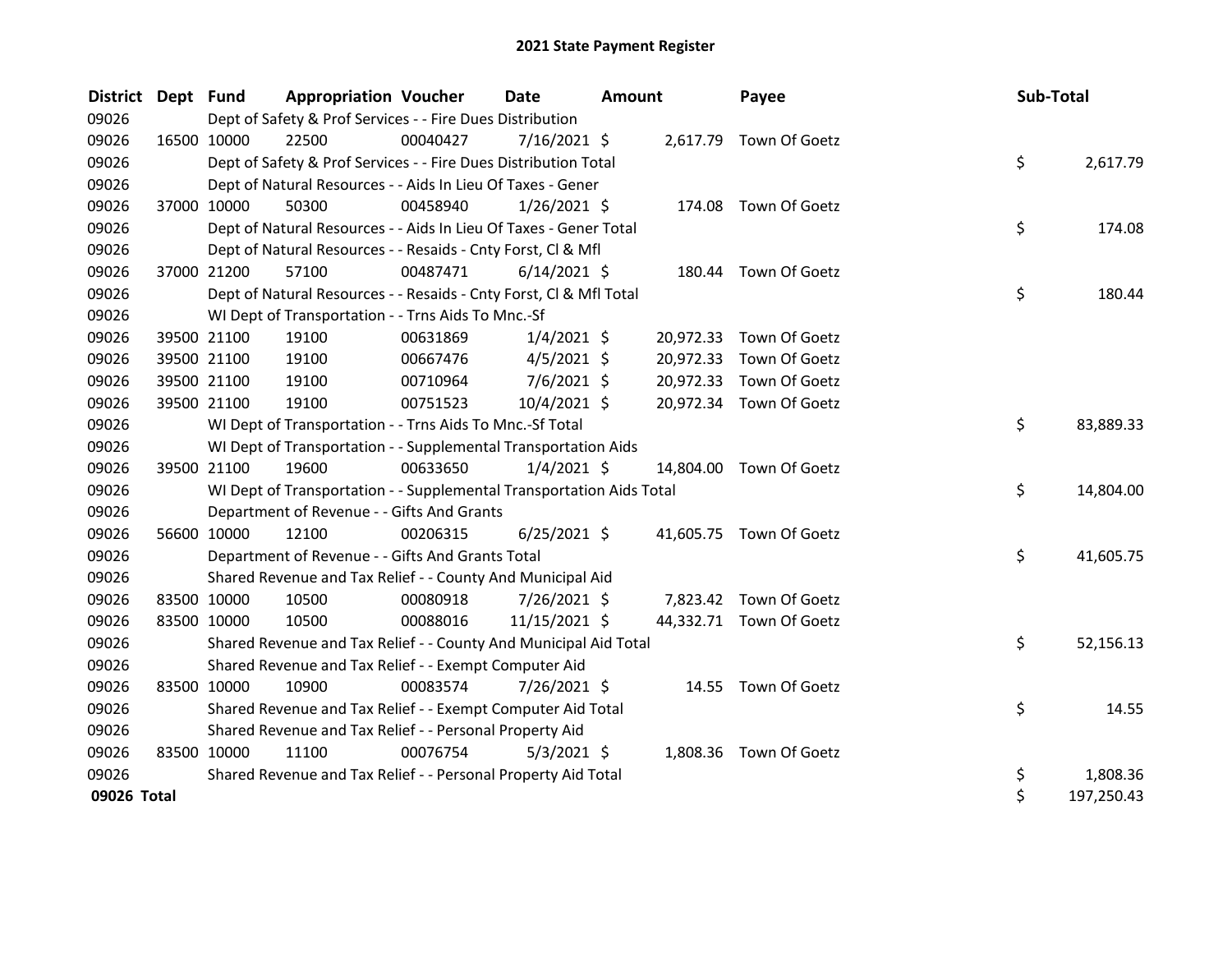| <b>District</b> | Dept Fund   |             | <b>Appropriation Voucher</b>                                         |          | <b>Date</b>    | <b>Amount</b> | Payee                   | Sub-Total |            |
|-----------------|-------------|-------------|----------------------------------------------------------------------|----------|----------------|---------------|-------------------------|-----------|------------|
| 09026           |             |             | Dept of Safety & Prof Services - - Fire Dues Distribution            |          |                |               |                         |           |            |
| 09026           |             | 16500 10000 | 22500                                                                | 00040427 | $7/16/2021$ \$ |               | 2,617.79 Town Of Goetz  |           |            |
| 09026           |             |             | Dept of Safety & Prof Services - - Fire Dues Distribution Total      |          |                |               |                         | \$        | 2,617.79   |
| 09026           |             |             | Dept of Natural Resources - - Aids In Lieu Of Taxes - Gener          |          |                |               |                         |           |            |
| 09026           |             | 37000 10000 | 50300                                                                | 00458940 | $1/26/2021$ \$ | 174.08        | Town Of Goetz           |           |            |
| 09026           |             |             | Dept of Natural Resources - - Aids In Lieu Of Taxes - Gener Total    |          |                |               |                         | \$        | 174.08     |
| 09026           |             |             | Dept of Natural Resources - - Resaids - Cnty Forst, Cl & Mfl         |          |                |               |                         |           |            |
| 09026           |             | 37000 21200 | 57100                                                                | 00487471 | $6/14/2021$ \$ |               | 180.44 Town Of Goetz    |           |            |
| 09026           |             |             | Dept of Natural Resources - - Resaids - Cnty Forst, Cl & Mfl Total   |          |                |               |                         | \$        | 180.44     |
| 09026           |             |             | WI Dept of Transportation - - Trns Aids To Mnc.-Sf                   |          |                |               |                         |           |            |
| 09026           |             | 39500 21100 | 19100                                                                | 00631869 | $1/4/2021$ \$  | 20,972.33     | Town Of Goetz           |           |            |
| 09026           |             | 39500 21100 | 19100                                                                | 00667476 | $4/5/2021$ \$  | 20,972.33     | Town Of Goetz           |           |            |
| 09026           |             | 39500 21100 | 19100                                                                | 00710964 | $7/6/2021$ \$  | 20,972.33     | Town Of Goetz           |           |            |
| 09026           |             | 39500 21100 | 19100                                                                | 00751523 | 10/4/2021 \$   |               | 20,972.34 Town Of Goetz |           |            |
| 09026           |             |             | WI Dept of Transportation - - Trns Aids To Mnc.-Sf Total             |          |                |               |                         | \$        | 83,889.33  |
| 09026           |             |             | WI Dept of Transportation - - Supplemental Transportation Aids       |          |                |               |                         |           |            |
| 09026           |             | 39500 21100 | 19600                                                                | 00633650 | $1/4/2021$ \$  |               | 14,804.00 Town Of Goetz |           |            |
| 09026           |             |             | WI Dept of Transportation - - Supplemental Transportation Aids Total |          |                |               |                         | \$        | 14,804.00  |
| 09026           |             |             | Department of Revenue - - Gifts And Grants                           |          |                |               |                         |           |            |
| 09026           |             | 56600 10000 | 12100                                                                | 00206315 | $6/25/2021$ \$ |               | 41,605.75 Town Of Goetz |           |            |
| 09026           |             |             | Department of Revenue - - Gifts And Grants Total                     |          |                |               |                         | \$        | 41,605.75  |
| 09026           |             |             | Shared Revenue and Tax Relief - - County And Municipal Aid           |          |                |               |                         |           |            |
| 09026           |             | 83500 10000 | 10500                                                                | 00080918 | 7/26/2021 \$   |               | 7,823.42 Town Of Goetz  |           |            |
| 09026           |             | 83500 10000 | 10500                                                                | 00088016 | 11/15/2021 \$  |               | 44,332.71 Town Of Goetz |           |            |
| 09026           |             |             | Shared Revenue and Tax Relief - - County And Municipal Aid Total     |          |                |               |                         | \$        | 52,156.13  |
| 09026           |             |             | Shared Revenue and Tax Relief - - Exempt Computer Aid                |          |                |               |                         |           |            |
| 09026           |             | 83500 10000 | 10900                                                                | 00083574 | 7/26/2021 \$   |               | 14.55 Town Of Goetz     |           |            |
| 09026           |             |             | Shared Revenue and Tax Relief - - Exempt Computer Aid Total          |          |                |               |                         | \$        | 14.55      |
| 09026           |             |             | Shared Revenue and Tax Relief - - Personal Property Aid              |          |                |               |                         |           |            |
| 09026           | 83500 10000 |             | 11100                                                                | 00076754 | $5/3/2021$ \$  |               | 1,808.36 Town Of Goetz  |           |            |
| 09026           |             |             | Shared Revenue and Tax Relief - - Personal Property Aid Total        |          |                |               |                         | \$        | 1,808.36   |
| 09026 Total     |             |             |                                                                      |          |                |               |                         | \$        | 197,250.43 |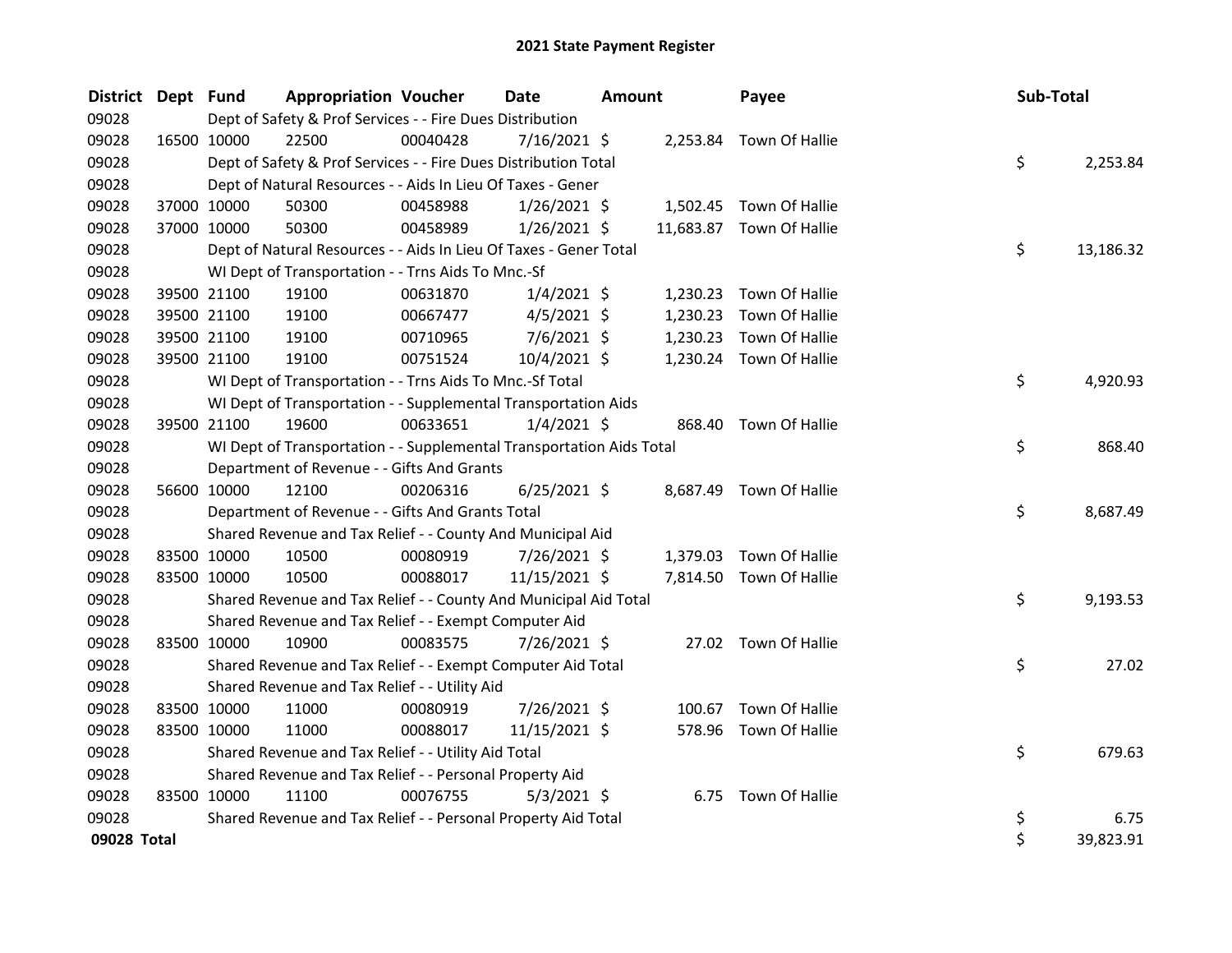| District Dept Fund |             |             | <b>Appropriation Voucher</b>                              |                                                                      | Date           | <b>Amount</b> |          | Payee                    | Sub-Total |           |
|--------------------|-------------|-------------|-----------------------------------------------------------|----------------------------------------------------------------------|----------------|---------------|----------|--------------------------|-----------|-----------|
| 09028              |             |             | Dept of Safety & Prof Services - - Fire Dues Distribution |                                                                      |                |               |          |                          |           |           |
| 09028              | 16500 10000 |             | 22500                                                     | 00040428                                                             | 7/16/2021 \$   |               |          | 2,253.84 Town Of Hallie  |           |           |
| 09028              |             |             |                                                           | Dept of Safety & Prof Services - - Fire Dues Distribution Total      |                |               |          |                          | \$        | 2,253.84  |
| 09028              |             |             |                                                           | Dept of Natural Resources - - Aids In Lieu Of Taxes - Gener          |                |               |          |                          |           |           |
| 09028              |             | 37000 10000 | 50300                                                     | 00458988                                                             | $1/26/2021$ \$ |               |          | 1,502.45 Town Of Hallie  |           |           |
| 09028              | 37000 10000 |             | 50300                                                     | 00458989                                                             | $1/26/2021$ \$ |               |          | 11,683.87 Town Of Hallie |           |           |
| 09028              |             |             |                                                           | Dept of Natural Resources - - Aids In Lieu Of Taxes - Gener Total    |                |               |          |                          | \$        | 13,186.32 |
| 09028              |             |             |                                                           | WI Dept of Transportation - - Trns Aids To Mnc.-Sf                   |                |               |          |                          |           |           |
| 09028              | 39500 21100 |             | 19100                                                     | 00631870                                                             | $1/4/2021$ \$  |               | 1,230.23 | Town Of Hallie           |           |           |
| 09028              |             | 39500 21100 | 19100                                                     | 00667477                                                             | $4/5/2021$ \$  |               | 1,230.23 | Town Of Hallie           |           |           |
| 09028              | 39500 21100 |             | 19100                                                     | 00710965                                                             | $7/6/2021$ \$  |               | 1,230.23 | Town Of Hallie           |           |           |
| 09028              |             | 39500 21100 | 19100                                                     | 00751524                                                             | 10/4/2021 \$   |               |          | 1,230.24 Town Of Hallie  |           |           |
| 09028              |             |             |                                                           | WI Dept of Transportation - - Trns Aids To Mnc.-Sf Total             |                |               |          |                          | \$        | 4,920.93  |
| 09028              |             |             |                                                           | WI Dept of Transportation - - Supplemental Transportation Aids       |                |               |          |                          |           |           |
| 09028              | 39500 21100 |             | 19600                                                     | 00633651                                                             | $1/4/2021$ \$  |               | 868.40   | Town Of Hallie           |           |           |
| 09028              |             |             |                                                           | WI Dept of Transportation - - Supplemental Transportation Aids Total |                |               |          |                          | \$        | 868.40    |
| 09028              |             |             |                                                           | Department of Revenue - - Gifts And Grants                           |                |               |          |                          |           |           |
| 09028              | 56600 10000 |             | 12100                                                     | 00206316                                                             | $6/25/2021$ \$ |               |          | 8,687.49 Town Of Hallie  |           |           |
| 09028              |             |             |                                                           | Department of Revenue - - Gifts And Grants Total                     |                |               |          |                          | \$        | 8,687.49  |
| 09028              |             |             |                                                           | Shared Revenue and Tax Relief - - County And Municipal Aid           |                |               |          |                          |           |           |
| 09028              |             | 83500 10000 | 10500                                                     | 00080919                                                             | 7/26/2021 \$   |               | 1,379.03 | Town Of Hallie           |           |           |
| 09028              |             | 83500 10000 | 10500                                                     | 00088017                                                             | 11/15/2021 \$  |               |          | 7,814.50 Town Of Hallie  |           |           |
| 09028              |             |             |                                                           | Shared Revenue and Tax Relief - - County And Municipal Aid Total     |                |               |          |                          | \$        | 9,193.53  |
| 09028              |             |             |                                                           | Shared Revenue and Tax Relief - - Exempt Computer Aid                |                |               |          |                          |           |           |
| 09028              | 83500 10000 |             | 10900                                                     | 00083575                                                             | 7/26/2021 \$   |               |          | 27.02 Town Of Hallie     |           |           |
| 09028              |             |             |                                                           | Shared Revenue and Tax Relief - - Exempt Computer Aid Total          |                |               |          |                          | \$        | 27.02     |
| 09028              |             |             |                                                           | Shared Revenue and Tax Relief - - Utility Aid                        |                |               |          |                          |           |           |
| 09028              |             | 83500 10000 | 11000                                                     | 00080919                                                             | 7/26/2021 \$   |               | 100.67   | Town Of Hallie           |           |           |
| 09028              | 83500 10000 |             | 11000                                                     | 00088017                                                             | 11/15/2021 \$  |               |          | 578.96 Town Of Hallie    |           |           |
| 09028              |             |             |                                                           | Shared Revenue and Tax Relief - - Utility Aid Total                  |                |               |          |                          | \$        | 679.63    |
| 09028              |             |             |                                                           | Shared Revenue and Tax Relief - - Personal Property Aid              |                |               |          |                          |           |           |
| 09028              | 83500 10000 |             | 11100                                                     | 00076755                                                             | $5/3/2021$ \$  |               |          | 6.75 Town Of Hallie      |           |           |
| 09028              |             |             |                                                           | Shared Revenue and Tax Relief - - Personal Property Aid Total        |                |               |          |                          | \$        | 6.75      |
| 09028 Total        |             |             |                                                           |                                                                      |                |               |          |                          | \$        | 39,823.91 |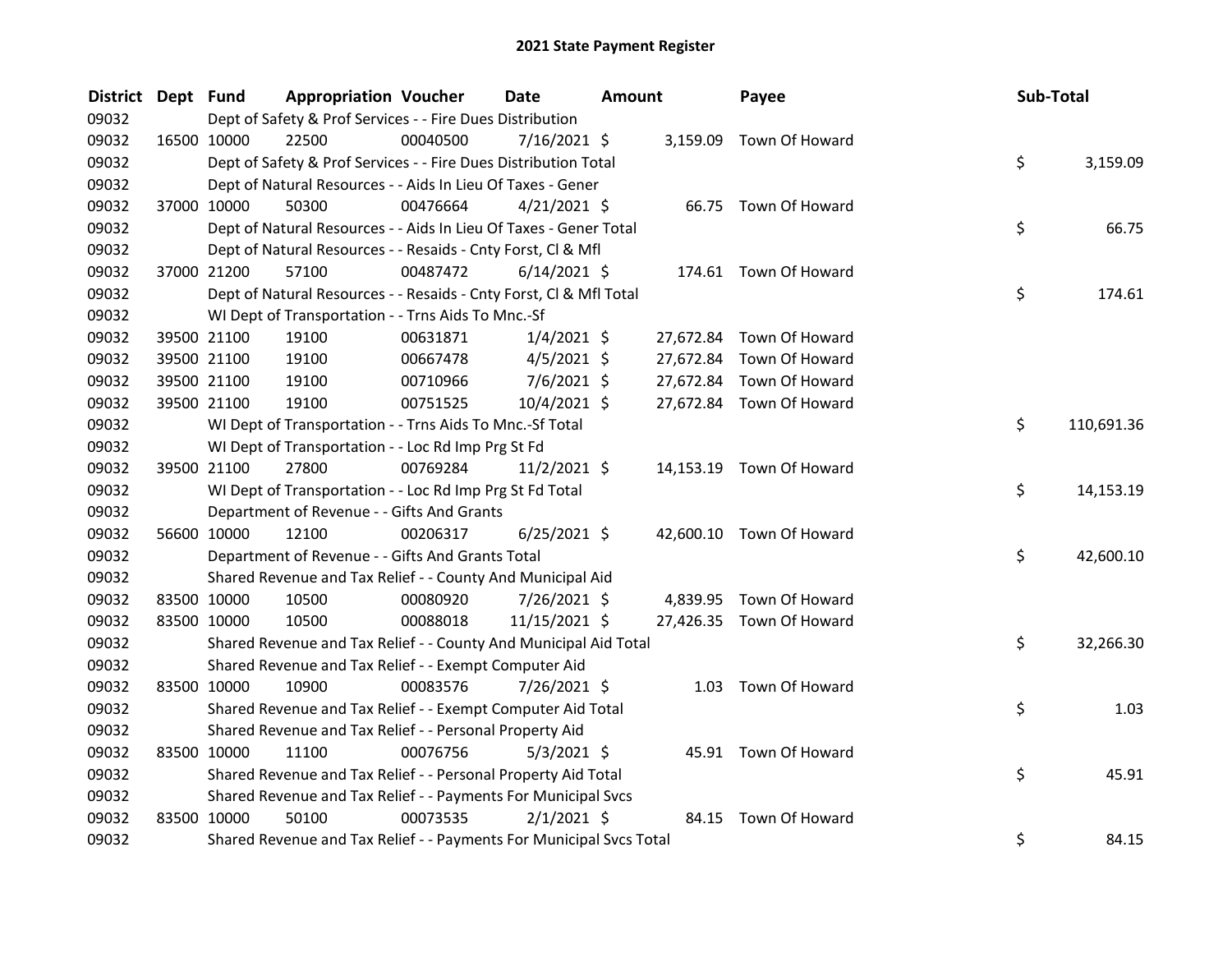| <b>District</b> | Dept Fund |                      | <b>Appropriation Voucher</b> |                                                                     | Date           | <b>Amount</b> |           | Payee                    | Sub-Total |            |
|-----------------|-----------|----------------------|------------------------------|---------------------------------------------------------------------|----------------|---------------|-----------|--------------------------|-----------|------------|
| 09032           |           |                      |                              | Dept of Safety & Prof Services - - Fire Dues Distribution           |                |               |           |                          |           |            |
| 09032           |           | 16500 10000          | 22500                        | 00040500                                                            | 7/16/2021 \$   |               |           | 3,159.09 Town Of Howard  |           |            |
| 09032           |           |                      |                              | Dept of Safety & Prof Services - - Fire Dues Distribution Total     |                |               |           |                          | \$        | 3,159.09   |
| 09032           |           |                      |                              | Dept of Natural Resources - - Aids In Lieu Of Taxes - Gener         |                |               |           |                          |           |            |
| 09032           |           | 37000 10000          | 50300                        | 00476664                                                            | $4/21/2021$ \$ |               |           | 66.75 Town Of Howard     |           |            |
| 09032           |           |                      |                              | Dept of Natural Resources - - Aids In Lieu Of Taxes - Gener Total   |                |               |           |                          | \$        | 66.75      |
| 09032           |           |                      |                              | Dept of Natural Resources - - Resaids - Cnty Forst, Cl & Mfl        |                |               |           |                          |           |            |
| 09032           |           | 37000 21200          | 57100                        | 00487472                                                            | $6/14/2021$ \$ |               |           | 174.61 Town Of Howard    |           |            |
| 09032           |           |                      |                              | Dept of Natural Resources - - Resaids - Cnty Forst, Cl & Mfl Total  |                |               |           |                          | \$        | 174.61     |
| 09032           |           |                      |                              | WI Dept of Transportation - - Trns Aids To Mnc.-Sf                  |                |               |           |                          |           |            |
| 09032           |           | 39500 21100<br>19100 |                              | 00631871                                                            | $1/4/2021$ \$  |               | 27,672.84 | Town Of Howard           |           |            |
| 09032           |           | 39500 21100<br>19100 |                              | 00667478                                                            | $4/5/2021$ \$  |               |           | 27,672.84 Town Of Howard |           |            |
| 09032           |           | 39500 21100<br>19100 |                              | 00710966                                                            | 7/6/2021 \$    |               |           | 27,672.84 Town Of Howard |           |            |
| 09032           |           | 39500 21100          | 19100                        | 00751525                                                            | 10/4/2021 \$   |               |           | 27,672.84 Town Of Howard |           |            |
| 09032           |           |                      |                              | WI Dept of Transportation - - Trns Aids To Mnc.-Sf Total            |                |               |           |                          | \$        | 110,691.36 |
| 09032           |           |                      |                              | WI Dept of Transportation - - Loc Rd Imp Prg St Fd                  |                |               |           |                          |           |            |
| 09032           |           | 39500 21100          | 27800                        | 00769284                                                            | $11/2/2021$ \$ |               |           | 14,153.19 Town Of Howard |           |            |
| 09032           |           |                      |                              | WI Dept of Transportation - - Loc Rd Imp Prg St Fd Total            |                |               |           |                          | \$        | 14,153.19  |
| 09032           |           |                      |                              | Department of Revenue - - Gifts And Grants                          |                |               |           |                          |           |            |
| 09032           |           | 56600 10000          | 12100                        | 00206317                                                            | $6/25/2021$ \$ |               |           | 42,600.10 Town Of Howard |           |            |
| 09032           |           |                      |                              | Department of Revenue - - Gifts And Grants Total                    |                |               |           |                          | \$        | 42,600.10  |
| 09032           |           |                      |                              | Shared Revenue and Tax Relief - - County And Municipal Aid          |                |               |           |                          |           |            |
| 09032           |           | 83500 10000          | 10500                        | 00080920                                                            | 7/26/2021 \$   |               |           | 4,839.95 Town Of Howard  |           |            |
| 09032           |           | 83500 10000          | 10500                        | 00088018                                                            | 11/15/2021 \$  |               |           | 27,426.35 Town Of Howard |           |            |
| 09032           |           |                      |                              | Shared Revenue and Tax Relief - - County And Municipal Aid Total    |                |               |           |                          | \$        | 32,266.30  |
| 09032           |           |                      |                              | Shared Revenue and Tax Relief - - Exempt Computer Aid               |                |               |           |                          |           |            |
| 09032           |           | 83500 10000          | 10900                        | 00083576                                                            | 7/26/2021 \$   |               |           | 1.03 Town Of Howard      |           |            |
| 09032           |           |                      |                              | Shared Revenue and Tax Relief - - Exempt Computer Aid Total         |                |               |           |                          | \$        | 1.03       |
| 09032           |           |                      |                              | Shared Revenue and Tax Relief - - Personal Property Aid             |                |               |           |                          |           |            |
| 09032           |           | 83500 10000          | 11100                        | 00076756                                                            | $5/3/2021$ \$  |               |           | 45.91 Town Of Howard     |           |            |
| 09032           |           |                      |                              | Shared Revenue and Tax Relief - - Personal Property Aid Total       |                |               |           |                          | \$        | 45.91      |
| 09032           |           |                      |                              | Shared Revenue and Tax Relief - - Payments For Municipal Svcs       |                |               |           |                          |           |            |
| 09032           |           | 83500 10000          | 50100                        | 00073535                                                            | $2/1/2021$ \$  |               |           | 84.15 Town Of Howard     |           |            |
| 09032           |           |                      |                              | Shared Revenue and Tax Relief - - Payments For Municipal Svcs Total |                |               |           |                          | \$        | 84.15      |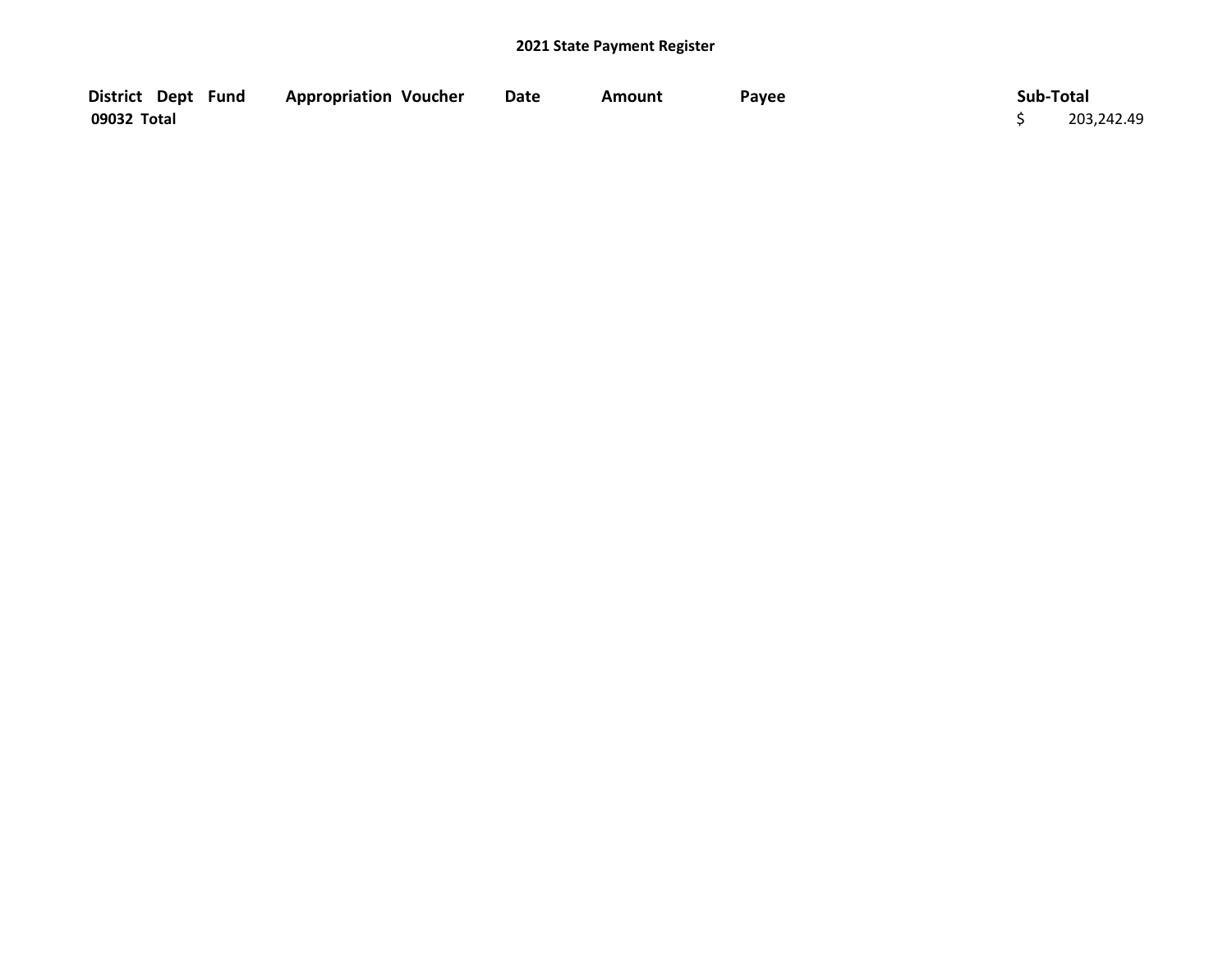| District Dept Fund | <b>Appropriation Voucher</b> | <b>Date</b> | Amount | Payee | Sub-Total  |
|--------------------|------------------------------|-------------|--------|-------|------------|
| 09032 Total        |                              |             |        |       | 203,242.49 |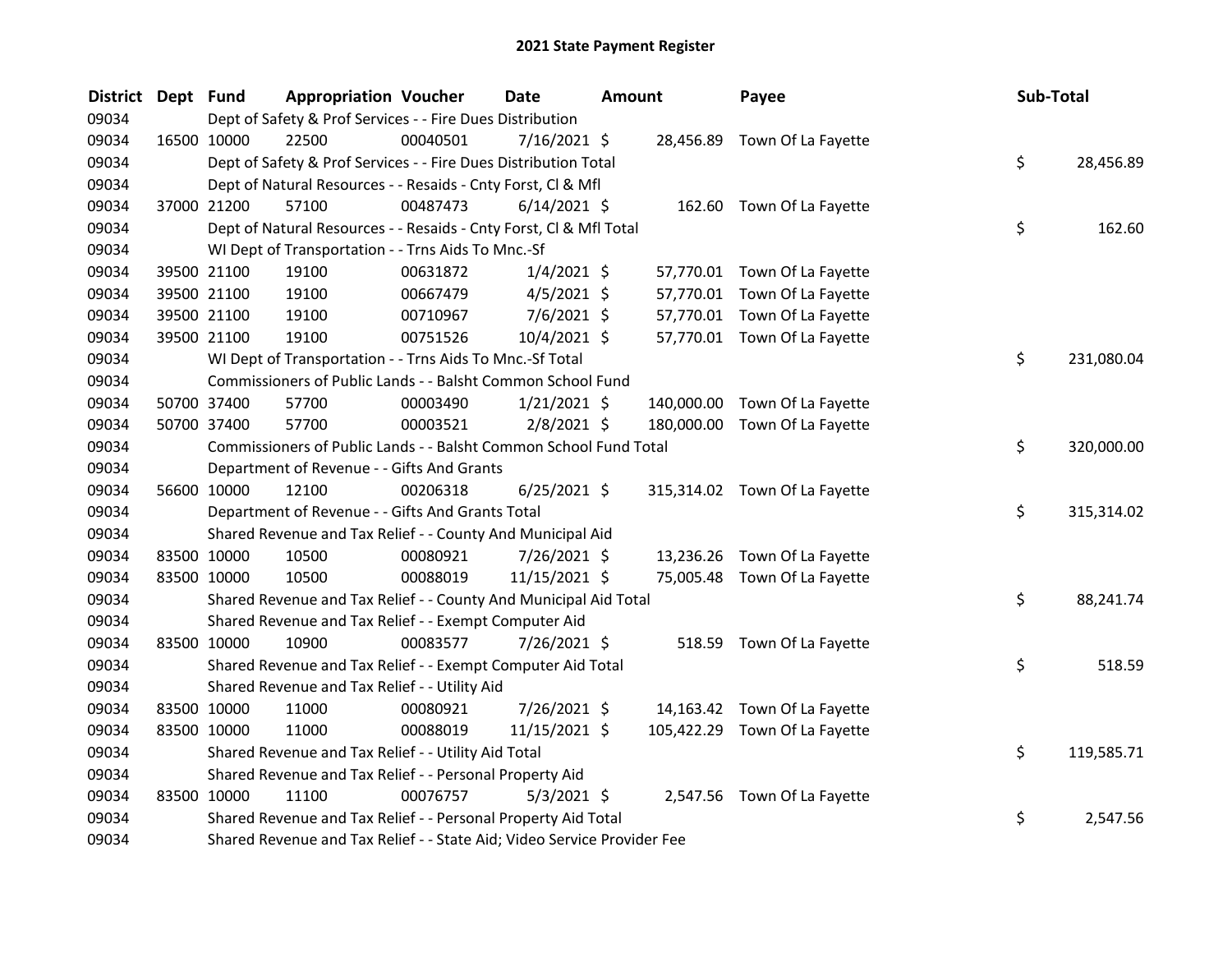| <b>District</b> | Dept Fund |             | <b>Appropriation Voucher</b>                                            |          | Date           | <b>Amount</b> |            | Payee                         | Sub-Total |            |
|-----------------|-----------|-------------|-------------------------------------------------------------------------|----------|----------------|---------------|------------|-------------------------------|-----------|------------|
| 09034           |           |             | Dept of Safety & Prof Services - - Fire Dues Distribution               |          |                |               |            |                               |           |            |
| 09034           |           | 16500 10000 | 22500                                                                   | 00040501 | $7/16/2021$ \$ |               |            | 28,456.89 Town Of La Fayette  |           |            |
| 09034           |           |             | Dept of Safety & Prof Services - - Fire Dues Distribution Total         |          |                |               |            |                               | \$        | 28,456.89  |
| 09034           |           |             | Dept of Natural Resources - - Resaids - Cnty Forst, Cl & Mfl            |          |                |               |            |                               |           |            |
| 09034           |           | 37000 21200 | 57100                                                                   | 00487473 | $6/14/2021$ \$ |               |            | 162.60 Town Of La Fayette     |           |            |
| 09034           |           |             | Dept of Natural Resources - - Resaids - Cnty Forst, Cl & Mfl Total      |          |                |               |            |                               | \$        | 162.60     |
| 09034           |           |             | WI Dept of Transportation - - Trns Aids To Mnc.-Sf                      |          |                |               |            |                               |           |            |
| 09034           |           | 39500 21100 | 19100                                                                   | 00631872 | $1/4/2021$ \$  |               |            | 57,770.01 Town Of La Fayette  |           |            |
| 09034           |           | 39500 21100 | 19100                                                                   | 00667479 | $4/5/2021$ \$  |               |            | 57,770.01 Town Of La Fayette  |           |            |
| 09034           |           | 39500 21100 | 19100                                                                   | 00710967 | 7/6/2021 \$    |               | 57,770.01  | Town Of La Fayette            |           |            |
| 09034           |           | 39500 21100 | 19100                                                                   | 00751526 | 10/4/2021 \$   |               |            | 57,770.01 Town Of La Fayette  |           |            |
| 09034           |           |             | WI Dept of Transportation - - Trns Aids To Mnc.-Sf Total                |          |                |               |            |                               | \$        | 231,080.04 |
| 09034           |           |             | Commissioners of Public Lands - - Balsht Common School Fund             |          |                |               |            |                               |           |            |
| 09034           |           | 50700 37400 | 57700                                                                   | 00003490 | $1/21/2021$ \$ |               | 140,000.00 | Town Of La Fayette            |           |            |
| 09034           |           | 50700 37400 | 57700                                                                   | 00003521 | $2/8/2021$ \$  |               | 180,000.00 | Town Of La Fayette            |           |            |
| 09034           |           |             | Commissioners of Public Lands - - Balsht Common School Fund Total       |          |                |               |            |                               | \$        | 320,000.00 |
| 09034           |           |             | Department of Revenue - - Gifts And Grants                              |          |                |               |            |                               |           |            |
| 09034           |           | 56600 10000 | 12100                                                                   | 00206318 | $6/25/2021$ \$ |               |            | 315,314.02 Town Of La Fayette |           |            |
| 09034           |           |             | Department of Revenue - - Gifts And Grants Total                        |          |                |               |            |                               | \$        | 315,314.02 |
| 09034           |           |             | Shared Revenue and Tax Relief - - County And Municipal Aid              |          |                |               |            |                               |           |            |
| 09034           |           | 83500 10000 | 10500                                                                   | 00080921 | 7/26/2021 \$   |               | 13,236.26  | Town Of La Fayette            |           |            |
| 09034           |           | 83500 10000 | 10500                                                                   | 00088019 | 11/15/2021 \$  |               | 75,005.48  | Town Of La Fayette            |           |            |
| 09034           |           |             | Shared Revenue and Tax Relief - - County And Municipal Aid Total        |          |                |               |            |                               | \$        | 88,241.74  |
| 09034           |           |             | Shared Revenue and Tax Relief - - Exempt Computer Aid                   |          |                |               |            |                               |           |            |
| 09034           |           | 83500 10000 | 10900                                                                   | 00083577 | 7/26/2021 \$   |               |            | 518.59 Town Of La Fayette     |           |            |
| 09034           |           |             | Shared Revenue and Tax Relief - - Exempt Computer Aid Total             |          |                |               |            |                               | \$        | 518.59     |
| 09034           |           |             | Shared Revenue and Tax Relief - - Utility Aid                           |          |                |               |            |                               |           |            |
| 09034           |           | 83500 10000 | 11000                                                                   | 00080921 | 7/26/2021 \$   |               |            | 14,163.42 Town Of La Fayette  |           |            |
| 09034           |           | 83500 10000 | 11000                                                                   | 00088019 | 11/15/2021 \$  |               |            | 105,422.29 Town Of La Fayette |           |            |
| 09034           |           |             | Shared Revenue and Tax Relief - - Utility Aid Total                     |          |                |               |            |                               | \$        | 119,585.71 |
| 09034           |           |             | Shared Revenue and Tax Relief - - Personal Property Aid                 |          |                |               |            |                               |           |            |
| 09034           |           | 83500 10000 | 11100                                                                   | 00076757 | $5/3/2021$ \$  |               |            | 2,547.56 Town Of La Fayette   |           |            |
| 09034           |           |             | Shared Revenue and Tax Relief - - Personal Property Aid Total           |          |                |               |            |                               | \$        | 2,547.56   |
| 09034           |           |             | Shared Revenue and Tax Relief - - State Aid; Video Service Provider Fee |          |                |               |            |                               |           |            |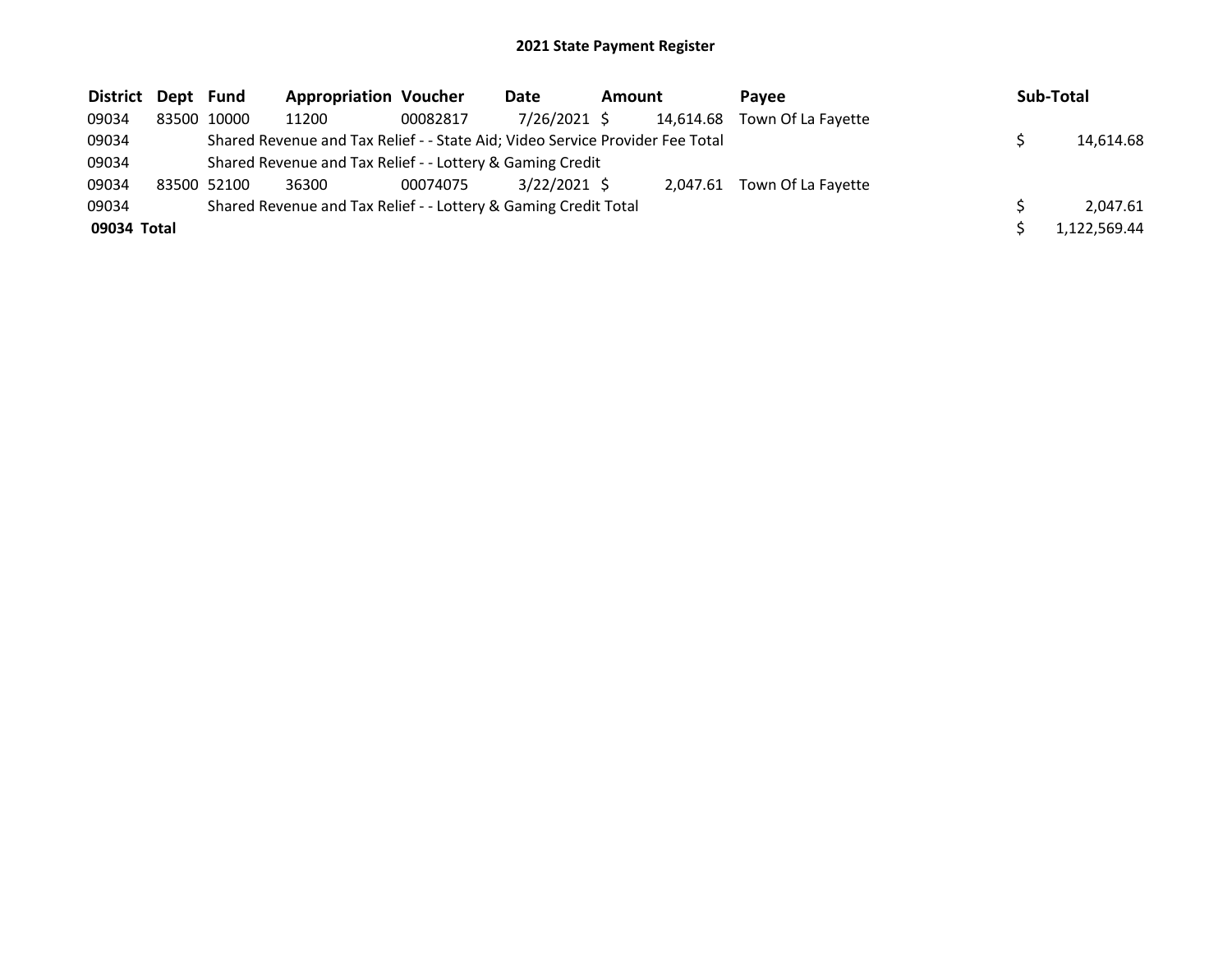| District Dept Fund |             | <b>Appropriation Voucher</b>                                                  |          | Date           | Amount |           | <b>Pavee</b>       | Sub-Total    |
|--------------------|-------------|-------------------------------------------------------------------------------|----------|----------------|--------|-----------|--------------------|--------------|
| 09034              | 83500 10000 | 11200                                                                         | 00082817 | 7/26/2021 \$   |        | 14,614.68 | Town Of La Fayette |              |
| 09034              |             | Shared Revenue and Tax Relief - - State Aid; Video Service Provider Fee Total |          |                |        |           |                    | 14,614.68    |
| 09034              |             | Shared Revenue and Tax Relief - - Lottery & Gaming Credit                     |          |                |        |           |                    |              |
| 09034              | 83500 52100 | 36300                                                                         | 00074075 | $3/22/2021$ \$ |        | 2.047.61  | Town Of La Fayette |              |
| 09034              |             | Shared Revenue and Tax Relief - - Lottery & Gaming Credit Total               |          |                |        |           |                    | 2.047.61     |
| 09034 Total        |             |                                                                               |          |                |        |           |                    | 1,122,569.44 |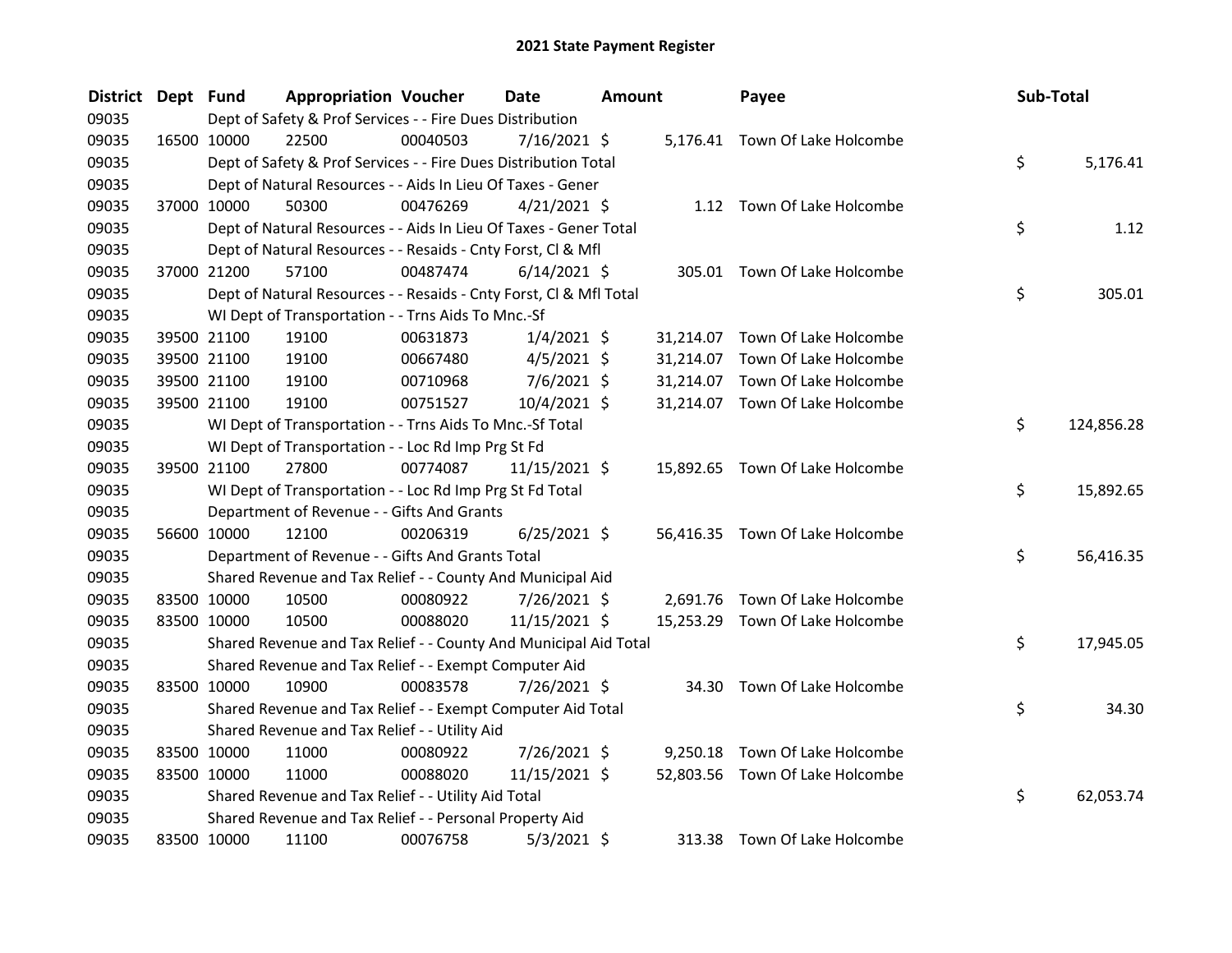| <b>District</b> | Dept Fund |             | <b>Appropriation Voucher</b>                                       |          | <b>Date</b>    | <b>Amount</b> |           | Payee                           | Sub-Total |            |
|-----------------|-----------|-------------|--------------------------------------------------------------------|----------|----------------|---------------|-----------|---------------------------------|-----------|------------|
| 09035           |           |             | Dept of Safety & Prof Services - - Fire Dues Distribution          |          |                |               |           |                                 |           |            |
| 09035           |           | 16500 10000 | 22500                                                              | 00040503 | $7/16/2021$ \$ |               |           | 5,176.41 Town Of Lake Holcombe  |           |            |
| 09035           |           |             | Dept of Safety & Prof Services - - Fire Dues Distribution Total    |          |                |               |           |                                 | \$        | 5,176.41   |
| 09035           |           |             | Dept of Natural Resources - - Aids In Lieu Of Taxes - Gener        |          |                |               |           |                                 |           |            |
| 09035           |           | 37000 10000 | 50300                                                              | 00476269 | $4/21/2021$ \$ |               |           | 1.12 Town Of Lake Holcombe      |           |            |
| 09035           |           |             | Dept of Natural Resources - - Aids In Lieu Of Taxes - Gener Total  |          |                |               |           |                                 | \$        | 1.12       |
| 09035           |           |             | Dept of Natural Resources - - Resaids - Cnty Forst, Cl & Mfl       |          |                |               |           |                                 |           |            |
| 09035           |           | 37000 21200 | 57100                                                              | 00487474 | $6/14/2021$ \$ |               |           | 305.01 Town Of Lake Holcombe    |           |            |
| 09035           |           |             | Dept of Natural Resources - - Resaids - Cnty Forst, Cl & Mfl Total |          |                |               |           |                                 | \$        | 305.01     |
| 09035           |           |             | WI Dept of Transportation - - Trns Aids To Mnc.-Sf                 |          |                |               |           |                                 |           |            |
| 09035           |           | 39500 21100 | 19100                                                              | 00631873 | $1/4/2021$ \$  |               | 31,214.07 | Town Of Lake Holcombe           |           |            |
| 09035           |           | 39500 21100 | 19100                                                              | 00667480 | $4/5/2021$ \$  |               | 31,214.07 | Town Of Lake Holcombe           |           |            |
| 09035           |           | 39500 21100 | 19100                                                              | 00710968 | 7/6/2021 \$    |               | 31,214.07 | Town Of Lake Holcombe           |           |            |
| 09035           |           | 39500 21100 | 19100                                                              | 00751527 | 10/4/2021 \$   |               |           | 31,214.07 Town Of Lake Holcombe |           |            |
| 09035           |           |             | WI Dept of Transportation - - Trns Aids To Mnc.-Sf Total           |          |                |               |           |                                 | \$        | 124,856.28 |
| 09035           |           |             | WI Dept of Transportation - - Loc Rd Imp Prg St Fd                 |          |                |               |           |                                 |           |            |
| 09035           |           | 39500 21100 | 27800                                                              | 00774087 | 11/15/2021 \$  |               |           | 15,892.65 Town Of Lake Holcombe |           |            |
| 09035           |           |             | WI Dept of Transportation - - Loc Rd Imp Prg St Fd Total           |          |                |               |           |                                 | \$        | 15,892.65  |
| 09035           |           |             | Department of Revenue - - Gifts And Grants                         |          |                |               |           |                                 |           |            |
| 09035           |           | 56600 10000 | 12100                                                              | 00206319 | $6/25/2021$ \$ |               |           | 56,416.35 Town Of Lake Holcombe |           |            |
| 09035           |           |             | Department of Revenue - - Gifts And Grants Total                   |          |                |               |           |                                 | \$        | 56,416.35  |
| 09035           |           |             | Shared Revenue and Tax Relief - - County And Municipal Aid         |          |                |               |           |                                 |           |            |
| 09035           |           | 83500 10000 | 10500                                                              | 00080922 | 7/26/2021 \$   |               |           | 2,691.76 Town Of Lake Holcombe  |           |            |
| 09035           |           | 83500 10000 | 10500                                                              | 00088020 | 11/15/2021 \$  |               |           | 15,253.29 Town Of Lake Holcombe |           |            |
| 09035           |           |             | Shared Revenue and Tax Relief - - County And Municipal Aid Total   |          |                |               |           |                                 | \$        | 17,945.05  |
| 09035           |           |             | Shared Revenue and Tax Relief - - Exempt Computer Aid              |          |                |               |           |                                 |           |            |
| 09035           |           | 83500 10000 | 10900                                                              | 00083578 | 7/26/2021 \$   |               |           | 34.30 Town Of Lake Holcombe     |           |            |
| 09035           |           |             | Shared Revenue and Tax Relief - - Exempt Computer Aid Total        |          |                |               |           |                                 | \$        | 34.30      |
| 09035           |           |             | Shared Revenue and Tax Relief - - Utility Aid                      |          |                |               |           |                                 |           |            |
| 09035           |           | 83500 10000 | 11000                                                              | 00080922 | 7/26/2021 \$   |               |           | 9,250.18 Town Of Lake Holcombe  |           |            |
| 09035           |           | 83500 10000 | 11000                                                              | 00088020 | 11/15/2021 \$  |               |           | 52,803.56 Town Of Lake Holcombe |           |            |
| 09035           |           |             | Shared Revenue and Tax Relief - - Utility Aid Total                |          |                |               |           |                                 | \$        | 62,053.74  |
| 09035           |           |             | Shared Revenue and Tax Relief - - Personal Property Aid            |          |                |               |           |                                 |           |            |
| 09035           |           | 83500 10000 | 11100                                                              | 00076758 | $5/3/2021$ \$  |               | 313.38    | Town Of Lake Holcombe           |           |            |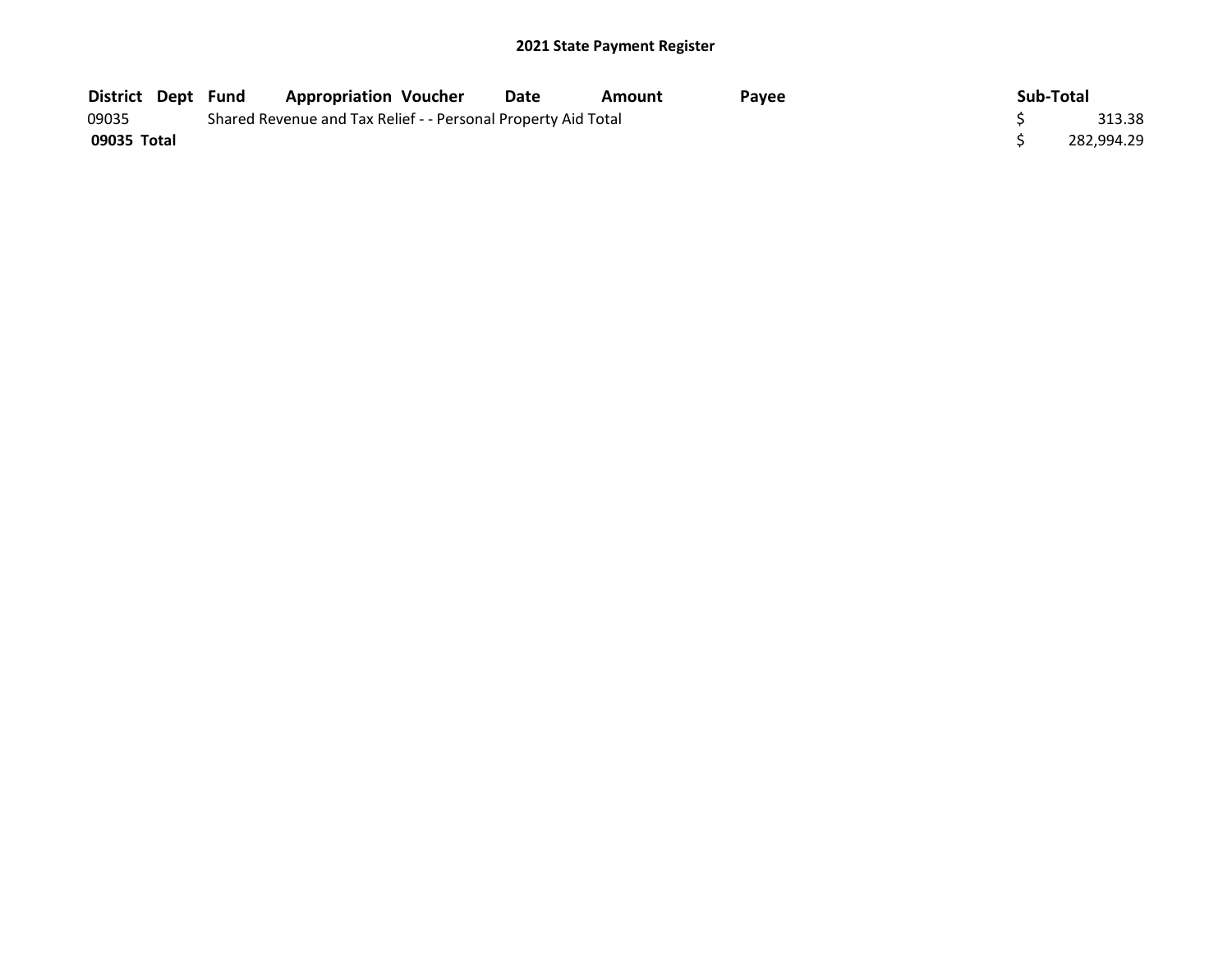| <b>District Dept Fund</b> |                                                               | <b>Appropriation Voucher</b> | Date | Amount | Payee | Sub-Total  |
|---------------------------|---------------------------------------------------------------|------------------------------|------|--------|-------|------------|
| 09035                     | Shared Revenue and Tax Relief - - Personal Property Aid Total | 313.38                       |      |        |       |            |
| 09035 Total               |                                                               |                              |      |        |       | 282.994.29 |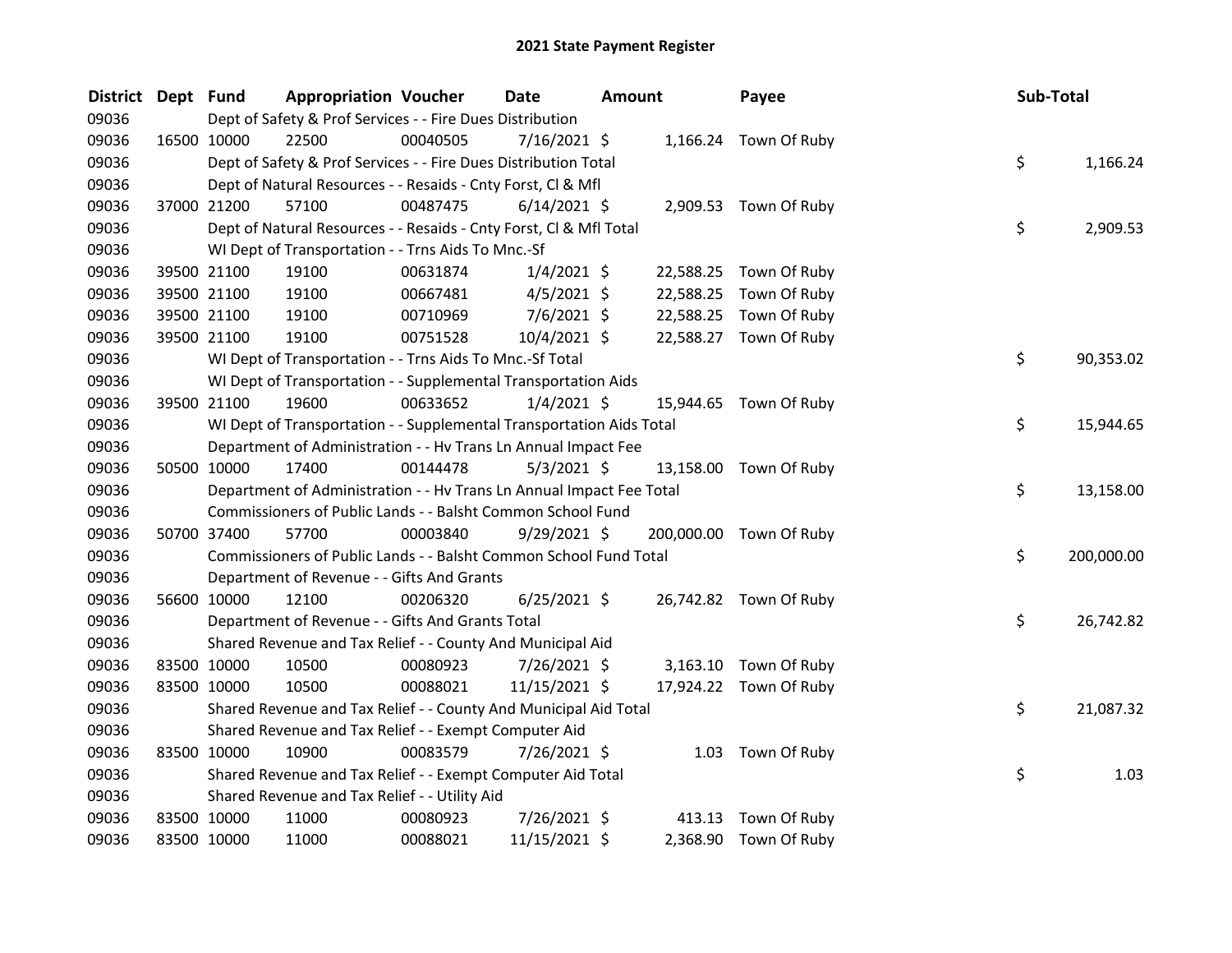| District Dept Fund |             | <b>Appropriation Voucher</b>                                         |          | <b>Date</b>    | Amount |           | Payee                   | Sub-Total |            |
|--------------------|-------------|----------------------------------------------------------------------|----------|----------------|--------|-----------|-------------------------|-----------|------------|
| 09036              |             | Dept of Safety & Prof Services - - Fire Dues Distribution            |          |                |        |           |                         |           |            |
| 09036              | 16500 10000 | 22500                                                                | 00040505 | 7/16/2021 \$   |        |           | 1,166.24 Town Of Ruby   |           |            |
| 09036              |             | Dept of Safety & Prof Services - - Fire Dues Distribution Total      |          |                |        |           |                         | \$        | 1,166.24   |
| 09036              |             | Dept of Natural Resources - - Resaids - Cnty Forst, Cl & Mfl         |          |                |        |           |                         |           |            |
| 09036              | 37000 21200 | 57100                                                                | 00487475 | $6/14/2021$ \$ |        |           | 2,909.53 Town Of Ruby   |           |            |
| 09036              |             | Dept of Natural Resources - - Resaids - Cnty Forst, Cl & Mfl Total   |          |                |        |           |                         | \$        | 2,909.53   |
| 09036              |             | WI Dept of Transportation - - Trns Aids To Mnc.-Sf                   |          |                |        |           |                         |           |            |
| 09036              | 39500 21100 | 19100                                                                | 00631874 | $1/4/2021$ \$  |        | 22,588.25 | Town Of Ruby            |           |            |
| 09036              | 39500 21100 | 19100                                                                | 00667481 | $4/5/2021$ \$  |        | 22,588.25 | Town Of Ruby            |           |            |
| 09036              | 39500 21100 | 19100                                                                | 00710969 | $7/6/2021$ \$  |        | 22,588.25 | Town Of Ruby            |           |            |
| 09036              | 39500 21100 | 19100                                                                | 00751528 | 10/4/2021 \$   |        |           | 22,588.27 Town Of Ruby  |           |            |
| 09036              |             | WI Dept of Transportation - - Trns Aids To Mnc.-Sf Total             |          |                |        |           |                         | \$        | 90,353.02  |
| 09036              |             | WI Dept of Transportation - - Supplemental Transportation Aids       |          |                |        |           |                         |           |            |
| 09036              | 39500 21100 | 19600                                                                | 00633652 | $1/4/2021$ \$  |        |           | 15,944.65 Town Of Ruby  |           |            |
| 09036              |             | WI Dept of Transportation - - Supplemental Transportation Aids Total |          |                |        |           |                         | \$        | 15,944.65  |
| 09036              |             | Department of Administration - - Hv Trans Ln Annual Impact Fee       |          |                |        |           |                         |           |            |
| 09036              | 50500 10000 | 17400                                                                | 00144478 | $5/3/2021$ \$  |        |           | 13,158.00 Town Of Ruby  |           |            |
| 09036              |             | Department of Administration - - Hv Trans Ln Annual Impact Fee Total |          |                |        |           |                         | \$        | 13,158.00  |
| 09036              |             | Commissioners of Public Lands - - Balsht Common School Fund          |          |                |        |           |                         |           |            |
| 09036              | 50700 37400 | 57700                                                                | 00003840 | $9/29/2021$ \$ |        |           | 200,000.00 Town Of Ruby |           |            |
| 09036              |             | Commissioners of Public Lands - - Balsht Common School Fund Total    |          |                |        |           |                         | \$        | 200,000.00 |
| 09036              |             | Department of Revenue - - Gifts And Grants                           |          |                |        |           |                         |           |            |
| 09036              | 56600 10000 | 12100                                                                | 00206320 | $6/25/2021$ \$ |        |           | 26,742.82 Town Of Ruby  |           |            |
| 09036              |             | Department of Revenue - - Gifts And Grants Total                     |          |                |        |           |                         | \$        | 26,742.82  |
| 09036              |             | Shared Revenue and Tax Relief - - County And Municipal Aid           |          |                |        |           |                         |           |            |
| 09036              | 83500 10000 | 10500                                                                | 00080923 | 7/26/2021 \$   |        |           | 3,163.10 Town Of Ruby   |           |            |
| 09036              | 83500 10000 | 10500                                                                | 00088021 | 11/15/2021 \$  |        |           | 17,924.22 Town Of Ruby  |           |            |
| 09036              |             | Shared Revenue and Tax Relief - - County And Municipal Aid Total     |          |                |        |           |                         | \$        | 21,087.32  |
| 09036              |             | Shared Revenue and Tax Relief - - Exempt Computer Aid                |          |                |        |           |                         |           |            |
| 09036              | 83500 10000 | 10900                                                                | 00083579 | 7/26/2021 \$   |        |           | 1.03 Town Of Ruby       |           |            |
| 09036              |             | Shared Revenue and Tax Relief - - Exempt Computer Aid Total          |          |                |        |           |                         | \$        | 1.03       |
| 09036              |             | Shared Revenue and Tax Relief - - Utility Aid                        |          |                |        |           |                         |           |            |
| 09036              | 83500 10000 | 11000                                                                | 00080923 | 7/26/2021 \$   |        |           | 413.13 Town Of Ruby     |           |            |
| 09036              | 83500 10000 | 11000                                                                | 00088021 | 11/15/2021 \$  |        |           | 2,368.90 Town Of Ruby   |           |            |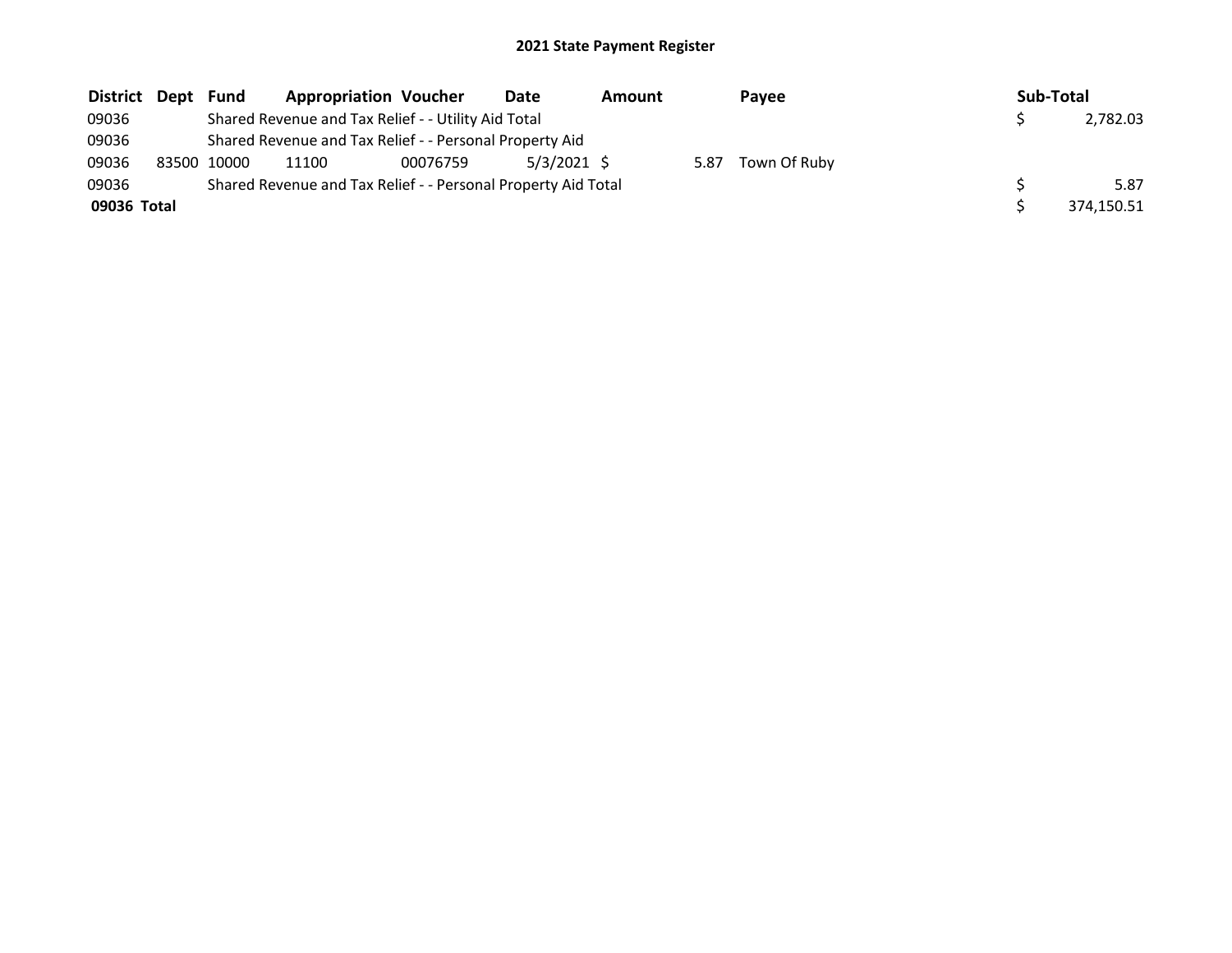| District Dept Fund |             | <b>Appropriation Voucher</b>                                  |          | Date          | <b>Amount</b> |      | <b>Pavee</b> | Sub-Total |            |
|--------------------|-------------|---------------------------------------------------------------|----------|---------------|---------------|------|--------------|-----------|------------|
| 09036              |             | Shared Revenue and Tax Relief - - Utility Aid Total           |          |               |               |      |              |           | 2.782.03   |
| 09036              |             | Shared Revenue and Tax Relief - - Personal Property Aid       |          |               |               |      |              |           |            |
| 09036              | 83500 10000 | 11100                                                         | 00076759 | $5/3/2021$ \$ |               | 5.87 | Town Of Ruby |           |            |
| 09036              |             | Shared Revenue and Tax Relief - - Personal Property Aid Total |          |               |               |      |              |           | 5.87       |
| 09036 Total        |             |                                                               |          |               |               |      |              |           | 374,150.51 |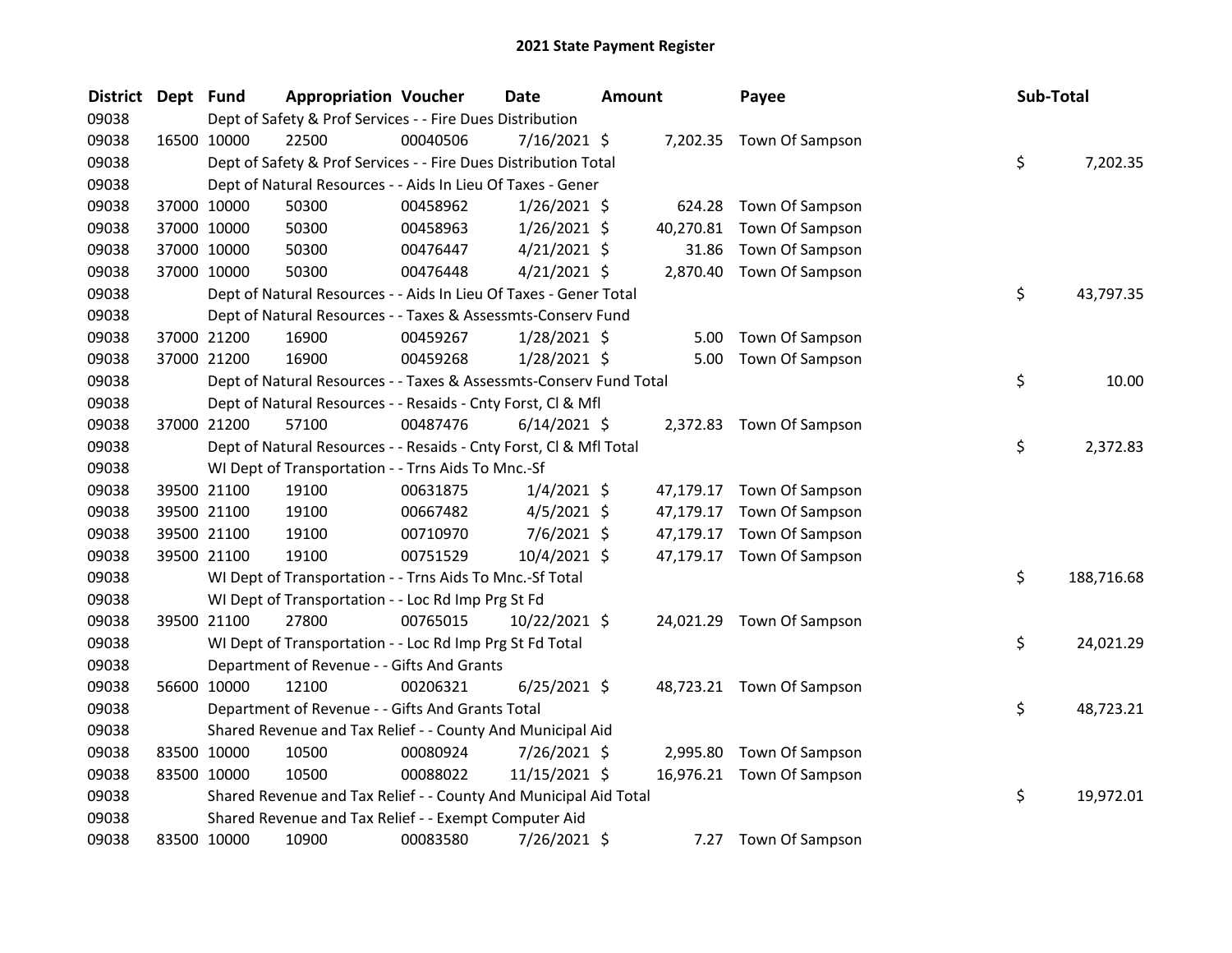| <b>District</b> | Dept Fund |             | <b>Appropriation Voucher</b>                                       |          | <b>Date</b>    | <b>Amount</b> |           | Payee                     | Sub-Total |            |
|-----------------|-----------|-------------|--------------------------------------------------------------------|----------|----------------|---------------|-----------|---------------------------|-----------|------------|
| 09038           |           |             | Dept of Safety & Prof Services - - Fire Dues Distribution          |          |                |               |           |                           |           |            |
| 09038           |           | 16500 10000 | 22500                                                              | 00040506 | $7/16/2021$ \$ |               |           | 7,202.35 Town Of Sampson  |           |            |
| 09038           |           |             | Dept of Safety & Prof Services - - Fire Dues Distribution Total    |          |                |               |           |                           | \$        | 7,202.35   |
| 09038           |           |             | Dept of Natural Resources - - Aids In Lieu Of Taxes - Gener        |          |                |               |           |                           |           |            |
| 09038           |           | 37000 10000 | 50300                                                              | 00458962 | $1/26/2021$ \$ |               |           | 624.28 Town Of Sampson    |           |            |
| 09038           |           | 37000 10000 | 50300                                                              | 00458963 | $1/26/2021$ \$ |               | 40,270.81 | Town Of Sampson           |           |            |
| 09038           |           | 37000 10000 | 50300                                                              | 00476447 | $4/21/2021$ \$ |               | 31.86     | Town Of Sampson           |           |            |
| 09038           |           | 37000 10000 | 50300                                                              | 00476448 | $4/21/2021$ \$ |               |           | 2,870.40 Town Of Sampson  |           |            |
| 09038           |           |             | Dept of Natural Resources - - Aids In Lieu Of Taxes - Gener Total  |          |                |               |           |                           | \$        | 43,797.35  |
| 09038           |           |             | Dept of Natural Resources - - Taxes & Assessmts-Conserv Fund       |          |                |               |           |                           |           |            |
| 09038           |           | 37000 21200 | 16900                                                              | 00459267 | $1/28/2021$ \$ |               | 5.00      | Town Of Sampson           |           |            |
| 09038           |           | 37000 21200 | 16900                                                              | 00459268 | $1/28/2021$ \$ |               | 5.00      | Town Of Sampson           |           |            |
| 09038           |           |             | Dept of Natural Resources - - Taxes & Assessmts-Conserv Fund Total |          |                |               |           |                           | \$        | 10.00      |
| 09038           |           |             | Dept of Natural Resources - - Resaids - Cnty Forst, Cl & Mfl       |          |                |               |           |                           |           |            |
| 09038           |           | 37000 21200 | 57100                                                              | 00487476 | $6/14/2021$ \$ |               |           | 2,372.83 Town Of Sampson  |           |            |
| 09038           |           |             | Dept of Natural Resources - - Resaids - Cnty Forst, Cl & Mfl Total |          |                |               |           |                           | \$        | 2,372.83   |
| 09038           |           |             | WI Dept of Transportation - - Trns Aids To Mnc.-Sf                 |          |                |               |           |                           |           |            |
| 09038           |           | 39500 21100 | 19100                                                              | 00631875 | $1/4/2021$ \$  |               |           | 47,179.17 Town Of Sampson |           |            |
| 09038           |           | 39500 21100 | 19100                                                              | 00667482 | $4/5/2021$ \$  |               |           | 47,179.17 Town Of Sampson |           |            |
| 09038           |           | 39500 21100 | 19100                                                              | 00710970 | $7/6/2021$ \$  |               | 47,179.17 | Town Of Sampson           |           |            |
| 09038           |           | 39500 21100 | 19100                                                              | 00751529 | $10/4/2021$ \$ |               |           | 47,179.17 Town Of Sampson |           |            |
| 09038           |           |             | WI Dept of Transportation - - Trns Aids To Mnc.-Sf Total           |          |                |               |           |                           | \$        | 188,716.68 |
| 09038           |           |             | WI Dept of Transportation - - Loc Rd Imp Prg St Fd                 |          |                |               |           |                           |           |            |
| 09038           |           | 39500 21100 | 27800                                                              | 00765015 | 10/22/2021 \$  |               |           | 24,021.29 Town Of Sampson |           |            |
| 09038           |           |             | WI Dept of Transportation - - Loc Rd Imp Prg St Fd Total           |          |                |               |           |                           | \$        | 24,021.29  |
| 09038           |           |             | Department of Revenue - - Gifts And Grants                         |          |                |               |           |                           |           |            |
| 09038           |           | 56600 10000 | 12100                                                              | 00206321 | $6/25/2021$ \$ |               |           | 48,723.21 Town Of Sampson |           |            |
| 09038           |           |             | Department of Revenue - - Gifts And Grants Total                   |          |                |               |           |                           | \$        | 48,723.21  |
| 09038           |           |             | Shared Revenue and Tax Relief - - County And Municipal Aid         |          |                |               |           |                           |           |            |
| 09038           |           | 83500 10000 | 10500                                                              | 00080924 | 7/26/2021 \$   |               |           | 2,995.80 Town Of Sampson  |           |            |
| 09038           |           | 83500 10000 | 10500                                                              | 00088022 | 11/15/2021 \$  |               |           | 16,976.21 Town Of Sampson |           |            |
| 09038           |           |             | Shared Revenue and Tax Relief - - County And Municipal Aid Total   |          |                |               |           |                           | \$        | 19,972.01  |
| 09038           |           |             | Shared Revenue and Tax Relief - - Exempt Computer Aid              |          |                |               |           |                           |           |            |
| 09038           |           | 83500 10000 | 10900                                                              | 00083580 | 7/26/2021 \$   |               | 7.27      | Town Of Sampson           |           |            |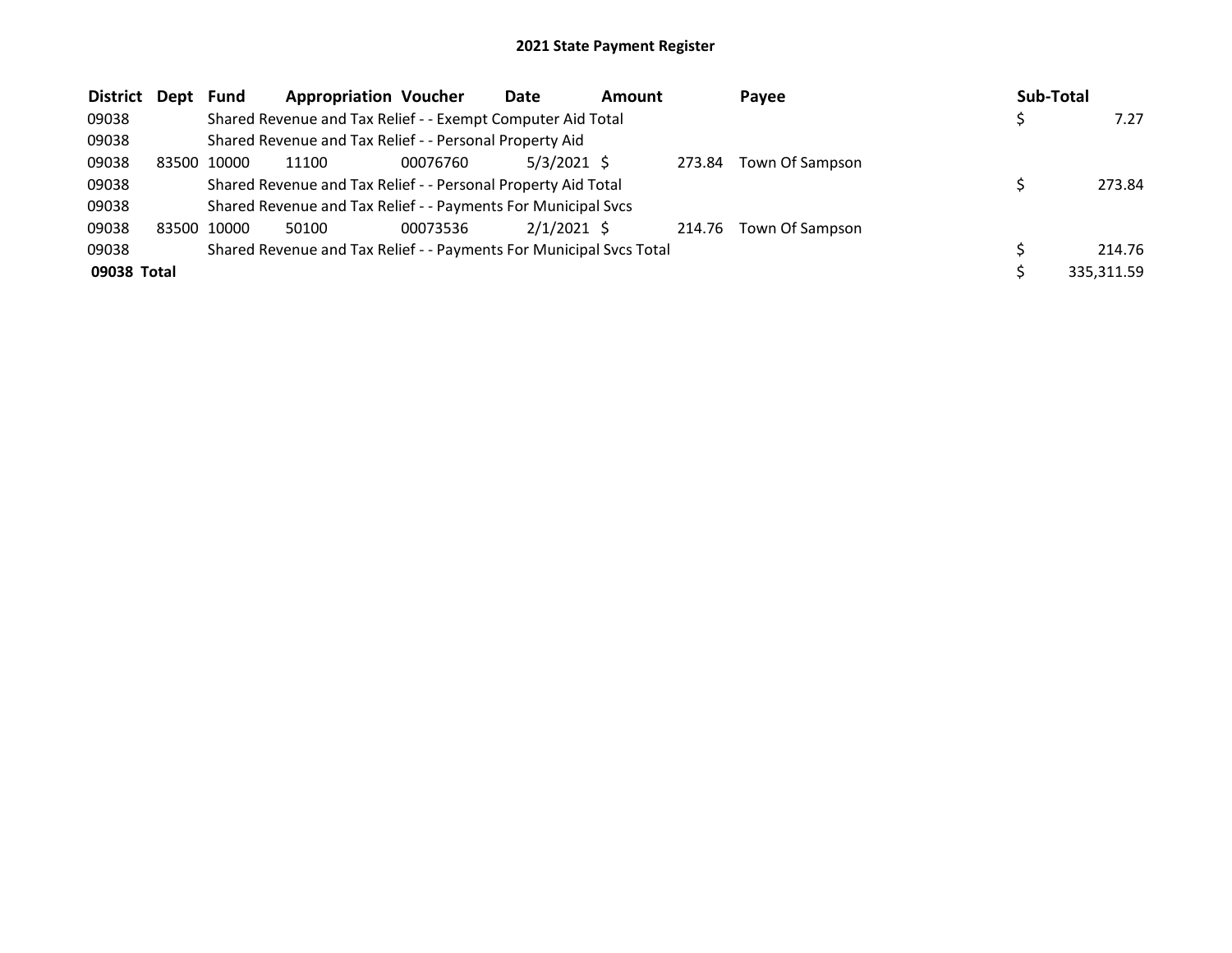| District Dept |       | Fund  | <b>Appropriation Voucher</b>                                        |          | Date          | <b>Amount</b> |        | Payee                  | Sub-Total |            |
|---------------|-------|-------|---------------------------------------------------------------------|----------|---------------|---------------|--------|------------------------|-----------|------------|
| 09038         |       |       | Shared Revenue and Tax Relief - - Exempt Computer Aid Total         |          |               |               |        |                        |           | 7.27       |
| 09038         |       |       | Shared Revenue and Tax Relief - - Personal Property Aid             |          |               |               |        |                        |           |            |
| 09038         | 83500 | 10000 | 11100                                                               | 00076760 | $5/3/2021$ \$ |               | 273.84 | Town Of Sampson        |           |            |
| 09038         |       |       | Shared Revenue and Tax Relief - - Personal Property Aid Total       |          |               |               |        |                        |           | 273.84     |
| 09038         |       |       | Shared Revenue and Tax Relief - - Payments For Municipal Svcs       |          |               |               |        |                        |           |            |
| 09038         | 83500 | 10000 | 50100                                                               | 00073536 | $2/1/2021$ \$ |               |        | 214.76 Town Of Sampson |           |            |
| 09038         |       |       | Shared Revenue and Tax Relief - - Payments For Municipal Svcs Total |          |               |               |        |                        |           | 214.76     |
| 09038 Total   |       |       |                                                                     |          |               |               |        |                        |           | 335,311.59 |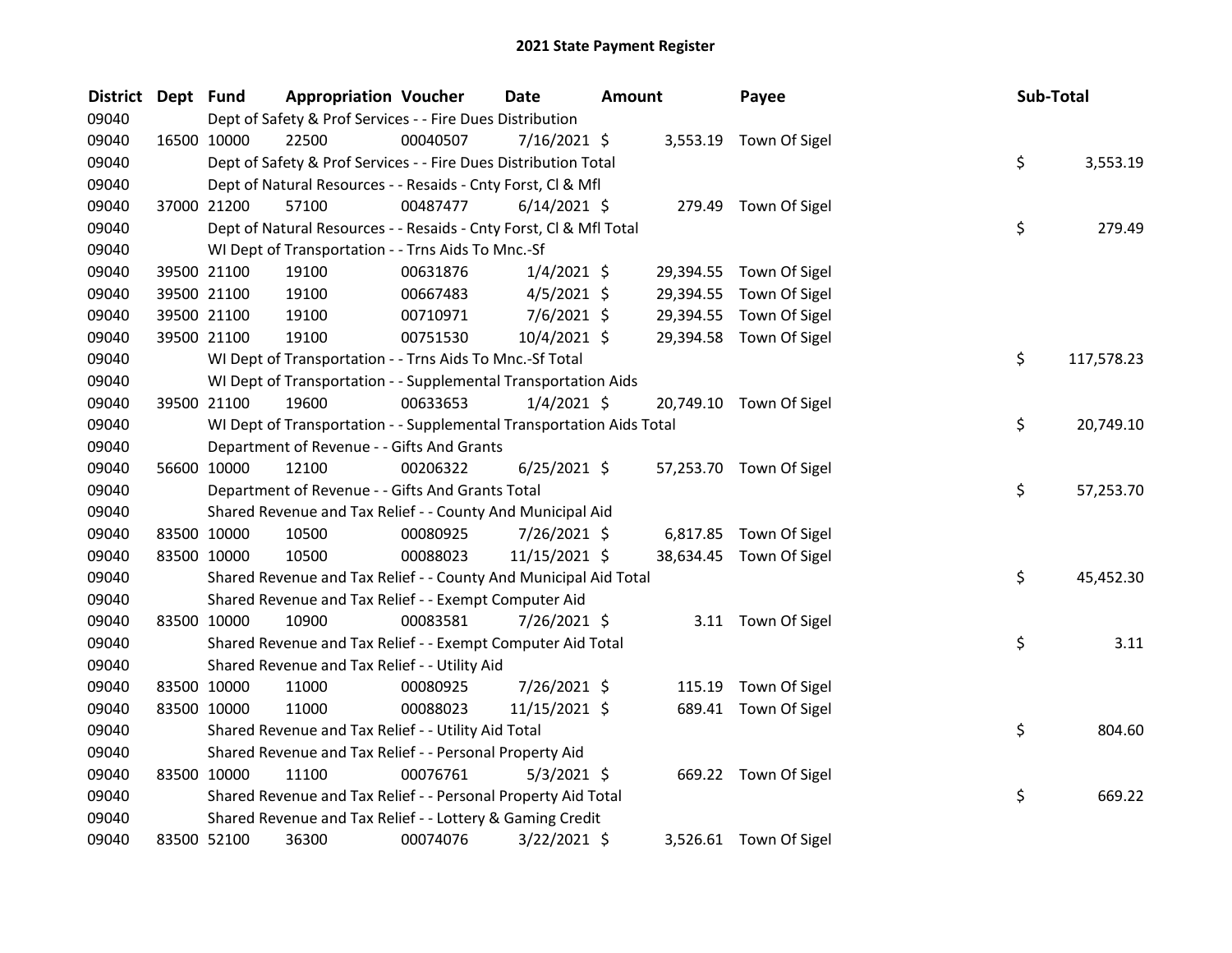| <b>District</b> | Dept Fund   |             | <b>Appropriation Voucher</b>                                         |          | Date           | <b>Amount</b> |           | Payee                   | Sub-Total |            |
|-----------------|-------------|-------------|----------------------------------------------------------------------|----------|----------------|---------------|-----------|-------------------------|-----------|------------|
| 09040           |             |             | Dept of Safety & Prof Services - - Fire Dues Distribution            |          |                |               |           |                         |           |            |
| 09040           |             | 16500 10000 | 22500                                                                | 00040507 | 7/16/2021 \$   |               |           | 3,553.19 Town Of Sigel  |           |            |
| 09040           |             |             | Dept of Safety & Prof Services - - Fire Dues Distribution Total      |          |                |               |           |                         | \$        | 3,553.19   |
| 09040           |             |             | Dept of Natural Resources - - Resaids - Cnty Forst, Cl & Mfl         |          |                |               |           |                         |           |            |
| 09040           |             | 37000 21200 | 57100                                                                | 00487477 | $6/14/2021$ \$ |               |           | 279.49 Town Of Sigel    |           |            |
| 09040           |             |             | Dept of Natural Resources - - Resaids - Cnty Forst, Cl & Mfl Total   |          |                |               |           |                         | \$        | 279.49     |
| 09040           |             |             | WI Dept of Transportation - - Trns Aids To Mnc.-Sf                   |          |                |               |           |                         |           |            |
| 09040           |             | 39500 21100 | 19100                                                                | 00631876 | $1/4/2021$ \$  |               | 29,394.55 | Town Of Sigel           |           |            |
| 09040           |             | 39500 21100 | 19100                                                                | 00667483 | $4/5/2021$ \$  |               | 29,394.55 | Town Of Sigel           |           |            |
| 09040           |             | 39500 21100 | 19100                                                                | 00710971 | 7/6/2021 \$    |               | 29,394.55 | Town Of Sigel           |           |            |
| 09040           |             | 39500 21100 | 19100                                                                | 00751530 | 10/4/2021 \$   |               |           | 29,394.58 Town Of Sigel |           |            |
| 09040           |             |             | WI Dept of Transportation - - Trns Aids To Mnc.-Sf Total             |          |                |               |           |                         | \$        | 117,578.23 |
| 09040           |             |             | WI Dept of Transportation - - Supplemental Transportation Aids       |          |                |               |           |                         |           |            |
| 09040           |             | 39500 21100 | 19600                                                                | 00633653 | $1/4/2021$ \$  |               |           | 20,749.10 Town Of Sigel |           |            |
| 09040           |             |             | WI Dept of Transportation - - Supplemental Transportation Aids Total |          |                |               |           |                         | \$        | 20,749.10  |
| 09040           |             |             | Department of Revenue - - Gifts And Grants                           |          |                |               |           |                         |           |            |
| 09040           |             | 56600 10000 | 12100                                                                | 00206322 | $6/25/2021$ \$ |               |           | 57,253.70 Town Of Sigel |           |            |
| 09040           |             |             | Department of Revenue - - Gifts And Grants Total                     |          |                |               |           |                         | \$        | 57,253.70  |
| 09040           |             |             | Shared Revenue and Tax Relief - - County And Municipal Aid           |          |                |               |           |                         |           |            |
| 09040           |             | 83500 10000 | 10500                                                                | 00080925 | $7/26/2021$ \$ |               |           | 6,817.85 Town Of Sigel  |           |            |
| 09040           | 83500 10000 |             | 10500                                                                | 00088023 | 11/15/2021 \$  |               |           | 38,634.45 Town Of Sigel |           |            |
| 09040           |             |             | Shared Revenue and Tax Relief - - County And Municipal Aid Total     |          |                |               |           |                         | \$        | 45,452.30  |
| 09040           |             |             | Shared Revenue and Tax Relief - - Exempt Computer Aid                |          |                |               |           |                         |           |            |
| 09040           |             | 83500 10000 | 10900                                                                | 00083581 | 7/26/2021 \$   |               |           | 3.11 Town Of Sigel      |           |            |
| 09040           |             |             | Shared Revenue and Tax Relief - - Exempt Computer Aid Total          |          |                |               |           |                         | \$        | 3.11       |
| 09040           |             |             | Shared Revenue and Tax Relief - - Utility Aid                        |          |                |               |           |                         |           |            |
| 09040           |             | 83500 10000 | 11000                                                                | 00080925 | 7/26/2021 \$   |               | 115.19    | Town Of Sigel           |           |            |
| 09040           |             | 83500 10000 | 11000                                                                | 00088023 | 11/15/2021 \$  |               |           | 689.41 Town Of Sigel    |           |            |
| 09040           |             |             | Shared Revenue and Tax Relief - - Utility Aid Total                  |          |                |               |           |                         | \$        | 804.60     |
| 09040           |             |             | Shared Revenue and Tax Relief - - Personal Property Aid              |          |                |               |           |                         |           |            |
| 09040           | 83500 10000 |             | 11100                                                                | 00076761 | $5/3/2021$ \$  |               |           | 669.22 Town Of Sigel    |           |            |
| 09040           |             |             | Shared Revenue and Tax Relief - - Personal Property Aid Total        |          |                |               |           |                         | \$        | 669.22     |
| 09040           |             |             | Shared Revenue and Tax Relief - - Lottery & Gaming Credit            |          |                |               |           |                         |           |            |
| 09040           | 83500 52100 |             | 36300                                                                | 00074076 | $3/22/2021$ \$ |               |           | 3,526.61 Town Of Sigel  |           |            |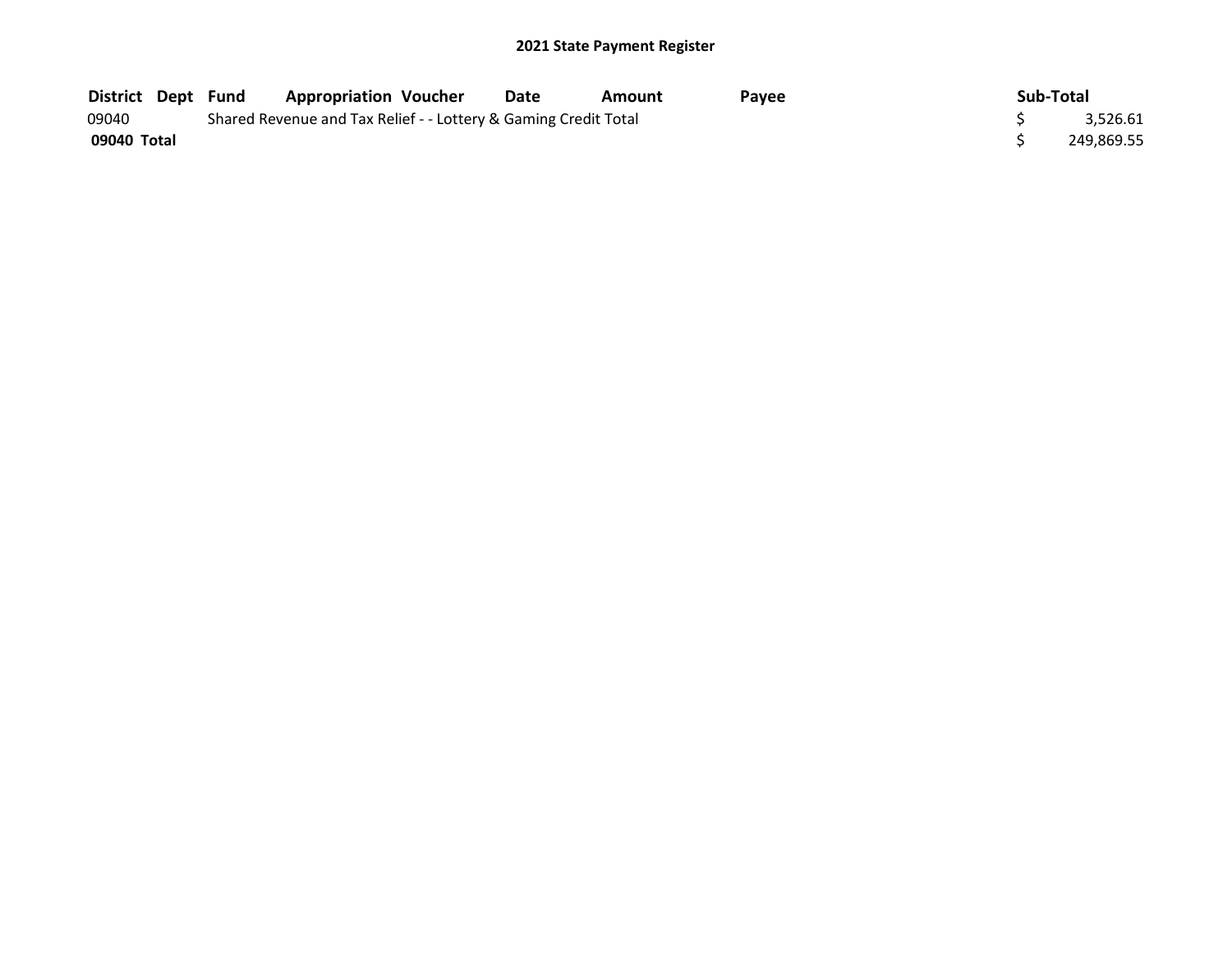| <b>District Dept Fund</b> |  | <b>Appropriation Voucher</b>                                    | Date | Amount | Pavee | Sub-Total |            |
|---------------------------|--|-----------------------------------------------------------------|------|--------|-------|-----------|------------|
| 09040                     |  | Shared Revenue and Tax Relief - - Lottery & Gaming Credit Total |      |        |       |           | 3,526.61   |
| 09040 Total               |  |                                                                 |      |        |       |           | 249,869.55 |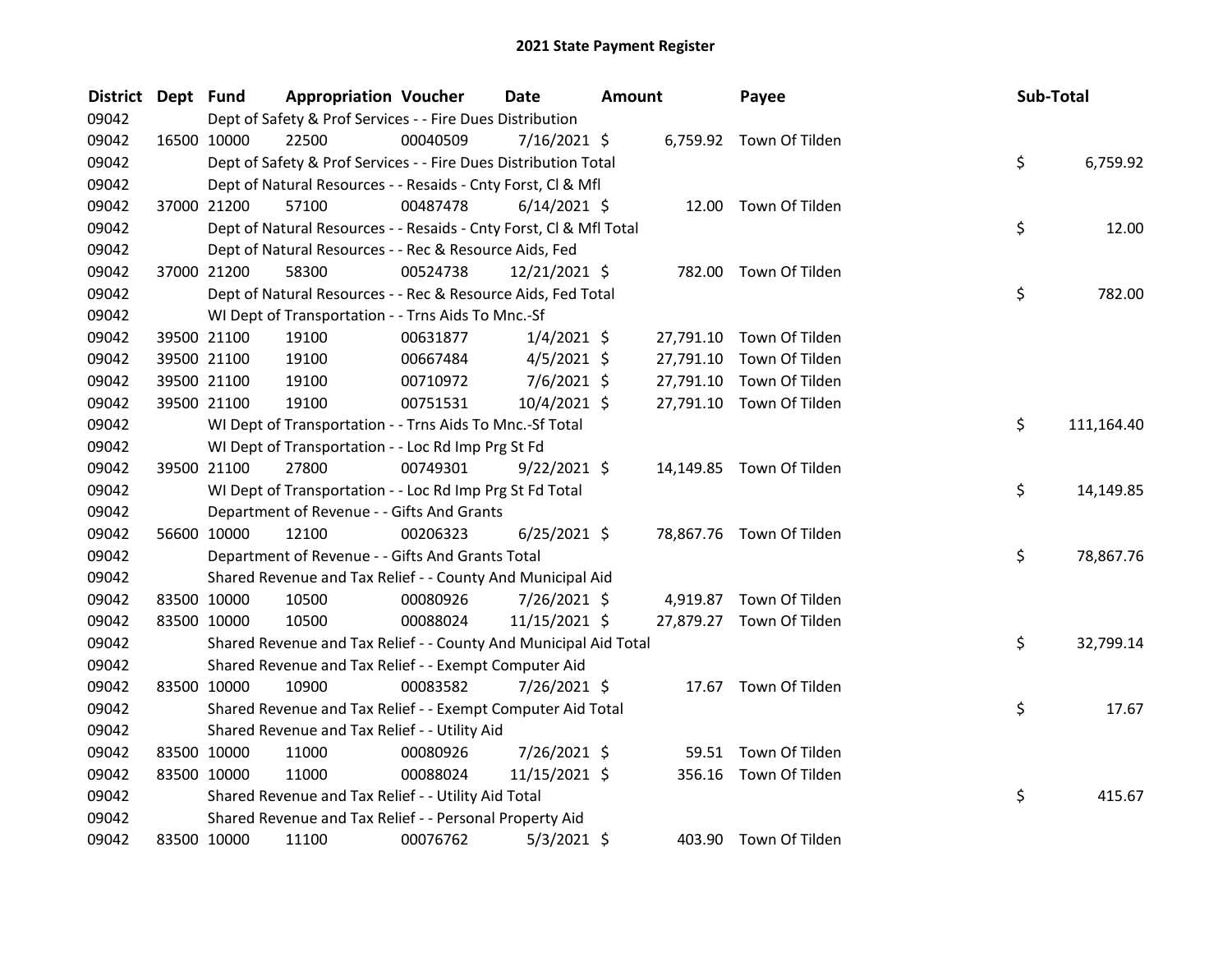| <b>District</b> | Dept Fund |             | <b>Appropriation Voucher</b>                                       |          | <b>Date</b>    | <b>Amount</b> |           | Payee                    | Sub-Total |            |
|-----------------|-----------|-------------|--------------------------------------------------------------------|----------|----------------|---------------|-----------|--------------------------|-----------|------------|
| 09042           |           |             | Dept of Safety & Prof Services - - Fire Dues Distribution          |          |                |               |           |                          |           |            |
| 09042           |           | 16500 10000 | 22500                                                              | 00040509 | $7/16/2021$ \$ |               |           | 6,759.92 Town Of Tilden  |           |            |
| 09042           |           |             | Dept of Safety & Prof Services - - Fire Dues Distribution Total    |          |                |               |           |                          | \$        | 6,759.92   |
| 09042           |           |             | Dept of Natural Resources - - Resaids - Cnty Forst, Cl & Mfl       |          |                |               |           |                          |           |            |
| 09042           |           | 37000 21200 | 57100                                                              | 00487478 | $6/14/2021$ \$ |               |           | 12.00 Town Of Tilden     |           |            |
| 09042           |           |             | Dept of Natural Resources - - Resaids - Cnty Forst, Cl & Mfl Total |          |                |               |           |                          | \$        | 12.00      |
| 09042           |           |             | Dept of Natural Resources - - Rec & Resource Aids, Fed             |          |                |               |           |                          |           |            |
| 09042           |           | 37000 21200 | 58300                                                              | 00524738 | 12/21/2021 \$  |               |           | 782.00 Town Of Tilden    |           |            |
| 09042           |           |             | Dept of Natural Resources - - Rec & Resource Aids, Fed Total       |          |                |               |           |                          | \$        | 782.00     |
| 09042           |           |             | WI Dept of Transportation - - Trns Aids To Mnc.-Sf                 |          |                |               |           |                          |           |            |
| 09042           |           | 39500 21100 | 19100                                                              | 00631877 | $1/4/2021$ \$  |               | 27,791.10 | Town Of Tilden           |           |            |
| 09042           |           | 39500 21100 | 19100                                                              | 00667484 | $4/5/2021$ \$  |               | 27,791.10 | Town Of Tilden           |           |            |
| 09042           |           | 39500 21100 | 19100                                                              | 00710972 | 7/6/2021 \$    |               | 27,791.10 | Town Of Tilden           |           |            |
| 09042           |           | 39500 21100 | 19100                                                              | 00751531 | 10/4/2021 \$   |               |           | 27,791.10 Town Of Tilden |           |            |
| 09042           |           |             | WI Dept of Transportation - - Trns Aids To Mnc.-Sf Total           |          |                |               |           |                          | \$        | 111,164.40 |
| 09042           |           |             | WI Dept of Transportation - - Loc Rd Imp Prg St Fd                 |          |                |               |           |                          |           |            |
| 09042           |           | 39500 21100 | 27800                                                              | 00749301 | $9/22/2021$ \$ |               |           | 14,149.85 Town Of Tilden |           |            |
| 09042           |           |             | WI Dept of Transportation - - Loc Rd Imp Prg St Fd Total           |          |                |               |           |                          | \$        | 14,149.85  |
| 09042           |           |             | Department of Revenue - - Gifts And Grants                         |          |                |               |           |                          |           |            |
| 09042           |           | 56600 10000 | 12100                                                              | 00206323 | $6/25/2021$ \$ |               |           | 78,867.76 Town Of Tilden |           |            |
| 09042           |           |             | Department of Revenue - - Gifts And Grants Total                   |          |                |               |           |                          | \$        | 78,867.76  |
| 09042           |           |             | Shared Revenue and Tax Relief - - County And Municipal Aid         |          |                |               |           |                          |           |            |
| 09042           |           | 83500 10000 | 10500                                                              | 00080926 | 7/26/2021 \$   |               |           | 4,919.87 Town Of Tilden  |           |            |
| 09042           |           | 83500 10000 | 10500                                                              | 00088024 | 11/15/2021 \$  |               |           | 27,879.27 Town Of Tilden |           |            |
| 09042           |           |             | Shared Revenue and Tax Relief - - County And Municipal Aid Total   |          |                |               |           |                          | \$        | 32,799.14  |
| 09042           |           |             | Shared Revenue and Tax Relief - - Exempt Computer Aid              |          |                |               |           |                          |           |            |
| 09042           |           | 83500 10000 | 10900                                                              | 00083582 | 7/26/2021 \$   |               |           | 17.67 Town Of Tilden     |           |            |
| 09042           |           |             | Shared Revenue and Tax Relief - - Exempt Computer Aid Total        |          |                |               |           |                          | \$        | 17.67      |
| 09042           |           |             | Shared Revenue and Tax Relief - - Utility Aid                      |          |                |               |           |                          |           |            |
| 09042           |           | 83500 10000 | 11000                                                              | 00080926 | 7/26/2021 \$   |               |           | 59.51 Town Of Tilden     |           |            |
| 09042           |           | 83500 10000 | 11000                                                              | 00088024 | 11/15/2021 \$  |               | 356.16    | Town Of Tilden           |           |            |
| 09042           |           |             | Shared Revenue and Tax Relief - - Utility Aid Total                |          |                |               |           |                          | \$        | 415.67     |
| 09042           |           |             | Shared Revenue and Tax Relief - - Personal Property Aid            |          |                |               |           |                          |           |            |
| 09042           |           | 83500 10000 | 11100                                                              | 00076762 | $5/3/2021$ \$  |               |           | 403.90 Town Of Tilden    |           |            |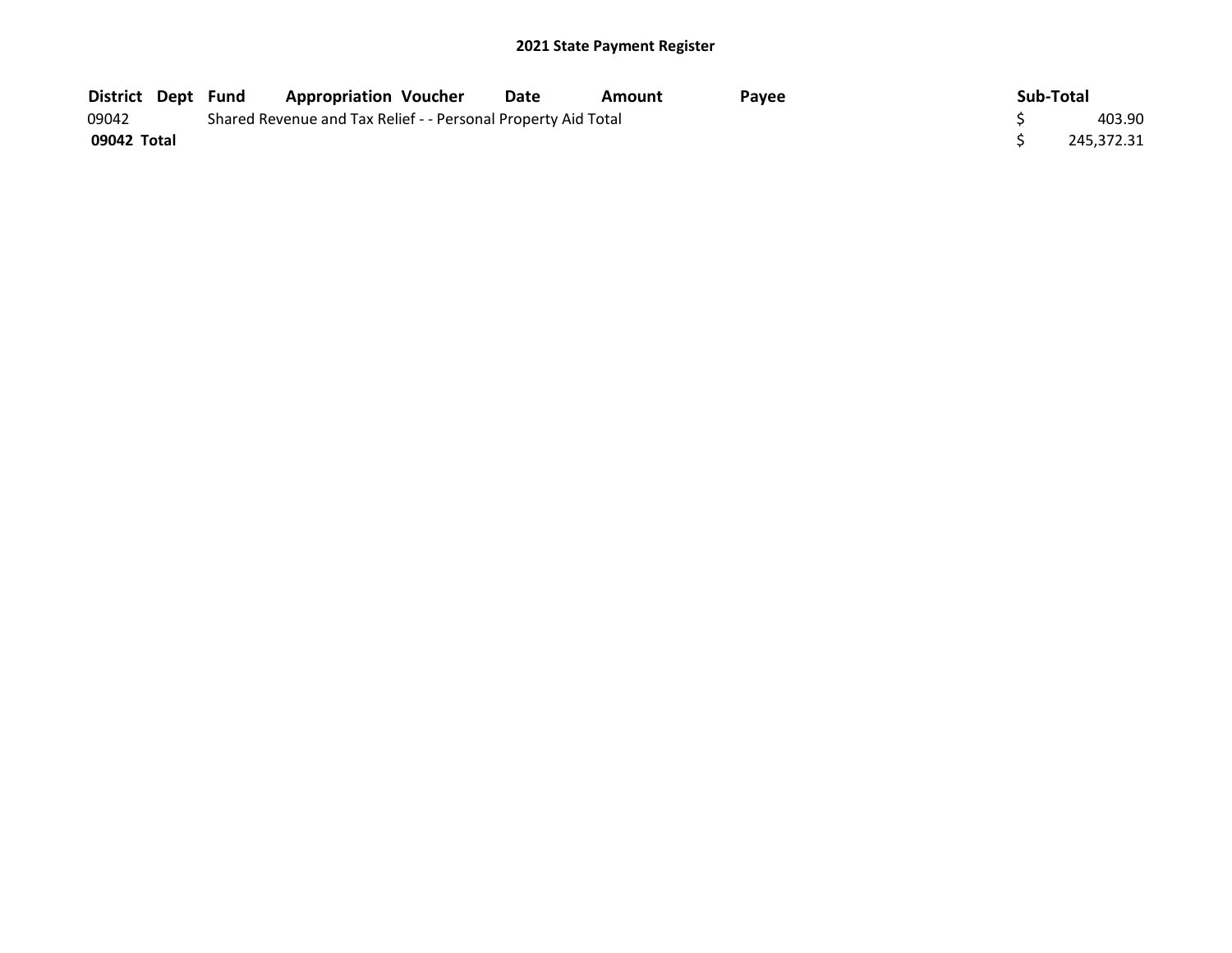| <b>District Dept Fund</b> |  | <b>Appropriation Voucher</b>                                  | Date | Amount | Pavee | Sub-Total  |
|---------------------------|--|---------------------------------------------------------------|------|--------|-------|------------|
| 09042                     |  | Shared Revenue and Tax Relief - - Personal Property Aid Total |      |        |       | 403.90     |
| 09042 Total               |  |                                                               |      |        |       | 245.372.31 |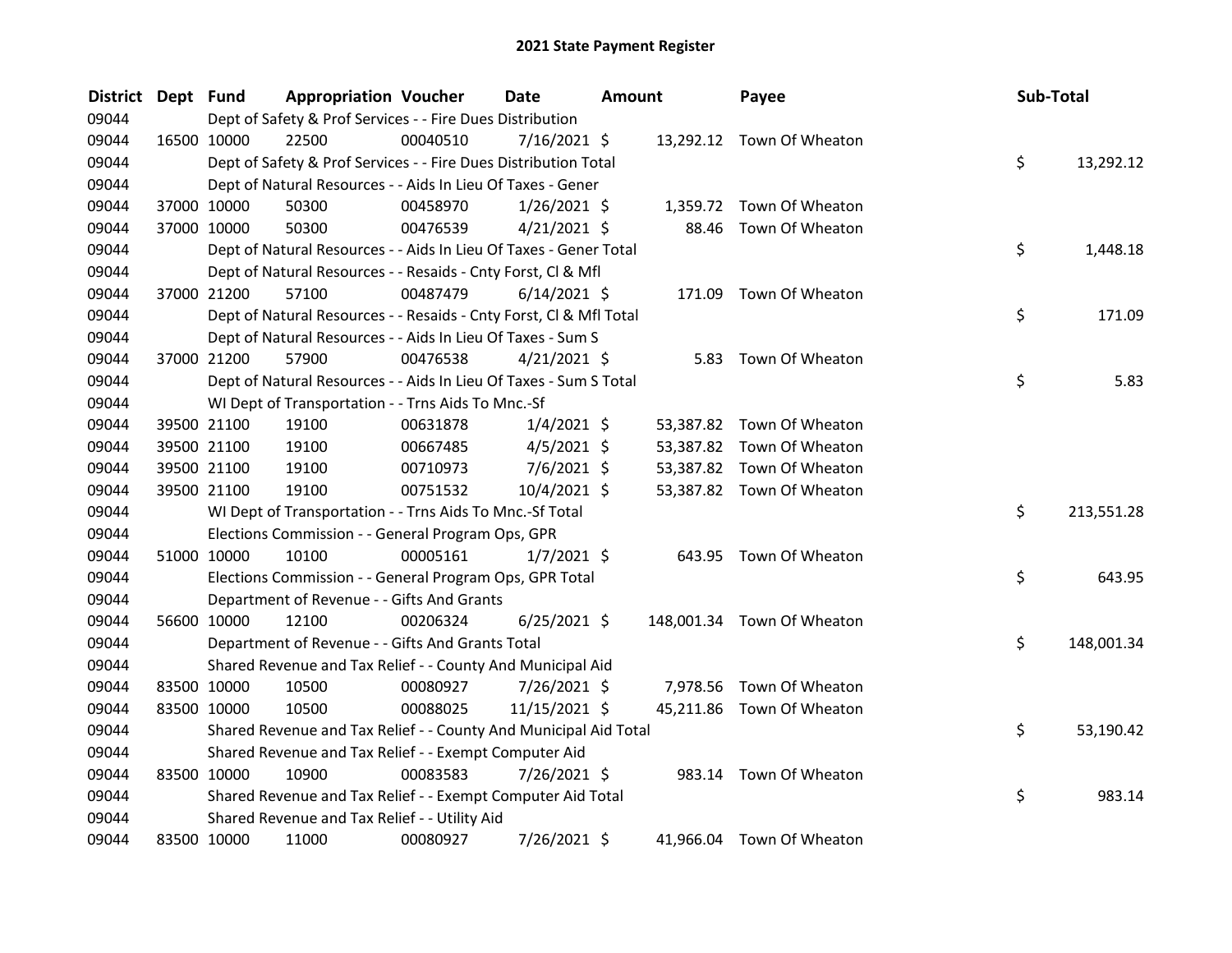| <b>District</b> | Dept Fund   |             | <b>Appropriation Voucher</b>                                       |          | Date           | <b>Amount</b> |        | Payee                      | Sub-Total |            |
|-----------------|-------------|-------------|--------------------------------------------------------------------|----------|----------------|---------------|--------|----------------------------|-----------|------------|
| 09044           |             |             | Dept of Safety & Prof Services - - Fire Dues Distribution          |          |                |               |        |                            |           |            |
| 09044           |             | 16500 10000 | 22500                                                              | 00040510 | $7/16/2021$ \$ |               |        | 13,292.12 Town Of Wheaton  |           |            |
| 09044           |             |             | Dept of Safety & Prof Services - - Fire Dues Distribution Total    |          |                |               |        |                            | \$        | 13,292.12  |
| 09044           |             |             | Dept of Natural Resources - - Aids In Lieu Of Taxes - Gener        |          |                |               |        |                            |           |            |
| 09044           |             | 37000 10000 | 50300                                                              | 00458970 | $1/26/2021$ \$ |               |        | 1,359.72 Town Of Wheaton   |           |            |
| 09044           |             | 37000 10000 | 50300                                                              | 00476539 | $4/21/2021$ \$ |               |        | 88.46 Town Of Wheaton      |           |            |
| 09044           |             |             | Dept of Natural Resources - - Aids In Lieu Of Taxes - Gener Total  |          |                |               |        |                            | \$        | 1,448.18   |
| 09044           |             |             | Dept of Natural Resources - - Resaids - Cnty Forst, Cl & Mfl       |          |                |               |        |                            |           |            |
| 09044           |             | 37000 21200 | 57100                                                              | 00487479 | $6/14/2021$ \$ |               | 171.09 | Town Of Wheaton            |           |            |
| 09044           |             |             | Dept of Natural Resources - - Resaids - Cnty Forst, Cl & Mfl Total |          |                |               |        |                            | \$        | 171.09     |
| 09044           |             |             | Dept of Natural Resources - - Aids In Lieu Of Taxes - Sum S        |          |                |               |        |                            |           |            |
| 09044           |             | 37000 21200 | 57900                                                              | 00476538 | 4/21/2021 \$   |               |        | 5.83 Town Of Wheaton       |           |            |
| 09044           |             |             | Dept of Natural Resources - - Aids In Lieu Of Taxes - Sum S Total  |          |                |               |        |                            | \$        | 5.83       |
| 09044           |             |             | WI Dept of Transportation - - Trns Aids To Mnc.-Sf                 |          |                |               |        |                            |           |            |
| 09044           |             | 39500 21100 | 19100                                                              | 00631878 | $1/4/2021$ \$  |               |        | 53,387.82 Town Of Wheaton  |           |            |
| 09044           |             | 39500 21100 | 19100                                                              | 00667485 | $4/5/2021$ \$  |               |        | 53,387.82 Town Of Wheaton  |           |            |
| 09044           |             | 39500 21100 | 19100                                                              | 00710973 | 7/6/2021 \$    |               |        | 53,387.82 Town Of Wheaton  |           |            |
| 09044           |             | 39500 21100 | 19100                                                              | 00751532 | 10/4/2021 \$   |               |        | 53,387.82 Town Of Wheaton  |           |            |
| 09044           |             |             | WI Dept of Transportation - - Trns Aids To Mnc.-Sf Total           |          |                |               |        |                            | \$        | 213,551.28 |
| 09044           |             |             | Elections Commission - - General Program Ops, GPR                  |          |                |               |        |                            |           |            |
| 09044           |             | 51000 10000 | 10100                                                              | 00005161 | $1/7/2021$ \$  |               |        | 643.95 Town Of Wheaton     |           |            |
| 09044           |             |             | Elections Commission - - General Program Ops, GPR Total            |          |                |               |        |                            | \$        | 643.95     |
| 09044           |             |             | Department of Revenue - - Gifts And Grants                         |          |                |               |        |                            |           |            |
| 09044           |             | 56600 10000 | 12100                                                              | 00206324 | $6/25/2021$ \$ |               |        | 148,001.34 Town Of Wheaton |           |            |
| 09044           |             |             | Department of Revenue - - Gifts And Grants Total                   |          |                |               |        |                            | \$        | 148,001.34 |
| 09044           |             |             | Shared Revenue and Tax Relief - - County And Municipal Aid         |          |                |               |        |                            |           |            |
| 09044           |             | 83500 10000 | 10500                                                              | 00080927 | $7/26/2021$ \$ |               |        | 7,978.56 Town Of Wheaton   |           |            |
| 09044           |             | 83500 10000 | 10500                                                              | 00088025 | 11/15/2021 \$  |               |        | 45,211.86 Town Of Wheaton  |           |            |
| 09044           |             |             | Shared Revenue and Tax Relief - - County And Municipal Aid Total   |          |                |               |        |                            | \$        | 53,190.42  |
| 09044           |             |             | Shared Revenue and Tax Relief - - Exempt Computer Aid              |          |                |               |        |                            |           |            |
| 09044           |             | 83500 10000 | 10900                                                              | 00083583 | 7/26/2021 \$   |               |        | 983.14 Town Of Wheaton     |           |            |
| 09044           |             |             | Shared Revenue and Tax Relief - - Exempt Computer Aid Total        |          |                |               |        |                            | \$        | 983.14     |
| 09044           |             |             | Shared Revenue and Tax Relief - - Utility Aid                      |          |                |               |        |                            |           |            |
| 09044           | 83500 10000 |             | 11000                                                              | 00080927 | 7/26/2021 \$   |               |        | 41,966.04 Town Of Wheaton  |           |            |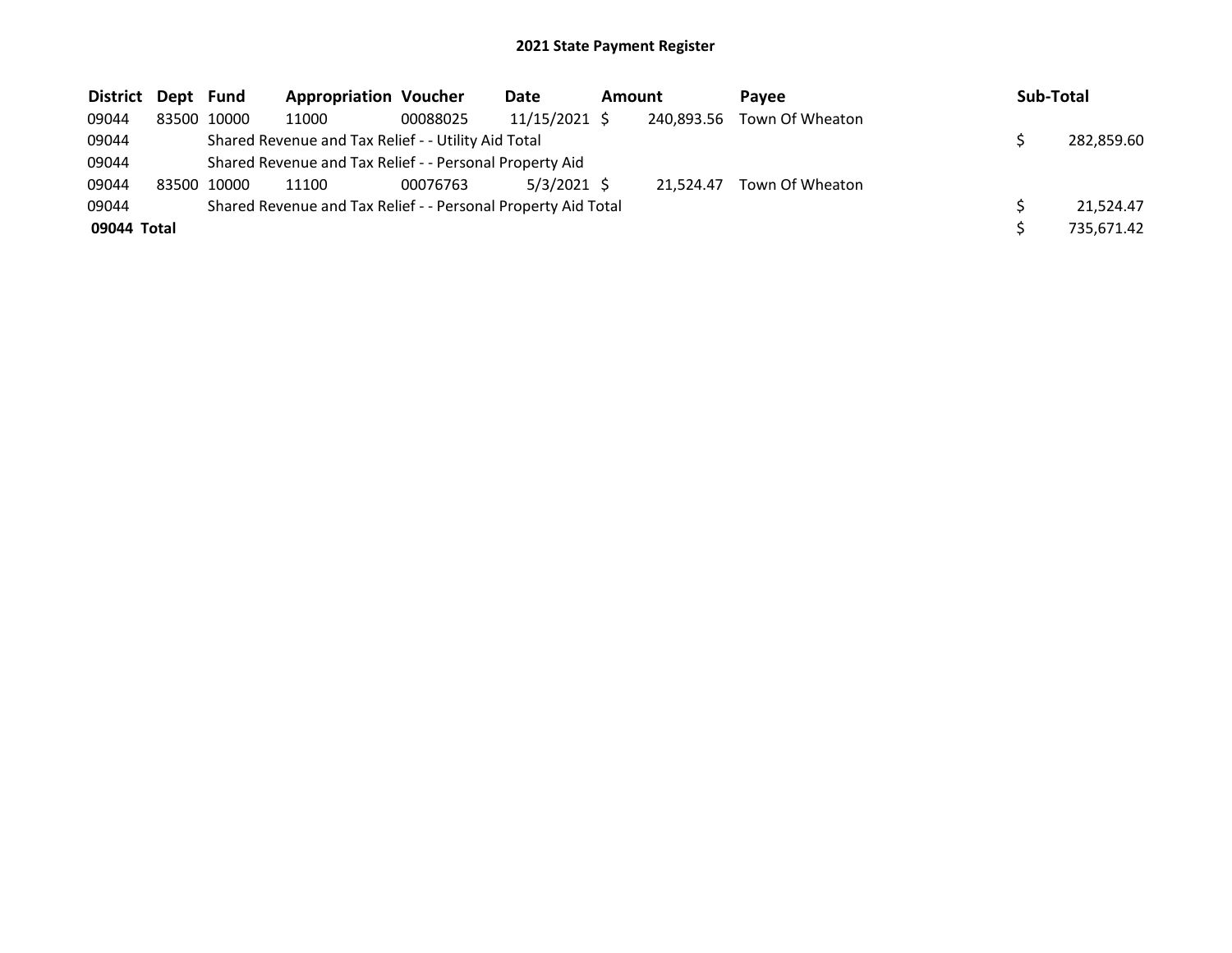| District Dept Fund |             | <b>Appropriation Voucher</b>                                  |          | Date          | Amount |            | <b>Pavee</b>    | Sub-Total |            |
|--------------------|-------------|---------------------------------------------------------------|----------|---------------|--------|------------|-----------------|-----------|------------|
| 09044              | 83500 10000 | 11000                                                         | 00088025 | 11/15/2021 \$ |        | 240,893.56 | Town Of Wheaton |           |            |
| 09044              |             | Shared Revenue and Tax Relief - - Utility Aid Total           |          |               |        |            |                 |           | 282,859.60 |
| 09044              |             | Shared Revenue and Tax Relief - - Personal Property Aid       |          |               |        |            |                 |           |            |
| 09044              | 83500 10000 | 11100                                                         | 00076763 | $5/3/2021$ \$ |        | 21.524.47  | Town Of Wheaton |           |            |
| 09044              |             | Shared Revenue and Tax Relief - - Personal Property Aid Total |          |               |        |            |                 |           | 21,524.47  |
| 09044 Total        |             |                                                               |          |               |        |            |                 |           | 735.671.42 |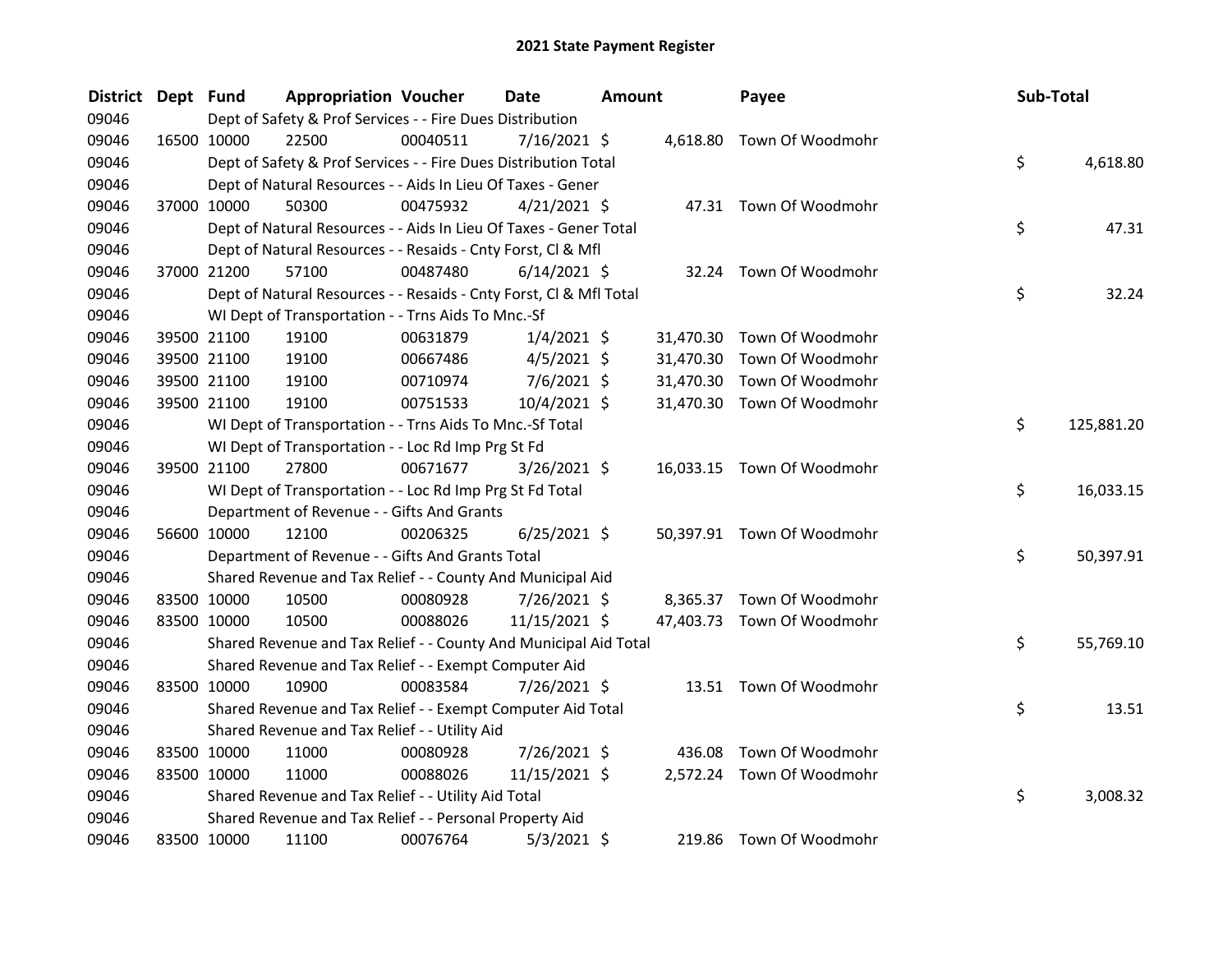| <b>District</b> | Dept Fund |             | <b>Appropriation Voucher</b>                                       |          | <b>Date</b>    | <b>Amount</b> |           | Payee                      | Sub-Total |            |
|-----------------|-----------|-------------|--------------------------------------------------------------------|----------|----------------|---------------|-----------|----------------------------|-----------|------------|
| 09046           |           |             | Dept of Safety & Prof Services - - Fire Dues Distribution          |          |                |               |           |                            |           |            |
| 09046           |           | 16500 10000 | 22500                                                              | 00040511 | 7/16/2021 \$   |               |           | 4,618.80 Town Of Woodmohr  |           |            |
| 09046           |           |             | Dept of Safety & Prof Services - - Fire Dues Distribution Total    |          |                |               |           |                            | \$        | 4,618.80   |
| 09046           |           |             | Dept of Natural Resources - - Aids In Lieu Of Taxes - Gener        |          |                |               |           |                            |           |            |
| 09046           |           | 37000 10000 | 50300                                                              | 00475932 | $4/21/2021$ \$ |               |           | 47.31 Town Of Woodmohr     |           |            |
| 09046           |           |             | Dept of Natural Resources - - Aids In Lieu Of Taxes - Gener Total  |          |                |               |           |                            | \$        | 47.31      |
| 09046           |           |             | Dept of Natural Resources - - Resaids - Cnty Forst, Cl & Mfl       |          |                |               |           |                            |           |            |
| 09046           |           | 37000 21200 | 57100                                                              | 00487480 | $6/14/2021$ \$ |               |           | 32.24 Town Of Woodmohr     |           |            |
| 09046           |           |             | Dept of Natural Resources - - Resaids - Cnty Forst, CI & Mfl Total |          |                |               |           |                            | \$        | 32.24      |
| 09046           |           |             | WI Dept of Transportation - - Trns Aids To Mnc.-Sf                 |          |                |               |           |                            |           |            |
| 09046           |           | 39500 21100 | 19100                                                              | 00631879 | $1/4/2021$ \$  |               | 31,470.30 | Town Of Woodmohr           |           |            |
| 09046           |           | 39500 21100 | 19100                                                              | 00667486 | $4/5/2021$ \$  |               | 31,470.30 | Town Of Woodmohr           |           |            |
| 09046           |           | 39500 21100 | 19100                                                              | 00710974 | 7/6/2021 \$    |               | 31,470.30 | Town Of Woodmohr           |           |            |
| 09046           |           | 39500 21100 | 19100                                                              | 00751533 | 10/4/2021 \$   |               |           | 31,470.30 Town Of Woodmohr |           |            |
| 09046           |           |             | WI Dept of Transportation - - Trns Aids To Mnc.-Sf Total           |          |                |               |           |                            | \$        | 125,881.20 |
| 09046           |           |             | WI Dept of Transportation - - Loc Rd Imp Prg St Fd                 |          |                |               |           |                            |           |            |
| 09046           |           | 39500 21100 | 27800                                                              | 00671677 | $3/26/2021$ \$ |               |           | 16,033.15 Town Of Woodmohr |           |            |
| 09046           |           |             | WI Dept of Transportation - - Loc Rd Imp Prg St Fd Total           |          |                |               |           |                            | \$        | 16,033.15  |
| 09046           |           |             | Department of Revenue - - Gifts And Grants                         |          |                |               |           |                            |           |            |
| 09046           |           | 56600 10000 | 12100                                                              | 00206325 | $6/25/2021$ \$ |               |           | 50,397.91 Town Of Woodmohr |           |            |
| 09046           |           |             | Department of Revenue - - Gifts And Grants Total                   |          |                |               |           |                            | \$        | 50,397.91  |
| 09046           |           |             | Shared Revenue and Tax Relief - - County And Municipal Aid         |          |                |               |           |                            |           |            |
| 09046           |           | 83500 10000 | 10500                                                              | 00080928 | 7/26/2021 \$   |               |           | 8,365.37 Town Of Woodmohr  |           |            |
| 09046           |           | 83500 10000 | 10500                                                              | 00088026 | 11/15/2021 \$  |               |           | 47,403.73 Town Of Woodmohr |           |            |
| 09046           |           |             | Shared Revenue and Tax Relief - - County And Municipal Aid Total   |          |                |               |           |                            | \$        | 55,769.10  |
| 09046           |           |             | Shared Revenue and Tax Relief - - Exempt Computer Aid              |          |                |               |           |                            |           |            |
| 09046           |           | 83500 10000 | 10900                                                              | 00083584 | 7/26/2021 \$   |               |           | 13.51 Town Of Woodmohr     |           |            |
| 09046           |           |             | Shared Revenue and Tax Relief - - Exempt Computer Aid Total        |          |                |               |           |                            | \$        | 13.51      |
| 09046           |           |             | Shared Revenue and Tax Relief - - Utility Aid                      |          |                |               |           |                            |           |            |
| 09046           |           | 83500 10000 | 11000                                                              | 00080928 | 7/26/2021 \$   |               | 436.08    | Town Of Woodmohr           |           |            |
| 09046           |           | 83500 10000 | 11000                                                              | 00088026 | 11/15/2021 \$  |               |           | 2,572.24 Town Of Woodmohr  |           |            |
| 09046           |           |             | Shared Revenue and Tax Relief - - Utility Aid Total                |          |                |               |           |                            | \$        | 3,008.32   |
| 09046           |           |             | Shared Revenue and Tax Relief - - Personal Property Aid            |          |                |               |           |                            |           |            |
| 09046           |           | 83500 10000 | 11100                                                              | 00076764 | $5/3/2021$ \$  |               |           | 219.86 Town Of Woodmohr    |           |            |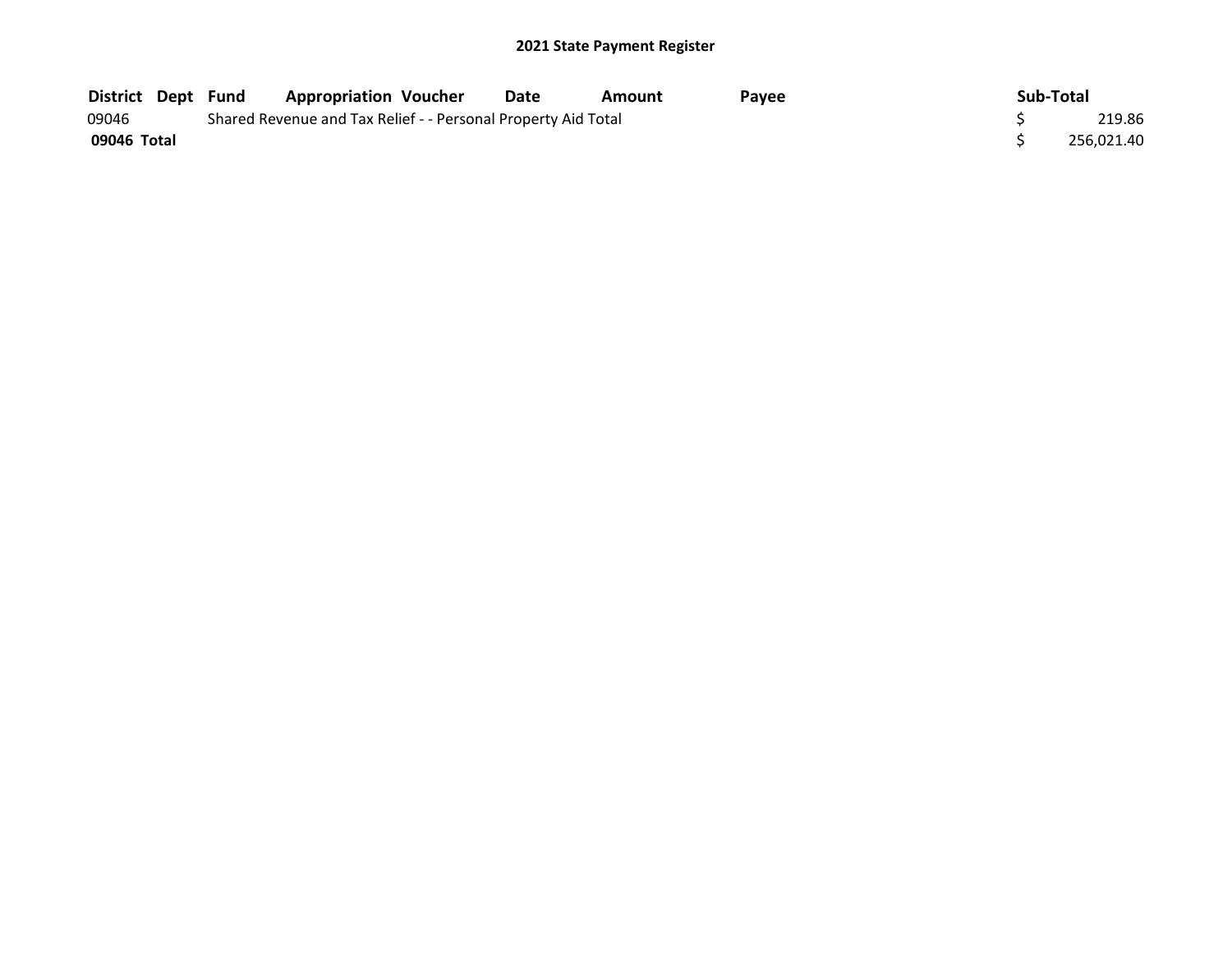| <b>District Dept Fund</b> |  | <b>Appropriation Voucher</b>                                  | Date | Amount | Pavee | Sub-Total |            |
|---------------------------|--|---------------------------------------------------------------|------|--------|-------|-----------|------------|
| 09046                     |  | Shared Revenue and Tax Relief - - Personal Property Aid Total |      |        |       |           | 219.86     |
| 09046 Total               |  |                                                               |      |        |       |           | 256.021.40 |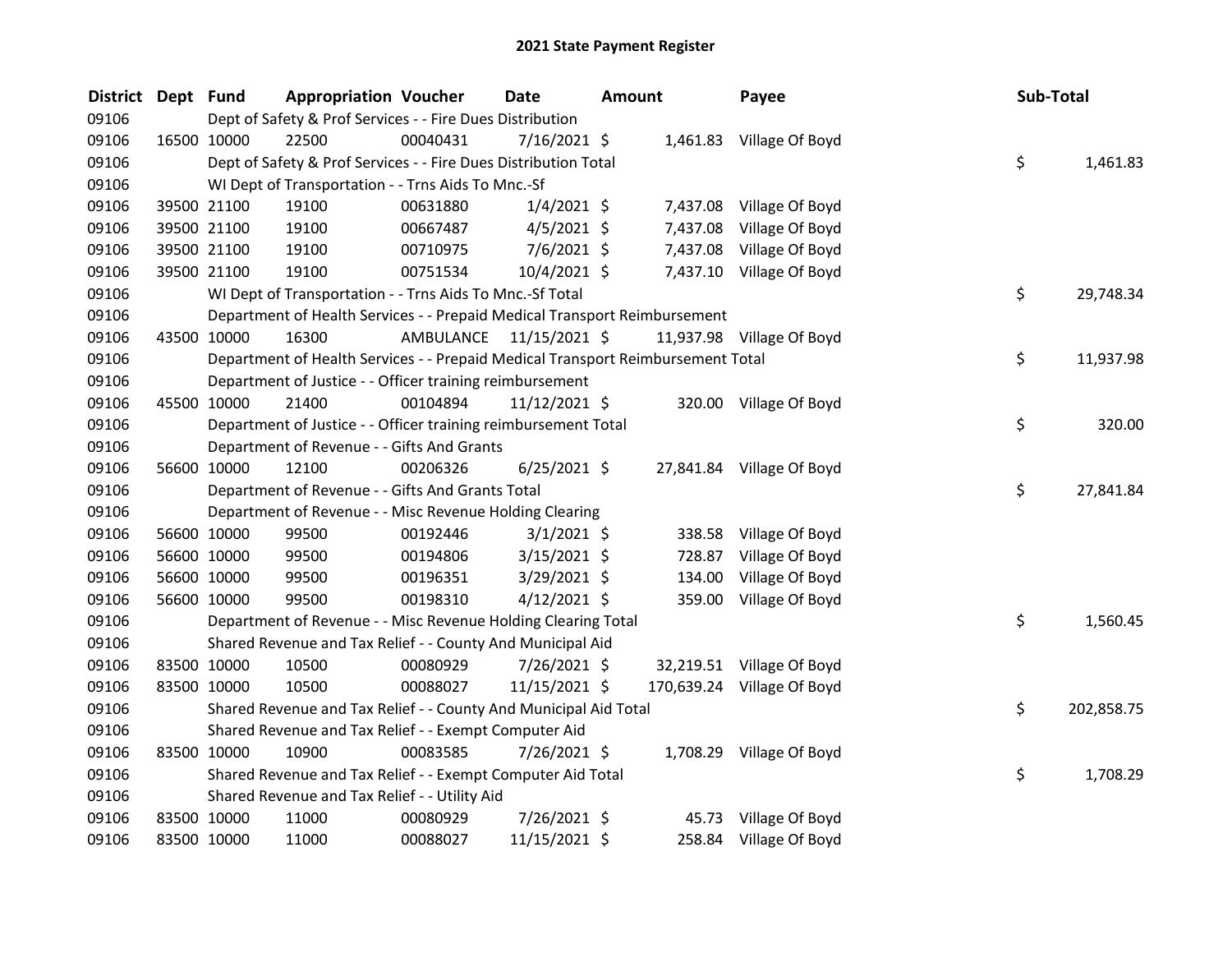| <b>District</b> | Dept Fund   |             | <b>Appropriation Voucher</b>                                                    |                         | Date           | <b>Amount</b> |          | Payee                      | Sub-Total |            |
|-----------------|-------------|-------------|---------------------------------------------------------------------------------|-------------------------|----------------|---------------|----------|----------------------------|-----------|------------|
| 09106           |             |             | Dept of Safety & Prof Services - - Fire Dues Distribution                       |                         |                |               |          |                            |           |            |
| 09106           |             | 16500 10000 | 22500                                                                           | 00040431                | 7/16/2021 \$   |               |          | 1,461.83 Village Of Boyd   |           |            |
| 09106           |             |             | Dept of Safety & Prof Services - - Fire Dues Distribution Total                 |                         |                |               |          |                            | \$        | 1,461.83   |
| 09106           |             |             | WI Dept of Transportation - - Trns Aids To Mnc.-Sf                              |                         |                |               |          |                            |           |            |
| 09106           |             | 39500 21100 | 19100                                                                           | 00631880                | $1/4/2021$ \$  |               |          | 7,437.08 Village Of Boyd   |           |            |
| 09106           |             | 39500 21100 | 19100                                                                           | 00667487                | $4/5/2021$ \$  |               | 7,437.08 | Village Of Boyd            |           |            |
| 09106           |             | 39500 21100 | 19100                                                                           | 00710975                | $7/6/2021$ \$  |               | 7,437.08 | Village Of Boyd            |           |            |
| 09106           |             | 39500 21100 | 19100                                                                           | 00751534                | 10/4/2021 \$   |               |          | 7,437.10 Village Of Boyd   |           |            |
| 09106           |             |             | WI Dept of Transportation - - Trns Aids To Mnc.-Sf Total                        |                         |                |               |          |                            | \$        | 29,748.34  |
| 09106           |             |             | Department of Health Services - - Prepaid Medical Transport Reimbursement       |                         |                |               |          |                            |           |            |
| 09106           |             | 43500 10000 | 16300                                                                           | AMBULANCE 11/15/2021 \$ |                |               |          | 11,937.98 Village Of Boyd  |           |            |
| 09106           |             |             | Department of Health Services - - Prepaid Medical Transport Reimbursement Total |                         |                |               |          |                            | \$        | 11,937.98  |
| 09106           |             |             | Department of Justice - - Officer training reimbursement                        |                         |                |               |          |                            |           |            |
| 09106           |             | 45500 10000 | 21400                                                                           | 00104894                | 11/12/2021 \$  |               |          | 320.00 Village Of Boyd     |           |            |
| 09106           |             |             | Department of Justice - - Officer training reimbursement Total                  |                         |                |               |          |                            | \$        | 320.00     |
| 09106           |             |             | Department of Revenue - - Gifts And Grants                                      |                         |                |               |          |                            |           |            |
| 09106           |             | 56600 10000 | 12100                                                                           | 00206326                | $6/25/2021$ \$ |               |          | 27,841.84 Village Of Boyd  |           |            |
| 09106           |             |             | Department of Revenue - - Gifts And Grants Total                                |                         |                |               |          |                            | \$        | 27,841.84  |
| 09106           |             |             | Department of Revenue - - Misc Revenue Holding Clearing                         |                         |                |               |          |                            |           |            |
| 09106           |             | 56600 10000 | 99500                                                                           | 00192446                | $3/1/2021$ \$  |               | 338.58   | Village Of Boyd            |           |            |
| 09106           |             | 56600 10000 | 99500                                                                           | 00194806                | $3/15/2021$ \$ |               | 728.87   | Village Of Boyd            |           |            |
| 09106           |             | 56600 10000 | 99500                                                                           | 00196351                | 3/29/2021 \$   |               | 134.00   | Village Of Boyd            |           |            |
| 09106           |             | 56600 10000 | 99500                                                                           | 00198310                | 4/12/2021 \$   |               | 359.00   | Village Of Boyd            |           |            |
| 09106           |             |             | Department of Revenue - - Misc Revenue Holding Clearing Total                   |                         |                |               |          |                            | \$        | 1,560.45   |
| 09106           |             |             | Shared Revenue and Tax Relief - - County And Municipal Aid                      |                         |                |               |          |                            |           |            |
| 09106           |             | 83500 10000 | 10500                                                                           | 00080929                | 7/26/2021 \$   |               |          | 32,219.51 Village Of Boyd  |           |            |
| 09106           |             | 83500 10000 | 10500                                                                           | 00088027                | 11/15/2021 \$  |               |          | 170,639.24 Village Of Boyd |           |            |
| 09106           |             |             | Shared Revenue and Tax Relief - - County And Municipal Aid Total                |                         |                |               |          |                            | \$        | 202,858.75 |
| 09106           |             |             | Shared Revenue and Tax Relief - - Exempt Computer Aid                           |                         |                |               |          |                            |           |            |
| 09106           | 83500 10000 |             | 10900                                                                           | 00083585                | 7/26/2021 \$   |               |          | 1,708.29 Village Of Boyd   |           |            |
| 09106           |             |             | Shared Revenue and Tax Relief - - Exempt Computer Aid Total                     |                         |                |               |          |                            | \$        | 1,708.29   |
| 09106           |             |             | Shared Revenue and Tax Relief - - Utility Aid                                   |                         |                |               |          |                            |           |            |
| 09106           |             | 83500 10000 | 11000                                                                           | 00080929                | 7/26/2021 \$   |               |          | 45.73 Village Of Boyd      |           |            |
| 09106           | 83500 10000 |             | 11000                                                                           | 00088027                | 11/15/2021 \$  |               |          | 258.84 Village Of Boyd     |           |            |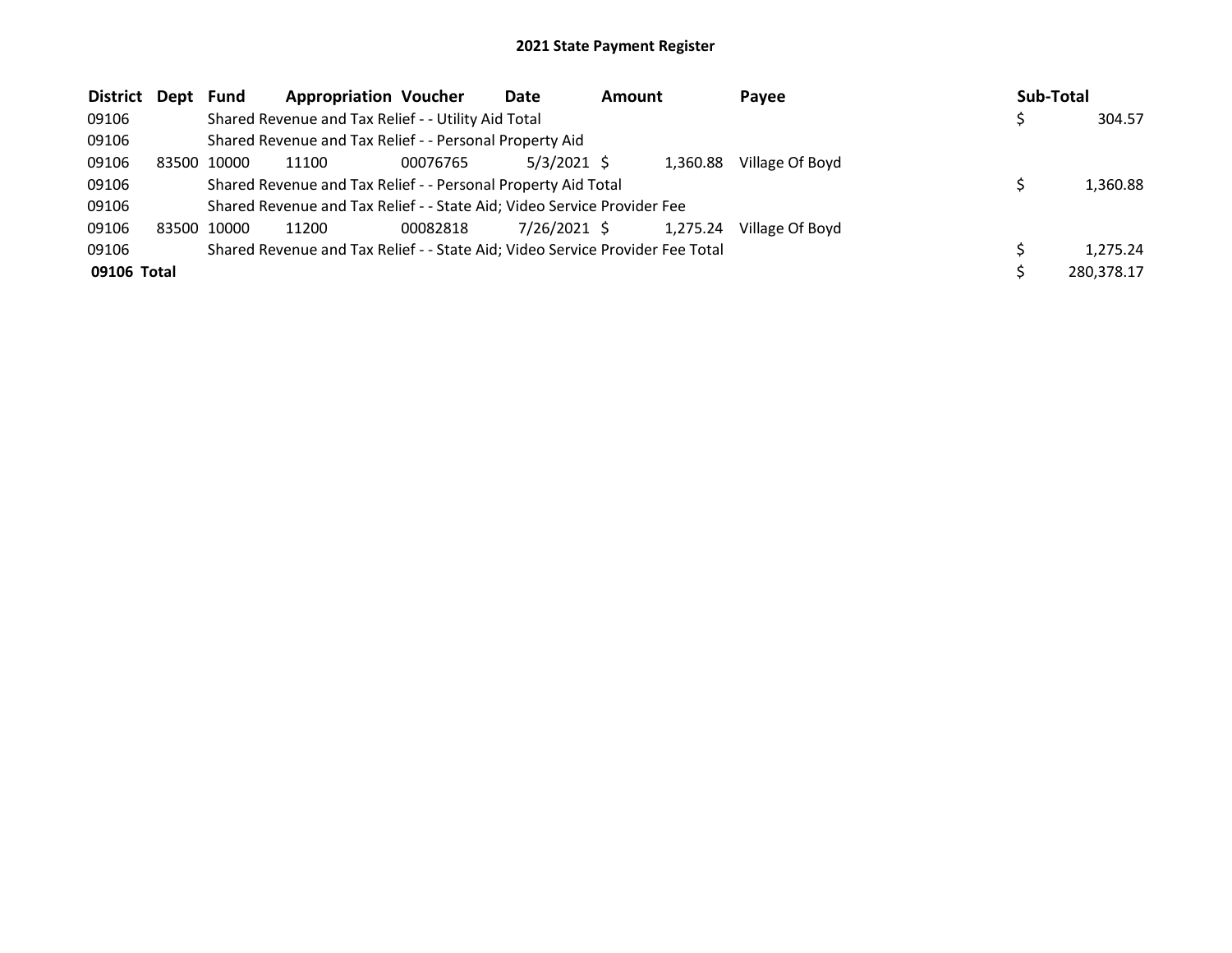| <b>District Dept Fund</b> |       |       | <b>Appropriation Voucher</b>                                                  |          | Date          | <b>Amount</b> |          | <b>Pavee</b>    | Sub-Total  |
|---------------------------|-------|-------|-------------------------------------------------------------------------------|----------|---------------|---------------|----------|-----------------|------------|
| 09106                     |       |       | Shared Revenue and Tax Relief - - Utility Aid Total                           |          |               |               |          |                 | 304.57     |
| 09106                     |       |       | Shared Revenue and Tax Relief - - Personal Property Aid                       |          |               |               |          |                 |            |
| 09106                     | 83500 | 10000 | 11100                                                                         | 00076765 | $5/3/2021$ \$ |               | 1.360.88 | Village Of Boyd |            |
| 09106                     |       |       | Shared Revenue and Tax Relief - - Personal Property Aid Total                 |          |               |               |          |                 | 1,360.88   |
| 09106                     |       |       | Shared Revenue and Tax Relief - - State Aid; Video Service Provider Fee       |          |               |               |          |                 |            |
| 09106                     | 83500 | 10000 | 11200                                                                         | 00082818 | 7/26/2021 \$  |               | 1,275.24 | Village Of Boyd |            |
| 09106                     |       |       | Shared Revenue and Tax Relief - - State Aid; Video Service Provider Fee Total |          |               |               |          |                 | 1,275.24   |
| 09106 Total               |       |       |                                                                               |          |               |               |          |                 | 280,378.17 |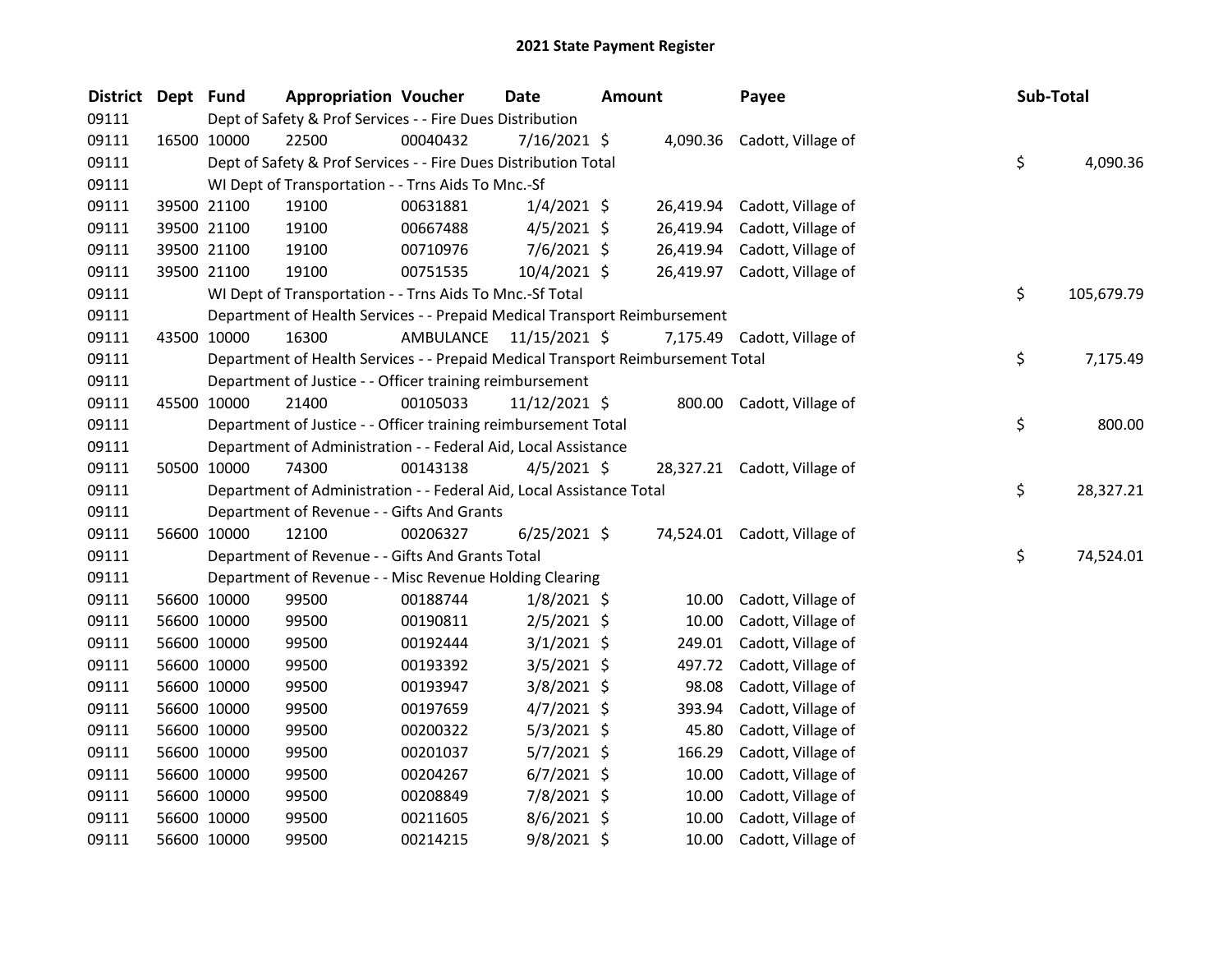| District | Dept Fund |             | <b>Appropriation Voucher</b>                                                    |                         | Date           | <b>Amount</b> |           | Payee                        | Sub-Total |            |
|----------|-----------|-------------|---------------------------------------------------------------------------------|-------------------------|----------------|---------------|-----------|------------------------------|-----------|------------|
| 09111    |           |             | Dept of Safety & Prof Services - - Fire Dues Distribution                       |                         |                |               |           |                              |           |            |
| 09111    |           | 16500 10000 | 22500                                                                           | 00040432                | $7/16/2021$ \$ |               |           | 4,090.36 Cadott, Village of  |           |            |
| 09111    |           |             | Dept of Safety & Prof Services - - Fire Dues Distribution Total                 |                         |                |               |           |                              | \$        | 4,090.36   |
| 09111    |           |             | WI Dept of Transportation - - Trns Aids To Mnc.-Sf                              |                         |                |               |           |                              |           |            |
| 09111    |           | 39500 21100 | 19100                                                                           | 00631881                | $1/4/2021$ \$  |               |           | 26,419.94 Cadott, Village of |           |            |
| 09111    |           | 39500 21100 | 19100                                                                           | 00667488                | $4/5/2021$ \$  |               | 26,419.94 | Cadott, Village of           |           |            |
| 09111    |           | 39500 21100 | 19100                                                                           | 00710976                | $7/6/2021$ \$  |               |           | 26,419.94 Cadott, Village of |           |            |
| 09111    |           | 39500 21100 | 19100                                                                           | 00751535                | 10/4/2021 \$   |               |           | 26,419.97 Cadott, Village of |           |            |
| 09111    |           |             | WI Dept of Transportation - - Trns Aids To Mnc.-Sf Total                        |                         |                |               |           |                              | \$        | 105,679.79 |
| 09111    |           |             | Department of Health Services - - Prepaid Medical Transport Reimbursement       |                         |                |               |           |                              |           |            |
| 09111    |           | 43500 10000 | 16300                                                                           | AMBULANCE 11/15/2021 \$ |                |               |           | 7,175.49 Cadott, Village of  |           |            |
| 09111    |           |             | Department of Health Services - - Prepaid Medical Transport Reimbursement Total |                         |                |               |           |                              | \$        | 7,175.49   |
| 09111    |           |             | Department of Justice - - Officer training reimbursement                        |                         |                |               |           |                              |           |            |
| 09111    |           | 45500 10000 | 21400                                                                           | 00105033                | 11/12/2021 \$  |               |           | 800.00 Cadott, Village of    |           |            |
| 09111    |           |             | Department of Justice - - Officer training reimbursement Total                  |                         |                |               |           |                              | \$        | 800.00     |
| 09111    |           |             | Department of Administration - - Federal Aid, Local Assistance                  |                         |                |               |           |                              |           |            |
| 09111    |           | 50500 10000 | 74300                                                                           | 00143138                | $4/5/2021$ \$  |               |           | 28,327.21 Cadott, Village of |           |            |
| 09111    |           |             | Department of Administration - - Federal Aid, Local Assistance Total            |                         |                |               |           |                              | \$        | 28,327.21  |
| 09111    |           |             | Department of Revenue - - Gifts And Grants                                      |                         |                |               |           |                              |           |            |
| 09111    |           | 56600 10000 | 12100                                                                           | 00206327                | $6/25/2021$ \$ |               |           | 74,524.01 Cadott, Village of |           |            |
| 09111    |           |             | Department of Revenue - - Gifts And Grants Total                                |                         |                |               |           |                              | \$        | 74,524.01  |
| 09111    |           |             | Department of Revenue - - Misc Revenue Holding Clearing                         |                         |                |               |           |                              |           |            |
| 09111    |           | 56600 10000 | 99500                                                                           | 00188744                | $1/8/2021$ \$  |               | 10.00     | Cadott, Village of           |           |            |
| 09111    |           | 56600 10000 | 99500                                                                           | 00190811                | $2/5/2021$ \$  |               | 10.00     | Cadott, Village of           |           |            |
| 09111    |           | 56600 10000 | 99500                                                                           | 00192444                | $3/1/2021$ \$  |               | 249.01    | Cadott, Village of           |           |            |
| 09111    |           | 56600 10000 | 99500                                                                           | 00193392                | $3/5/2021$ \$  |               | 497.72    | Cadott, Village of           |           |            |
| 09111    |           | 56600 10000 | 99500                                                                           | 00193947                | $3/8/2021$ \$  |               | 98.08     | Cadott, Village of           |           |            |
| 09111    |           | 56600 10000 | 99500                                                                           | 00197659                | $4/7/2021$ \$  |               | 393.94    | Cadott, Village of           |           |            |
| 09111    |           | 56600 10000 | 99500                                                                           | 00200322                | $5/3/2021$ \$  |               | 45.80     | Cadott, Village of           |           |            |
| 09111    |           | 56600 10000 | 99500                                                                           | 00201037                | $5/7/2021$ \$  |               | 166.29    | Cadott, Village of           |           |            |
| 09111    |           | 56600 10000 | 99500                                                                           | 00204267                | $6/7/2021$ \$  |               | 10.00     | Cadott, Village of           |           |            |
| 09111    |           | 56600 10000 | 99500                                                                           | 00208849                | 7/8/2021 \$    |               | 10.00     | Cadott, Village of           |           |            |
| 09111    |           | 56600 10000 | 99500                                                                           | 00211605                | $8/6/2021$ \$  |               | 10.00     | Cadott, Village of           |           |            |
| 09111    |           | 56600 10000 | 99500                                                                           | 00214215                | $9/8/2021$ \$  |               | 10.00     | Cadott, Village of           |           |            |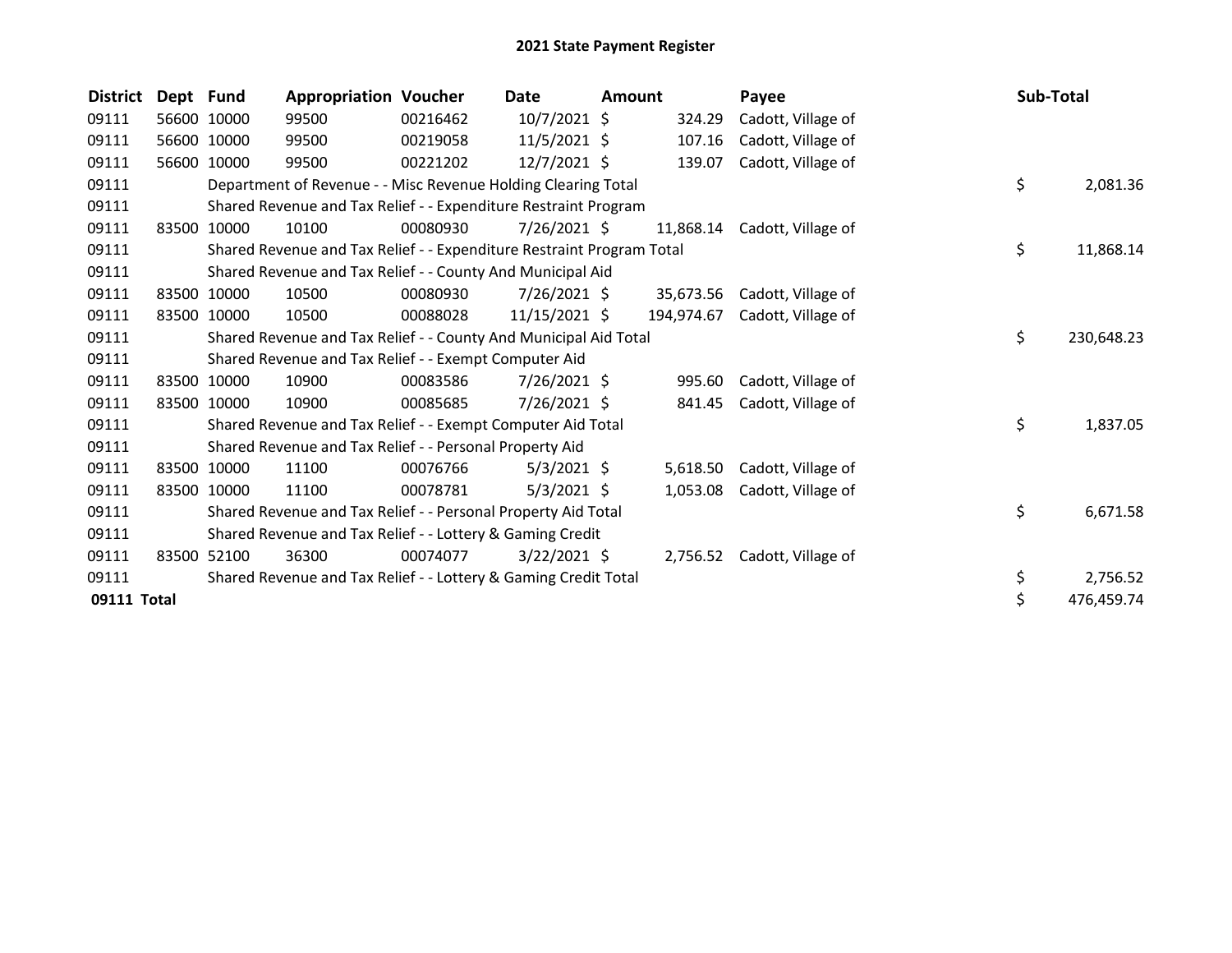| <b>District</b> | Dept Fund |             | <b>Appropriation Voucher</b>                                          |          | Date            | <b>Amount</b> |            | Payee              | Sub-Total |            |
|-----------------|-----------|-------------|-----------------------------------------------------------------------|----------|-----------------|---------------|------------|--------------------|-----------|------------|
| 09111           | 56600     | 10000       | 99500                                                                 | 00216462 | $10/7/2021$ \$  |               | 324.29     | Cadott, Village of |           |            |
| 09111           |           | 56600 10000 | 99500                                                                 | 00219058 | $11/5/2021$ \$  |               | 107.16     | Cadott, Village of |           |            |
| 09111           | 56600     | 10000       | 99500                                                                 | 00221202 | $12/7/2021$ \$  |               | 139.07     | Cadott, Village of |           |            |
| 09111           |           |             | Department of Revenue - - Misc Revenue Holding Clearing Total         |          |                 |               |            |                    | \$        | 2,081.36   |
| 09111           |           |             | Shared Revenue and Tax Relief - - Expenditure Restraint Program       |          |                 |               |            |                    |           |            |
| 09111           | 83500     | 10000       | 10100                                                                 | 00080930 | 7/26/2021 \$    |               | 11,868.14  | Cadott, Village of |           |            |
| 09111           |           |             | Shared Revenue and Tax Relief - - Expenditure Restraint Program Total |          |                 |               |            |                    | \$        | 11,868.14  |
| 09111           |           |             | Shared Revenue and Tax Relief - - County And Municipal Aid            |          |                 |               |            |                    |           |            |
| 09111           | 83500     | 10000       | 10500                                                                 | 00080930 | $7/26/2021$ \$  |               | 35,673.56  | Cadott, Village of |           |            |
| 09111           |           | 83500 10000 | 10500                                                                 | 00088028 | $11/15/2021$ \$ |               | 194,974.67 | Cadott, Village of |           |            |
| 09111           |           |             | Shared Revenue and Tax Relief - - County And Municipal Aid Total      |          |                 |               |            |                    | \$        | 230,648.23 |
| 09111           |           |             | Shared Revenue and Tax Relief - - Exempt Computer Aid                 |          |                 |               |            |                    |           |            |
| 09111           |           | 83500 10000 | 10900                                                                 | 00083586 | 7/26/2021 \$    |               | 995.60     | Cadott, Village of |           |            |
| 09111           |           | 83500 10000 | 10900                                                                 | 00085685 | 7/26/2021 \$    |               | 841.45     | Cadott, Village of |           |            |
| 09111           |           |             | Shared Revenue and Tax Relief - - Exempt Computer Aid Total           |          |                 |               |            |                    | \$        | 1,837.05   |
| 09111           |           |             | Shared Revenue and Tax Relief - - Personal Property Aid               |          |                 |               |            |                    |           |            |
| 09111           | 83500     | 10000       | 11100                                                                 | 00076766 | $5/3/2021$ \$   |               | 5,618.50   | Cadott, Village of |           |            |
| 09111           |           | 83500 10000 | 11100                                                                 | 00078781 | $5/3/2021$ \$   |               | 1,053.08   | Cadott, Village of |           |            |
| 09111           |           |             | Shared Revenue and Tax Relief - - Personal Property Aid Total         |          |                 |               |            |                    | \$        | 6,671.58   |
| 09111           |           |             | Shared Revenue and Tax Relief - - Lottery & Gaming Credit             |          |                 |               |            |                    |           |            |
| 09111           |           | 83500 52100 | 36300                                                                 | 00074077 | $3/22/2021$ \$  |               | 2,756.52   | Cadott, Village of |           |            |
| 09111           |           |             | Shared Revenue and Tax Relief - - Lottery & Gaming Credit Total       |          |                 |               |            |                    | \$        | 2,756.52   |
| 09111 Total     |           |             |                                                                       |          |                 |               |            |                    | \$        | 476,459.74 |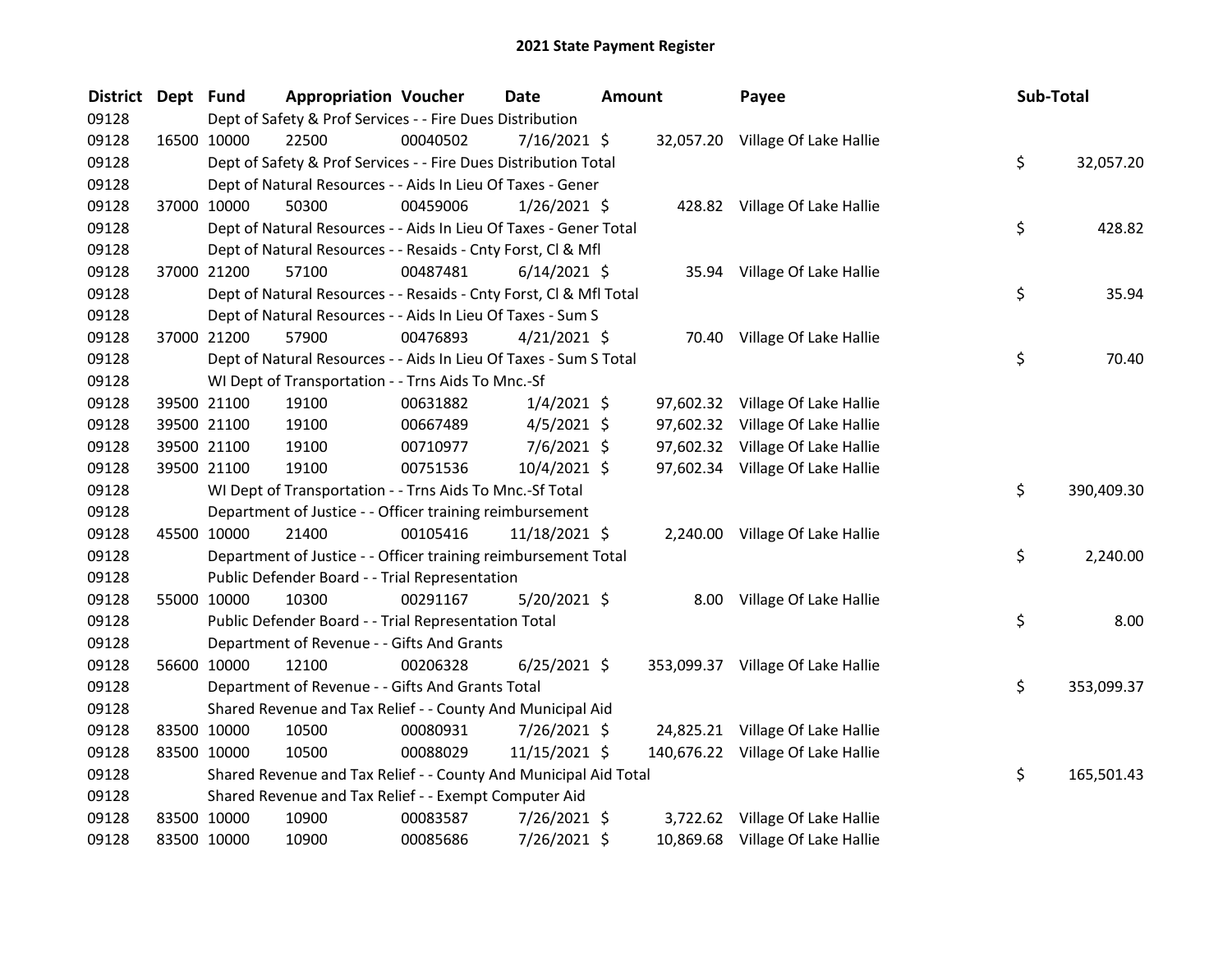| <b>District</b> | Dept Fund   |             | <b>Appropriation Voucher</b>                                       |          | <b>Date</b>    | Amount | Payee                             | Sub-Total |            |
|-----------------|-------------|-------------|--------------------------------------------------------------------|----------|----------------|--------|-----------------------------------|-----------|------------|
| 09128           |             |             | Dept of Safety & Prof Services - - Fire Dues Distribution          |          |                |        |                                   |           |            |
| 09128           |             | 16500 10000 | 22500                                                              | 00040502 | $7/16/2021$ \$ |        | 32,057.20 Village Of Lake Hallie  |           |            |
| 09128           |             |             | Dept of Safety & Prof Services - - Fire Dues Distribution Total    |          |                |        |                                   | \$        | 32,057.20  |
| 09128           |             |             | Dept of Natural Resources - - Aids In Lieu Of Taxes - Gener        |          |                |        |                                   |           |            |
| 09128           |             | 37000 10000 | 50300                                                              | 00459006 | $1/26/2021$ \$ |        | 428.82 Village Of Lake Hallie     |           |            |
| 09128           |             |             | Dept of Natural Resources - - Aids In Lieu Of Taxes - Gener Total  |          |                |        |                                   | \$        | 428.82     |
| 09128           |             |             | Dept of Natural Resources - - Resaids - Cnty Forst, Cl & Mfl       |          |                |        |                                   |           |            |
| 09128           |             | 37000 21200 | 57100                                                              | 00487481 | $6/14/2021$ \$ |        | 35.94 Village Of Lake Hallie      |           |            |
| 09128           |             |             | Dept of Natural Resources - - Resaids - Cnty Forst, CI & Mfl Total |          |                |        |                                   | \$        | 35.94      |
| 09128           |             |             | Dept of Natural Resources - - Aids In Lieu Of Taxes - Sum S        |          |                |        |                                   |           |            |
| 09128           |             | 37000 21200 | 57900                                                              | 00476893 | $4/21/2021$ \$ |        | 70.40 Village Of Lake Hallie      |           |            |
| 09128           |             |             | Dept of Natural Resources - - Aids In Lieu Of Taxes - Sum S Total  |          |                |        |                                   | \$        | 70.40      |
| 09128           |             |             | WI Dept of Transportation - - Trns Aids To Mnc.-Sf                 |          |                |        |                                   |           |            |
| 09128           |             | 39500 21100 | 19100                                                              | 00631882 | $1/4/2021$ \$  |        | 97,602.32 Village Of Lake Hallie  |           |            |
| 09128           |             | 39500 21100 | 19100                                                              | 00667489 | $4/5/2021$ \$  |        | 97,602.32 Village Of Lake Hallie  |           |            |
| 09128           |             | 39500 21100 | 19100                                                              | 00710977 | 7/6/2021 \$    |        | 97,602.32 Village Of Lake Hallie  |           |            |
| 09128           |             | 39500 21100 | 19100                                                              | 00751536 | 10/4/2021 \$   |        | 97,602.34 Village Of Lake Hallie  |           |            |
| 09128           |             |             | WI Dept of Transportation - - Trns Aids To Mnc.-Sf Total           |          |                |        |                                   | \$        | 390,409.30 |
| 09128           |             |             | Department of Justice - - Officer training reimbursement           |          |                |        |                                   |           |            |
| 09128           |             | 45500 10000 | 21400                                                              | 00105416 | 11/18/2021 \$  |        | 2,240.00 Village Of Lake Hallie   |           |            |
| 09128           |             |             | Department of Justice - - Officer training reimbursement Total     |          |                |        |                                   | \$        | 2,240.00   |
| 09128           |             |             | Public Defender Board - - Trial Representation                     |          |                |        |                                   |           |            |
| 09128           |             | 55000 10000 | 10300                                                              | 00291167 | 5/20/2021 \$   |        | 8.00 Village Of Lake Hallie       |           |            |
| 09128           |             |             | Public Defender Board - - Trial Representation Total               |          |                |        |                                   | \$        | 8.00       |
| 09128           |             |             | Department of Revenue - - Gifts And Grants                         |          |                |        |                                   |           |            |
| 09128           |             | 56600 10000 | 12100                                                              | 00206328 | $6/25/2021$ \$ |        | 353,099.37 Village Of Lake Hallie |           |            |
| 09128           |             |             | Department of Revenue - - Gifts And Grants Total                   |          |                |        |                                   | \$        | 353,099.37 |
| 09128           |             |             | Shared Revenue and Tax Relief - - County And Municipal Aid         |          |                |        |                                   |           |            |
| 09128           |             | 83500 10000 | 10500                                                              | 00080931 | 7/26/2021 \$   |        | 24,825.21 Village Of Lake Hallie  |           |            |
| 09128           |             | 83500 10000 | 10500                                                              | 00088029 | 11/15/2021 \$  |        | 140,676.22 Village Of Lake Hallie |           |            |
| 09128           |             |             | Shared Revenue and Tax Relief - - County And Municipal Aid Total   |          |                |        |                                   | \$        | 165,501.43 |
| 09128           |             |             | Shared Revenue and Tax Relief - - Exempt Computer Aid              |          |                |        |                                   |           |            |
| 09128           |             | 83500 10000 | 10900                                                              | 00083587 | 7/26/2021 \$   |        | 3,722.62 Village Of Lake Hallie   |           |            |
| 09128           | 83500 10000 |             | 10900                                                              | 00085686 | 7/26/2021 \$   |        | 10,869.68 Village Of Lake Hallie  |           |            |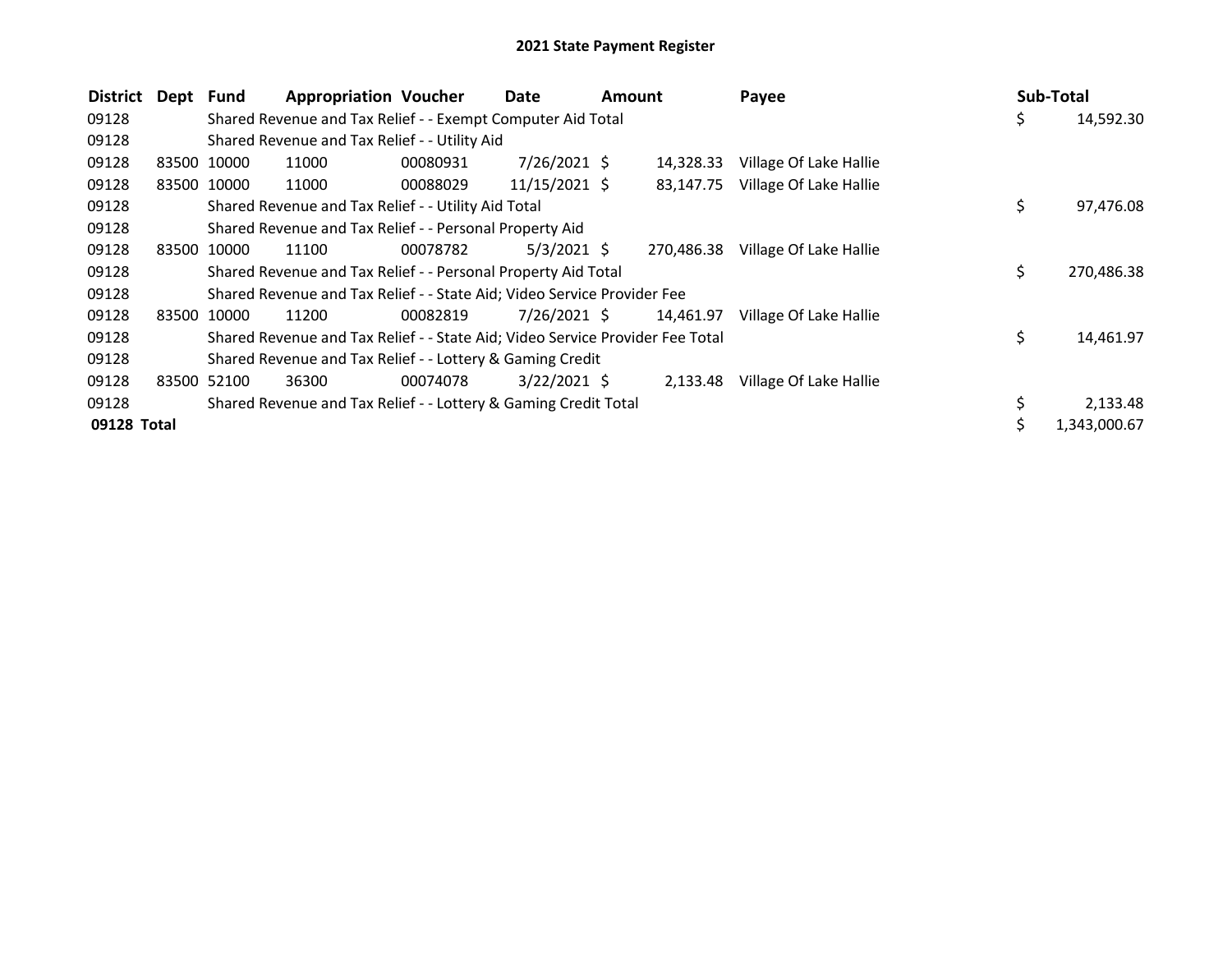| <b>District</b> | Dept Fund |             | <b>Appropriation Voucher</b>                                                  |          | Date           | <b>Amount</b> |            | Payee                  | Sub-Total |              |
|-----------------|-----------|-------------|-------------------------------------------------------------------------------|----------|----------------|---------------|------------|------------------------|-----------|--------------|
| 09128           |           |             | Shared Revenue and Tax Relief - - Exempt Computer Aid Total                   |          |                |               |            |                        | \$        | 14,592.30    |
| 09128           |           |             | Shared Revenue and Tax Relief - - Utility Aid                                 |          |                |               |            |                        |           |              |
| 09128           |           | 83500 10000 | 11000                                                                         | 00080931 | $7/26/2021$ \$ |               | 14,328.33  | Village Of Lake Hallie |           |              |
| 09128           |           | 83500 10000 | 11000                                                                         | 00088029 | 11/15/2021 \$  |               | 83.147.75  | Village Of Lake Hallie |           |              |
| 09128           |           |             | Shared Revenue and Tax Relief - - Utility Aid Total                           |          |                |               |            |                        | \$        | 97,476.08    |
| 09128           |           |             | Shared Revenue and Tax Relief - - Personal Property Aid                       |          |                |               |            |                        |           |              |
| 09128           |           | 83500 10000 | 11100                                                                         | 00078782 | $5/3/2021$ \$  |               | 270.486.38 | Village Of Lake Hallie |           |              |
| 09128           |           |             | Shared Revenue and Tax Relief - - Personal Property Aid Total                 |          |                |               |            |                        | \$        | 270,486.38   |
| 09128           |           |             | Shared Revenue and Tax Relief - - State Aid; Video Service Provider Fee       |          |                |               |            |                        |           |              |
| 09128           |           | 83500 10000 | 11200                                                                         | 00082819 | $7/26/2021$ \$ |               | 14,461.97  | Village Of Lake Hallie |           |              |
| 09128           |           |             | Shared Revenue and Tax Relief - - State Aid; Video Service Provider Fee Total |          |                |               |            |                        | \$        | 14,461.97    |
| 09128           |           |             | Shared Revenue and Tax Relief - - Lottery & Gaming Credit                     |          |                |               |            |                        |           |              |
| 09128           |           | 83500 52100 | 36300                                                                         | 00074078 | $3/22/2021$ \$ |               | 2,133.48   | Village Of Lake Hallie |           |              |
| 09128           |           |             | Shared Revenue and Tax Relief - - Lottery & Gaming Credit Total               |          |                |               |            |                        |           | 2,133.48     |
| 09128 Total     |           |             |                                                                               |          |                |               |            |                        |           | 1.343.000.67 |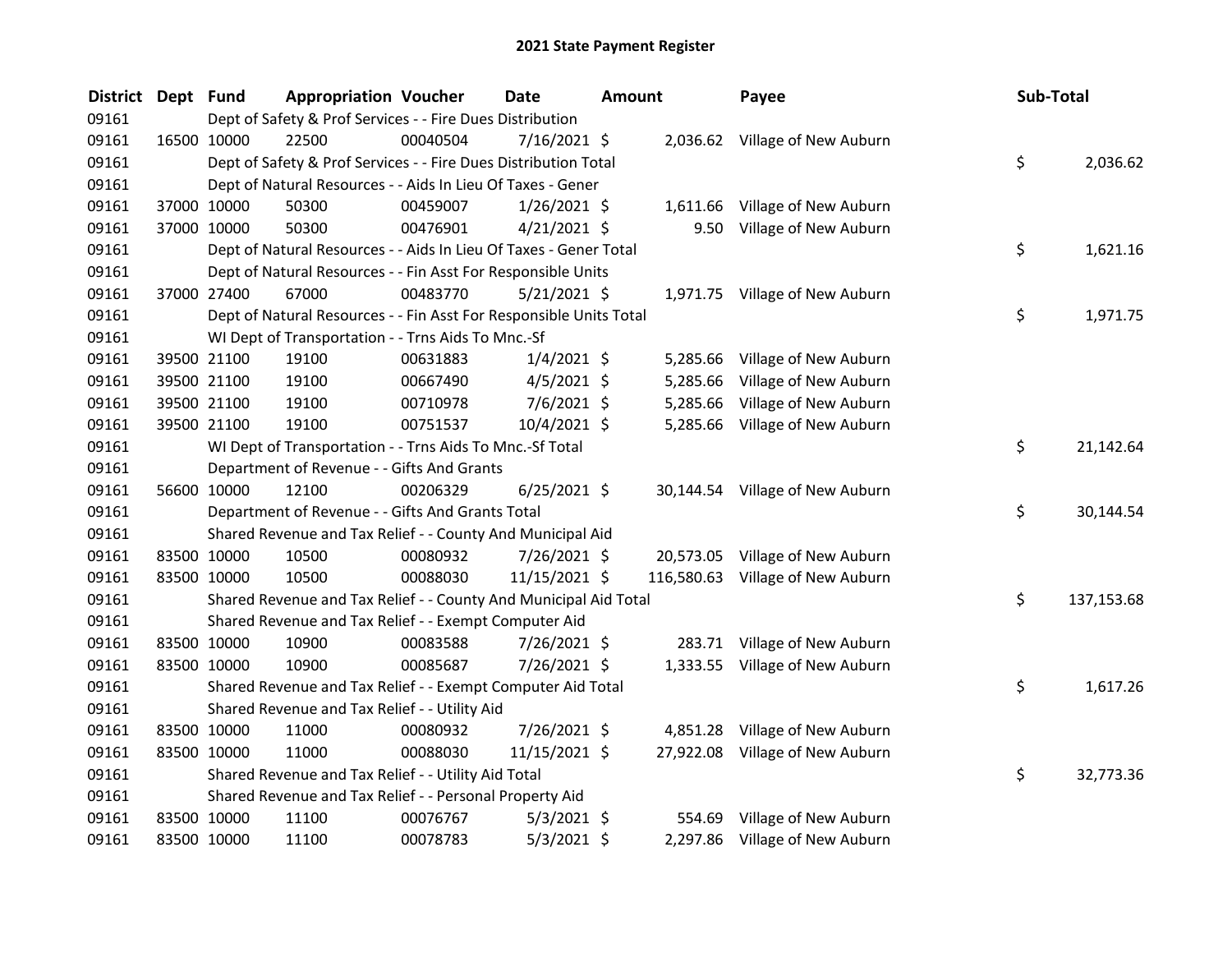| <b>District</b> | Dept Fund   |             | <b>Appropriation Voucher</b>                                       |          | Date           | <b>Amount</b> |          | Payee                            | Sub-Total |            |
|-----------------|-------------|-------------|--------------------------------------------------------------------|----------|----------------|---------------|----------|----------------------------------|-----------|------------|
| 09161           |             |             | Dept of Safety & Prof Services - - Fire Dues Distribution          |          |                |               |          |                                  |           |            |
| 09161           |             | 16500 10000 | 22500                                                              | 00040504 | 7/16/2021 \$   |               |          | 2,036.62 Village of New Auburn   |           |            |
| 09161           |             |             | Dept of Safety & Prof Services - - Fire Dues Distribution Total    |          |                |               |          |                                  | \$        | 2,036.62   |
| 09161           |             |             | Dept of Natural Resources - - Aids In Lieu Of Taxes - Gener        |          |                |               |          |                                  |           |            |
| 09161           |             | 37000 10000 | 50300                                                              | 00459007 | $1/26/2021$ \$ |               |          | 1,611.66 Village of New Auburn   |           |            |
| 09161           |             | 37000 10000 | 50300                                                              | 00476901 | $4/21/2021$ \$ |               |          | 9.50 Village of New Auburn       |           |            |
| 09161           |             |             | Dept of Natural Resources - - Aids In Lieu Of Taxes - Gener Total  |          |                |               |          |                                  | \$        | 1,621.16   |
| 09161           |             |             | Dept of Natural Resources - - Fin Asst For Responsible Units       |          |                |               |          |                                  |           |            |
| 09161           |             | 37000 27400 | 67000                                                              | 00483770 | $5/21/2021$ \$ |               |          | 1,971.75 Village of New Auburn   |           |            |
| 09161           |             |             | Dept of Natural Resources - - Fin Asst For Responsible Units Total |          |                |               |          |                                  | \$        | 1,971.75   |
| 09161           |             |             | WI Dept of Transportation - - Trns Aids To Mnc.-Sf                 |          |                |               |          |                                  |           |            |
| 09161           |             | 39500 21100 | 19100                                                              | 00631883 | $1/4/2021$ \$  |               | 5,285.66 | Village of New Auburn            |           |            |
| 09161           |             | 39500 21100 | 19100                                                              | 00667490 | $4/5/2021$ \$  |               | 5,285.66 | Village of New Auburn            |           |            |
| 09161           |             | 39500 21100 | 19100                                                              | 00710978 | 7/6/2021 \$    |               | 5,285.66 | Village of New Auburn            |           |            |
| 09161           |             | 39500 21100 | 19100                                                              | 00751537 | 10/4/2021 \$   |               |          | 5,285.66 Village of New Auburn   |           |            |
| 09161           |             |             | WI Dept of Transportation - - Trns Aids To Mnc.-Sf Total           |          |                |               |          |                                  | \$        | 21,142.64  |
| 09161           |             |             | Department of Revenue - - Gifts And Grants                         |          |                |               |          |                                  |           |            |
| 09161           |             | 56600 10000 | 12100                                                              | 00206329 | $6/25/2021$ \$ |               |          | 30,144.54 Village of New Auburn  |           |            |
| 09161           |             |             | Department of Revenue - - Gifts And Grants Total                   |          |                |               |          |                                  | \$        | 30,144.54  |
| 09161           |             |             | Shared Revenue and Tax Relief - - County And Municipal Aid         |          |                |               |          |                                  |           |            |
| 09161           |             | 83500 10000 | 10500                                                              | 00080932 | 7/26/2021 \$   |               |          | 20,573.05 Village of New Auburn  |           |            |
| 09161           |             | 83500 10000 | 10500                                                              | 00088030 | 11/15/2021 \$  |               |          | 116,580.63 Village of New Auburn |           |            |
| 09161           |             |             | Shared Revenue and Tax Relief - - County And Municipal Aid Total   |          |                |               |          |                                  | \$        | 137,153.68 |
| 09161           |             |             | Shared Revenue and Tax Relief - - Exempt Computer Aid              |          |                |               |          |                                  |           |            |
| 09161           |             | 83500 10000 | 10900                                                              | 00083588 | 7/26/2021 \$   |               |          | 283.71 Village of New Auburn     |           |            |
| 09161           |             | 83500 10000 | 10900                                                              | 00085687 | 7/26/2021 \$   |               |          | 1,333.55 Village of New Auburn   |           |            |
| 09161           |             |             | Shared Revenue and Tax Relief - - Exempt Computer Aid Total        |          |                |               |          |                                  | \$        | 1,617.26   |
| 09161           |             |             | Shared Revenue and Tax Relief - - Utility Aid                      |          |                |               |          |                                  |           |            |
| 09161           |             | 83500 10000 | 11000                                                              | 00080932 | 7/26/2021 \$   |               | 4,851.28 | Village of New Auburn            |           |            |
| 09161           |             | 83500 10000 | 11000                                                              | 00088030 | 11/15/2021 \$  |               |          | 27,922.08 Village of New Auburn  |           |            |
| 09161           |             |             | Shared Revenue and Tax Relief - - Utility Aid Total                |          |                |               |          |                                  | \$        | 32,773.36  |
| 09161           |             |             | Shared Revenue and Tax Relief - - Personal Property Aid            |          |                |               |          |                                  |           |            |
| 09161           |             | 83500 10000 | 11100                                                              | 00076767 | $5/3/2021$ \$  |               | 554.69   | Village of New Auburn            |           |            |
| 09161           | 83500 10000 |             | 11100                                                              | 00078783 | 5/3/2021 \$    |               | 2,297.86 | Village of New Auburn            |           |            |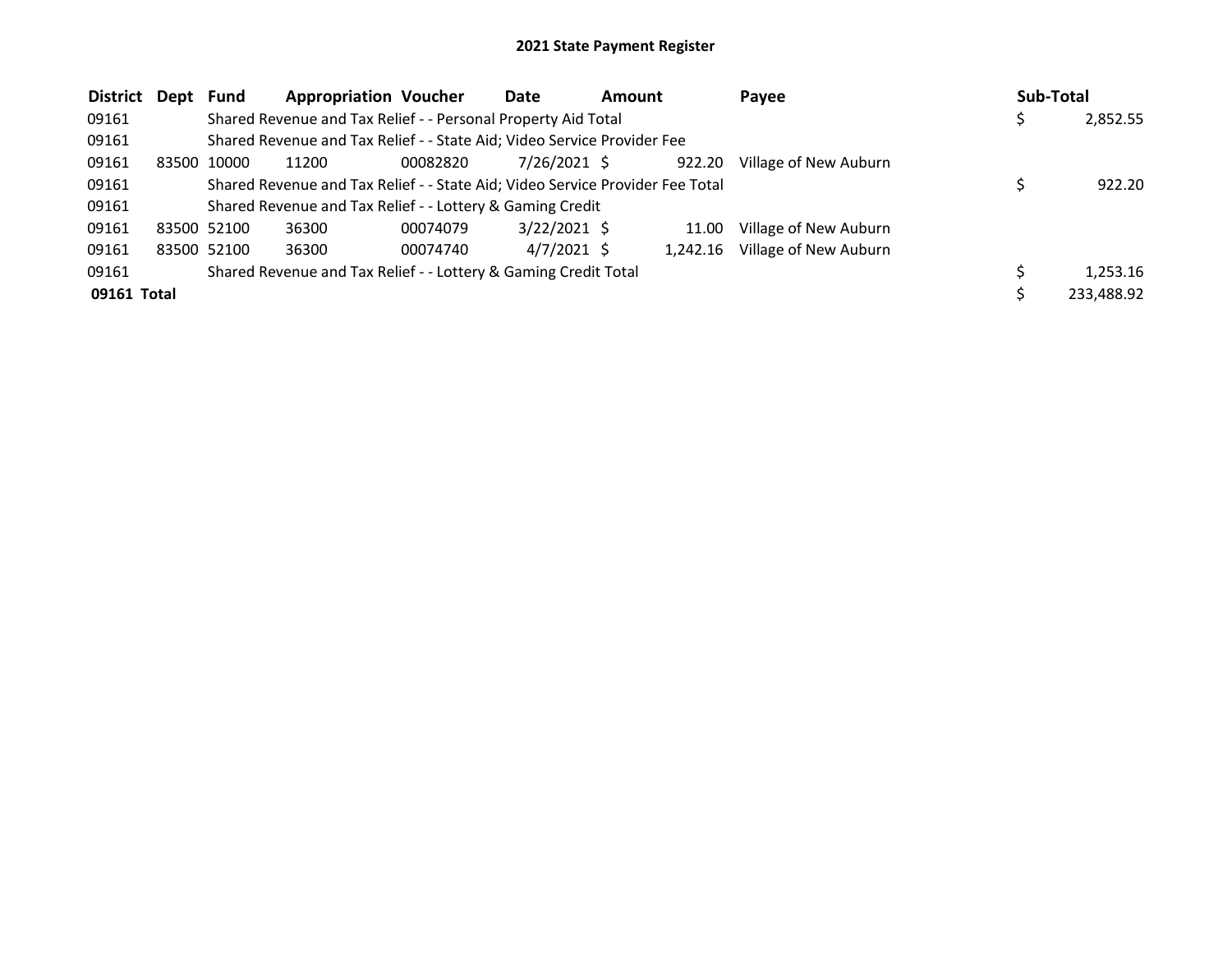| District Dept Fund |       |             | <b>Appropriation Voucher</b>                                                  |          | Date           | <b>Amount</b> |          | Payee                 | Sub-Total  |
|--------------------|-------|-------------|-------------------------------------------------------------------------------|----------|----------------|---------------|----------|-----------------------|------------|
| 09161              |       |             | Shared Revenue and Tax Relief - - Personal Property Aid Total                 |          |                |               |          |                       | 2,852.55   |
| 09161              |       |             | Shared Revenue and Tax Relief - - State Aid; Video Service Provider Fee       |          |                |               |          |                       |            |
| 09161              | 83500 | 10000       | 11200                                                                         | 00082820 | 7/26/2021 \$   |               | 922.20   | Village of New Auburn |            |
| 09161              |       |             | Shared Revenue and Tax Relief - - State Aid; Video Service Provider Fee Total |          |                |               |          |                       | 922.20     |
| 09161              |       |             | Shared Revenue and Tax Relief - - Lottery & Gaming Credit                     |          |                |               |          |                       |            |
| 09161              |       | 83500 52100 | 36300                                                                         | 00074079 | $3/22/2021$ \$ |               | 11.00    | Village of New Auburn |            |
| 09161              |       | 83500 52100 | 36300                                                                         | 00074740 | 4/7/2021 \$    |               | 1.242.16 | Village of New Auburn |            |
| 09161              |       |             | Shared Revenue and Tax Relief - - Lottery & Gaming Credit Total               |          |                |               |          |                       | 1.253.16   |
| 09161 Total        |       |             |                                                                               |          |                |               |          |                       | 233,488.92 |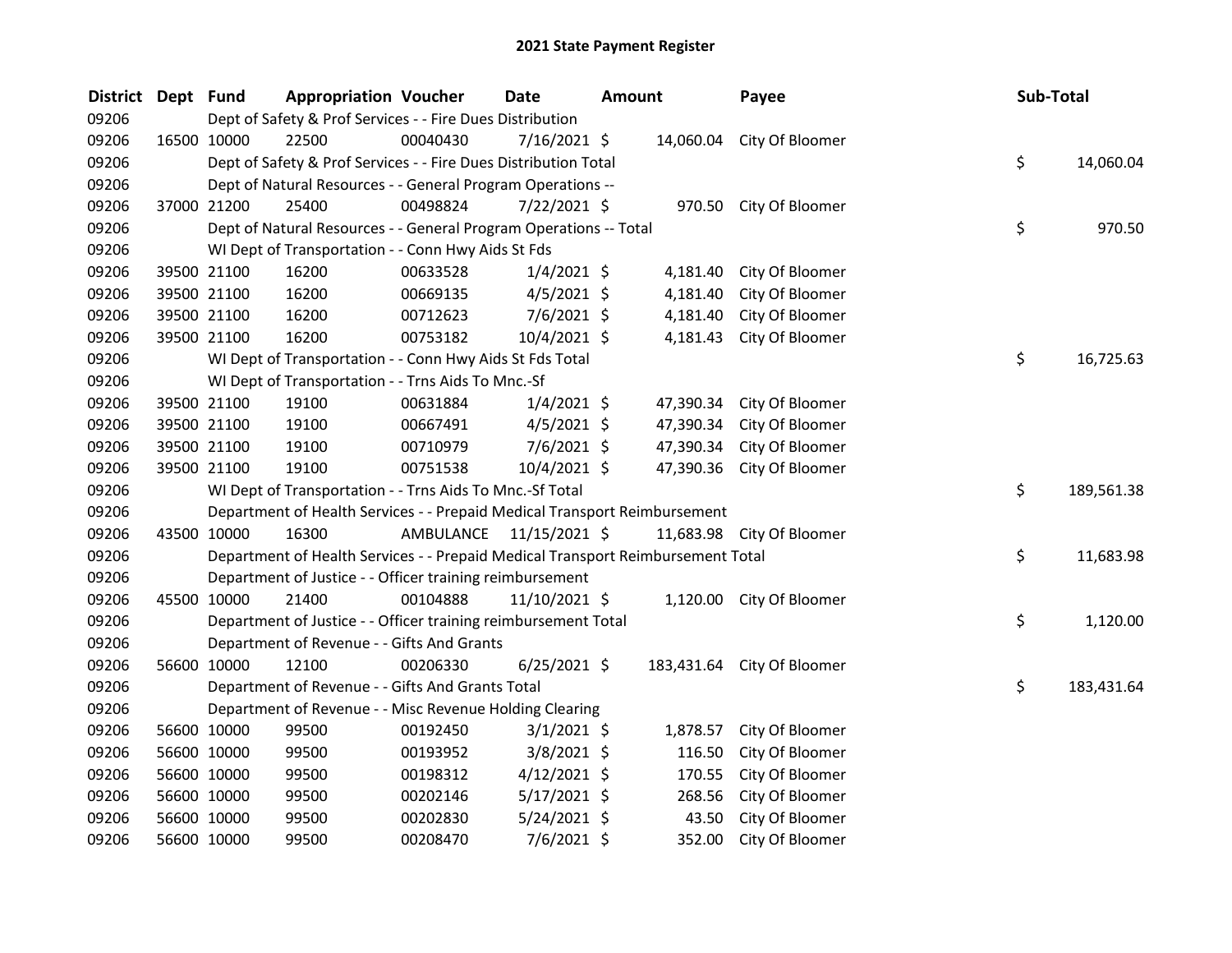| District | Dept Fund |             | <b>Appropriation Voucher</b>                                                    |          | <b>Date</b>             | <b>Amount</b> |           | Payee                      | <b>Sub-Total</b> |            |
|----------|-----------|-------------|---------------------------------------------------------------------------------|----------|-------------------------|---------------|-----------|----------------------------|------------------|------------|
| 09206    |           |             | Dept of Safety & Prof Services - - Fire Dues Distribution                       |          |                         |               |           |                            |                  |            |
| 09206    |           | 16500 10000 | 22500                                                                           | 00040430 | 7/16/2021 \$            |               |           | 14,060.04 City Of Bloomer  |                  |            |
| 09206    |           |             | Dept of Safety & Prof Services - - Fire Dues Distribution Total                 |          |                         |               |           |                            | \$               | 14,060.04  |
| 09206    |           |             | Dept of Natural Resources - - General Program Operations --                     |          |                         |               |           |                            |                  |            |
| 09206    |           | 37000 21200 | 25400                                                                           | 00498824 | 7/22/2021 \$            |               |           | 970.50 City Of Bloomer     |                  |            |
| 09206    |           |             | Dept of Natural Resources - - General Program Operations -- Total               |          |                         |               |           |                            | \$               | 970.50     |
| 09206    |           |             | WI Dept of Transportation - - Conn Hwy Aids St Fds                              |          |                         |               |           |                            |                  |            |
| 09206    |           | 39500 21100 | 16200                                                                           | 00633528 | $1/4/2021$ \$           |               | 4,181.40  | City Of Bloomer            |                  |            |
| 09206    |           | 39500 21100 | 16200                                                                           | 00669135 | $4/5/2021$ \$           |               | 4,181.40  | City Of Bloomer            |                  |            |
| 09206    |           | 39500 21100 | 16200                                                                           | 00712623 | 7/6/2021 \$             |               | 4,181.40  | City Of Bloomer            |                  |            |
| 09206    |           | 39500 21100 | 16200                                                                           | 00753182 | 10/4/2021 \$            |               | 4,181.43  | City Of Bloomer            |                  |            |
| 09206    |           |             | WI Dept of Transportation - - Conn Hwy Aids St Fds Total                        |          |                         |               |           |                            | \$               | 16,725.63  |
| 09206    |           |             | WI Dept of Transportation - - Trns Aids To Mnc.-Sf                              |          |                         |               |           |                            |                  |            |
| 09206    |           | 39500 21100 | 19100                                                                           | 00631884 | $1/4/2021$ \$           |               | 47,390.34 | City Of Bloomer            |                  |            |
| 09206    |           | 39500 21100 | 19100                                                                           | 00667491 | $4/5/2021$ \$           |               | 47,390.34 | City Of Bloomer            |                  |            |
| 09206    |           | 39500 21100 | 19100                                                                           | 00710979 | $7/6/2021$ \$           |               | 47,390.34 | City Of Bloomer            |                  |            |
| 09206    |           | 39500 21100 | 19100                                                                           | 00751538 | 10/4/2021 \$            |               |           | 47,390.36 City Of Bloomer  |                  |            |
| 09206    |           |             | WI Dept of Transportation - - Trns Aids To Mnc.-Sf Total                        |          |                         |               |           |                            | \$               | 189,561.38 |
| 09206    |           |             | Department of Health Services - - Prepaid Medical Transport Reimbursement       |          |                         |               |           |                            |                  |            |
| 09206    |           | 43500 10000 | 16300                                                                           |          | AMBULANCE 11/15/2021 \$ |               |           | 11,683.98 City Of Bloomer  |                  |            |
| 09206    |           |             | Department of Health Services - - Prepaid Medical Transport Reimbursement Total |          |                         |               |           |                            | \$               | 11,683.98  |
| 09206    |           |             | Department of Justice - - Officer training reimbursement                        |          |                         |               |           |                            |                  |            |
| 09206    |           | 45500 10000 | 21400                                                                           | 00104888 | 11/10/2021 \$           |               |           | 1,120.00 City Of Bloomer   |                  |            |
| 09206    |           |             | Department of Justice - - Officer training reimbursement Total                  |          |                         |               |           |                            | \$               | 1,120.00   |
| 09206    |           |             | Department of Revenue - - Gifts And Grants                                      |          |                         |               |           |                            |                  |            |
| 09206    |           | 56600 10000 | 12100                                                                           | 00206330 | $6/25/2021$ \$          |               |           | 183,431.64 City Of Bloomer |                  |            |
| 09206    |           |             | Department of Revenue - - Gifts And Grants Total                                |          |                         |               |           |                            | \$               | 183,431.64 |
| 09206    |           |             | Department of Revenue - - Misc Revenue Holding Clearing                         |          |                         |               |           |                            |                  |            |
| 09206    |           | 56600 10000 | 99500                                                                           | 00192450 | $3/1/2021$ \$           |               | 1,878.57  | City Of Bloomer            |                  |            |
| 09206    |           | 56600 10000 | 99500                                                                           | 00193952 | $3/8/2021$ \$           |               | 116.50    | City Of Bloomer            |                  |            |
| 09206    |           | 56600 10000 | 99500                                                                           | 00198312 | $4/12/2021$ \$          |               | 170.55    | City Of Bloomer            |                  |            |
| 09206    |           | 56600 10000 | 99500                                                                           | 00202146 | $5/17/2021$ \$          |               | 268.56    | City Of Bloomer            |                  |            |
| 09206    |           | 56600 10000 | 99500                                                                           | 00202830 | 5/24/2021 \$            |               | 43.50     | City Of Bloomer            |                  |            |
| 09206    |           | 56600 10000 | 99500                                                                           | 00208470 | 7/6/2021 \$             |               | 352.00    | City Of Bloomer            |                  |            |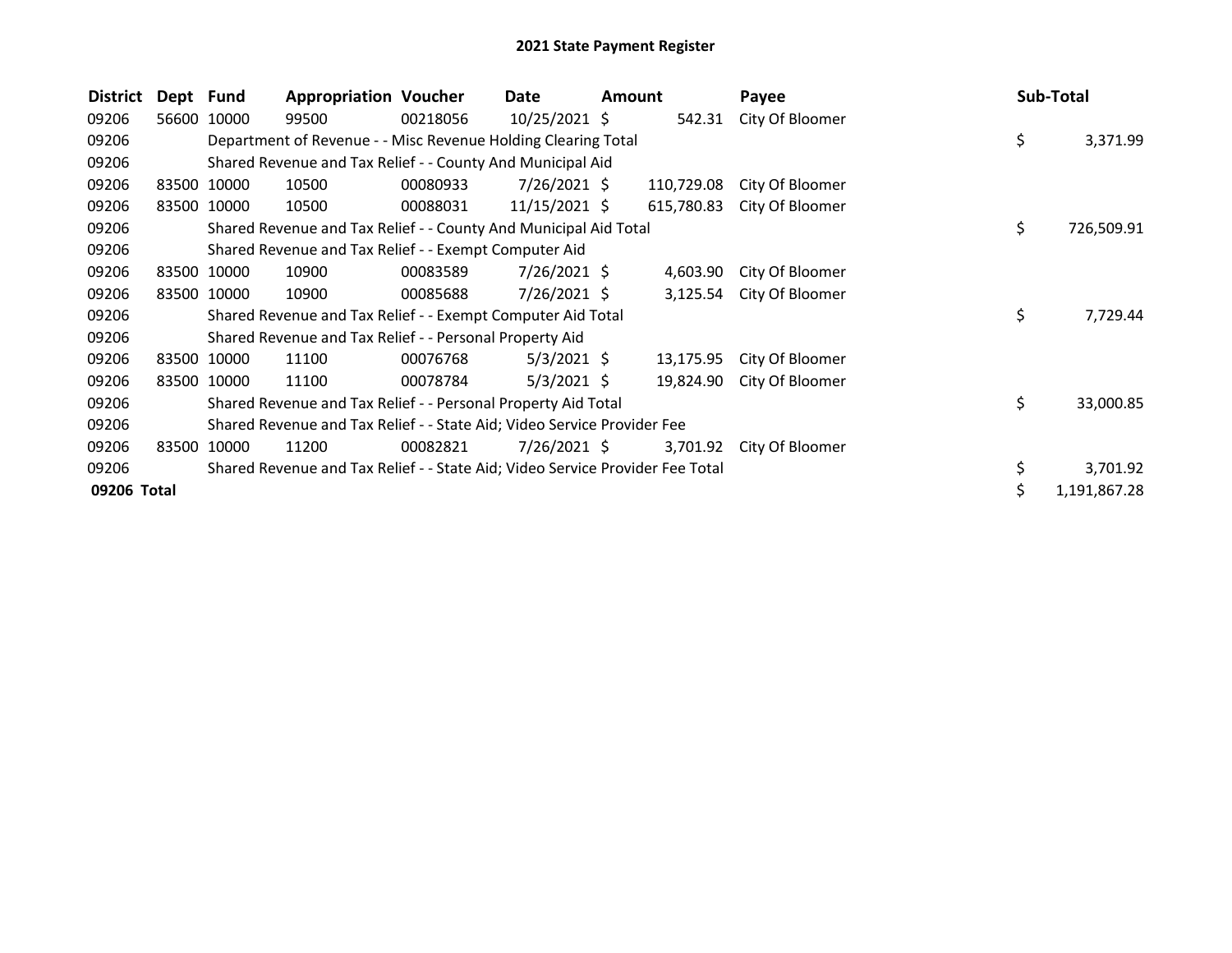| <b>District</b> | Dept Fund |             | <b>Appropriation Voucher</b>                                                  |          | Date            | <b>Amount</b> |            | Payee           |    | Sub-Total    |
|-----------------|-----------|-------------|-------------------------------------------------------------------------------|----------|-----------------|---------------|------------|-----------------|----|--------------|
| 09206           |           | 56600 10000 | 99500                                                                         | 00218056 | 10/25/2021 \$   |               | 542.31     | City Of Bloomer |    |              |
| 09206           |           |             | Department of Revenue - - Misc Revenue Holding Clearing Total                 |          |                 |               |            |                 | \$ | 3,371.99     |
| 09206           |           |             | Shared Revenue and Tax Relief - - County And Municipal Aid                    |          |                 |               |            |                 |    |              |
| 09206           |           | 83500 10000 | 10500                                                                         | 00080933 | $7/26/2021$ \$  |               | 110,729.08 | City Of Bloomer |    |              |
| 09206           |           | 83500 10000 | 10500                                                                         | 00088031 | $11/15/2021$ \$ |               | 615,780.83 | City Of Bloomer |    |              |
| 09206           |           |             | Shared Revenue and Tax Relief - - County And Municipal Aid Total              |          |                 |               |            |                 | \$ | 726,509.91   |
| 09206           |           |             | Shared Revenue and Tax Relief - - Exempt Computer Aid                         |          |                 |               |            |                 |    |              |
| 09206           |           | 83500 10000 | 10900                                                                         | 00083589 | 7/26/2021 \$    |               | 4,603.90   | City Of Bloomer |    |              |
| 09206           |           | 83500 10000 | 10900                                                                         | 00085688 | $7/26/2021$ \$  |               | 3,125.54   | City Of Bloomer |    |              |
| 09206           |           |             | Shared Revenue and Tax Relief - - Exempt Computer Aid Total                   |          |                 |               |            |                 | \$ | 7,729.44     |
| 09206           |           |             | Shared Revenue and Tax Relief - - Personal Property Aid                       |          |                 |               |            |                 |    |              |
| 09206           |           | 83500 10000 | 11100                                                                         | 00076768 | $5/3/2021$ \$   |               | 13,175.95  | City Of Bloomer |    |              |
| 09206           |           | 83500 10000 | 11100                                                                         | 00078784 | $5/3/2021$ \$   |               | 19,824.90  | City Of Bloomer |    |              |
| 09206           |           |             | Shared Revenue and Tax Relief - - Personal Property Aid Total                 |          |                 |               |            |                 | \$ | 33,000.85    |
| 09206           |           |             | Shared Revenue and Tax Relief - - State Aid; Video Service Provider Fee       |          |                 |               |            |                 |    |              |
| 09206           | 83500     | 10000       | 11200                                                                         | 00082821 | $7/26/2021$ \$  |               | 3,701.92   | City Of Bloomer |    |              |
| 09206           |           |             | Shared Revenue and Tax Relief - - State Aid; Video Service Provider Fee Total |          |                 |               |            |                 |    | 3,701.92     |
| 09206 Total     |           |             |                                                                               |          |                 |               |            |                 |    | 1,191,867.28 |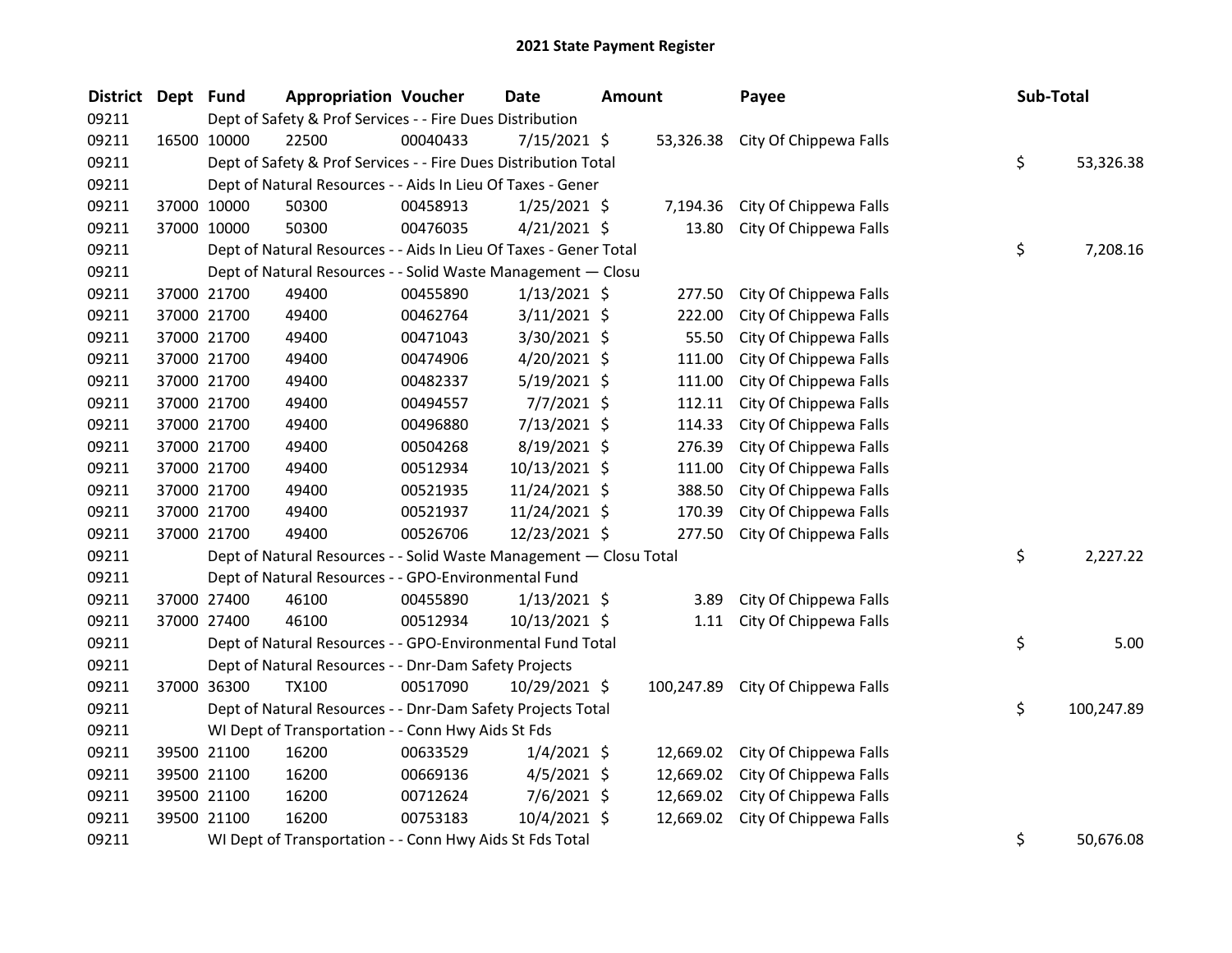| <b>District</b> | Dept Fund |             | <b>Appropriation Voucher</b>                                       |          | <b>Date</b>    | <b>Amount</b> |            | Payee                  | Sub-Total |            |
|-----------------|-----------|-------------|--------------------------------------------------------------------|----------|----------------|---------------|------------|------------------------|-----------|------------|
| 09211           |           |             | Dept of Safety & Prof Services - - Fire Dues Distribution          |          |                |               |            |                        |           |            |
| 09211           |           | 16500 10000 | 22500                                                              | 00040433 | $7/15/2021$ \$ |               | 53,326.38  | City Of Chippewa Falls |           |            |
| 09211           |           |             | Dept of Safety & Prof Services - - Fire Dues Distribution Total    |          |                |               |            |                        | \$        | 53,326.38  |
| 09211           |           |             | Dept of Natural Resources - - Aids In Lieu Of Taxes - Gener        |          |                |               |            |                        |           |            |
| 09211           |           | 37000 10000 | 50300                                                              | 00458913 | $1/25/2021$ \$ |               | 7,194.36   | City Of Chippewa Falls |           |            |
| 09211           |           | 37000 10000 | 50300                                                              | 00476035 | $4/21/2021$ \$ |               | 13.80      | City Of Chippewa Falls |           |            |
| 09211           |           |             | Dept of Natural Resources - - Aids In Lieu Of Taxes - Gener Total  |          |                |               |            |                        | \$        | 7,208.16   |
| 09211           |           |             | Dept of Natural Resources - - Solid Waste Management - Closu       |          |                |               |            |                        |           |            |
| 09211           |           | 37000 21700 | 49400                                                              | 00455890 | $1/13/2021$ \$ |               | 277.50     | City Of Chippewa Falls |           |            |
| 09211           |           | 37000 21700 | 49400                                                              | 00462764 | 3/11/2021 \$   |               | 222.00     | City Of Chippewa Falls |           |            |
| 09211           |           | 37000 21700 | 49400                                                              | 00471043 | 3/30/2021 \$   |               | 55.50      | City Of Chippewa Falls |           |            |
| 09211           |           | 37000 21700 | 49400                                                              | 00474906 | $4/20/2021$ \$ |               | 111.00     | City Of Chippewa Falls |           |            |
| 09211           |           | 37000 21700 | 49400                                                              | 00482337 | $5/19/2021$ \$ |               | 111.00     | City Of Chippewa Falls |           |            |
| 09211           |           | 37000 21700 | 49400                                                              | 00494557 | $7/7/2021$ \$  |               | 112.11     | City Of Chippewa Falls |           |            |
| 09211           |           | 37000 21700 | 49400                                                              | 00496880 | 7/13/2021 \$   |               | 114.33     | City Of Chippewa Falls |           |            |
| 09211           |           | 37000 21700 | 49400                                                              | 00504268 | 8/19/2021 \$   |               | 276.39     | City Of Chippewa Falls |           |            |
| 09211           |           | 37000 21700 | 49400                                                              | 00512934 | 10/13/2021 \$  |               | 111.00     | City Of Chippewa Falls |           |            |
| 09211           |           | 37000 21700 | 49400                                                              | 00521935 | 11/24/2021 \$  |               | 388.50     | City Of Chippewa Falls |           |            |
| 09211           |           | 37000 21700 | 49400                                                              | 00521937 | 11/24/2021 \$  |               | 170.39     | City Of Chippewa Falls |           |            |
| 09211           |           | 37000 21700 | 49400                                                              | 00526706 | 12/23/2021 \$  |               | 277.50     | City Of Chippewa Falls |           |            |
| 09211           |           |             | Dept of Natural Resources - - Solid Waste Management - Closu Total |          |                |               |            |                        | \$        | 2,227.22   |
| 09211           |           |             | Dept of Natural Resources - - GPO-Environmental Fund               |          |                |               |            |                        |           |            |
| 09211           |           | 37000 27400 | 46100                                                              | 00455890 | $1/13/2021$ \$ |               | 3.89       | City Of Chippewa Falls |           |            |
| 09211           |           | 37000 27400 | 46100                                                              | 00512934 | 10/13/2021 \$  |               | 1.11       | City Of Chippewa Falls |           |            |
| 09211           |           |             | Dept of Natural Resources - - GPO-Environmental Fund Total         |          |                |               |            |                        | \$        | 5.00       |
| 09211           |           |             | Dept of Natural Resources - - Dnr-Dam Safety Projects              |          |                |               |            |                        |           |            |
| 09211           |           | 37000 36300 | <b>TX100</b>                                                       | 00517090 | 10/29/2021 \$  |               | 100,247.89 | City Of Chippewa Falls |           |            |
| 09211           |           |             | Dept of Natural Resources - - Dnr-Dam Safety Projects Total        |          |                |               |            |                        | \$        | 100,247.89 |
| 09211           |           |             | WI Dept of Transportation - - Conn Hwy Aids St Fds                 |          |                |               |            |                        |           |            |
| 09211           |           | 39500 21100 | 16200                                                              | 00633529 | $1/4/2021$ \$  |               | 12,669.02  | City Of Chippewa Falls |           |            |
| 09211           |           | 39500 21100 | 16200                                                              | 00669136 | $4/5/2021$ \$  |               | 12,669.02  | City Of Chippewa Falls |           |            |
| 09211           |           | 39500 21100 | 16200                                                              | 00712624 | $7/6/2021$ \$  |               | 12,669.02  | City Of Chippewa Falls |           |            |
| 09211           |           | 39500 21100 | 16200                                                              | 00753183 | 10/4/2021 \$   |               | 12,669.02  | City Of Chippewa Falls |           |            |
| 09211           |           |             | WI Dept of Transportation - - Conn Hwy Aids St Fds Total           |          |                |               |            |                        | \$        | 50,676.08  |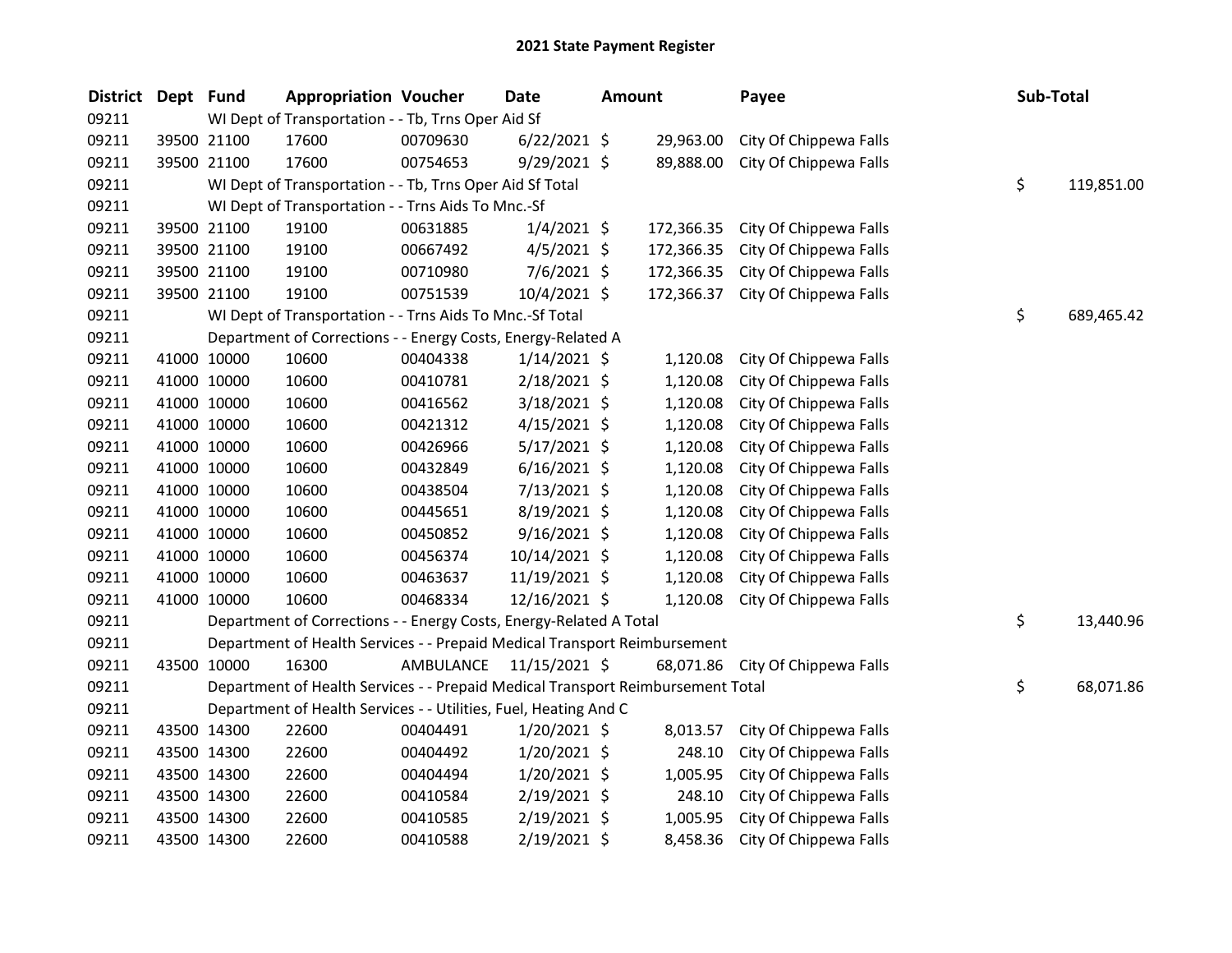| <b>District</b> | Dept Fund   |             | <b>Appropriation Voucher</b>                                                    |           | <b>Date</b>    | Amount |            | Payee                  | Sub-Total |            |
|-----------------|-------------|-------------|---------------------------------------------------------------------------------|-----------|----------------|--------|------------|------------------------|-----------|------------|
| 09211           |             |             | WI Dept of Transportation - - Tb, Trns Oper Aid Sf                              |           |                |        |            |                        |           |            |
| 09211           |             | 39500 21100 | 17600                                                                           | 00709630  | $6/22/2021$ \$ |        | 29,963.00  | City Of Chippewa Falls |           |            |
| 09211           |             | 39500 21100 | 17600                                                                           | 00754653  | 9/29/2021 \$   |        | 89,888.00  | City Of Chippewa Falls |           |            |
| 09211           |             |             | WI Dept of Transportation - - Tb, Trns Oper Aid Sf Total                        |           |                |        |            |                        | \$        | 119,851.00 |
| 09211           |             |             | WI Dept of Transportation - - Trns Aids To Mnc.-Sf                              |           |                |        |            |                        |           |            |
| 09211           |             | 39500 21100 | 19100                                                                           | 00631885  | $1/4/2021$ \$  |        | 172,366.35 | City Of Chippewa Falls |           |            |
| 09211           |             | 39500 21100 | 19100                                                                           | 00667492  | $4/5/2021$ \$  |        | 172,366.35 | City Of Chippewa Falls |           |            |
| 09211           |             | 39500 21100 | 19100                                                                           | 00710980  | $7/6/2021$ \$  |        | 172,366.35 | City Of Chippewa Falls |           |            |
| 09211           |             | 39500 21100 | 19100                                                                           | 00751539  | 10/4/2021 \$   |        | 172,366.37 | City Of Chippewa Falls |           |            |
| 09211           |             |             | WI Dept of Transportation - - Trns Aids To Mnc.-Sf Total                        |           |                |        |            |                        | \$        | 689,465.42 |
| 09211           |             |             | Department of Corrections - - Energy Costs, Energy-Related A                    |           |                |        |            |                        |           |            |
| 09211           |             | 41000 10000 | 10600                                                                           | 00404338  | $1/14/2021$ \$ |        | 1,120.08   | City Of Chippewa Falls |           |            |
| 09211           |             | 41000 10000 | 10600                                                                           | 00410781  | 2/18/2021 \$   |        | 1,120.08   | City Of Chippewa Falls |           |            |
| 09211           |             | 41000 10000 | 10600                                                                           | 00416562  | $3/18/2021$ \$ |        | 1,120.08   | City Of Chippewa Falls |           |            |
| 09211           |             | 41000 10000 | 10600                                                                           | 00421312  | $4/15/2021$ \$ |        | 1,120.08   | City Of Chippewa Falls |           |            |
| 09211           |             | 41000 10000 | 10600                                                                           | 00426966  | 5/17/2021 \$   |        | 1,120.08   | City Of Chippewa Falls |           |            |
| 09211           |             | 41000 10000 | 10600                                                                           | 00432849  | $6/16/2021$ \$ |        | 1,120.08   | City Of Chippewa Falls |           |            |
| 09211           |             | 41000 10000 | 10600                                                                           | 00438504  | 7/13/2021 \$   |        | 1,120.08   | City Of Chippewa Falls |           |            |
| 09211           | 41000 10000 |             | 10600                                                                           | 00445651  | 8/19/2021 \$   |        | 1,120.08   | City Of Chippewa Falls |           |            |
| 09211           |             | 41000 10000 | 10600                                                                           | 00450852  | $9/16/2021$ \$ |        | 1,120.08   | City Of Chippewa Falls |           |            |
| 09211           |             | 41000 10000 | 10600                                                                           | 00456374  | 10/14/2021 \$  |        | 1,120.08   | City Of Chippewa Falls |           |            |
| 09211           |             | 41000 10000 | 10600                                                                           | 00463637  | 11/19/2021 \$  |        | 1,120.08   | City Of Chippewa Falls |           |            |
| 09211           |             | 41000 10000 | 10600                                                                           | 00468334  | 12/16/2021 \$  |        | 1,120.08   | City Of Chippewa Falls |           |            |
| 09211           |             |             | Department of Corrections - - Energy Costs, Energy-Related A Total              |           |                |        |            |                        | \$        | 13,440.96  |
| 09211           |             |             | Department of Health Services - - Prepaid Medical Transport Reimbursement       |           |                |        |            |                        |           |            |
| 09211           |             | 43500 10000 | 16300                                                                           | AMBULANCE | 11/15/2021 \$  |        | 68,071.86  | City Of Chippewa Falls |           |            |
| 09211           |             |             | Department of Health Services - - Prepaid Medical Transport Reimbursement Total |           |                |        |            |                        | \$        | 68,071.86  |
| 09211           |             |             | Department of Health Services - - Utilities, Fuel, Heating And C                |           |                |        |            |                        |           |            |
| 09211           |             | 43500 14300 | 22600                                                                           | 00404491  | $1/20/2021$ \$ |        | 8,013.57   | City Of Chippewa Falls |           |            |
| 09211           |             | 43500 14300 | 22600                                                                           | 00404492  | 1/20/2021 \$   |        | 248.10     | City Of Chippewa Falls |           |            |
| 09211           |             | 43500 14300 | 22600                                                                           | 00404494  | 1/20/2021 \$   |        | 1,005.95   | City Of Chippewa Falls |           |            |
| 09211           |             | 43500 14300 | 22600                                                                           | 00410584  | $2/19/2021$ \$ |        | 248.10     | City Of Chippewa Falls |           |            |
| 09211           |             | 43500 14300 | 22600                                                                           | 00410585  | $2/19/2021$ \$ |        | 1,005.95   | City Of Chippewa Falls |           |            |
| 09211           |             | 43500 14300 | 22600                                                                           | 00410588  | 2/19/2021 \$   |        | 8,458.36   | City Of Chippewa Falls |           |            |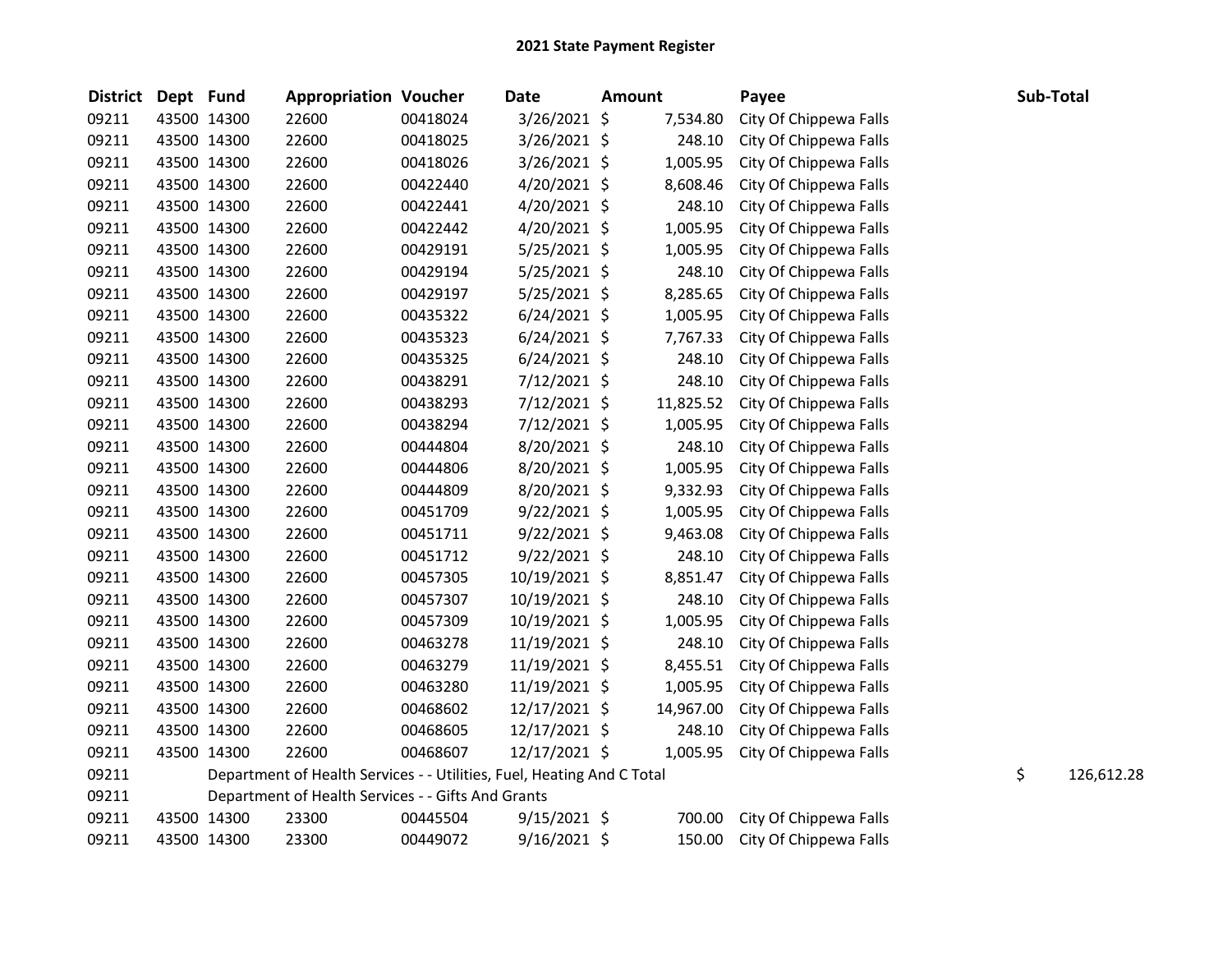| <b>District</b> | Dept Fund |             | <b>Appropriation Voucher</b>                                           |          | <b>Date</b>    | <b>Amount</b> |           | Payee                  | Sub-Total |            |
|-----------------|-----------|-------------|------------------------------------------------------------------------|----------|----------------|---------------|-----------|------------------------|-----------|------------|
| 09211           |           | 43500 14300 | 22600                                                                  | 00418024 | 3/26/2021 \$   |               | 7,534.80  | City Of Chippewa Falls |           |            |
| 09211           |           | 43500 14300 | 22600                                                                  | 00418025 | 3/26/2021 \$   |               | 248.10    | City Of Chippewa Falls |           |            |
| 09211           |           | 43500 14300 | 22600                                                                  | 00418026 | 3/26/2021 \$   |               | 1,005.95  | City Of Chippewa Falls |           |            |
| 09211           |           | 43500 14300 | 22600                                                                  | 00422440 | $4/20/2021$ \$ |               | 8,608.46  | City Of Chippewa Falls |           |            |
| 09211           |           | 43500 14300 | 22600                                                                  | 00422441 | $4/20/2021$ \$ |               | 248.10    | City Of Chippewa Falls |           |            |
| 09211           |           | 43500 14300 | 22600                                                                  | 00422442 | $4/20/2021$ \$ |               | 1,005.95  | City Of Chippewa Falls |           |            |
| 09211           |           | 43500 14300 | 22600                                                                  | 00429191 | $5/25/2021$ \$ |               | 1,005.95  | City Of Chippewa Falls |           |            |
| 09211           |           | 43500 14300 | 22600                                                                  | 00429194 | 5/25/2021 \$   |               | 248.10    | City Of Chippewa Falls |           |            |
| 09211           |           | 43500 14300 | 22600                                                                  | 00429197 | $5/25/2021$ \$ |               | 8,285.65  | City Of Chippewa Falls |           |            |
| 09211           |           | 43500 14300 | 22600                                                                  | 00435322 | $6/24/2021$ \$ |               | 1,005.95  | City Of Chippewa Falls |           |            |
| 09211           |           | 43500 14300 | 22600                                                                  | 00435323 | $6/24/2021$ \$ |               | 7,767.33  | City Of Chippewa Falls |           |            |
| 09211           |           | 43500 14300 | 22600                                                                  | 00435325 | $6/24/2021$ \$ |               | 248.10    | City Of Chippewa Falls |           |            |
| 09211           |           | 43500 14300 | 22600                                                                  | 00438291 | $7/12/2021$ \$ |               | 248.10    | City Of Chippewa Falls |           |            |
| 09211           |           | 43500 14300 | 22600                                                                  | 00438293 | 7/12/2021 \$   |               | 11,825.52 | City Of Chippewa Falls |           |            |
| 09211           |           | 43500 14300 | 22600                                                                  | 00438294 | 7/12/2021 \$   |               | 1,005.95  | City Of Chippewa Falls |           |            |
| 09211           |           | 43500 14300 | 22600                                                                  | 00444804 | 8/20/2021 \$   |               | 248.10    | City Of Chippewa Falls |           |            |
| 09211           |           | 43500 14300 | 22600                                                                  | 00444806 | 8/20/2021 \$   |               | 1,005.95  | City Of Chippewa Falls |           |            |
| 09211           |           | 43500 14300 | 22600                                                                  | 00444809 | 8/20/2021 \$   |               | 9,332.93  | City Of Chippewa Falls |           |            |
| 09211           |           | 43500 14300 | 22600                                                                  | 00451709 | $9/22/2021$ \$ |               | 1,005.95  | City Of Chippewa Falls |           |            |
| 09211           |           | 43500 14300 | 22600                                                                  | 00451711 | $9/22/2021$ \$ |               | 9,463.08  | City Of Chippewa Falls |           |            |
| 09211           |           | 43500 14300 | 22600                                                                  | 00451712 | $9/22/2021$ \$ |               | 248.10    | City Of Chippewa Falls |           |            |
| 09211           |           | 43500 14300 | 22600                                                                  | 00457305 | 10/19/2021 \$  |               | 8,851.47  | City Of Chippewa Falls |           |            |
| 09211           |           | 43500 14300 | 22600                                                                  | 00457307 | 10/19/2021 \$  |               | 248.10    | City Of Chippewa Falls |           |            |
| 09211           |           | 43500 14300 | 22600                                                                  | 00457309 | 10/19/2021 \$  |               | 1,005.95  | City Of Chippewa Falls |           |            |
| 09211           |           | 43500 14300 | 22600                                                                  | 00463278 | 11/19/2021 \$  |               | 248.10    | City Of Chippewa Falls |           |            |
| 09211           |           | 43500 14300 | 22600                                                                  | 00463279 | 11/19/2021 \$  |               | 8,455.51  | City Of Chippewa Falls |           |            |
| 09211           |           | 43500 14300 | 22600                                                                  | 00463280 | 11/19/2021 \$  |               | 1,005.95  | City Of Chippewa Falls |           |            |
| 09211           |           | 43500 14300 | 22600                                                                  | 00468602 | 12/17/2021 \$  |               | 14,967.00 | City Of Chippewa Falls |           |            |
| 09211           |           | 43500 14300 | 22600                                                                  | 00468605 | 12/17/2021 \$  |               | 248.10    | City Of Chippewa Falls |           |            |
| 09211           |           | 43500 14300 | 22600                                                                  | 00468607 | 12/17/2021 \$  |               | 1,005.95  | City Of Chippewa Falls |           |            |
| 09211           |           |             | Department of Health Services - - Utilities, Fuel, Heating And C Total |          |                |               |           |                        | \$        | 126,612.28 |
| 09211           |           |             | Department of Health Services - - Gifts And Grants                     |          |                |               |           |                        |           |            |
| 09211           |           | 43500 14300 | 23300                                                                  | 00445504 | $9/15/2021$ \$ |               | 700.00    | City Of Chippewa Falls |           |            |
| 09211           |           | 43500 14300 | 23300                                                                  | 00449072 | 9/16/2021 \$   |               | 150.00    | City Of Chippewa Falls |           |            |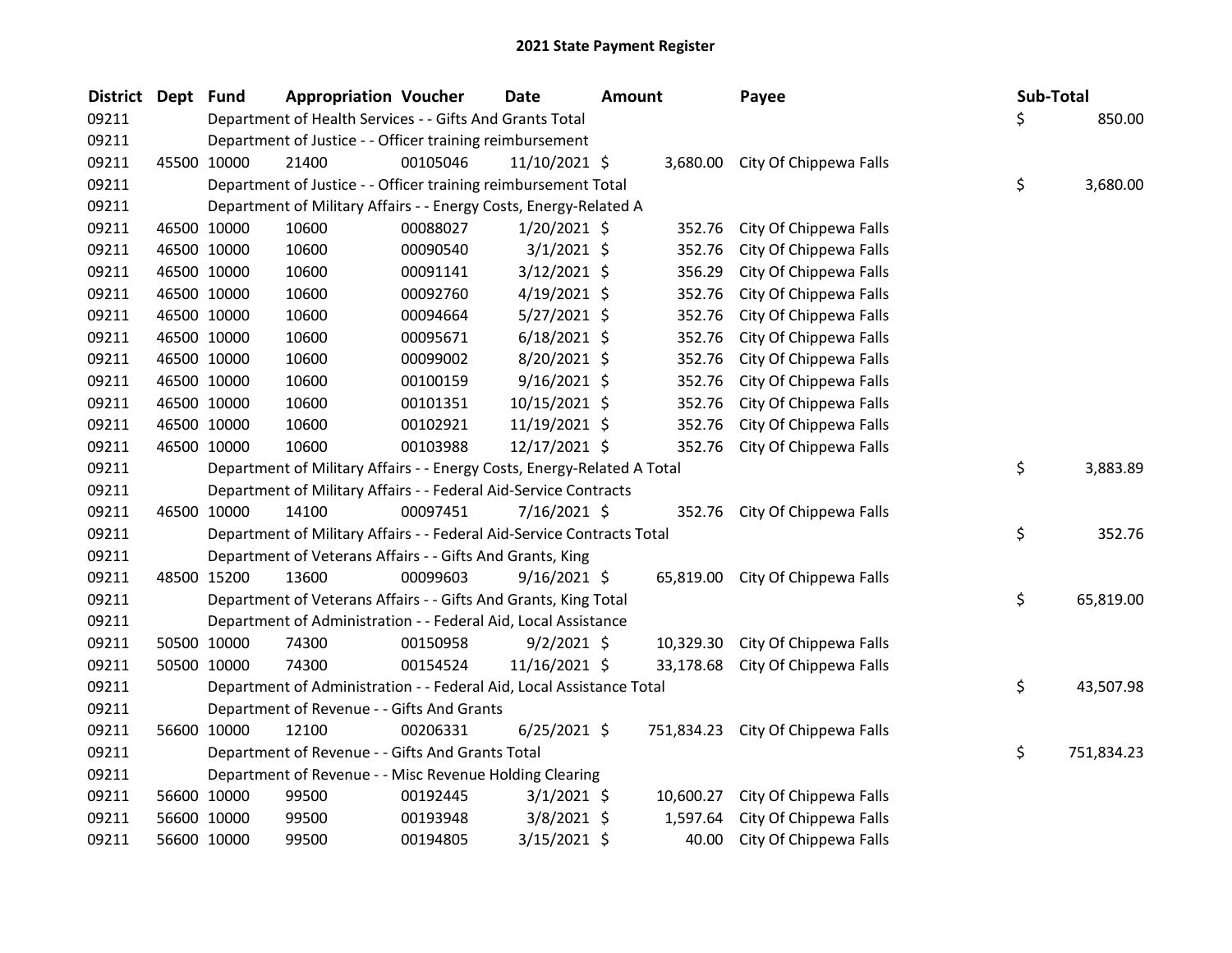| District Dept Fund |             | <b>Appropriation Voucher</b>                                            |          | <b>Date</b>     | <b>Amount</b> |           | Payee                             |     | Sub-Total  |
|--------------------|-------------|-------------------------------------------------------------------------|----------|-----------------|---------------|-----------|-----------------------------------|-----|------------|
| 09211              |             | Department of Health Services - - Gifts And Grants Total                |          |                 |               |           |                                   | \$. | 850.00     |
| 09211              |             | Department of Justice - - Officer training reimbursement                |          |                 |               |           |                                   |     |            |
| 09211              | 45500 10000 | 21400                                                                   | 00105046 | $11/10/2021$ \$ |               |           | 3,680.00 City Of Chippewa Falls   |     |            |
| 09211              |             | Department of Justice - - Officer training reimbursement Total          |          |                 |               |           |                                   | \$  | 3,680.00   |
| 09211              |             | Department of Military Affairs - - Energy Costs, Energy-Related A       |          |                 |               |           |                                   |     |            |
| 09211              | 46500 10000 | 10600                                                                   | 00088027 | $1/20/2021$ \$  |               | 352.76    | City Of Chippewa Falls            |     |            |
| 09211              | 46500 10000 | 10600                                                                   | 00090540 | $3/1/2021$ \$   |               | 352.76    | City Of Chippewa Falls            |     |            |
| 09211              | 46500 10000 | 10600                                                                   | 00091141 | $3/12/2021$ \$  |               | 356.29    | City Of Chippewa Falls            |     |            |
| 09211              | 46500 10000 | 10600                                                                   | 00092760 | $4/19/2021$ \$  |               | 352.76    | City Of Chippewa Falls            |     |            |
| 09211              | 46500 10000 | 10600                                                                   | 00094664 | $5/27/2021$ \$  |               | 352.76    | City Of Chippewa Falls            |     |            |
| 09211              | 46500 10000 | 10600                                                                   | 00095671 | $6/18/2021$ \$  |               | 352.76    | City Of Chippewa Falls            |     |            |
| 09211              | 46500 10000 | 10600                                                                   | 00099002 | 8/20/2021 \$    |               | 352.76    | City Of Chippewa Falls            |     |            |
| 09211              | 46500 10000 | 10600                                                                   | 00100159 | $9/16/2021$ \$  |               | 352.76    | City Of Chippewa Falls            |     |            |
| 09211              | 46500 10000 | 10600                                                                   | 00101351 | 10/15/2021 \$   |               | 352.76    | City Of Chippewa Falls            |     |            |
| 09211              | 46500 10000 | 10600                                                                   | 00102921 | 11/19/2021 \$   |               | 352.76    | City Of Chippewa Falls            |     |            |
| 09211              | 46500 10000 | 10600                                                                   | 00103988 | 12/17/2021 \$   |               | 352.76    | City Of Chippewa Falls            |     |            |
| 09211              |             | Department of Military Affairs - - Energy Costs, Energy-Related A Total |          |                 |               |           |                                   | \$  | 3,883.89   |
| 09211              |             | Department of Military Affairs - - Federal Aid-Service Contracts        |          |                 |               |           |                                   |     |            |
| 09211              | 46500 10000 | 14100                                                                   | 00097451 | 7/16/2021 \$    |               | 352.76    | City Of Chippewa Falls            |     |            |
| 09211              |             | Department of Military Affairs - - Federal Aid-Service Contracts Total  |          |                 |               |           |                                   | \$  | 352.76     |
| 09211              |             | Department of Veterans Affairs - - Gifts And Grants, King               |          |                 |               |           |                                   |     |            |
| 09211              | 48500 15200 | 13600                                                                   | 00099603 | $9/16/2021$ \$  |               | 65,819.00 | City Of Chippewa Falls            |     |            |
| 09211              |             | Department of Veterans Affairs - - Gifts And Grants, King Total         |          |                 |               |           |                                   | \$  | 65,819.00  |
| 09211              |             | Department of Administration - - Federal Aid, Local Assistance          |          |                 |               |           |                                   |     |            |
| 09211              | 50500 10000 | 74300                                                                   | 00150958 | $9/2/2021$ \$   |               | 10,329.30 | City Of Chippewa Falls            |     |            |
| 09211              | 50500 10000 | 74300                                                                   | 00154524 | 11/16/2021 \$   |               | 33,178.68 | City Of Chippewa Falls            |     |            |
| 09211              |             | Department of Administration - - Federal Aid, Local Assistance Total    |          |                 |               |           |                                   | \$  | 43,507.98  |
| 09211              |             | Department of Revenue - - Gifts And Grants                              |          |                 |               |           |                                   |     |            |
| 09211              | 56600 10000 | 12100                                                                   | 00206331 | $6/25/2021$ \$  |               |           | 751,834.23 City Of Chippewa Falls |     |            |
| 09211              |             | Department of Revenue - - Gifts And Grants Total                        |          |                 |               |           |                                   | \$  | 751,834.23 |
| 09211              |             | Department of Revenue - - Misc Revenue Holding Clearing                 |          |                 |               |           |                                   |     |            |
| 09211              | 56600 10000 | 99500                                                                   | 00192445 | $3/1/2021$ \$   |               | 10,600.27 | City Of Chippewa Falls            |     |            |
| 09211              | 56600 10000 | 99500                                                                   | 00193948 | $3/8/2021$ \$   |               | 1,597.64  | City Of Chippewa Falls            |     |            |
| 09211              | 56600 10000 | 99500                                                                   | 00194805 | $3/15/2021$ \$  |               | 40.00     | City Of Chippewa Falls            |     |            |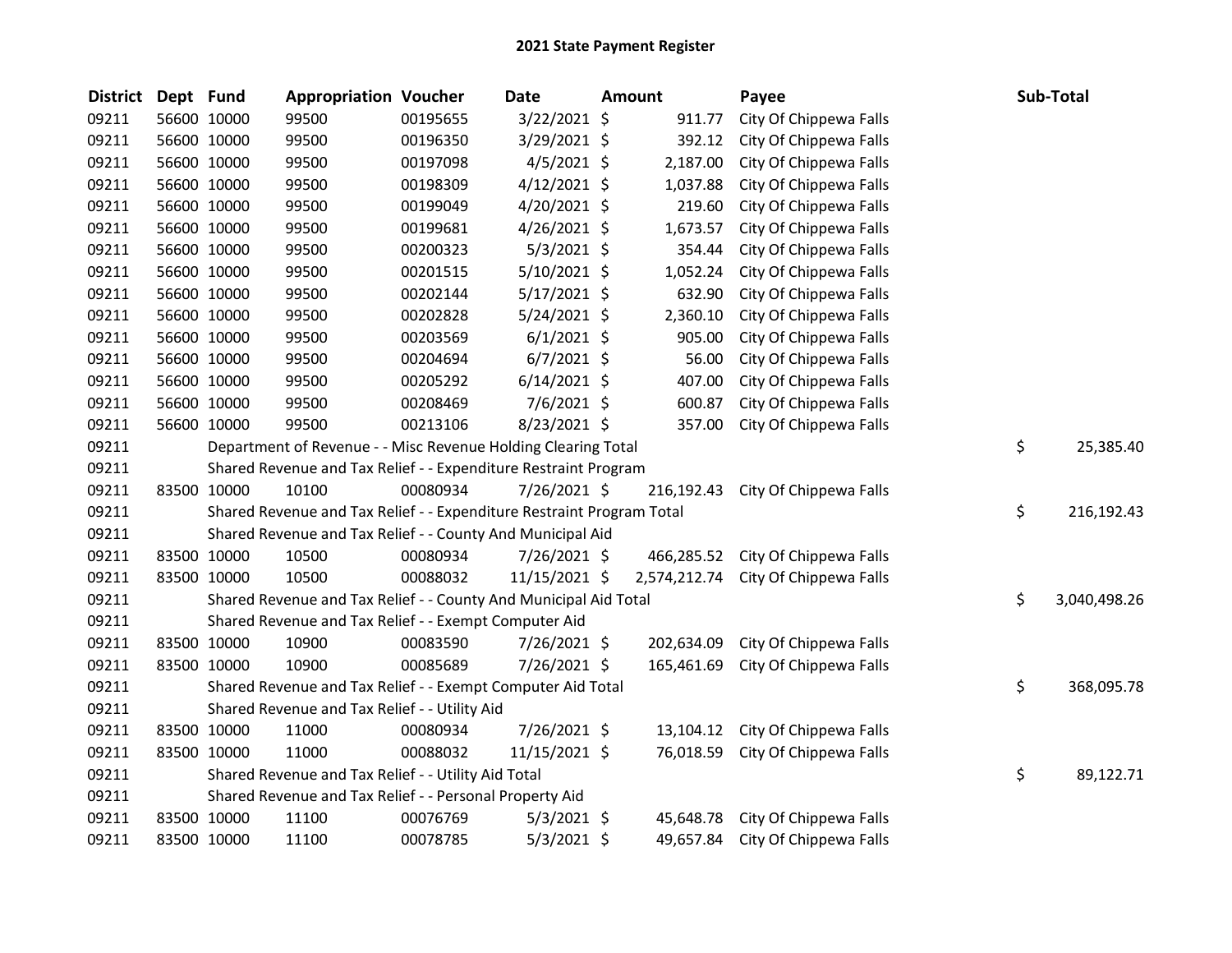| <b>District</b> | Dept Fund   |             | <b>Appropriation Voucher</b>                                          |          | Date           | Amount       | Payee                  | Sub-Total          |
|-----------------|-------------|-------------|-----------------------------------------------------------------------|----------|----------------|--------------|------------------------|--------------------|
| 09211           |             | 56600 10000 | 99500                                                                 | 00195655 | 3/22/2021 \$   | 911.77       | City Of Chippewa Falls |                    |
| 09211           |             | 56600 10000 | 99500                                                                 | 00196350 | 3/29/2021 \$   | 392.12       | City Of Chippewa Falls |                    |
| 09211           |             | 56600 10000 | 99500                                                                 | 00197098 | $4/5/2021$ \$  | 2,187.00     | City Of Chippewa Falls |                    |
| 09211           |             | 56600 10000 | 99500                                                                 | 00198309 | $4/12/2021$ \$ | 1,037.88     | City Of Chippewa Falls |                    |
| 09211           | 56600 10000 |             | 99500                                                                 | 00199049 | 4/20/2021 \$   | 219.60       | City Of Chippewa Falls |                    |
| 09211           |             | 56600 10000 | 99500                                                                 | 00199681 | 4/26/2021 \$   | 1,673.57     | City Of Chippewa Falls |                    |
| 09211           |             | 56600 10000 | 99500                                                                 | 00200323 | 5/3/2021 \$    | 354.44       | City Of Chippewa Falls |                    |
| 09211           |             | 56600 10000 | 99500                                                                 | 00201515 | $5/10/2021$ \$ | 1,052.24     | City Of Chippewa Falls |                    |
| 09211           |             | 56600 10000 | 99500                                                                 | 00202144 | 5/17/2021 \$   | 632.90       | City Of Chippewa Falls |                    |
| 09211           |             | 56600 10000 | 99500                                                                 | 00202828 | $5/24/2021$ \$ | 2,360.10     | City Of Chippewa Falls |                    |
| 09211           | 56600 10000 |             | 99500                                                                 | 00203569 | $6/1/2021$ \$  | 905.00       | City Of Chippewa Falls |                    |
| 09211           |             | 56600 10000 | 99500                                                                 | 00204694 | $6/7/2021$ \$  | 56.00        | City Of Chippewa Falls |                    |
| 09211           |             | 56600 10000 | 99500                                                                 | 00205292 | $6/14/2021$ \$ | 407.00       | City Of Chippewa Falls |                    |
| 09211           |             | 56600 10000 | 99500                                                                 | 00208469 | 7/6/2021 \$    | 600.87       | City Of Chippewa Falls |                    |
| 09211           |             | 56600 10000 | 99500                                                                 | 00213106 | 8/23/2021 \$   | 357.00       | City Of Chippewa Falls |                    |
| 09211           |             |             | Department of Revenue - - Misc Revenue Holding Clearing Total         |          |                |              |                        | \$<br>25,385.40    |
| 09211           |             |             | Shared Revenue and Tax Relief - - Expenditure Restraint Program       |          |                |              |                        |                    |
| 09211           | 83500 10000 |             | 10100                                                                 | 00080934 | 7/26/2021 \$   | 216,192.43   | City Of Chippewa Falls |                    |
| 09211           |             |             | Shared Revenue and Tax Relief - - Expenditure Restraint Program Total |          |                |              |                        | \$<br>216,192.43   |
| 09211           |             |             | Shared Revenue and Tax Relief - - County And Municipal Aid            |          |                |              |                        |                    |
| 09211           | 83500 10000 |             | 10500                                                                 | 00080934 | 7/26/2021 \$   | 466,285.52   | City Of Chippewa Falls |                    |
| 09211           |             | 83500 10000 | 10500                                                                 | 00088032 | 11/15/2021 \$  | 2,574,212.74 | City Of Chippewa Falls |                    |
| 09211           |             |             | Shared Revenue and Tax Relief - - County And Municipal Aid Total      |          |                |              |                        | \$<br>3,040,498.26 |
| 09211           |             |             | Shared Revenue and Tax Relief - - Exempt Computer Aid                 |          |                |              |                        |                    |
| 09211           | 83500 10000 |             | 10900                                                                 | 00083590 | 7/26/2021 \$   | 202,634.09   | City Of Chippewa Falls |                    |
| 09211           | 83500 10000 |             | 10900                                                                 | 00085689 | 7/26/2021 \$   | 165,461.69   | City Of Chippewa Falls |                    |
| 09211           |             |             | Shared Revenue and Tax Relief - - Exempt Computer Aid Total           |          |                |              |                        | \$<br>368,095.78   |
| 09211           |             |             | Shared Revenue and Tax Relief - - Utility Aid                         |          |                |              |                        |                    |
| 09211           | 83500 10000 |             | 11000                                                                 | 00080934 | 7/26/2021 \$   | 13,104.12    | City Of Chippewa Falls |                    |
| 09211           | 83500 10000 |             | 11000                                                                 | 00088032 | 11/15/2021 \$  | 76,018.59    | City Of Chippewa Falls |                    |
| 09211           |             |             | Shared Revenue and Tax Relief - - Utility Aid Total                   |          |                |              |                        | \$<br>89,122.71    |
| 09211           |             |             | Shared Revenue and Tax Relief - - Personal Property Aid               |          |                |              |                        |                    |
| 09211           | 83500 10000 |             | 11100                                                                 | 00076769 | $5/3/2021$ \$  | 45,648.78    | City Of Chippewa Falls |                    |
| 09211           | 83500 10000 |             | 11100                                                                 | 00078785 | 5/3/2021 \$    | 49,657.84    | City Of Chippewa Falls |                    |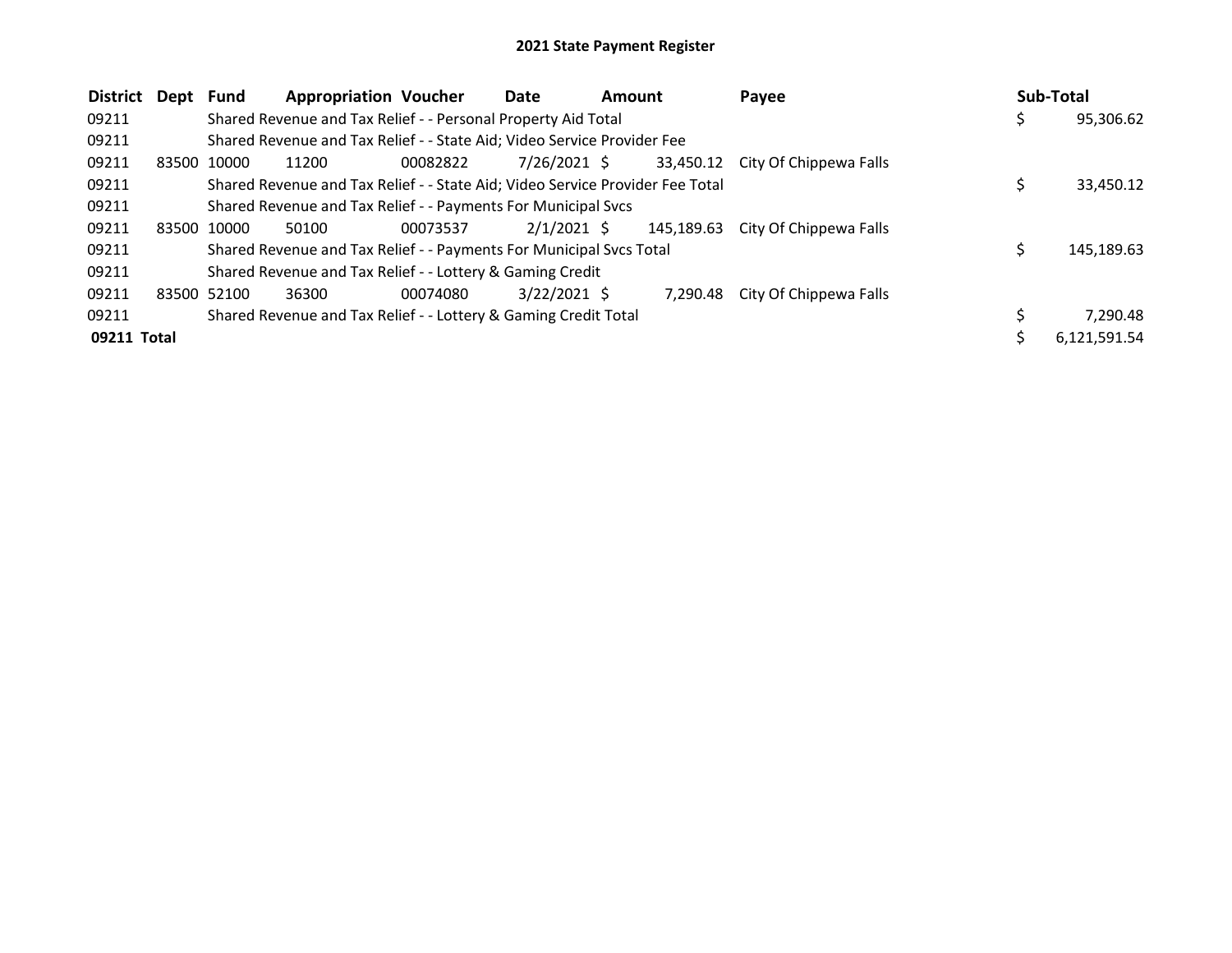| <b>District</b><br>Dept | <b>Fund</b> | <b>Appropriation Voucher</b>                                                  |          | Date           | <b>Amount</b> |            | Payee                  | Sub-Total |              |
|-------------------------|-------------|-------------------------------------------------------------------------------|----------|----------------|---------------|------------|------------------------|-----------|--------------|
| 09211                   |             | Shared Revenue and Tax Relief - - Personal Property Aid Total                 |          |                |               |            |                        |           | 95,306.62    |
| 09211                   |             | Shared Revenue and Tax Relief - - State Aid; Video Service Provider Fee       |          |                |               |            |                        |           |              |
| 09211                   | 83500 10000 | 11200                                                                         | 00082822 | 7/26/2021 \$   |               | 33,450.12  | City Of Chippewa Falls |           |              |
| 09211                   |             | Shared Revenue and Tax Relief - - State Aid; Video Service Provider Fee Total |          |                |               |            |                        |           | 33,450.12    |
| 09211                   |             | Shared Revenue and Tax Relief - - Payments For Municipal Svcs                 |          |                |               |            |                        |           |              |
| 09211                   | 83500 10000 | 50100                                                                         | 00073537 | $2/1/2021$ \$  |               | 145,189.63 | City Of Chippewa Falls |           |              |
| 09211                   |             | Shared Revenue and Tax Relief - - Payments For Municipal Svcs Total           |          |                |               |            |                        | Ś         | 145.189.63   |
| 09211                   |             | Shared Revenue and Tax Relief - - Lottery & Gaming Credit                     |          |                |               |            |                        |           |              |
| 09211                   | 83500 52100 | 36300                                                                         | 00074080 | $3/22/2021$ \$ |               | 7.290.48   | City Of Chippewa Falls |           |              |
| 09211                   |             | Shared Revenue and Tax Relief - - Lottery & Gaming Credit Total               |          |                |               |            |                        |           | 7,290.48     |
| 09211 Total             |             |                                                                               |          |                |               |            |                        |           | 6,121,591.54 |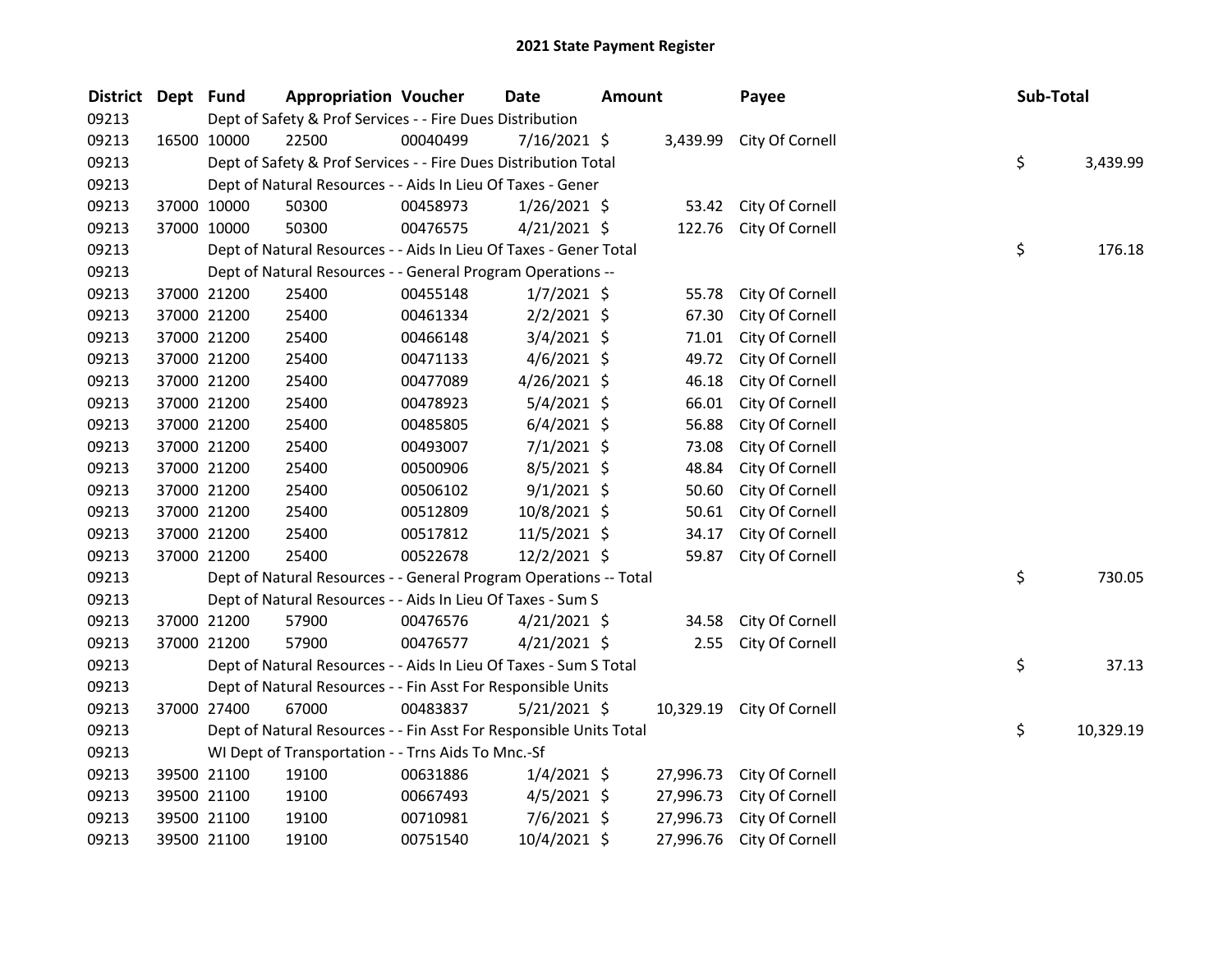| <b>District</b> | Dept Fund   |             | <b>Appropriation Voucher</b>                                       |          | Date           | <b>Amount</b> |           | Payee                     | Sub-Total |           |
|-----------------|-------------|-------------|--------------------------------------------------------------------|----------|----------------|---------------|-----------|---------------------------|-----------|-----------|
| 09213           |             |             | Dept of Safety & Prof Services - - Fire Dues Distribution          |          |                |               |           |                           |           |           |
| 09213           | 16500 10000 |             | 22500                                                              | 00040499 | 7/16/2021 \$   |               | 3,439.99  | City Of Cornell           |           |           |
| 09213           |             |             | Dept of Safety & Prof Services - - Fire Dues Distribution Total    |          |                |               |           |                           | \$        | 3,439.99  |
| 09213           |             |             | Dept of Natural Resources - - Aids In Lieu Of Taxes - Gener        |          |                |               |           |                           |           |           |
| 09213           |             | 37000 10000 | 50300                                                              | 00458973 | $1/26/2021$ \$ |               |           | 53.42 City Of Cornell     |           |           |
| 09213           |             | 37000 10000 | 50300                                                              | 00476575 | 4/21/2021 \$   |               | 122.76    | City Of Cornell           |           |           |
| 09213           |             |             | Dept of Natural Resources - - Aids In Lieu Of Taxes - Gener Total  |          |                |               |           |                           | \$        | 176.18    |
| 09213           |             |             | Dept of Natural Resources - - General Program Operations --        |          |                |               |           |                           |           |           |
| 09213           |             | 37000 21200 | 25400                                                              | 00455148 | $1/7/2021$ \$  |               | 55.78     | City Of Cornell           |           |           |
| 09213           | 37000 21200 |             | 25400                                                              | 00461334 | $2/2/2021$ \$  |               | 67.30     | City Of Cornell           |           |           |
| 09213           | 37000 21200 |             | 25400                                                              | 00466148 | $3/4/2021$ \$  |               | 71.01     | City Of Cornell           |           |           |
| 09213           | 37000 21200 |             | 25400                                                              | 00471133 | $4/6/2021$ \$  |               | 49.72     | City Of Cornell           |           |           |
| 09213           |             | 37000 21200 | 25400                                                              | 00477089 | 4/26/2021 \$   |               | 46.18     | City Of Cornell           |           |           |
| 09213           |             | 37000 21200 | 25400                                                              | 00478923 | $5/4/2021$ \$  |               | 66.01     | City Of Cornell           |           |           |
| 09213           |             | 37000 21200 | 25400                                                              | 00485805 | $6/4/2021$ \$  |               | 56.88     | City Of Cornell           |           |           |
| 09213           |             | 37000 21200 | 25400                                                              | 00493007 | $7/1/2021$ \$  |               | 73.08     | City Of Cornell           |           |           |
| 09213           | 37000 21200 |             | 25400                                                              | 00500906 | $8/5/2021$ \$  |               | 48.84     | City Of Cornell           |           |           |
| 09213           | 37000 21200 |             | 25400                                                              | 00506102 | $9/1/2021$ \$  |               | 50.60     | City Of Cornell           |           |           |
| 09213           | 37000 21200 |             | 25400                                                              | 00512809 | 10/8/2021 \$   |               | 50.61     | City Of Cornell           |           |           |
| 09213           |             | 37000 21200 | 25400                                                              | 00517812 | $11/5/2021$ \$ |               | 34.17     | City Of Cornell           |           |           |
| 09213           |             | 37000 21200 | 25400                                                              | 00522678 | 12/2/2021 \$   |               | 59.87     | City Of Cornell           |           |           |
| 09213           |             |             | Dept of Natural Resources - - General Program Operations -- Total  |          |                |               |           |                           | \$        | 730.05    |
| 09213           |             |             | Dept of Natural Resources - - Aids In Lieu Of Taxes - Sum S        |          |                |               |           |                           |           |           |
| 09213           |             | 37000 21200 | 57900                                                              | 00476576 | $4/21/2021$ \$ |               | 34.58     | City Of Cornell           |           |           |
| 09213           |             | 37000 21200 | 57900                                                              | 00476577 | $4/21/2021$ \$ |               | 2.55      | City Of Cornell           |           |           |
| 09213           |             |             | Dept of Natural Resources - - Aids In Lieu Of Taxes - Sum S Total  |          |                |               |           |                           | \$        | 37.13     |
| 09213           |             |             | Dept of Natural Resources - - Fin Asst For Responsible Units       |          |                |               |           |                           |           |           |
| 09213           |             | 37000 27400 | 67000                                                              | 00483837 | $5/21/2021$ \$ |               |           | 10,329.19 City Of Cornell |           |           |
| 09213           |             |             | Dept of Natural Resources - - Fin Asst For Responsible Units Total |          |                |               |           |                           | \$        | 10,329.19 |
| 09213           |             |             | WI Dept of Transportation - - Trns Aids To Mnc.-Sf                 |          |                |               |           |                           |           |           |
| 09213           |             | 39500 21100 | 19100                                                              | 00631886 | $1/4/2021$ \$  |               | 27,996.73 | City Of Cornell           |           |           |
| 09213           | 39500 21100 |             | 19100                                                              | 00667493 | $4/5/2021$ \$  |               | 27,996.73 | City Of Cornell           |           |           |
| 09213           |             | 39500 21100 | 19100                                                              | 00710981 | $7/6/2021$ \$  |               | 27,996.73 | City Of Cornell           |           |           |
| 09213           |             | 39500 21100 | 19100                                                              | 00751540 | 10/4/2021 \$   |               | 27,996.76 | City Of Cornell           |           |           |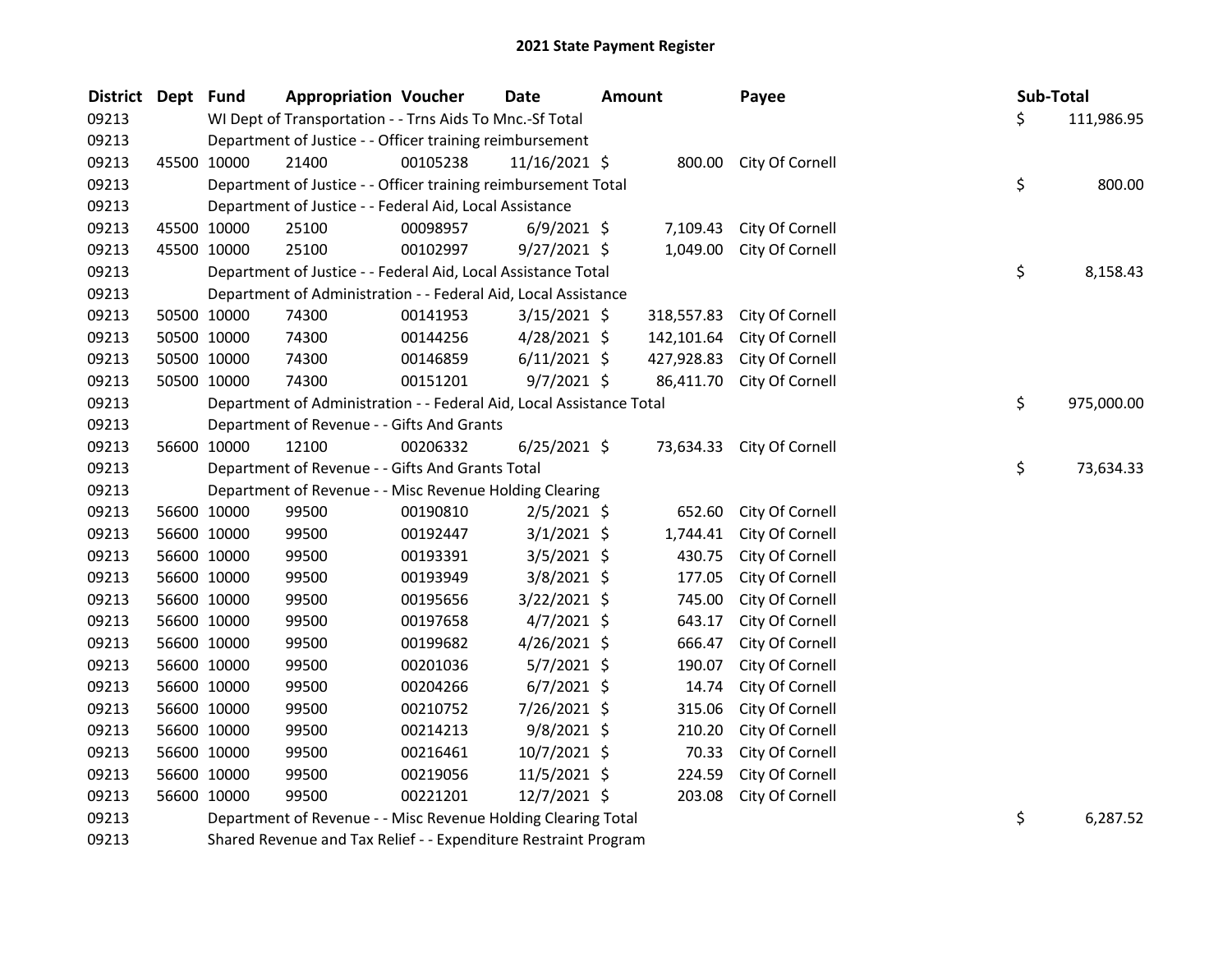| <b>District</b> | Dept Fund |             | <b>Appropriation Voucher</b>                                         |          | Date           | <b>Amount</b> |            | Payee                  | Sub-Total |            |
|-----------------|-----------|-------------|----------------------------------------------------------------------|----------|----------------|---------------|------------|------------------------|-----------|------------|
| 09213           |           |             | WI Dept of Transportation - - Trns Aids To Mnc.-Sf Total             |          |                |               |            |                        | \$        | 111,986.95 |
| 09213           |           |             | Department of Justice - - Officer training reimbursement             |          |                |               |            |                        |           |            |
| 09213           |           | 45500 10000 | 21400                                                                | 00105238 | 11/16/2021 \$  |               |            | 800.00 City Of Cornell |           |            |
| 09213           |           |             | Department of Justice - - Officer training reimbursement Total       |          |                |               |            |                        | \$        | 800.00     |
| 09213           |           |             | Department of Justice - - Federal Aid, Local Assistance              |          |                |               |            |                        |           |            |
| 09213           |           | 45500 10000 | 25100                                                                | 00098957 | $6/9/2021$ \$  |               | 7,109.43   | City Of Cornell        |           |            |
| 09213           |           | 45500 10000 | 25100                                                                | 00102997 | $9/27/2021$ \$ |               | 1,049.00   | City Of Cornell        |           |            |
| 09213           |           |             | Department of Justice - - Federal Aid, Local Assistance Total        |          |                |               |            |                        | \$        | 8,158.43   |
| 09213           |           |             | Department of Administration - - Federal Aid, Local Assistance       |          |                |               |            |                        |           |            |
| 09213           |           | 50500 10000 | 74300                                                                | 00141953 | $3/15/2021$ \$ |               | 318,557.83 | City Of Cornell        |           |            |
| 09213           |           | 50500 10000 | 74300                                                                | 00144256 | $4/28/2021$ \$ |               | 142,101.64 | City Of Cornell        |           |            |
| 09213           |           | 50500 10000 | 74300                                                                | 00146859 | $6/11/2021$ \$ |               | 427,928.83 | City Of Cornell        |           |            |
| 09213           |           | 50500 10000 | 74300                                                                | 00151201 | $9/7/2021$ \$  |               | 86,411.70  | City Of Cornell        |           |            |
| 09213           |           |             | Department of Administration - - Federal Aid, Local Assistance Total |          |                |               |            |                        | \$        | 975,000.00 |
| 09213           |           |             | Department of Revenue - - Gifts And Grants                           |          |                |               |            |                        |           |            |
| 09213           |           | 56600 10000 | 12100                                                                | 00206332 | $6/25/2021$ \$ |               | 73,634.33  | City Of Cornell        |           |            |
| 09213           |           |             | Department of Revenue - - Gifts And Grants Total                     |          |                |               |            |                        | \$        | 73,634.33  |
| 09213           |           |             | Department of Revenue - - Misc Revenue Holding Clearing              |          |                |               |            |                        |           |            |
| 09213           |           | 56600 10000 | 99500                                                                | 00190810 | $2/5/2021$ \$  |               | 652.60     | City Of Cornell        |           |            |
| 09213           |           | 56600 10000 | 99500                                                                | 00192447 | $3/1/2021$ \$  |               | 1,744.41   | City Of Cornell        |           |            |
| 09213           |           | 56600 10000 | 99500                                                                | 00193391 | $3/5/2021$ \$  |               | 430.75     | City Of Cornell        |           |            |
| 09213           |           | 56600 10000 | 99500                                                                | 00193949 | $3/8/2021$ \$  |               | 177.05     | City Of Cornell        |           |            |
| 09213           |           | 56600 10000 | 99500                                                                | 00195656 | 3/22/2021 \$   |               | 745.00     | City Of Cornell        |           |            |
| 09213           |           | 56600 10000 | 99500                                                                | 00197658 | $4/7/2021$ \$  |               | 643.17     | City Of Cornell        |           |            |
| 09213           |           | 56600 10000 | 99500                                                                | 00199682 | 4/26/2021 \$   |               | 666.47     | City Of Cornell        |           |            |
| 09213           |           | 56600 10000 | 99500                                                                | 00201036 | $5/7/2021$ \$  |               | 190.07     | City Of Cornell        |           |            |
| 09213           |           | 56600 10000 | 99500                                                                | 00204266 | $6/7/2021$ \$  |               | 14.74      | City Of Cornell        |           |            |
| 09213           |           | 56600 10000 | 99500                                                                | 00210752 | 7/26/2021 \$   |               | 315.06     | City Of Cornell        |           |            |
| 09213           |           | 56600 10000 | 99500                                                                | 00214213 | 9/8/2021 \$    |               | 210.20     | City Of Cornell        |           |            |
| 09213           |           | 56600 10000 | 99500                                                                | 00216461 | 10/7/2021 \$   |               | 70.33      | City Of Cornell        |           |            |
| 09213           |           | 56600 10000 | 99500                                                                | 00219056 | $11/5/2021$ \$ |               | 224.59     | City Of Cornell        |           |            |
| 09213           |           | 56600 10000 | 99500                                                                | 00221201 | 12/7/2021 \$   |               | 203.08     | City Of Cornell        |           |            |
| 09213           |           |             | Department of Revenue - - Misc Revenue Holding Clearing Total        |          |                |               |            |                        | \$        | 6,287.52   |

Shared Revenue and Tax Relief - - Expenditure Restraint Program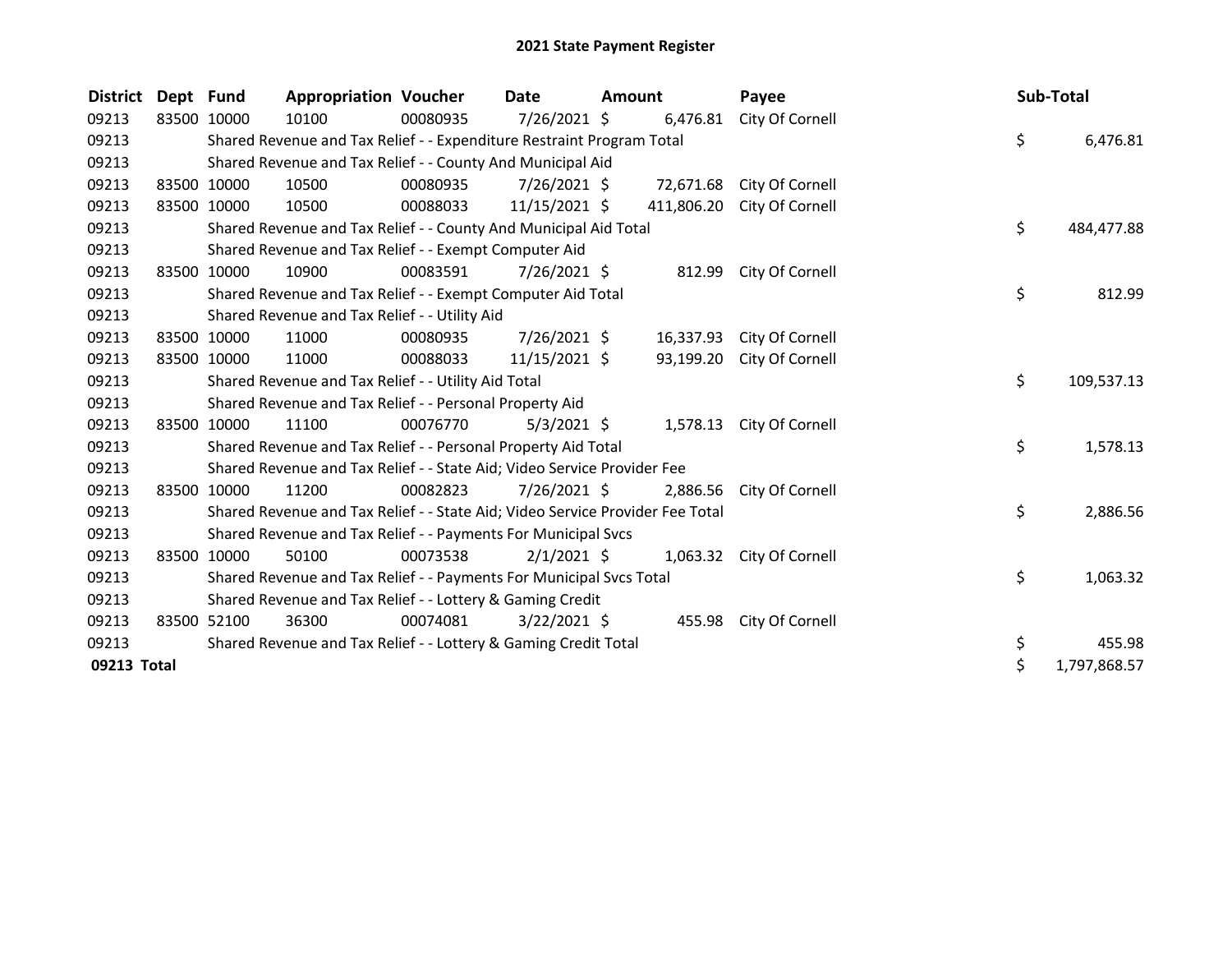| <b>District</b> | Dept Fund |             | <b>Appropriation Voucher</b>                                                  |          | Date           | <b>Amount</b> |            | Payee                    | Sub-Total |              |
|-----------------|-----------|-------------|-------------------------------------------------------------------------------|----------|----------------|---------------|------------|--------------------------|-----------|--------------|
| 09213           |           | 83500 10000 | 10100                                                                         | 00080935 | 7/26/2021 \$   |               | 6,476.81   | City Of Cornell          |           |              |
| 09213           |           |             | Shared Revenue and Tax Relief - - Expenditure Restraint Program Total         |          |                |               |            |                          | \$        | 6,476.81     |
| 09213           |           |             | Shared Revenue and Tax Relief - - County And Municipal Aid                    |          |                |               |            |                          |           |              |
| 09213           |           | 83500 10000 | 10500                                                                         | 00080935 | $7/26/2021$ \$ |               | 72,671.68  | City Of Cornell          |           |              |
| 09213           |           | 83500 10000 | 10500                                                                         | 00088033 | 11/15/2021 \$  |               | 411,806.20 | City Of Cornell          |           |              |
| 09213           |           |             | Shared Revenue and Tax Relief - - County And Municipal Aid Total              |          |                |               |            |                          | \$        | 484,477.88   |
| 09213           |           |             | Shared Revenue and Tax Relief - - Exempt Computer Aid                         |          |                |               |            |                          |           |              |
| 09213           |           | 83500 10000 | 10900                                                                         | 00083591 | $7/26/2021$ \$ |               | 812.99     | City Of Cornell          |           |              |
| 09213           |           |             | Shared Revenue and Tax Relief - - Exempt Computer Aid Total                   |          |                |               |            |                          | \$        | 812.99       |
| 09213           |           |             | Shared Revenue and Tax Relief - - Utility Aid                                 |          |                |               |            |                          |           |              |
| 09213           |           | 83500 10000 | 11000                                                                         | 00080935 | $7/26/2021$ \$ |               | 16,337.93  | City Of Cornell          |           |              |
| 09213           |           | 83500 10000 | 11000                                                                         | 00088033 | 11/15/2021 \$  |               | 93,199.20  | City Of Cornell          |           |              |
| 09213           |           |             | Shared Revenue and Tax Relief - - Utility Aid Total                           |          |                |               |            |                          | \$        | 109,537.13   |
| 09213           |           |             | Shared Revenue and Tax Relief - - Personal Property Aid                       |          |                |               |            |                          |           |              |
| 09213           | 83500     | 10000       | 11100                                                                         | 00076770 | $5/3/2021$ \$  |               |            | 1,578.13 City Of Cornell |           |              |
| 09213           |           |             | Shared Revenue and Tax Relief - - Personal Property Aid Total                 |          |                |               |            |                          | \$        | 1,578.13     |
| 09213           |           |             | Shared Revenue and Tax Relief - - State Aid; Video Service Provider Fee       |          |                |               |            |                          |           |              |
| 09213           |           | 83500 10000 | 11200                                                                         | 00082823 | 7/26/2021 \$   |               | 2,886.56   | City Of Cornell          |           |              |
| 09213           |           |             | Shared Revenue and Tax Relief - - State Aid; Video Service Provider Fee Total |          |                |               |            |                          | \$        | 2,886.56     |
| 09213           |           |             | Shared Revenue and Tax Relief - - Payments For Municipal Svcs                 |          |                |               |            |                          |           |              |
| 09213           |           | 83500 10000 | 50100                                                                         | 00073538 | $2/1/2021$ \$  |               |            | 1,063.32 City Of Cornell |           |              |
| 09213           |           |             | Shared Revenue and Tax Relief - - Payments For Municipal Svcs Total           |          |                |               |            |                          | \$        | 1,063.32     |
| 09213           |           |             | Shared Revenue and Tax Relief - - Lottery & Gaming Credit                     |          |                |               |            |                          |           |              |
| 09213           |           | 83500 52100 | 36300                                                                         | 00074081 | $3/22/2021$ \$ |               |            | 455.98 City Of Cornell   |           |              |
| 09213           |           |             | Shared Revenue and Tax Relief - - Lottery & Gaming Credit Total               |          |                |               |            |                          | \$        | 455.98       |
| 09213 Total     |           |             |                                                                               |          |                |               |            |                          | \$        | 1,797,868.57 |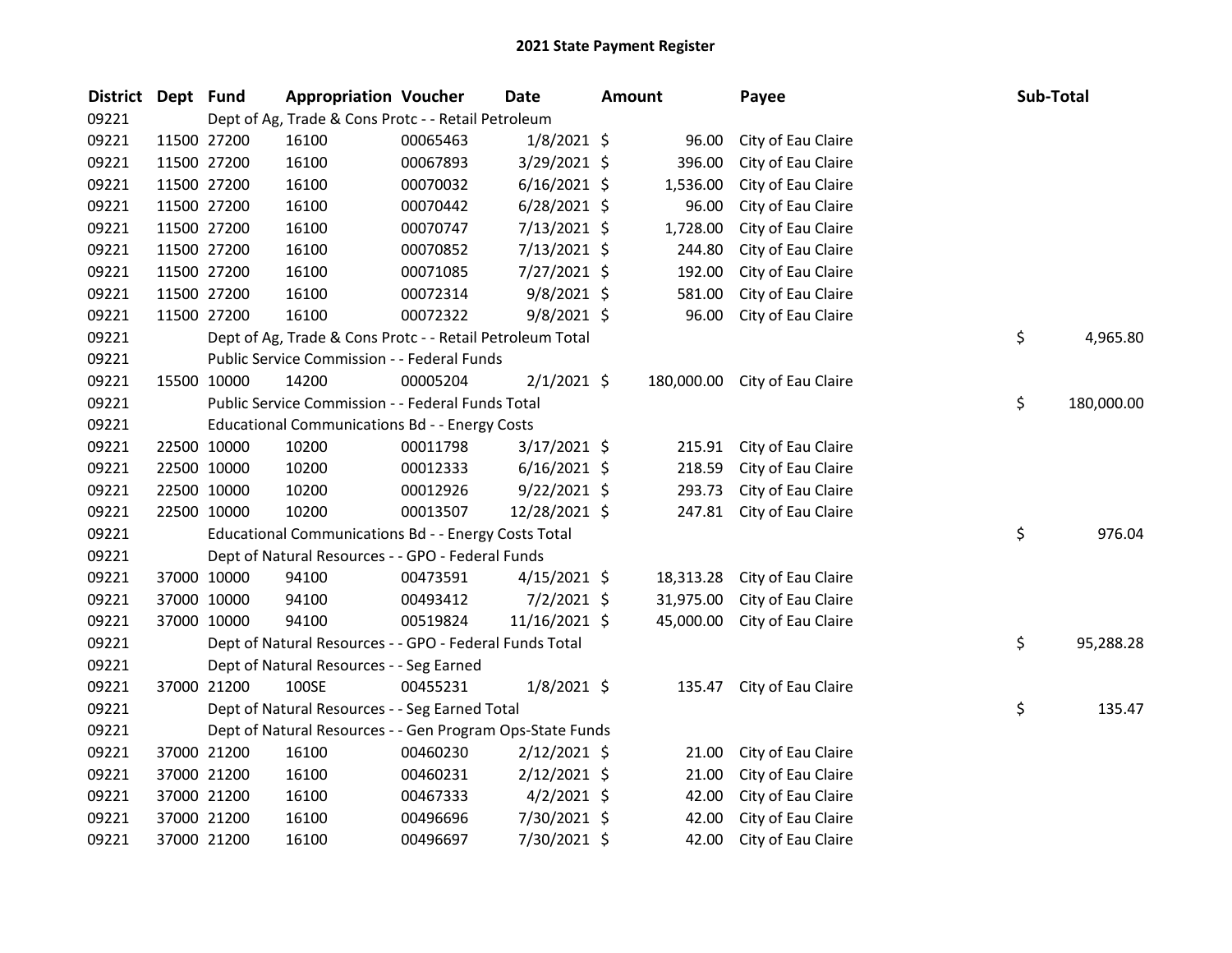| <b>District</b> | Dept Fund |             | <b>Appropriation Voucher</b>                              |          | <b>Date</b>    | <b>Amount</b> | Payee                         | Sub-Total |            |
|-----------------|-----------|-------------|-----------------------------------------------------------|----------|----------------|---------------|-------------------------------|-----------|------------|
| 09221           |           |             | Dept of Ag, Trade & Cons Protc - - Retail Petroleum       |          |                |               |                               |           |            |
| 09221           |           | 11500 27200 | 16100                                                     | 00065463 | $1/8/2021$ \$  | 96.00         | City of Eau Claire            |           |            |
| 09221           |           | 11500 27200 | 16100                                                     | 00067893 | 3/29/2021 \$   | 396.00        | City of Eau Claire            |           |            |
| 09221           |           | 11500 27200 | 16100                                                     | 00070032 | $6/16/2021$ \$ | 1,536.00      | City of Eau Claire            |           |            |
| 09221           |           | 11500 27200 | 16100                                                     | 00070442 | $6/28/2021$ \$ | 96.00         | City of Eau Claire            |           |            |
| 09221           |           | 11500 27200 | 16100                                                     | 00070747 | 7/13/2021 \$   | 1,728.00      | City of Eau Claire            |           |            |
| 09221           |           | 11500 27200 | 16100                                                     | 00070852 | 7/13/2021 \$   | 244.80        | City of Eau Claire            |           |            |
| 09221           |           | 11500 27200 | 16100                                                     | 00071085 | 7/27/2021 \$   | 192.00        | City of Eau Claire            |           |            |
| 09221           |           | 11500 27200 | 16100                                                     | 00072314 | $9/8/2021$ \$  | 581.00        | City of Eau Claire            |           |            |
| 09221           |           | 11500 27200 | 16100                                                     | 00072322 | $9/8/2021$ \$  | 96.00         | City of Eau Claire            |           |            |
| 09221           |           |             | Dept of Ag, Trade & Cons Protc - - Retail Petroleum Total |          |                |               |                               | \$        | 4,965.80   |
| 09221           |           |             | Public Service Commission - - Federal Funds               |          |                |               |                               |           |            |
| 09221           |           | 15500 10000 | 14200                                                     | 00005204 | $2/1/2021$ \$  |               | 180,000.00 City of Eau Claire |           |            |
| 09221           |           |             | Public Service Commission - - Federal Funds Total         |          |                |               |                               | \$        | 180,000.00 |
| 09221           |           |             | <b>Educational Communications Bd - - Energy Costs</b>     |          |                |               |                               |           |            |
| 09221           |           | 22500 10000 | 10200                                                     | 00011798 | $3/17/2021$ \$ | 215.91        | City of Eau Claire            |           |            |
| 09221           |           | 22500 10000 | 10200                                                     | 00012333 | $6/16/2021$ \$ | 218.59        | City of Eau Claire            |           |            |
| 09221           |           | 22500 10000 | 10200                                                     | 00012926 | 9/22/2021 \$   | 293.73        | City of Eau Claire            |           |            |
| 09221           |           | 22500 10000 | 10200                                                     | 00013507 | 12/28/2021 \$  | 247.81        | City of Eau Claire            |           |            |
| 09221           |           |             | Educational Communications Bd - - Energy Costs Total      |          |                |               |                               | \$        | 976.04     |
| 09221           |           |             | Dept of Natural Resources - - GPO - Federal Funds         |          |                |               |                               |           |            |
| 09221           |           | 37000 10000 | 94100                                                     | 00473591 | $4/15/2021$ \$ | 18,313.28     | City of Eau Claire            |           |            |
| 09221           |           | 37000 10000 | 94100                                                     | 00493412 | $7/2/2021$ \$  | 31,975.00     | City of Eau Claire            |           |            |
| 09221           |           | 37000 10000 | 94100                                                     | 00519824 | 11/16/2021 \$  | 45,000.00     | City of Eau Claire            |           |            |
| 09221           |           |             | Dept of Natural Resources - - GPO - Federal Funds Total   |          |                |               |                               | \$        | 95,288.28  |
| 09221           |           |             | Dept of Natural Resources - - Seg Earned                  |          |                |               |                               |           |            |
| 09221           |           | 37000 21200 | 100SE                                                     | 00455231 | $1/8/2021$ \$  | 135.47        | City of Eau Claire            |           |            |
| 09221           |           |             | Dept of Natural Resources - - Seg Earned Total            |          |                |               |                               | \$        | 135.47     |
| 09221           |           |             | Dept of Natural Resources - - Gen Program Ops-State Funds |          |                |               |                               |           |            |
| 09221           |           | 37000 21200 | 16100                                                     | 00460230 | 2/12/2021 \$   | 21.00         | City of Eau Claire            |           |            |
| 09221           |           | 37000 21200 | 16100                                                     | 00460231 | $2/12/2021$ \$ | 21.00         | City of Eau Claire            |           |            |
| 09221           |           | 37000 21200 | 16100                                                     | 00467333 | $4/2/2021$ \$  | 42.00         | City of Eau Claire            |           |            |
| 09221           |           | 37000 21200 | 16100                                                     | 00496696 | 7/30/2021 \$   | 42.00         | City of Eau Claire            |           |            |
| 09221           |           | 37000 21200 | 16100                                                     | 00496697 | 7/30/2021 \$   | 42.00         | City of Eau Claire            |           |            |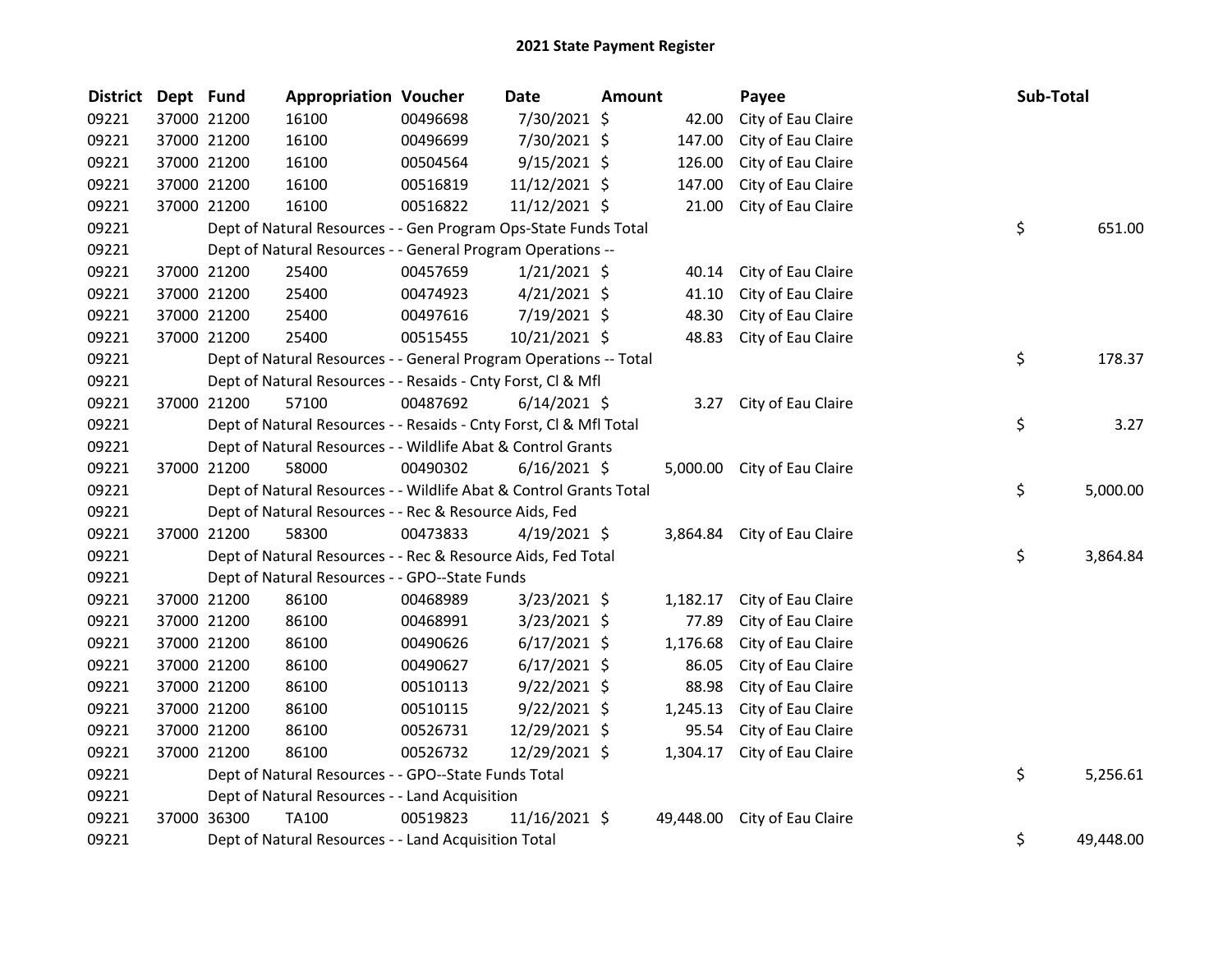## 2021 State Payment Register

| <b>District</b> | Dept Fund |             | <b>Appropriation Voucher</b>                                       |          | <b>Date</b>    | <b>Amount</b> |           | Payee                       | Sub-Total       |
|-----------------|-----------|-------------|--------------------------------------------------------------------|----------|----------------|---------------|-----------|-----------------------------|-----------------|
| 09221           |           | 37000 21200 | 16100                                                              | 00496698 | 7/30/2021 \$   |               | 42.00     | City of Eau Claire          |                 |
| 09221           |           | 37000 21200 | 16100                                                              | 00496699 | 7/30/2021 \$   |               | 147.00    | City of Eau Claire          |                 |
| 09221           |           | 37000 21200 | 16100                                                              | 00504564 | $9/15/2021$ \$ |               | 126.00    | City of Eau Claire          |                 |
| 09221           |           | 37000 21200 | 16100                                                              | 00516819 | 11/12/2021 \$  |               | 147.00    | City of Eau Claire          |                 |
| 09221           |           | 37000 21200 | 16100                                                              | 00516822 | 11/12/2021 \$  |               | 21.00     | City of Eau Claire          |                 |
| 09221           |           |             | Dept of Natural Resources - - Gen Program Ops-State Funds Total    |          |                |               |           |                             | \$<br>651.00    |
| 09221           |           |             | Dept of Natural Resources - - General Program Operations --        |          |                |               |           |                             |                 |
| 09221           |           | 37000 21200 | 25400                                                              | 00457659 | $1/21/2021$ \$ |               | 40.14     | City of Eau Claire          |                 |
| 09221           |           | 37000 21200 | 25400                                                              | 00474923 | $4/21/2021$ \$ |               | 41.10     | City of Eau Claire          |                 |
| 09221           |           | 37000 21200 | 25400                                                              | 00497616 | 7/19/2021 \$   |               | 48.30     | City of Eau Claire          |                 |
| 09221           |           | 37000 21200 | 25400                                                              | 00515455 | 10/21/2021 \$  |               | 48.83     | City of Eau Claire          |                 |
| 09221           |           |             | Dept of Natural Resources - - General Program Operations -- Total  |          |                |               |           |                             | \$<br>178.37    |
| 09221           |           |             | Dept of Natural Resources - - Resaids - Cnty Forst, Cl & Mfl       |          |                |               |           |                             |                 |
| 09221           |           | 37000 21200 | 57100                                                              | 00487692 | $6/14/2021$ \$ |               | 3.27      | City of Eau Claire          |                 |
| 09221           |           |             | Dept of Natural Resources - - Resaids - Cnty Forst, Cl & Mfl Total |          |                |               |           |                             | \$<br>3.27      |
| 09221           |           |             | Dept of Natural Resources - - Wildlife Abat & Control Grants       |          |                |               |           |                             |                 |
| 09221           |           | 37000 21200 | 58000                                                              | 00490302 | $6/16/2021$ \$ |               |           | 5,000.00 City of Eau Claire |                 |
| 09221           |           |             | Dept of Natural Resources - - Wildlife Abat & Control Grants Total |          |                |               |           |                             | \$<br>5,000.00  |
| 09221           |           |             | Dept of Natural Resources - - Rec & Resource Aids, Fed             |          |                |               |           |                             |                 |
| 09221           |           | 37000 21200 | 58300                                                              | 00473833 | $4/19/2021$ \$ |               |           | 3,864.84 City of Eau Claire |                 |
| 09221           |           |             | Dept of Natural Resources - - Rec & Resource Aids, Fed Total       |          |                |               |           |                             | \$<br>3,864.84  |
| 09221           |           |             | Dept of Natural Resources - - GPO--State Funds                     |          |                |               |           |                             |                 |
| 09221           |           | 37000 21200 | 86100                                                              | 00468989 | 3/23/2021 \$   |               | 1,182.17  | City of Eau Claire          |                 |
| 09221           |           | 37000 21200 | 86100                                                              | 00468991 | $3/23/2021$ \$ |               | 77.89     | City of Eau Claire          |                 |
| 09221           |           | 37000 21200 | 86100                                                              | 00490626 | $6/17/2021$ \$ |               | 1,176.68  | City of Eau Claire          |                 |
| 09221           |           | 37000 21200 | 86100                                                              | 00490627 | $6/17/2021$ \$ |               | 86.05     | City of Eau Claire          |                 |
| 09221           |           | 37000 21200 | 86100                                                              | 00510113 | $9/22/2021$ \$ |               | 88.98     | City of Eau Claire          |                 |
| 09221           |           | 37000 21200 | 86100                                                              | 00510115 | $9/22/2021$ \$ |               | 1,245.13  | City of Eau Claire          |                 |
| 09221           |           | 37000 21200 | 86100                                                              | 00526731 | 12/29/2021 \$  |               | 95.54     | City of Eau Claire          |                 |
| 09221           |           | 37000 21200 | 86100                                                              | 00526732 | 12/29/2021 \$  |               | 1,304.17  | City of Eau Claire          |                 |
| 09221           |           |             | Dept of Natural Resources - - GPO--State Funds Total               |          |                |               |           |                             | \$<br>5,256.61  |
| 09221           |           |             | Dept of Natural Resources - - Land Acquisition                     |          |                |               |           |                             |                 |
| 09221           |           | 37000 36300 | <b>TA100</b>                                                       | 00519823 | 11/16/2021 \$  |               | 49,448.00 | City of Eau Claire          |                 |
| 09221           |           |             | Dept of Natural Resources - - Land Acquisition Total               |          |                |               |           |                             | \$<br>49.448.00 |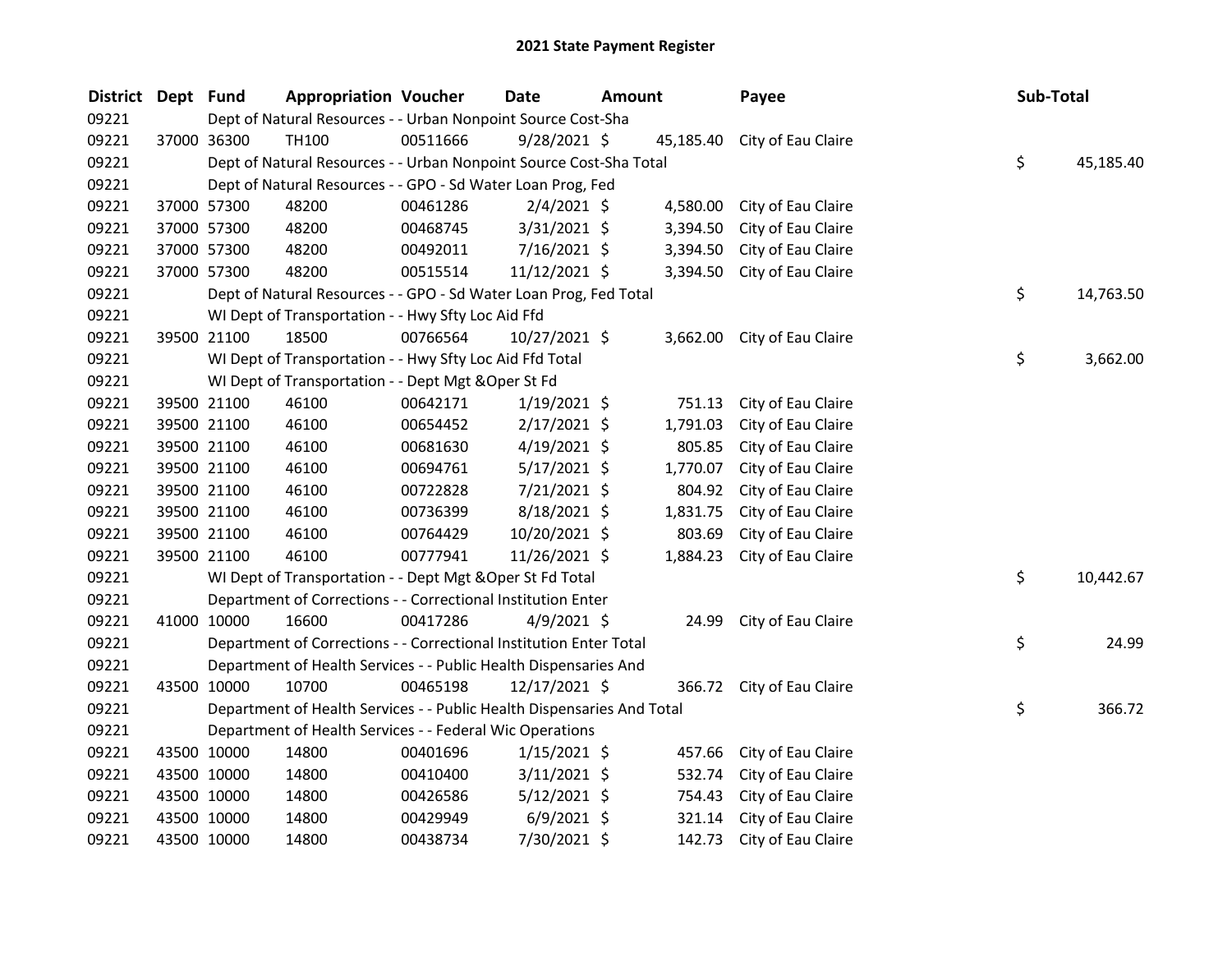| <b>District</b> | Dept Fund |             | <b>Appropriation Voucher</b>                                           |          | <b>Date</b>    | <b>Amount</b> |           | Payee                       | Sub-Total |           |
|-----------------|-----------|-------------|------------------------------------------------------------------------|----------|----------------|---------------|-----------|-----------------------------|-----------|-----------|
| 09221           |           |             | Dept of Natural Resources - - Urban Nonpoint Source Cost-Sha           |          |                |               |           |                             |           |           |
| 09221           |           | 37000 36300 | TH100                                                                  | 00511666 | $9/28/2021$ \$ |               | 45,185.40 | City of Eau Claire          |           |           |
| 09221           |           |             | Dept of Natural Resources - - Urban Nonpoint Source Cost-Sha Total     |          |                |               |           |                             | \$        | 45,185.40 |
| 09221           |           |             | Dept of Natural Resources - - GPO - Sd Water Loan Prog, Fed            |          |                |               |           |                             |           |           |
| 09221           |           | 37000 57300 | 48200                                                                  | 00461286 | $2/4/2021$ \$  |               | 4,580.00  | City of Eau Claire          |           |           |
| 09221           |           | 37000 57300 | 48200                                                                  | 00468745 | $3/31/2021$ \$ |               | 3,394.50  | City of Eau Claire          |           |           |
| 09221           |           | 37000 57300 | 48200                                                                  | 00492011 | 7/16/2021 \$   |               | 3,394.50  | City of Eau Claire          |           |           |
| 09221           |           | 37000 57300 | 48200                                                                  | 00515514 | 11/12/2021 \$  |               | 3,394.50  | City of Eau Claire          |           |           |
| 09221           |           |             | Dept of Natural Resources - - GPO - Sd Water Loan Prog, Fed Total      |          |                |               |           |                             | \$        | 14,763.50 |
| 09221           |           |             | WI Dept of Transportation - - Hwy Sfty Loc Aid Ffd                     |          |                |               |           |                             |           |           |
| 09221           |           | 39500 21100 | 18500                                                                  | 00766564 | 10/27/2021 \$  |               |           | 3,662.00 City of Eau Claire |           |           |
| 09221           |           |             | WI Dept of Transportation - - Hwy Sfty Loc Aid Ffd Total               |          |                |               |           |                             | \$        | 3,662.00  |
| 09221           |           |             | WI Dept of Transportation - - Dept Mgt & Oper St Fd                    |          |                |               |           |                             |           |           |
| 09221           |           | 39500 21100 | 46100                                                                  | 00642171 | $1/19/2021$ \$ |               | 751.13    | City of Eau Claire          |           |           |
| 09221           |           | 39500 21100 | 46100                                                                  | 00654452 | $2/17/2021$ \$ |               | 1,791.03  | City of Eau Claire          |           |           |
| 09221           |           | 39500 21100 | 46100                                                                  | 00681630 | $4/19/2021$ \$ |               | 805.85    | City of Eau Claire          |           |           |
| 09221           |           | 39500 21100 | 46100                                                                  | 00694761 | 5/17/2021 \$   |               | 1,770.07  | City of Eau Claire          |           |           |
| 09221           |           | 39500 21100 | 46100                                                                  | 00722828 | 7/21/2021 \$   |               | 804.92    | City of Eau Claire          |           |           |
| 09221           |           | 39500 21100 | 46100                                                                  | 00736399 | 8/18/2021 \$   |               | 1,831.75  | City of Eau Claire          |           |           |
| 09221           |           | 39500 21100 | 46100                                                                  | 00764429 | 10/20/2021 \$  |               | 803.69    | City of Eau Claire          |           |           |
| 09221           |           | 39500 21100 | 46100                                                                  | 00777941 | 11/26/2021 \$  |               | 1,884.23  | City of Eau Claire          |           |           |
| 09221           |           |             | WI Dept of Transportation - - Dept Mgt & Oper St Fd Total              |          |                |               |           |                             | \$        | 10,442.67 |
| 09221           |           |             | Department of Corrections - - Correctional Institution Enter           |          |                |               |           |                             |           |           |
| 09221           |           | 41000 10000 | 16600                                                                  | 00417286 | $4/9/2021$ \$  |               | 24.99     | City of Eau Claire          |           |           |
| 09221           |           |             | Department of Corrections - - Correctional Institution Enter Total     |          |                |               |           |                             | \$        | 24.99     |
| 09221           |           |             | Department of Health Services - - Public Health Dispensaries And       |          |                |               |           |                             |           |           |
| 09221           |           | 43500 10000 | 10700                                                                  | 00465198 | 12/17/2021 \$  |               | 366.72    | City of Eau Claire          |           |           |
| 09221           |           |             | Department of Health Services - - Public Health Dispensaries And Total |          |                |               |           |                             | \$        | 366.72    |
| 09221           |           |             | Department of Health Services - - Federal Wic Operations               |          |                |               |           |                             |           |           |
| 09221           |           | 43500 10000 | 14800                                                                  | 00401696 | $1/15/2021$ \$ |               | 457.66    | City of Eau Claire          |           |           |
| 09221           |           | 43500 10000 | 14800                                                                  | 00410400 | $3/11/2021$ \$ |               | 532.74    | City of Eau Claire          |           |           |
| 09221           |           | 43500 10000 | 14800                                                                  | 00426586 | $5/12/2021$ \$ |               | 754.43    | City of Eau Claire          |           |           |
| 09221           |           | 43500 10000 | 14800                                                                  | 00429949 | $6/9/2021$ \$  |               | 321.14    | City of Eau Claire          |           |           |
| 09221           |           | 43500 10000 | 14800                                                                  | 00438734 | 7/30/2021 \$   |               | 142.73    | City of Eau Claire          |           |           |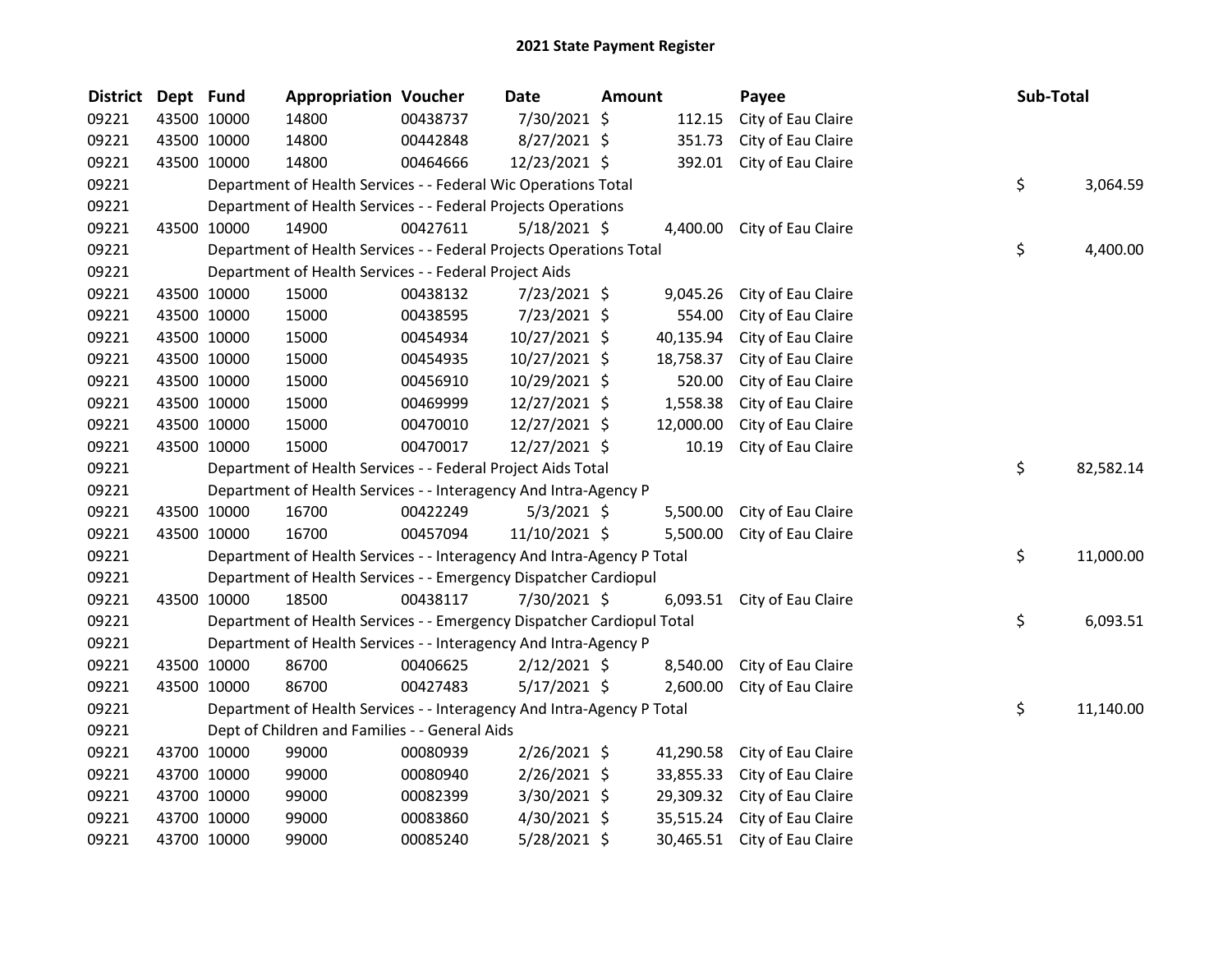| <b>District</b> | Dept Fund |             | <b>Appropriation Voucher</b>                                           |          | <b>Date</b>    | <b>Amount</b> |           | Payee                       | Sub-Total |           |
|-----------------|-----------|-------------|------------------------------------------------------------------------|----------|----------------|---------------|-----------|-----------------------------|-----------|-----------|
| 09221           |           | 43500 10000 | 14800                                                                  | 00438737 | 7/30/2021 \$   |               | 112.15    | City of Eau Claire          |           |           |
| 09221           |           | 43500 10000 | 14800                                                                  | 00442848 | 8/27/2021 \$   |               | 351.73    | City of Eau Claire          |           |           |
| 09221           |           | 43500 10000 | 14800                                                                  | 00464666 | 12/23/2021 \$  |               | 392.01    | City of Eau Claire          |           |           |
| 09221           |           |             | Department of Health Services - - Federal Wic Operations Total         |          |                |               |           |                             | \$        | 3,064.59  |
| 09221           |           |             | Department of Health Services - - Federal Projects Operations          |          |                |               |           |                             |           |           |
| 09221           |           | 43500 10000 | 14900                                                                  | 00427611 | 5/18/2021 \$   |               |           | 4,400.00 City of Eau Claire |           |           |
| 09221           |           |             | Department of Health Services - - Federal Projects Operations Total    |          |                |               |           |                             | \$        | 4,400.00  |
| 09221           |           |             | Department of Health Services - - Federal Project Aids                 |          |                |               |           |                             |           |           |
| 09221           |           | 43500 10000 | 15000                                                                  | 00438132 | 7/23/2021 \$   |               | 9,045.26  | City of Eau Claire          |           |           |
| 09221           |           | 43500 10000 | 15000                                                                  | 00438595 | 7/23/2021 \$   |               | 554.00    | City of Eau Claire          |           |           |
| 09221           |           | 43500 10000 | 15000                                                                  | 00454934 | 10/27/2021 \$  |               | 40,135.94 | City of Eau Claire          |           |           |
| 09221           |           | 43500 10000 | 15000                                                                  | 00454935 | 10/27/2021 \$  |               | 18,758.37 | City of Eau Claire          |           |           |
| 09221           |           | 43500 10000 | 15000                                                                  | 00456910 | 10/29/2021 \$  |               | 520.00    | City of Eau Claire          |           |           |
| 09221           |           | 43500 10000 | 15000                                                                  | 00469999 | 12/27/2021 \$  |               | 1,558.38  | City of Eau Claire          |           |           |
| 09221           |           | 43500 10000 | 15000                                                                  | 00470010 | 12/27/2021 \$  |               | 12,000.00 | City of Eau Claire          |           |           |
| 09221           |           | 43500 10000 | 15000                                                                  | 00470017 | 12/27/2021 \$  |               | 10.19     | City of Eau Claire          |           |           |
| 09221           |           |             | Department of Health Services - - Federal Project Aids Total           |          |                |               |           |                             | \$.       | 82,582.14 |
| 09221           |           |             | Department of Health Services - - Interagency And Intra-Agency P       |          |                |               |           |                             |           |           |
| 09221           |           | 43500 10000 | 16700                                                                  | 00422249 | $5/3/2021$ \$  |               | 5,500.00  | City of Eau Claire          |           |           |
| 09221           |           | 43500 10000 | 16700                                                                  | 00457094 | 11/10/2021 \$  |               | 5,500.00  | City of Eau Claire          |           |           |
| 09221           |           |             | Department of Health Services - - Interagency And Intra-Agency P Total |          |                |               |           |                             | \$        | 11,000.00 |
| 09221           |           |             | Department of Health Services - - Emergency Dispatcher Cardiopul       |          |                |               |           |                             |           |           |
| 09221           |           | 43500 10000 | 18500                                                                  | 00438117 | 7/30/2021 \$   |               |           | 6,093.51 City of Eau Claire |           |           |
| 09221           |           |             | Department of Health Services - - Emergency Dispatcher Cardiopul Total |          |                |               |           |                             | \$        | 6,093.51  |
| 09221           |           |             | Department of Health Services - - Interagency And Intra-Agency P       |          |                |               |           |                             |           |           |
| 09221           |           | 43500 10000 | 86700                                                                  | 00406625 | $2/12/2021$ \$ |               | 8,540.00  | City of Eau Claire          |           |           |
| 09221           |           | 43500 10000 | 86700                                                                  | 00427483 | 5/17/2021 \$   |               | 2,600.00  | City of Eau Claire          |           |           |
| 09221           |           |             | Department of Health Services - - Interagency And Intra-Agency P Total |          |                |               |           |                             | \$        | 11,140.00 |
| 09221           |           |             | Dept of Children and Families - - General Aids                         |          |                |               |           |                             |           |           |
| 09221           |           | 43700 10000 | 99000                                                                  | 00080939 | 2/26/2021 \$   |               | 41,290.58 | City of Eau Claire          |           |           |
| 09221           |           | 43700 10000 | 99000                                                                  | 00080940 | 2/26/2021 \$   |               | 33,855.33 | City of Eau Claire          |           |           |
| 09221           |           | 43700 10000 | 99000                                                                  | 00082399 | 3/30/2021 \$   |               | 29,309.32 | City of Eau Claire          |           |           |
| 09221           |           | 43700 10000 | 99000                                                                  | 00083860 | 4/30/2021 \$   |               | 35,515.24 | City of Eau Claire          |           |           |
| 09221           |           | 43700 10000 | 99000                                                                  | 00085240 | 5/28/2021 \$   |               | 30,465.51 | City of Eau Claire          |           |           |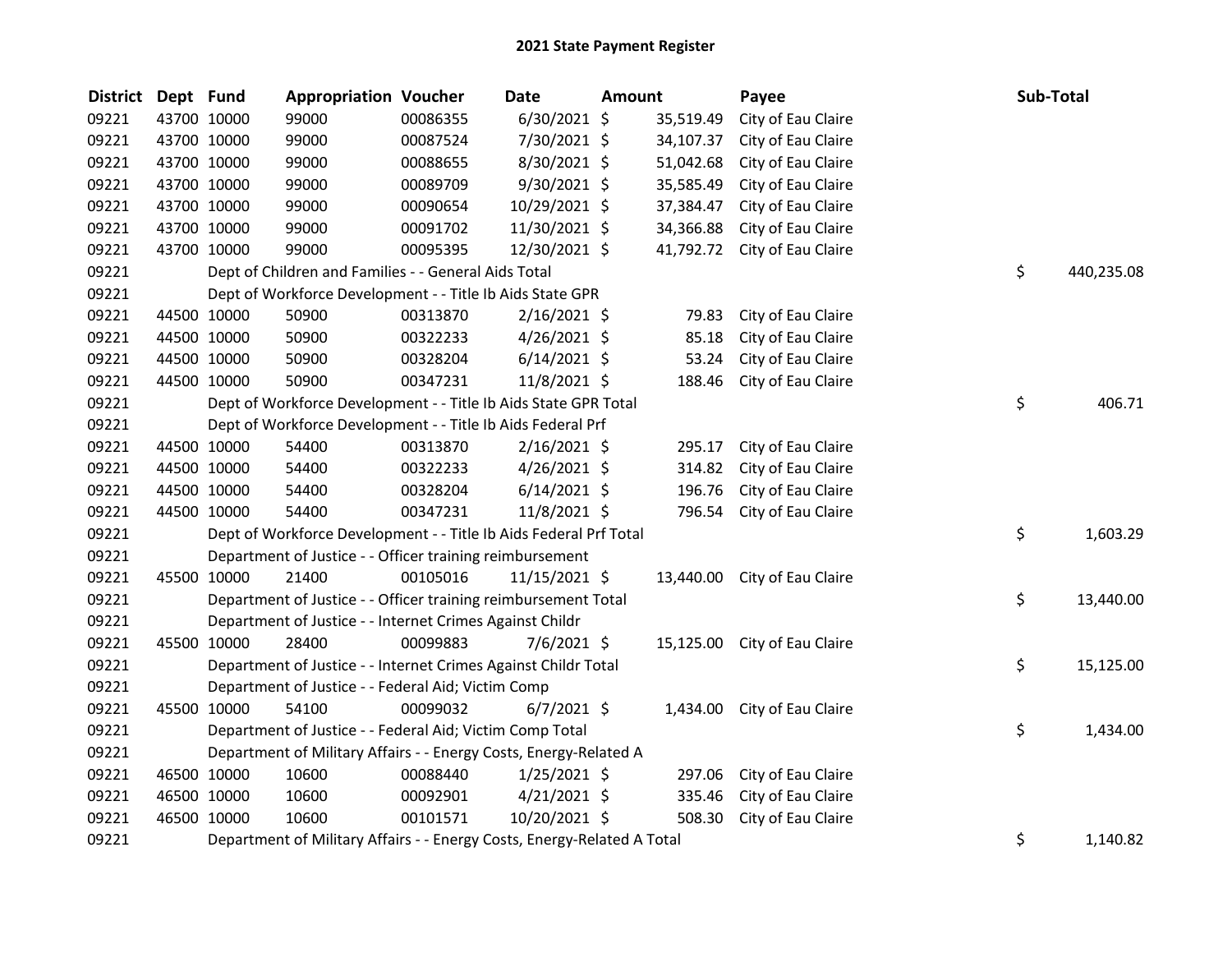| <b>District</b> | Dept Fund |             | <b>Appropriation Voucher</b>                                            |          | <b>Date</b>    | <b>Amount</b> |           | Payee                        | Sub-Total        |
|-----------------|-----------|-------------|-------------------------------------------------------------------------|----------|----------------|---------------|-----------|------------------------------|------------------|
| 09221           |           | 43700 10000 | 99000                                                                   | 00086355 | 6/30/2021 \$   |               | 35,519.49 | City of Eau Claire           |                  |
| 09221           |           | 43700 10000 | 99000                                                                   | 00087524 | 7/30/2021 \$   |               | 34,107.37 | City of Eau Claire           |                  |
| 09221           |           | 43700 10000 | 99000                                                                   | 00088655 | 8/30/2021 \$   |               | 51,042.68 | City of Eau Claire           |                  |
| 09221           |           | 43700 10000 | 99000                                                                   | 00089709 | 9/30/2021 \$   |               | 35,585.49 | City of Eau Claire           |                  |
| 09221           |           | 43700 10000 | 99000                                                                   | 00090654 | 10/29/2021 \$  |               | 37,384.47 | City of Eau Claire           |                  |
| 09221           |           | 43700 10000 | 99000                                                                   | 00091702 | 11/30/2021 \$  |               | 34,366.88 | City of Eau Claire           |                  |
| 09221           |           | 43700 10000 | 99000                                                                   | 00095395 | 12/30/2021 \$  |               | 41,792.72 | City of Eau Claire           |                  |
| 09221           |           |             | Dept of Children and Families - - General Aids Total                    |          |                |               |           |                              | \$<br>440,235.08 |
| 09221           |           |             | Dept of Workforce Development - - Title Ib Aids State GPR               |          |                |               |           |                              |                  |
| 09221           |           | 44500 10000 | 50900                                                                   | 00313870 | $2/16/2021$ \$ |               | 79.83     | City of Eau Claire           |                  |
| 09221           |           | 44500 10000 | 50900                                                                   | 00322233 | $4/26/2021$ \$ |               | 85.18     | City of Eau Claire           |                  |
| 09221           |           | 44500 10000 | 50900                                                                   | 00328204 | $6/14/2021$ \$ |               | 53.24     | City of Eau Claire           |                  |
| 09221           |           | 44500 10000 | 50900                                                                   | 00347231 | 11/8/2021 \$   |               | 188.46    | City of Eau Claire           |                  |
| 09221           |           |             | Dept of Workforce Development - - Title Ib Aids State GPR Total         |          |                |               |           |                              | \$<br>406.71     |
| 09221           |           |             | Dept of Workforce Development - - Title Ib Aids Federal Prf             |          |                |               |           |                              |                  |
| 09221           |           | 44500 10000 | 54400                                                                   | 00313870 | $2/16/2021$ \$ |               | 295.17    | City of Eau Claire           |                  |
| 09221           |           | 44500 10000 | 54400                                                                   | 00322233 | $4/26/2021$ \$ |               | 314.82    | City of Eau Claire           |                  |
| 09221           |           | 44500 10000 | 54400                                                                   | 00328204 | $6/14/2021$ \$ |               | 196.76    | City of Eau Claire           |                  |
| 09221           |           | 44500 10000 | 54400                                                                   | 00347231 | 11/8/2021 \$   |               | 796.54    | City of Eau Claire           |                  |
| 09221           |           |             | Dept of Workforce Development - - Title Ib Aids Federal Prf Total       |          |                |               |           |                              | \$<br>1,603.29   |
| 09221           |           |             | Department of Justice - - Officer training reimbursement                |          |                |               |           |                              |                  |
| 09221           |           | 45500 10000 | 21400                                                                   | 00105016 | 11/15/2021 \$  |               | 13,440.00 | City of Eau Claire           |                  |
| 09221           |           |             | Department of Justice - - Officer training reimbursement Total          |          |                |               |           |                              | \$<br>13,440.00  |
| 09221           |           |             | Department of Justice - - Internet Crimes Against Childr                |          |                |               |           |                              |                  |
| 09221           |           | 45500 10000 | 28400                                                                   | 00099883 | $7/6/2021$ \$  |               |           | 15,125.00 City of Eau Claire |                  |
| 09221           |           |             | Department of Justice - - Internet Crimes Against Childr Total          |          |                |               |           |                              | \$<br>15,125.00  |
| 09221           |           |             | Department of Justice - - Federal Aid; Victim Comp                      |          |                |               |           |                              |                  |
| 09221           |           | 45500 10000 | 54100                                                                   | 00099032 | $6/7/2021$ \$  |               |           | 1,434.00 City of Eau Claire  |                  |
| 09221           |           |             | Department of Justice - - Federal Aid; Victim Comp Total                |          |                |               |           |                              | \$<br>1,434.00   |
| 09221           |           |             | Department of Military Affairs - - Energy Costs, Energy-Related A       |          |                |               |           |                              |                  |
| 09221           |           | 46500 10000 | 10600                                                                   | 00088440 | $1/25/2021$ \$ |               | 297.06    | City of Eau Claire           |                  |
| 09221           |           | 46500 10000 | 10600                                                                   | 00092901 | $4/21/2021$ \$ |               | 335.46    | City of Eau Claire           |                  |
| 09221           |           | 46500 10000 | 10600                                                                   | 00101571 | 10/20/2021 \$  |               | 508.30    | City of Eau Claire           |                  |
| 09221           |           |             | Department of Military Affairs - - Energy Costs, Energy-Related A Total |          |                |               |           |                              | \$<br>1,140.82   |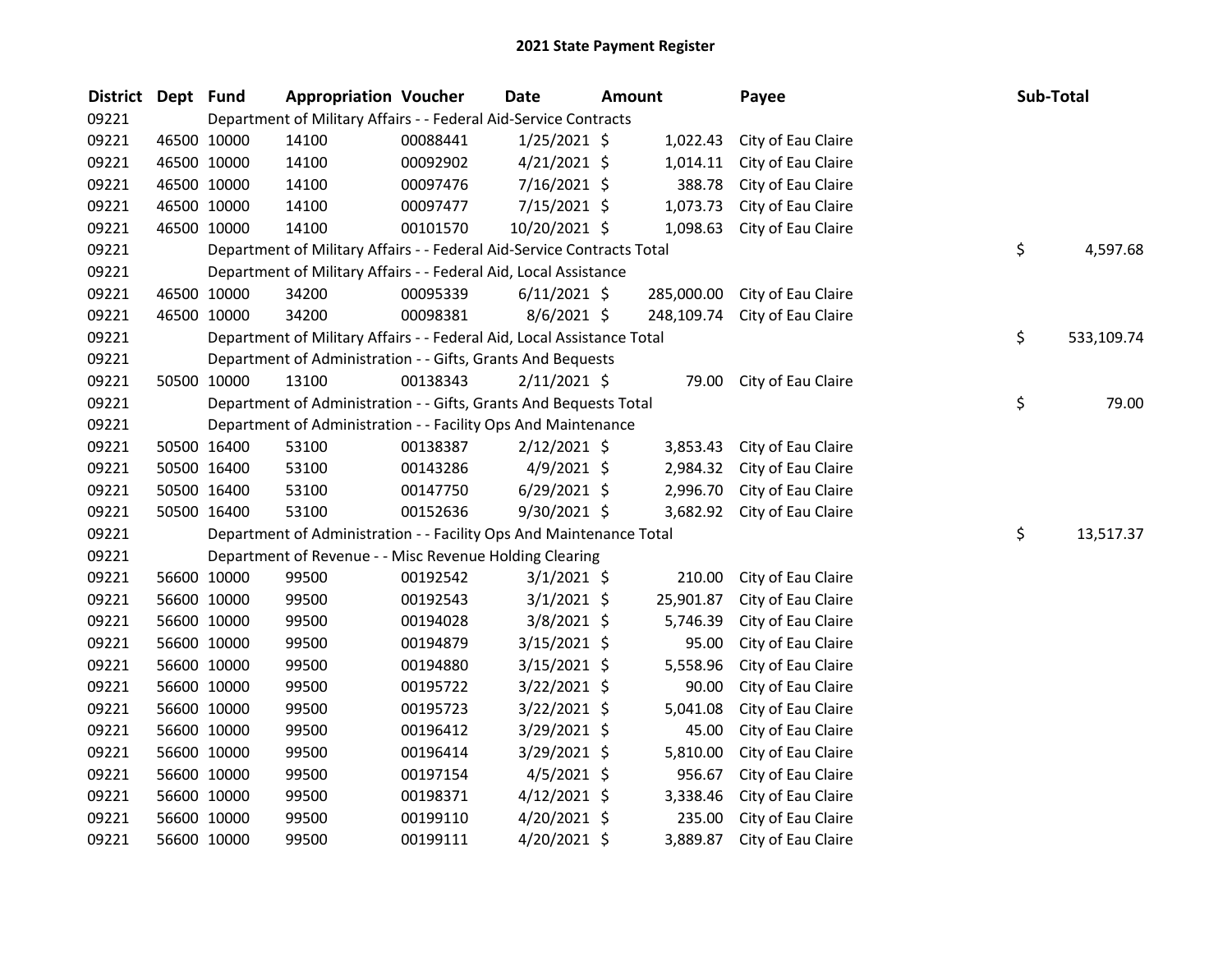| District | Dept Fund |             | <b>Appropriation Voucher</b>                                           |          | <b>Date</b>    | <b>Amount</b> |            | Payee              | Sub-Total        |
|----------|-----------|-------------|------------------------------------------------------------------------|----------|----------------|---------------|------------|--------------------|------------------|
| 09221    |           |             | Department of Military Affairs - - Federal Aid-Service Contracts       |          |                |               |            |                    |                  |
| 09221    |           | 46500 10000 | 14100                                                                  | 00088441 | $1/25/2021$ \$ |               | 1,022.43   | City of Eau Claire |                  |
| 09221    |           | 46500 10000 | 14100                                                                  | 00092902 | $4/21/2021$ \$ |               | 1,014.11   | City of Eau Claire |                  |
| 09221    |           | 46500 10000 | 14100                                                                  | 00097476 | $7/16/2021$ \$ |               | 388.78     | City of Eau Claire |                  |
| 09221    |           | 46500 10000 | 14100                                                                  | 00097477 | 7/15/2021 \$   |               | 1,073.73   | City of Eau Claire |                  |
| 09221    |           | 46500 10000 | 14100                                                                  | 00101570 | 10/20/2021 \$  |               | 1,098.63   | City of Eau Claire |                  |
| 09221    |           |             | Department of Military Affairs - - Federal Aid-Service Contracts Total |          |                |               |            |                    | \$<br>4,597.68   |
| 09221    |           |             | Department of Military Affairs - - Federal Aid, Local Assistance       |          |                |               |            |                    |                  |
| 09221    |           | 46500 10000 | 34200                                                                  | 00095339 | $6/11/2021$ \$ |               | 285,000.00 | City of Eau Claire |                  |
| 09221    |           | 46500 10000 | 34200                                                                  | 00098381 | $8/6/2021$ \$  |               | 248,109.74 | City of Eau Claire |                  |
| 09221    |           |             | Department of Military Affairs - - Federal Aid, Local Assistance Total |          |                |               |            |                    | \$<br>533,109.74 |
| 09221    |           |             | Department of Administration - - Gifts, Grants And Bequests            |          |                |               |            |                    |                  |
| 09221    |           | 50500 10000 | 13100                                                                  | 00138343 | $2/11/2021$ \$ |               | 79.00      | City of Eau Claire |                  |
| 09221    |           |             | Department of Administration - - Gifts, Grants And Bequests Total      |          |                |               |            |                    | \$<br>79.00      |
| 09221    |           |             | Department of Administration - - Facility Ops And Maintenance          |          |                |               |            |                    |                  |
| 09221    |           | 50500 16400 | 53100                                                                  | 00138387 | $2/12/2021$ \$ |               | 3,853.43   | City of Eau Claire |                  |
| 09221    |           | 50500 16400 | 53100                                                                  | 00143286 | $4/9/2021$ \$  |               | 2,984.32   | City of Eau Claire |                  |
| 09221    |           | 50500 16400 | 53100                                                                  | 00147750 | $6/29/2021$ \$ |               | 2,996.70   | City of Eau Claire |                  |
| 09221    |           | 50500 16400 | 53100                                                                  | 00152636 | $9/30/2021$ \$ |               | 3,682.92   | City of Eau Claire |                  |
| 09221    |           |             | Department of Administration - - Facility Ops And Maintenance Total    |          |                |               |            |                    | \$<br>13,517.37  |
| 09221    |           |             | Department of Revenue - - Misc Revenue Holding Clearing                |          |                |               |            |                    |                  |
| 09221    |           | 56600 10000 | 99500                                                                  | 00192542 | $3/1/2021$ \$  |               | 210.00     | City of Eau Claire |                  |
| 09221    |           | 56600 10000 | 99500                                                                  | 00192543 | $3/1/2021$ \$  |               | 25,901.87  | City of Eau Claire |                  |
| 09221    |           | 56600 10000 | 99500                                                                  | 00194028 | $3/8/2021$ \$  |               | 5,746.39   | City of Eau Claire |                  |
| 09221    |           | 56600 10000 | 99500                                                                  | 00194879 | $3/15/2021$ \$ |               | 95.00      | City of Eau Claire |                  |
| 09221    |           | 56600 10000 | 99500                                                                  | 00194880 | $3/15/2021$ \$ |               | 5,558.96   | City of Eau Claire |                  |
| 09221    |           | 56600 10000 | 99500                                                                  | 00195722 | 3/22/2021 \$   |               | 90.00      | City of Eau Claire |                  |
| 09221    |           | 56600 10000 | 99500                                                                  | 00195723 | 3/22/2021 \$   |               | 5,041.08   | City of Eau Claire |                  |
| 09221    |           | 56600 10000 | 99500                                                                  | 00196412 | 3/29/2021 \$   |               | 45.00      | City of Eau Claire |                  |
| 09221    |           | 56600 10000 | 99500                                                                  | 00196414 | 3/29/2021 \$   |               | 5,810.00   | City of Eau Claire |                  |
| 09221    |           | 56600 10000 | 99500                                                                  | 00197154 | $4/5/2021$ \$  |               | 956.67     | City of Eau Claire |                  |
| 09221    |           | 56600 10000 | 99500                                                                  | 00198371 | $4/12/2021$ \$ |               | 3,338.46   | City of Eau Claire |                  |
| 09221    |           | 56600 10000 | 99500                                                                  | 00199110 | $4/20/2021$ \$ |               | 235.00     | City of Eau Claire |                  |
| 09221    |           | 56600 10000 | 99500                                                                  | 00199111 | 4/20/2021 \$   |               | 3,889.87   | City of Eau Claire |                  |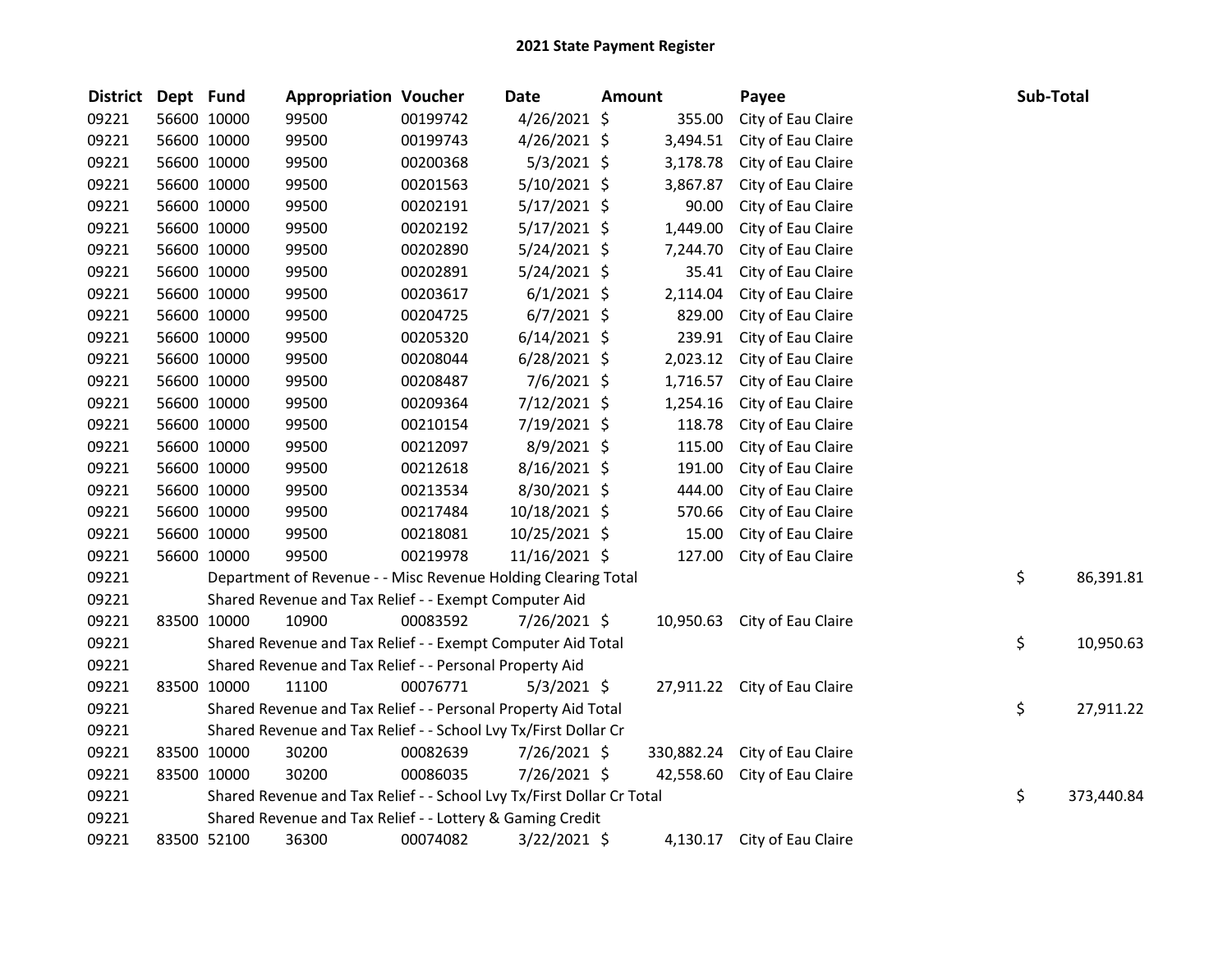| <b>District</b> | Dept Fund |             | <b>Appropriation Voucher</b>                                          |          | Date           | <b>Amount</b> |            | Payee                        | Sub-Total |            |
|-----------------|-----------|-------------|-----------------------------------------------------------------------|----------|----------------|---------------|------------|------------------------------|-----------|------------|
| 09221           |           | 56600 10000 | 99500                                                                 | 00199742 | $4/26/2021$ \$ |               | 355.00     | City of Eau Claire           |           |            |
| 09221           |           | 56600 10000 | 99500                                                                 | 00199743 | $4/26/2021$ \$ |               | 3,494.51   | City of Eau Claire           |           |            |
| 09221           |           | 56600 10000 | 99500                                                                 | 00200368 | 5/3/2021 \$    |               | 3,178.78   | City of Eau Claire           |           |            |
| 09221           |           | 56600 10000 | 99500                                                                 | 00201563 | $5/10/2021$ \$ |               | 3,867.87   | City of Eau Claire           |           |            |
| 09221           |           | 56600 10000 | 99500                                                                 | 00202191 | $5/17/2021$ \$ |               | 90.00      | City of Eau Claire           |           |            |
| 09221           |           | 56600 10000 | 99500                                                                 | 00202192 | $5/17/2021$ \$ |               | 1,449.00   | City of Eau Claire           |           |            |
| 09221           |           | 56600 10000 | 99500                                                                 | 00202890 | 5/24/2021 \$   |               | 7,244.70   | City of Eau Claire           |           |            |
| 09221           |           | 56600 10000 | 99500                                                                 | 00202891 | $5/24/2021$ \$ |               | 35.41      | City of Eau Claire           |           |            |
| 09221           |           | 56600 10000 | 99500                                                                 | 00203617 | $6/1/2021$ \$  |               | 2,114.04   | City of Eau Claire           |           |            |
| 09221           |           | 56600 10000 | 99500                                                                 | 00204725 | $6/7/2021$ \$  |               | 829.00     | City of Eau Claire           |           |            |
| 09221           |           | 56600 10000 | 99500                                                                 | 00205320 | $6/14/2021$ \$ |               | 239.91     | City of Eau Claire           |           |            |
| 09221           |           | 56600 10000 | 99500                                                                 | 00208044 | $6/28/2021$ \$ |               | 2,023.12   | City of Eau Claire           |           |            |
| 09221           |           | 56600 10000 | 99500                                                                 | 00208487 | 7/6/2021 \$    |               | 1,716.57   | City of Eau Claire           |           |            |
| 09221           |           | 56600 10000 | 99500                                                                 | 00209364 | 7/12/2021 \$   |               | 1,254.16   | City of Eau Claire           |           |            |
| 09221           |           | 56600 10000 | 99500                                                                 | 00210154 | 7/19/2021 \$   |               | 118.78     | City of Eau Claire           |           |            |
| 09221           |           | 56600 10000 | 99500                                                                 | 00212097 | 8/9/2021 \$    |               | 115.00     | City of Eau Claire           |           |            |
| 09221           |           | 56600 10000 | 99500                                                                 | 00212618 | 8/16/2021 \$   |               | 191.00     | City of Eau Claire           |           |            |
| 09221           |           | 56600 10000 | 99500                                                                 | 00213534 | 8/30/2021 \$   |               | 444.00     | City of Eau Claire           |           |            |
| 09221           |           | 56600 10000 | 99500                                                                 | 00217484 | 10/18/2021 \$  |               | 570.66     | City of Eau Claire           |           |            |
| 09221           |           | 56600 10000 | 99500                                                                 | 00218081 | 10/25/2021 \$  |               | 15.00      | City of Eau Claire           |           |            |
| 09221           |           | 56600 10000 | 99500                                                                 | 00219978 | 11/16/2021 \$  |               | 127.00     | City of Eau Claire           |           |            |
| 09221           |           |             | Department of Revenue - - Misc Revenue Holding Clearing Total         |          |                |               |            |                              | \$        | 86,391.81  |
| 09221           |           |             | Shared Revenue and Tax Relief - - Exempt Computer Aid                 |          |                |               |            |                              |           |            |
| 09221           |           | 83500 10000 | 10900                                                                 | 00083592 | 7/26/2021 \$   |               | 10,950.63  | City of Eau Claire           |           |            |
| 09221           |           |             | Shared Revenue and Tax Relief - - Exempt Computer Aid Total           |          |                |               |            |                              | \$        | 10,950.63  |
| 09221           |           |             | Shared Revenue and Tax Relief - - Personal Property Aid               |          |                |               |            |                              |           |            |
| 09221           |           | 83500 10000 | 11100                                                                 | 00076771 | $5/3/2021$ \$  |               |            | 27,911.22 City of Eau Claire |           |            |
| 09221           |           |             | Shared Revenue and Tax Relief - - Personal Property Aid Total         |          |                |               |            |                              | \$        | 27,911.22  |
| 09221           |           |             | Shared Revenue and Tax Relief - - School Lvy Tx/First Dollar Cr       |          |                |               |            |                              |           |            |
| 09221           |           | 83500 10000 | 30200                                                                 | 00082639 | 7/26/2021 \$   |               | 330,882.24 | City of Eau Claire           |           |            |
| 09221           |           | 83500 10000 | 30200                                                                 | 00086035 | 7/26/2021 \$   |               |            | 42,558.60 City of Eau Claire |           |            |
| 09221           |           |             | Shared Revenue and Tax Relief - - School Lvy Tx/First Dollar Cr Total |          |                |               |            |                              | \$        | 373,440.84 |
| 09221           |           |             | Shared Revenue and Tax Relief - - Lottery & Gaming Credit             |          |                |               |            |                              |           |            |
| 09221           |           | 83500 52100 | 36300                                                                 | 00074082 | 3/22/2021 \$   |               |            | 4,130.17 City of Eau Claire  |           |            |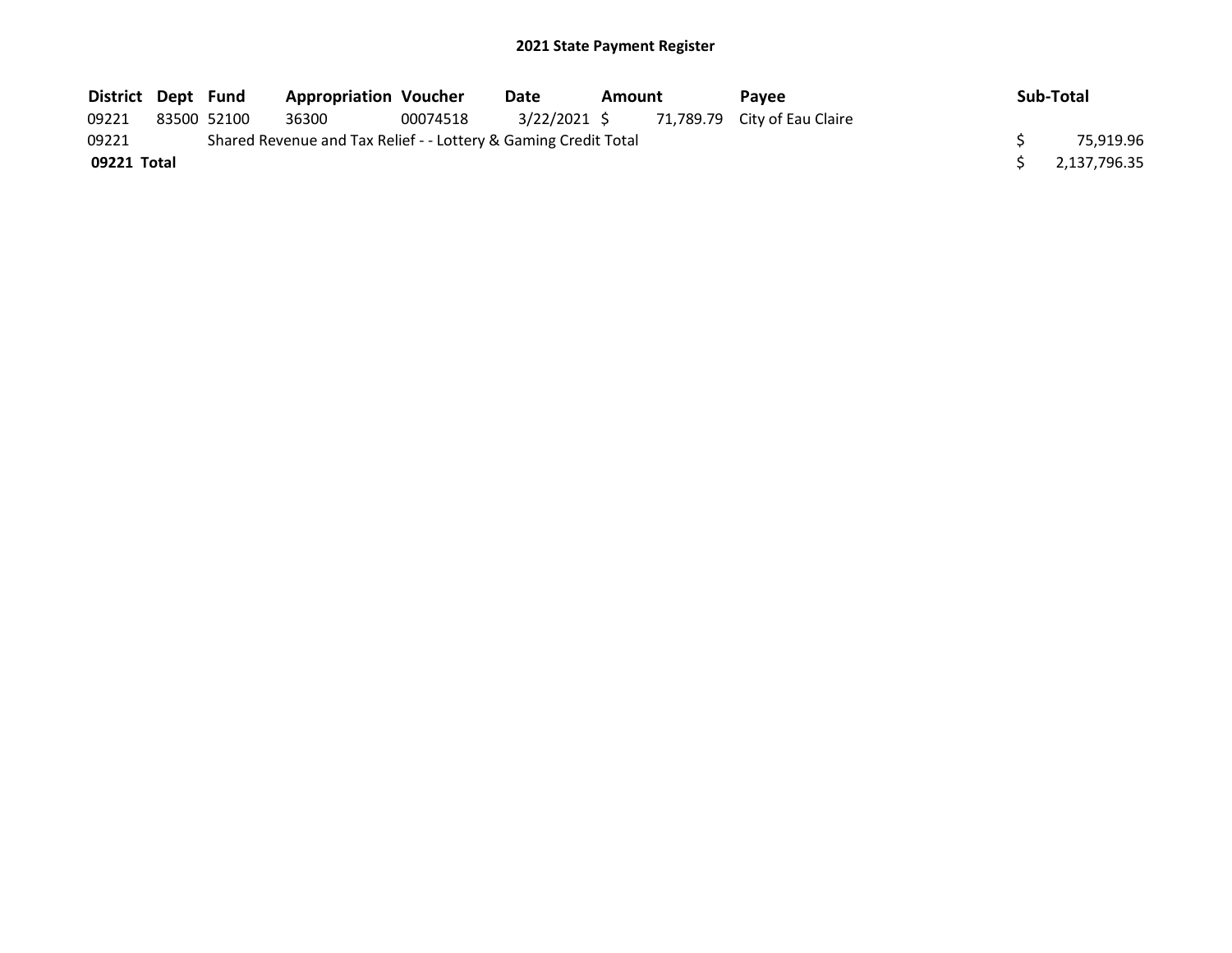## 2021 State Payment Register

| District Dept Fund |             | <b>Appropriation Voucher</b>                                    |          | Date | Amount |  |                                           |                | <b>Pavee</b> | Sub-Total |
|--------------------|-------------|-----------------------------------------------------------------|----------|------|--------|--|-------------------------------------------|----------------|--------------|-----------|
| 09221              | 83500 52100 | 36300                                                           | 00074518 |      |        |  | 3/22/2021 \$ 71,789.79 City of Eau Claire |                |              |           |
| 09221              |             | Shared Revenue and Tax Relief - - Lottery & Gaming Credit Total |          |      |        |  |                                           | 75,919.96      |              |           |
| 09221 Total        |             |                                                                 |          |      |        |  |                                           | \$2,137,796.35 |              |           |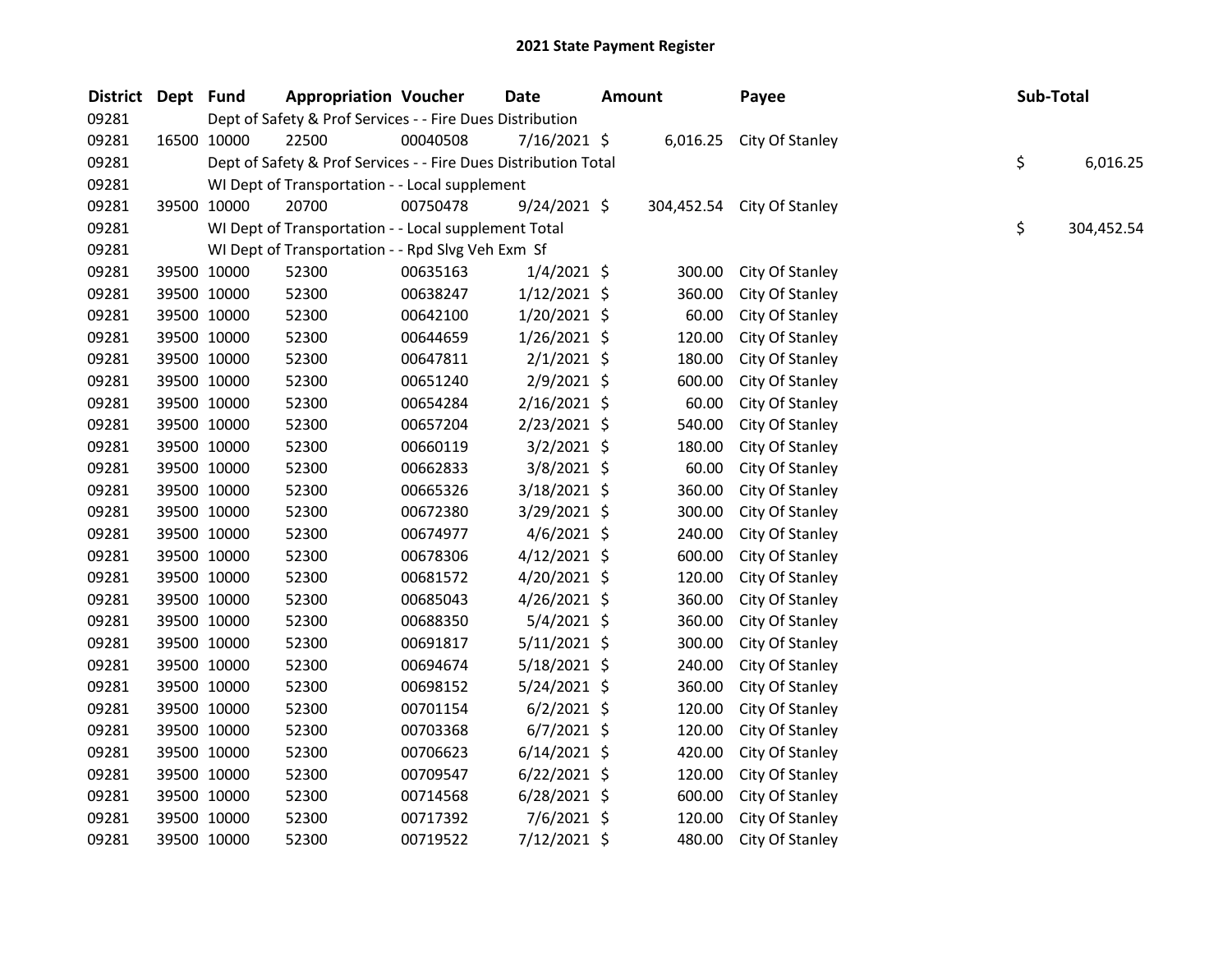| District Dept Fund |             | <b>Appropriation Voucher</b>                                    |          | Date           | <b>Amount</b> |        | Payee                      | Sub-Total |            |
|--------------------|-------------|-----------------------------------------------------------------|----------|----------------|---------------|--------|----------------------------|-----------|------------|
| 09281              |             | Dept of Safety & Prof Services - - Fire Dues Distribution       |          |                |               |        |                            |           |            |
| 09281              | 16500 10000 | 22500                                                           | 00040508 | 7/16/2021 \$   |               |        | 6,016.25 City Of Stanley   |           |            |
| 09281              |             | Dept of Safety & Prof Services - - Fire Dues Distribution Total |          |                |               |        |                            | \$        | 6,016.25   |
| 09281              |             | WI Dept of Transportation - - Local supplement                  |          |                |               |        |                            |           |            |
| 09281              | 39500 10000 | 20700                                                           | 00750478 | $9/24/2021$ \$ |               |        | 304,452.54 City Of Stanley |           |            |
| 09281              |             | WI Dept of Transportation - - Local supplement Total            |          |                |               |        |                            | \$        | 304,452.54 |
| 09281              |             | WI Dept of Transportation - - Rpd Slvg Veh Exm Sf               |          |                |               |        |                            |           |            |
| 09281              | 39500 10000 | 52300                                                           | 00635163 | $1/4/2021$ \$  |               | 300.00 | City Of Stanley            |           |            |
| 09281              | 39500 10000 | 52300                                                           | 00638247 | $1/12/2021$ \$ |               | 360.00 | City Of Stanley            |           |            |
| 09281              | 39500 10000 | 52300                                                           | 00642100 | $1/20/2021$ \$ |               | 60.00  | City Of Stanley            |           |            |
| 09281              | 39500 10000 | 52300                                                           | 00644659 | $1/26/2021$ \$ |               | 120.00 | City Of Stanley            |           |            |
| 09281              | 39500 10000 | 52300                                                           | 00647811 | $2/1/2021$ \$  |               | 180.00 | City Of Stanley            |           |            |
| 09281              | 39500 10000 | 52300                                                           | 00651240 | 2/9/2021 \$    |               | 600.00 | City Of Stanley            |           |            |
| 09281              | 39500 10000 | 52300                                                           | 00654284 | $2/16/2021$ \$ |               | 60.00  | City Of Stanley            |           |            |
| 09281              | 39500 10000 | 52300                                                           | 00657204 | 2/23/2021 \$   |               | 540.00 | City Of Stanley            |           |            |
| 09281              | 39500 10000 | 52300                                                           | 00660119 | $3/2/2021$ \$  |               | 180.00 | City Of Stanley            |           |            |
| 09281              | 39500 10000 | 52300                                                           | 00662833 | 3/8/2021 \$    |               | 60.00  | City Of Stanley            |           |            |
| 09281              | 39500 10000 | 52300                                                           | 00665326 | 3/18/2021 \$   |               | 360.00 | City Of Stanley            |           |            |
| 09281              | 39500 10000 | 52300                                                           | 00672380 | 3/29/2021 \$   |               | 300.00 | City Of Stanley            |           |            |
| 09281              | 39500 10000 | 52300                                                           | 00674977 | $4/6/2021$ \$  |               | 240.00 | City Of Stanley            |           |            |
| 09281              | 39500 10000 | 52300                                                           | 00678306 | $4/12/2021$ \$ |               | 600.00 | City Of Stanley            |           |            |
| 09281              | 39500 10000 | 52300                                                           | 00681572 | $4/20/2021$ \$ |               | 120.00 | City Of Stanley            |           |            |
| 09281              | 39500 10000 | 52300                                                           | 00685043 | $4/26/2021$ \$ |               | 360.00 | City Of Stanley            |           |            |
| 09281              | 39500 10000 | 52300                                                           | 00688350 | $5/4/2021$ \$  |               | 360.00 | City Of Stanley            |           |            |
| 09281              | 39500 10000 | 52300                                                           | 00691817 | $5/11/2021$ \$ |               | 300.00 | City Of Stanley            |           |            |
| 09281              | 39500 10000 | 52300                                                           | 00694674 | $5/18/2021$ \$ |               | 240.00 | City Of Stanley            |           |            |
| 09281              | 39500 10000 | 52300                                                           | 00698152 | $5/24/2021$ \$ |               | 360.00 | City Of Stanley            |           |            |
| 09281              | 39500 10000 | 52300                                                           | 00701154 | $6/2/2021$ \$  |               | 120.00 | City Of Stanley            |           |            |
| 09281              | 39500 10000 | 52300                                                           | 00703368 | $6/7/2021$ \$  |               | 120.00 | City Of Stanley            |           |            |
| 09281              | 39500 10000 | 52300                                                           | 00706623 | $6/14/2021$ \$ |               | 420.00 | City Of Stanley            |           |            |
| 09281              | 39500 10000 | 52300                                                           | 00709547 | $6/22/2021$ \$ |               | 120.00 | City Of Stanley            |           |            |
| 09281              | 39500 10000 | 52300                                                           | 00714568 | $6/28/2021$ \$ |               | 600.00 | City Of Stanley            |           |            |
| 09281              | 39500 10000 | 52300                                                           | 00717392 | $7/6/2021$ \$  |               | 120.00 | City Of Stanley            |           |            |
| 09281              | 39500 10000 | 52300                                                           | 00719522 | 7/12/2021 \$   |               | 480.00 | City Of Stanley            |           |            |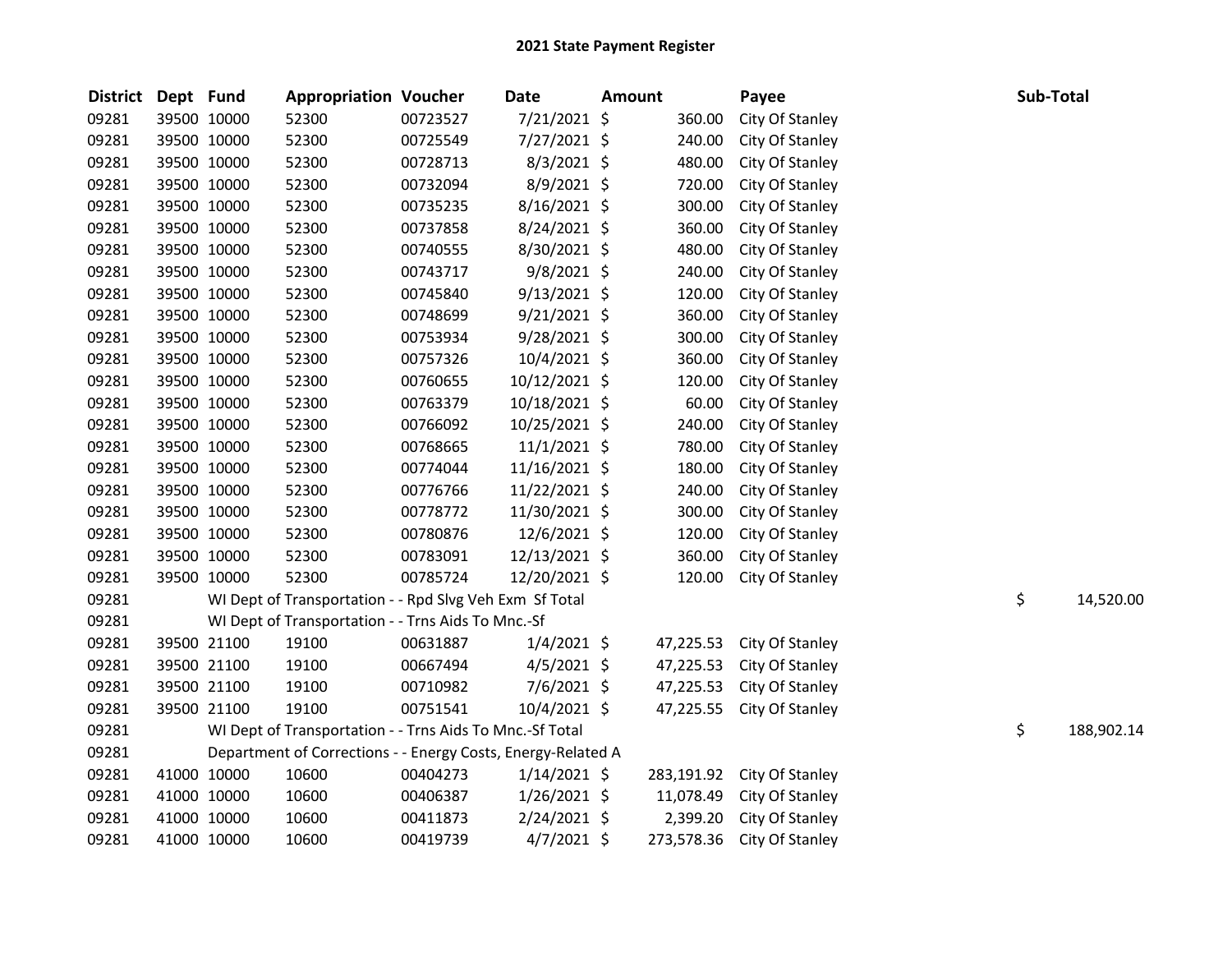| <b>District</b> | Dept Fund |             | <b>Appropriation Voucher</b>                                 |          | <b>Date</b>    | <b>Amount</b> |            | Payee           |    | Sub-Total  |
|-----------------|-----------|-------------|--------------------------------------------------------------|----------|----------------|---------------|------------|-----------------|----|------------|
| 09281           |           | 39500 10000 | 52300                                                        | 00723527 | 7/21/2021 \$   |               | 360.00     | City Of Stanley |    |            |
| 09281           |           | 39500 10000 | 52300                                                        | 00725549 | 7/27/2021 \$   |               | 240.00     | City Of Stanley |    |            |
| 09281           |           | 39500 10000 | 52300                                                        | 00728713 | $8/3/2021$ \$  |               | 480.00     | City Of Stanley |    |            |
| 09281           |           | 39500 10000 | 52300                                                        | 00732094 | 8/9/2021 \$    |               | 720.00     | City Of Stanley |    |            |
| 09281           |           | 39500 10000 | 52300                                                        | 00735235 | 8/16/2021 \$   |               | 300.00     | City Of Stanley |    |            |
| 09281           |           | 39500 10000 | 52300                                                        | 00737858 | 8/24/2021 \$   |               | 360.00     | City Of Stanley |    |            |
| 09281           |           | 39500 10000 | 52300                                                        | 00740555 | 8/30/2021 \$   |               | 480.00     | City Of Stanley |    |            |
| 09281           |           | 39500 10000 | 52300                                                        | 00743717 | $9/8/2021$ \$  |               | 240.00     | City Of Stanley |    |            |
| 09281           |           | 39500 10000 | 52300                                                        | 00745840 | $9/13/2021$ \$ |               | 120.00     | City Of Stanley |    |            |
| 09281           |           | 39500 10000 | 52300                                                        | 00748699 | $9/21/2021$ \$ |               | 360.00     | City Of Stanley |    |            |
| 09281           |           | 39500 10000 | 52300                                                        | 00753934 | 9/28/2021 \$   |               | 300.00     | City Of Stanley |    |            |
| 09281           |           | 39500 10000 | 52300                                                        | 00757326 | 10/4/2021 \$   |               | 360.00     | City Of Stanley |    |            |
| 09281           |           | 39500 10000 | 52300                                                        | 00760655 | 10/12/2021 \$  |               | 120.00     | City Of Stanley |    |            |
| 09281           |           | 39500 10000 | 52300                                                        | 00763379 | 10/18/2021 \$  |               | 60.00      | City Of Stanley |    |            |
| 09281           |           | 39500 10000 | 52300                                                        | 00766092 | 10/25/2021 \$  |               | 240.00     | City Of Stanley |    |            |
| 09281           |           | 39500 10000 | 52300                                                        | 00768665 | $11/1/2021$ \$ |               | 780.00     | City Of Stanley |    |            |
| 09281           |           | 39500 10000 | 52300                                                        | 00774044 | 11/16/2021 \$  |               | 180.00     | City Of Stanley |    |            |
| 09281           |           | 39500 10000 | 52300                                                        | 00776766 | 11/22/2021 \$  |               | 240.00     | City Of Stanley |    |            |
| 09281           |           | 39500 10000 | 52300                                                        | 00778772 | 11/30/2021 \$  |               | 300.00     | City Of Stanley |    |            |
| 09281           |           | 39500 10000 | 52300                                                        | 00780876 | 12/6/2021 \$   |               | 120.00     | City Of Stanley |    |            |
| 09281           |           | 39500 10000 | 52300                                                        | 00783091 | 12/13/2021 \$  |               | 360.00     | City Of Stanley |    |            |
| 09281           |           | 39500 10000 | 52300                                                        | 00785724 | 12/20/2021 \$  |               | 120.00     | City Of Stanley |    |            |
| 09281           |           |             | WI Dept of Transportation - - Rpd Slvg Veh Exm Sf Total      |          |                |               |            |                 | \$ | 14,520.00  |
| 09281           |           |             | WI Dept of Transportation - - Trns Aids To Mnc.-Sf           |          |                |               |            |                 |    |            |
| 09281           |           | 39500 21100 | 19100                                                        | 00631887 | $1/4/2021$ \$  |               | 47,225.53  | City Of Stanley |    |            |
| 09281           |           | 39500 21100 | 19100                                                        | 00667494 | $4/5/2021$ \$  |               | 47,225.53  | City Of Stanley |    |            |
| 09281           |           | 39500 21100 | 19100                                                        | 00710982 | 7/6/2021 \$    |               | 47,225.53  | City Of Stanley |    |            |
| 09281           |           | 39500 21100 | 19100                                                        | 00751541 | 10/4/2021 \$   |               | 47,225.55  | City Of Stanley |    |            |
| 09281           |           |             | WI Dept of Transportation - - Trns Aids To Mnc.-Sf Total     |          |                |               |            |                 | \$ | 188,902.14 |
| 09281           |           |             | Department of Corrections - - Energy Costs, Energy-Related A |          |                |               |            |                 |    |            |
| 09281           |           | 41000 10000 | 10600                                                        | 00404273 | $1/14/2021$ \$ |               | 283,191.92 | City Of Stanley |    |            |
| 09281           |           | 41000 10000 | 10600                                                        | 00406387 | $1/26/2021$ \$ |               | 11,078.49  | City Of Stanley |    |            |
| 09281           |           | 41000 10000 | 10600                                                        | 00411873 | $2/24/2021$ \$ |               | 2,399.20   | City Of Stanley |    |            |
| 09281           |           | 41000 10000 | 10600                                                        | 00419739 | $4/7/2021$ \$  |               | 273,578.36 | City Of Stanley |    |            |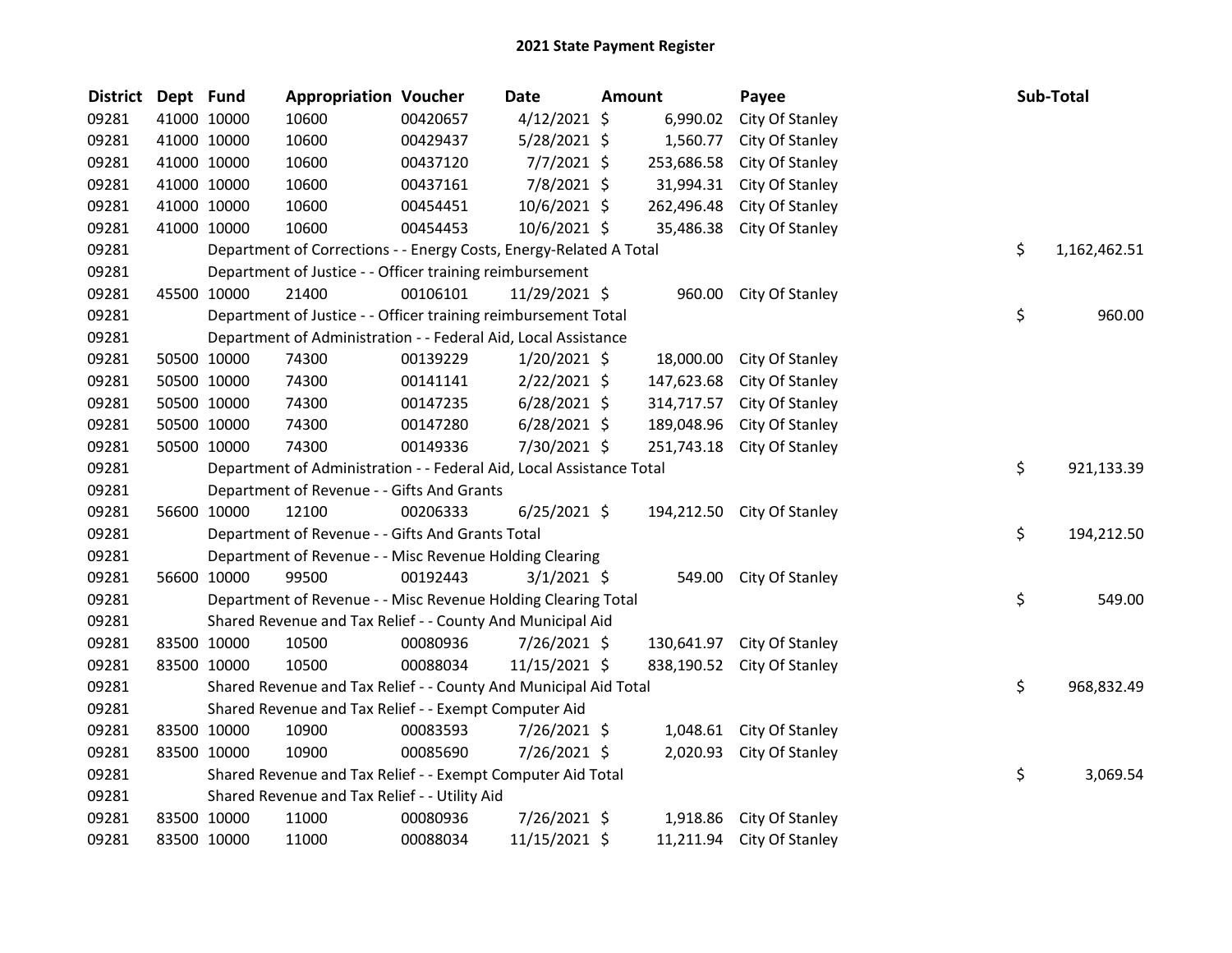| <b>District</b> | Dept Fund |                                                                      | <b>Appropriation Voucher</b>                                   |          | <b>Date</b>    | Amount |            | Payee                      |  | Sub-Total |              |
|-----------------|-----------|----------------------------------------------------------------------|----------------------------------------------------------------|----------|----------------|--------|------------|----------------------------|--|-----------|--------------|
| 09281           |           | 41000 10000                                                          | 10600                                                          | 00420657 | $4/12/2021$ \$ |        | 6,990.02   | City Of Stanley            |  |           |              |
| 09281           |           | 41000 10000                                                          | 10600                                                          | 00429437 | 5/28/2021 \$   |        | 1,560.77   | City Of Stanley            |  |           |              |
| 09281           |           | 41000 10000                                                          | 10600                                                          | 00437120 | $7/7/2021$ \$  |        | 253,686.58 | City Of Stanley            |  |           |              |
| 09281           |           | 41000 10000                                                          | 10600                                                          | 00437161 | 7/8/2021 \$    |        | 31,994.31  | City Of Stanley            |  |           |              |
| 09281           |           | 41000 10000                                                          | 10600                                                          | 00454451 | 10/6/2021 \$   |        | 262,496.48 | City Of Stanley            |  |           |              |
| 09281           |           | 41000 10000                                                          | 10600                                                          | 00454453 | 10/6/2021 \$   |        | 35,486.38  | City Of Stanley            |  |           |              |
| 09281           |           | Department of Corrections - - Energy Costs, Energy-Related A Total   |                                                                |          |                |        |            |                            |  | \$        | 1,162,462.51 |
| 09281           |           |                                                                      | Department of Justice - - Officer training reimbursement       |          |                |        |            |                            |  |           |              |
| 09281           |           | 45500 10000                                                          | 21400                                                          | 00106101 | 11/29/2021 \$  |        | 960.00     | City Of Stanley            |  |           |              |
| 09281           |           |                                                                      | Department of Justice - - Officer training reimbursement Total |          |                |        |            |                            |  | \$        | 960.00       |
| 09281           |           |                                                                      | Department of Administration - - Federal Aid, Local Assistance |          |                |        |            |                            |  |           |              |
| 09281           |           | 50500 10000                                                          | 74300                                                          | 00139229 | $1/20/2021$ \$ |        | 18,000.00  | City Of Stanley            |  |           |              |
| 09281           |           | 50500 10000                                                          | 74300                                                          | 00141141 | $2/22/2021$ \$ |        | 147,623.68 | City Of Stanley            |  |           |              |
| 09281           |           | 50500 10000                                                          | 74300                                                          | 00147235 | $6/28/2021$ \$ |        | 314,717.57 | City Of Stanley            |  |           |              |
| 09281           |           | 50500 10000                                                          | 74300                                                          | 00147280 | $6/28/2021$ \$ |        | 189,048.96 | City Of Stanley            |  |           |              |
| 09281           |           | 50500 10000                                                          | 74300                                                          | 00149336 | 7/30/2021 \$   |        | 251,743.18 | City Of Stanley            |  |           |              |
| 09281           |           | Department of Administration - - Federal Aid, Local Assistance Total |                                                                |          |                |        |            |                            |  | \$        | 921,133.39   |
| 09281           |           | Department of Revenue - - Gifts And Grants                           |                                                                |          |                |        |            |                            |  |           |              |
| 09281           |           | 56600 10000                                                          | 12100                                                          | 00206333 | $6/25/2021$ \$ |        |            | 194,212.50 City Of Stanley |  |           |              |
| 09281           |           | Department of Revenue - - Gifts And Grants Total                     |                                                                |          |                |        |            |                            |  | \$        | 194,212.50   |
| 09281           |           | Department of Revenue - - Misc Revenue Holding Clearing              |                                                                |          |                |        |            |                            |  |           |              |
| 09281           |           | 56600 10000                                                          | 99500                                                          | 00192443 | $3/1/2021$ \$  |        | 549.00     | City Of Stanley            |  |           |              |
| 09281           |           | Department of Revenue - - Misc Revenue Holding Clearing Total        |                                                                |          |                |        |            |                            |  | \$        | 549.00       |
| 09281           |           | Shared Revenue and Tax Relief - - County And Municipal Aid           |                                                                |          |                |        |            |                            |  |           |              |
| 09281           |           | 83500 10000                                                          | 10500                                                          | 00080936 | 7/26/2021 \$   |        |            | 130,641.97 City Of Stanley |  |           |              |
| 09281           |           | 83500 10000                                                          | 10500                                                          | 00088034 | 11/15/2021 \$  |        |            | 838,190.52 City Of Stanley |  |           |              |
| 09281           |           | Shared Revenue and Tax Relief - - County And Municipal Aid Total     |                                                                |          |                |        |            |                            |  | \$        | 968,832.49   |
| 09281           |           | Shared Revenue and Tax Relief - - Exempt Computer Aid                |                                                                |          |                |        |            |                            |  |           |              |
| 09281           |           | 83500 10000                                                          | 10900                                                          | 00083593 | 7/26/2021 \$   |        | 1,048.61   | City Of Stanley            |  |           |              |
| 09281           |           | 83500 10000                                                          | 10900                                                          | 00085690 | 7/26/2021 \$   |        | 2,020.93   | City Of Stanley            |  |           |              |
| 09281           |           | \$<br>Shared Revenue and Tax Relief - - Exempt Computer Aid Total    |                                                                |          |                |        |            |                            |  |           | 3,069.54     |
| 09281           |           | Shared Revenue and Tax Relief - - Utility Aid                        |                                                                |          |                |        |            |                            |  |           |              |
| 09281           |           | 83500 10000                                                          | 11000                                                          | 00080936 | 7/26/2021 \$   |        |            | 1,918.86 City Of Stanley   |  |           |              |
| 09281           |           | 83500 10000                                                          | 11000                                                          | 00088034 | 11/15/2021 \$  |        |            | 11,211.94 City Of Stanley  |  |           |              |